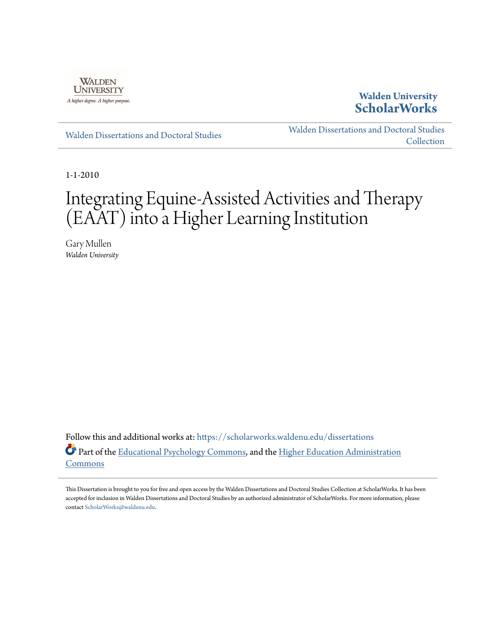

**Walden University [ScholarWorks](https://scholarworks.waldenu.edu?utm_source=scholarworks.waldenu.edu%2Fdissertations%2F845&utm_medium=PDF&utm_campaign=PDFCoverPages)**

[Walden Dissertations and Doctoral Studies](https://scholarworks.waldenu.edu/dissertations?utm_source=scholarworks.waldenu.edu%2Fdissertations%2F845&utm_medium=PDF&utm_campaign=PDFCoverPages)

[Walden Dissertations and Doctoral Studies](https://scholarworks.waldenu.edu/dissanddoc?utm_source=scholarworks.waldenu.edu%2Fdissertations%2F845&utm_medium=PDF&utm_campaign=PDFCoverPages) **[Collection](https://scholarworks.waldenu.edu/dissanddoc?utm_source=scholarworks.waldenu.edu%2Fdissertations%2F845&utm_medium=PDF&utm_campaign=PDFCoverPages)** 

1-1-2010

# Integrating Equine-Assisted Activities and Therapy (EAAT) into a Higher Learning Institution

Gary Mullen *Walden University*

Follow this and additional works at: [https://scholarworks.waldenu.edu/dissertations](https://scholarworks.waldenu.edu/dissertations?utm_source=scholarworks.waldenu.edu%2Fdissertations%2F845&utm_medium=PDF&utm_campaign=PDFCoverPages) Part of the [Educational Psychology Commons,](http://network.bepress.com/hgg/discipline/798?utm_source=scholarworks.waldenu.edu%2Fdissertations%2F845&utm_medium=PDF&utm_campaign=PDFCoverPages) and the [Higher Education Administration](http://network.bepress.com/hgg/discipline/791?utm_source=scholarworks.waldenu.edu%2Fdissertations%2F845&utm_medium=PDF&utm_campaign=PDFCoverPages) [Commons](http://network.bepress.com/hgg/discipline/791?utm_source=scholarworks.waldenu.edu%2Fdissertations%2F845&utm_medium=PDF&utm_campaign=PDFCoverPages)

This Dissertation is brought to you for free and open access by the Walden Dissertations and Doctoral Studies Collection at ScholarWorks. It has been accepted for inclusion in Walden Dissertations and Doctoral Studies by an authorized administrator of ScholarWorks. For more information, please contact [ScholarWorks@waldenu.edu](mailto:ScholarWorks@waldenu.edu).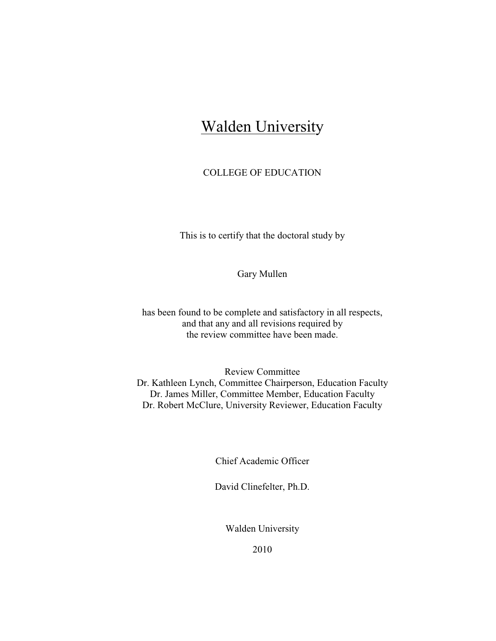## Walden University

#### COLLEGE OF EDUCATION

This is to certify that the doctoral study by

Gary Mullen

has been found to be complete and satisfactory in all respects, and that any and all revisions required by the review committee have been made.

Review Committee Dr. Kathleen Lynch, Committee Chairperson, Education Faculty Dr. James Miller, Committee Member, Education Faculty Dr. Robert McClure, University Reviewer, Education Faculty

Chief Academic Officer

David Clinefelter, Ph.D.

Walden University

2010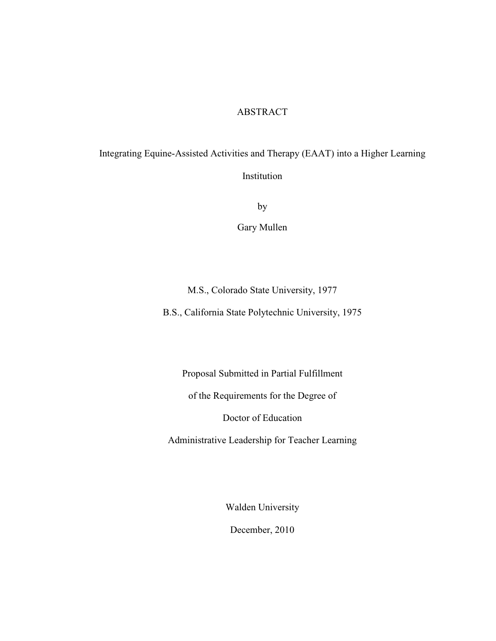### ABSTRACT

## Integrating Equine-Assisted Activities and Therapy (EAAT) into a Higher Learning Institution

by

Gary Mullen

### M.S., Colorado State University, 1977

B.S., California State Polytechnic University, 1975

Proposal Submitted in Partial Fulfillment

of the Requirements for the Degree of

Doctor of Education

Administrative Leadership for Teacher Learning

Walden University

December, 2010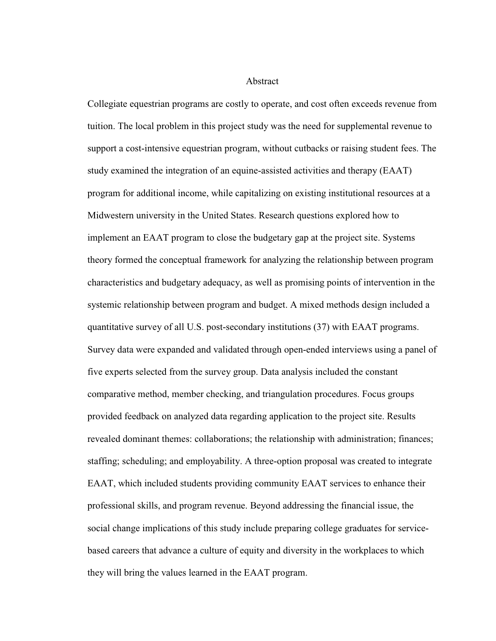#### Abstract

Collegiate equestrian programs are costly to operate, and cost often exceeds revenue from tuition. The local problem in this project study was the need for supplemental revenue to support a cost-intensive equestrian program, without cutbacks or raising student fees. The study examined the integration of an equine-assisted activities and therapy (EAAT) program for additional income, while capitalizing on existing institutional resources at a Midwestern university in the United States. Research questions explored how to implement an EAAT program to close the budgetary gap at the project site. Systems theory formed the conceptual framework for analyzing the relationship between program characteristics and budgetary adequacy, as well as promising points of intervention in the systemic relationship between program and budget. A mixed methods design included a quantitative survey of all U.S. post-secondary institutions (37) with EAAT programs. Survey data were expanded and validated through open-ended interviews using a panel of five experts selected from the survey group. Data analysis included the constant comparative method, member checking, and triangulation procedures. Focus groups provided feedback on analyzed data regarding application to the project site. Results revealed dominant themes: collaborations; the relationship with administration; finances; staffing; scheduling; and employability. A three-option proposal was created to integrate EAAT, which included students providing community EAAT services to enhance their professional skills, and program revenue. Beyond addressing the financial issue, the social change implications of this study include preparing college graduates for servicebased careers that advance a culture of equity and diversity in the workplaces to which they will bring the values learned in the EAAT program.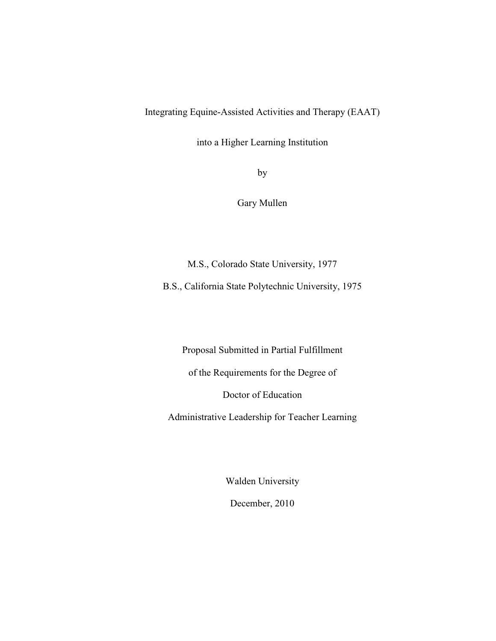Integrating Equine-Assisted Activities and Therapy (EAAT)

into a Higher Learning Institution

by

Gary Mullen

M.S., Colorado State University, 1977

B.S., California State Polytechnic University, 1975

Proposal Submitted in Partial Fulfillment

of the Requirements for the Degree of

Doctor of Education

Administrative Leadership for Teacher Learning

Walden University

December, 2010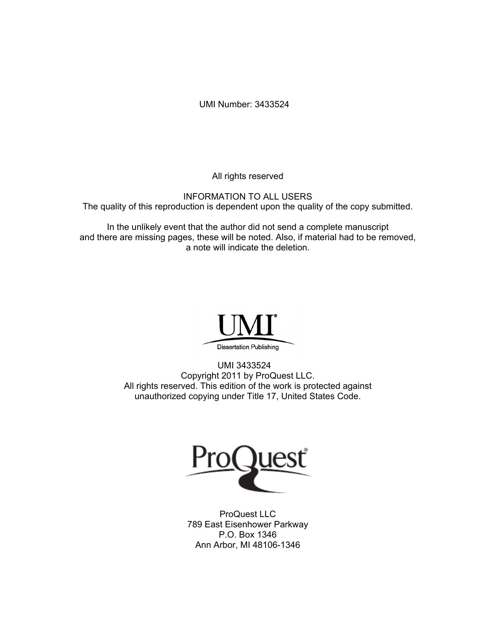UMI Number: 3433524

All rights reserved

INFORMATION TO ALL USERS The quality of this reproduction is dependent upon the quality of the copy submitted.

In the unlikely event that the author did not send a complete manuscript and there are missing pages, these will be noted. Also, if material had to be removed, a note will indicate the deletion.



UMI 3433524 Copyright 2011 by ProQuest LLC. All rights reserved. This edition of the work is protected against unauthorized copying under Title 17, United States Code.



ProQuest LLC 789 East Eisenhower Parkway P.O. Box 1346 Ann Arbor, MI 48106-1346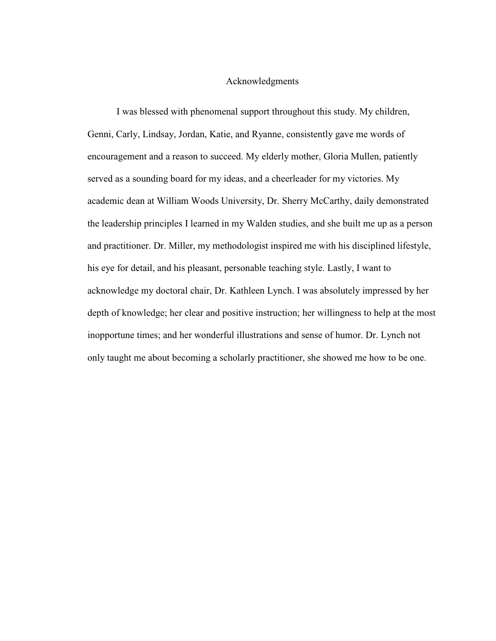#### Acknowledgments

 I was blessed with phenomenal support throughout this study. My children, Genni, Carly, Lindsay, Jordan, Katie, and Ryanne, consistently gave me words of encouragement and a reason to succeed. My elderly mother, Gloria Mullen, patiently served as a sounding board for my ideas, and a cheerleader for my victories. My academic dean at William Woods University, Dr. Sherry McCarthy, daily demonstrated the leadership principles I learned in my Walden studies, and she built me up as a person and practitioner. Dr. Miller, my methodologist inspired me with his disciplined lifestyle, his eye for detail, and his pleasant, personable teaching style. Lastly, I want to acknowledge my doctoral chair, Dr. Kathleen Lynch. I was absolutely impressed by her depth of knowledge; her clear and positive instruction; her willingness to help at the most inopportune times; and her wonderful illustrations and sense of humor. Dr. Lynch not only taught me about becoming a scholarly practitioner, she showed me how to be one.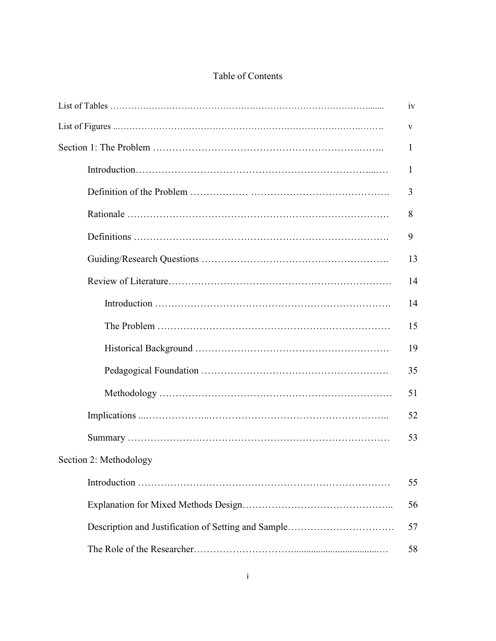## Table of Contents

|                        | iv |
|------------------------|----|
|                        | V  |
|                        | 1  |
|                        | 1  |
|                        | 3  |
|                        | 8  |
|                        | 9  |
|                        | 13 |
|                        | 14 |
|                        | 14 |
|                        | 15 |
|                        | 19 |
|                        | 35 |
|                        | 51 |
|                        | 52 |
|                        | 53 |
| Section 2: Methodology |    |
|                        | 55 |
|                        | 56 |
|                        | 57 |
|                        | 58 |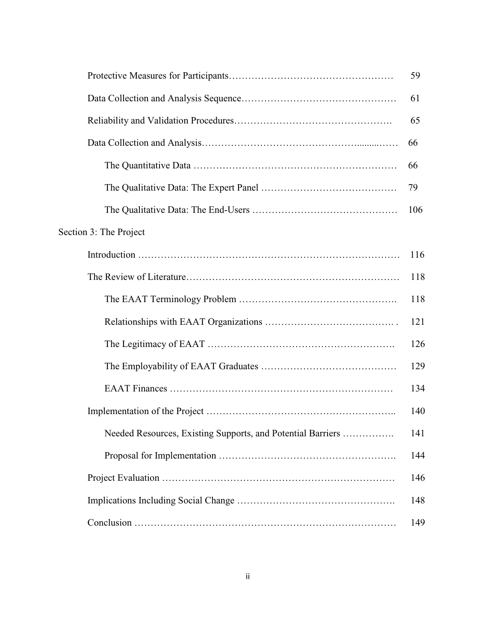|                                                             | 59  |
|-------------------------------------------------------------|-----|
|                                                             | 61  |
|                                                             | 65  |
|                                                             | 66  |
|                                                             | 66  |
|                                                             | 79  |
|                                                             | 106 |
| Section 3: The Project                                      |     |
|                                                             | 116 |
|                                                             | 118 |
|                                                             | 118 |
|                                                             | 121 |
|                                                             | 126 |
|                                                             | 129 |
|                                                             | 134 |
|                                                             | 140 |
| Needed Resources, Existing Supports, and Potential Barriers | 141 |
|                                                             | 144 |
|                                                             | 146 |
|                                                             | 148 |
|                                                             | 149 |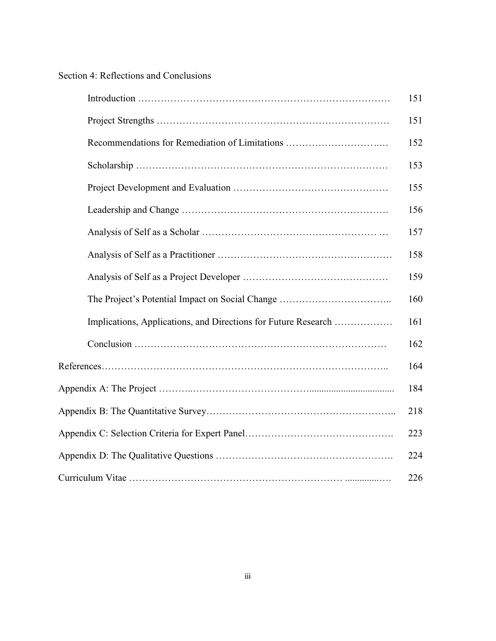## Section 4: Reflections and Conclusions

|                                                                | 151 |
|----------------------------------------------------------------|-----|
|                                                                | 151 |
| Recommendations for Remediation of Limitations                 | 152 |
|                                                                | 153 |
|                                                                | 155 |
|                                                                | 156 |
|                                                                | 157 |
|                                                                | 158 |
|                                                                | 159 |
|                                                                | 160 |
| Implications, Applications, and Directions for Future Research | 161 |
|                                                                | 162 |
|                                                                | 164 |
|                                                                | 184 |
|                                                                | 218 |
|                                                                | 223 |
|                                                                | 224 |
|                                                                | 226 |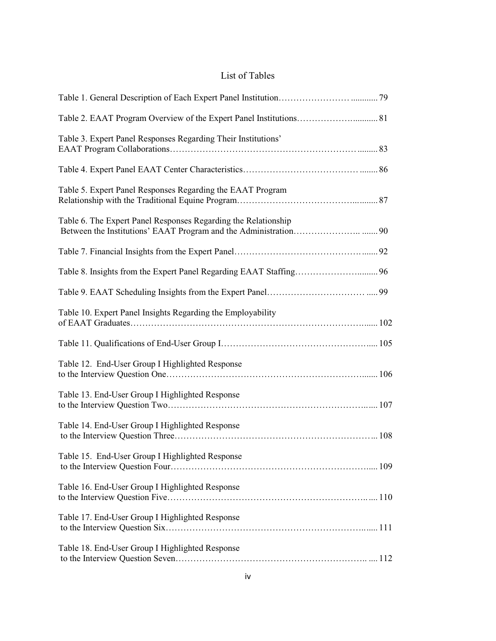## List of Tables

| Table 3. Expert Panel Responses Regarding Their Institutions'  |
|----------------------------------------------------------------|
|                                                                |
| Table 5. Expert Panel Responses Regarding the EAAT Program     |
| Table 6. The Expert Panel Responses Regarding the Relationship |
|                                                                |
|                                                                |
|                                                                |
| Table 10. Expert Panel Insights Regarding the Employability    |
|                                                                |
| Table 12. End-User Group I Highlighted Response                |
| Table 13. End-User Group I Highlighted Response                |
| Table 14. End-User Group I Highlighted Response                |
| Table 15. End-User Group I Highlighted Response                |
| Table 16. End-User Group I Highlighted Response                |
| Table 17. End-User Group I Highlighted Response                |
| Table 18. End-User Group I Highlighted Response                |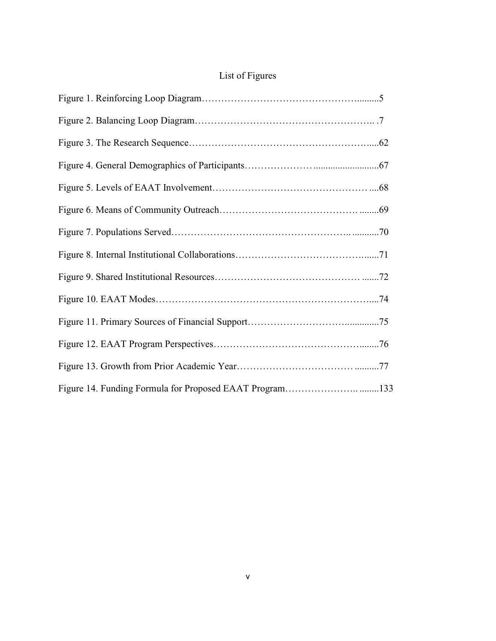## List of Figures

| Figure 14. Funding Formula for Proposed EAAT Program133 |
|---------------------------------------------------------|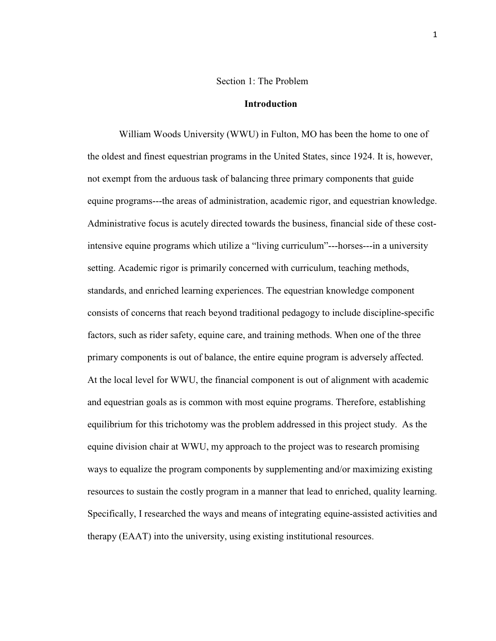#### Section 1: The Problem

#### **Introduction**

 William Woods University (WWU) in Fulton, MO has been the home to one of the oldest and finest equestrian programs in the United States, since 1924. It is, however, not exempt from the arduous task of balancing three primary components that guide equine programs---the areas of administration, academic rigor, and equestrian knowledge. Administrative focus is acutely directed towards the business, financial side of these costintensive equine programs which utilize a "living curriculum"---horses---in a university setting. Academic rigor is primarily concerned with curriculum, teaching methods, standards, and enriched learning experiences. The equestrian knowledge component consists of concerns that reach beyond traditional pedagogy to include discipline-specific factors, such as rider safety, equine care, and training methods. When one of the three primary components is out of balance, the entire equine program is adversely affected. At the local level for WWU, the financial component is out of alignment with academic and equestrian goals as is common with most equine programs. Therefore, establishing equilibrium for this trichotomy was the problem addressed in this project study. As the equine division chair at WWU, my approach to the project was to research promising ways to equalize the program components by supplementing and/or maximizing existing resources to sustain the costly program in a manner that lead to enriched, quality learning. Specifically, I researched the ways and means of integrating equine-assisted activities and therapy (EAAT) into the university, using existing institutional resources.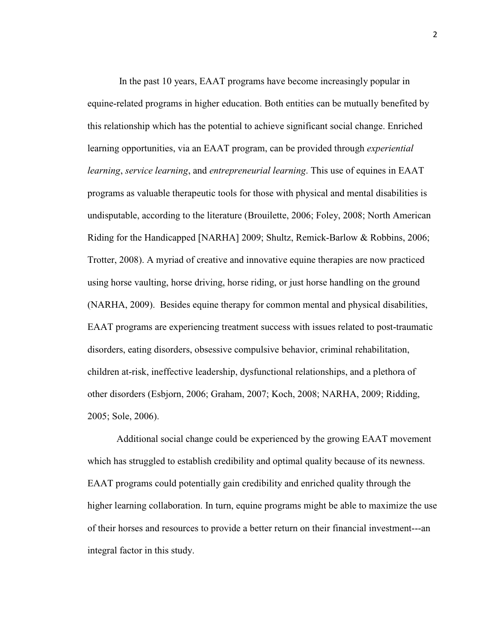In the past 10 years, EAAT programs have become increasingly popular in equine-related programs in higher education. Both entities can be mutually benefited by this relationship which has the potential to achieve significant social change. Enriched learning opportunities, via an EAAT program, can be provided through *experiential learning*, *service learning*, and *entrepreneurial learning*. This use of equines in EAAT programs as valuable therapeutic tools for those with physical and mental disabilities is undisputable, according to the literature (Brouilette, 2006; Foley, 2008; North American Riding for the Handicapped [NARHA] 2009; Shultz, Remick-Barlow & Robbins, 2006; Trotter, 2008). A myriad of creative and innovative equine therapies are now practiced using horse vaulting, horse driving, horse riding, or just horse handling on the ground (NARHA, 2009). Besides equine therapy for common mental and physical disabilities, EAAT programs are experiencing treatment success with issues related to post-traumatic disorders, eating disorders, obsessive compulsive behavior, criminal rehabilitation, children at-risk, ineffective leadership, dysfunctional relationships, and a plethora of other disorders (Esbjorn, 2006; Graham, 2007; Koch, 2008; NARHA, 2009; Ridding, 2005; Sole, 2006).

Additional social change could be experienced by the growing EAAT movement which has struggled to establish credibility and optimal quality because of its newness. EAAT programs could potentially gain credibility and enriched quality through the higher learning collaboration. In turn, equine programs might be able to maximize the use of their horses and resources to provide a better return on their financial investment---an integral factor in this study.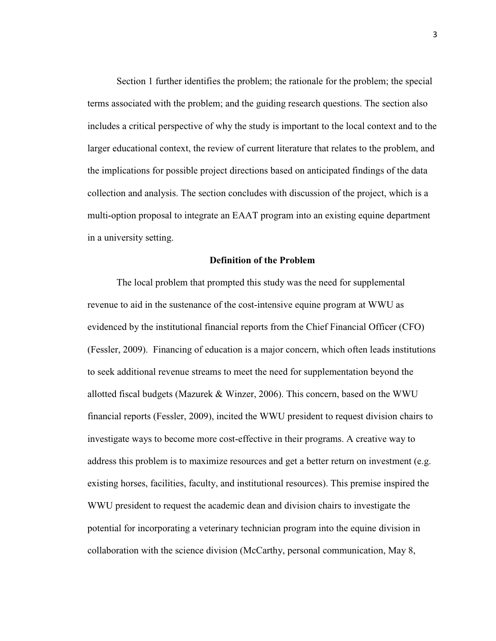Section 1 further identifies the problem; the rationale for the problem; the special terms associated with the problem; and the guiding research questions. The section also includes a critical perspective of why the study is important to the local context and to the larger educational context, the review of current literature that relates to the problem, and the implications for possible project directions based on anticipated findings of the data collection and analysis. The section concludes with discussion of the project, which is a multi-option proposal to integrate an EAAT program into an existing equine department in a university setting.

#### **Definition of the Problem**

The local problem that prompted this study was the need for supplemental revenue to aid in the sustenance of the cost-intensive equine program at WWU as evidenced by the institutional financial reports from the Chief Financial Officer (CFO) (Fessler, 2009). Financing of education is a major concern, which often leads institutions to seek additional revenue streams to meet the need for supplementation beyond the allotted fiscal budgets (Mazurek & Winzer, 2006). This concern, based on the WWU financial reports (Fessler, 2009), incited the WWU president to request division chairs to investigate ways to become more cost-effective in their programs. A creative way to address this problem is to maximize resources and get a better return on investment (e.g. existing horses, facilities, faculty, and institutional resources). This premise inspired the WWU president to request the academic dean and division chairs to investigate the potential for incorporating a veterinary technician program into the equine division in collaboration with the science division (McCarthy, personal communication, May 8,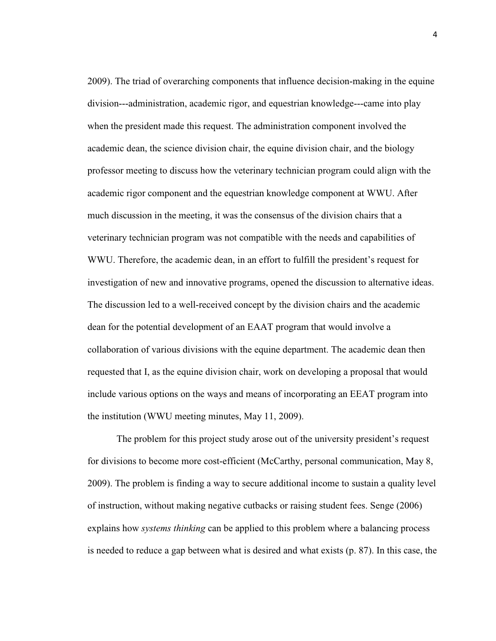2009). The triad of overarching components that influence decision-making in the equine division---administration, academic rigor, and equestrian knowledge---came into play when the president made this request. The administration component involved the academic dean, the science division chair, the equine division chair, and the biology professor meeting to discuss how the veterinary technician program could align with the academic rigor component and the equestrian knowledge component at WWU. After much discussion in the meeting, it was the consensus of the division chairs that a veterinary technician program was not compatible with the needs and capabilities of WWU. Therefore, the academic dean, in an effort to fulfill the president's request for investigation of new and innovative programs, opened the discussion to alternative ideas. The discussion led to a well-received concept by the division chairs and the academic dean for the potential development of an EAAT program that would involve a collaboration of various divisions with the equine department. The academic dean then requested that I, as the equine division chair, work on developing a proposal that would include various options on the ways and means of incorporating an EEAT program into the institution (WWU meeting minutes, May 11, 2009).

The problem for this project study arose out of the university president's request for divisions to become more cost-efficient (McCarthy, personal communication, May 8, 2009). The problem is finding a way to secure additional income to sustain a quality level of instruction, without making negative cutbacks or raising student fees. Senge (2006) explains how *systems thinking* can be applied to this problem where a balancing process is needed to reduce a gap between what is desired and what exists (p. 87). In this case, the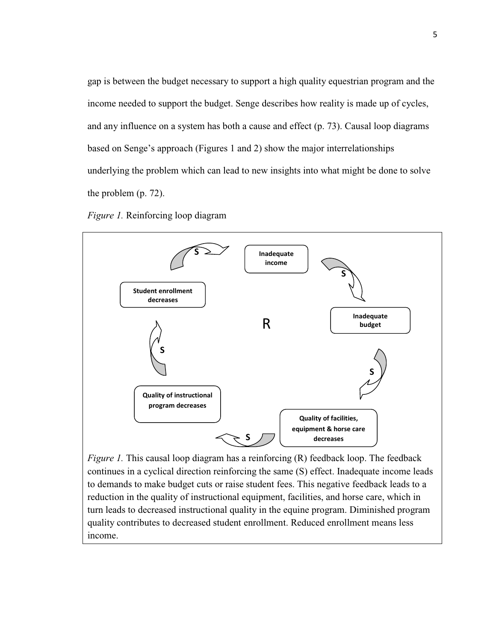gap is between the budget necessary to support a high quality equestrian program and the income needed to support the budget. Senge describes how reality is made up of cycles, and any influence on a system has both a cause and effect (p. 73). Causal loop diagrams based on Senge's approach (Figures 1 and 2) show the major interrelationships underlying the problem which can lead to new insights into what might be done to solve the problem (p. 72).

*Figure 1.* Reinforcing loop diagram



*Figure 1.* This causal loop diagram has a reinforcing (R) feedback loop. The feedback continues in a cyclical direction reinforcing the same (S) effect. Inadequate income leads to demands to make budget cuts or raise student fees. This negative feedback leads to a reduction in the quality of instructional equipment, facilities, and horse care, which in turn leads to decreased instructional quality in the equine program. Diminished program quality contributes to decreased student enrollment. Reduced enrollment means less income.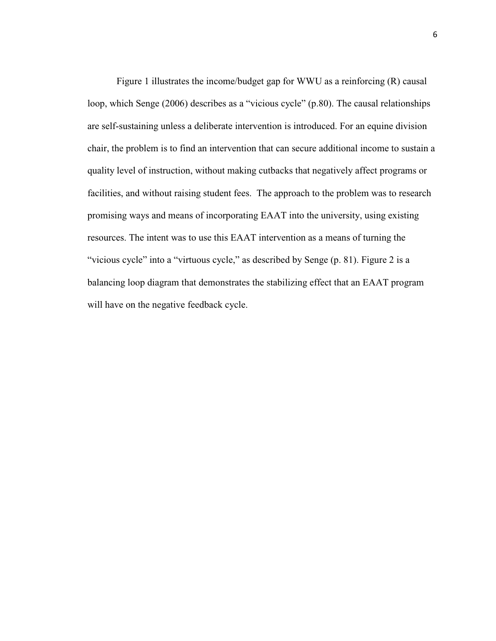Figure 1 illustrates the income/budget gap for WWU as a reinforcing (R) causal loop, which Senge (2006) describes as a "vicious cycle" (p.80). The causal relationships are self-sustaining unless a deliberate intervention is introduced. For an equine division chair, the problem is to find an intervention that can secure additional income to sustain a quality level of instruction, without making cutbacks that negatively affect programs or facilities, and without raising student fees. The approach to the problem was to research promising ways and means of incorporating EAAT into the university, using existing resources. The intent was to use this EAAT intervention as a means of turning the "vicious cycle" into a "virtuous cycle," as described by Senge (p. 81). Figure 2 is a balancing loop diagram that demonstrates the stabilizing effect that an EAAT program will have on the negative feedback cycle.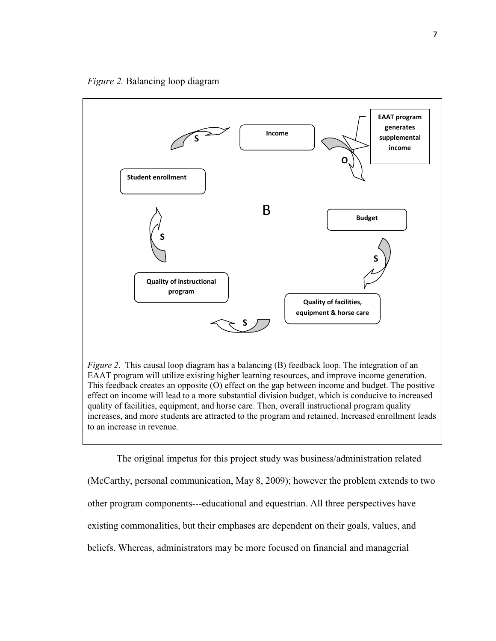*Figure 2.* Balancing loop diagram



*Figure 2.* This causal loop diagram has a balancing (B) feedback loop. The integration of an EAAT program will utilize existing higher learning resources, and improve income generation. This feedback creates an opposite (O) effect on the gap between income and budget. The positive effect on income will lead to a more substantial division budget, which is conducive to increased quality of facilities, equipment, and horse care. Then, overall instructional program quality increases, and more students are attracted to the program and retained. Increased enrollment leads to an increase in revenue.

The original impetus for this project study was business/administration related (McCarthy, personal communication, May 8, 2009); however the problem extends to two other program components---educational and equestrian. All three perspectives have existing commonalities, but their emphases are dependent on their goals, values, and beliefs. Whereas, administrators may be more focused on financial and managerial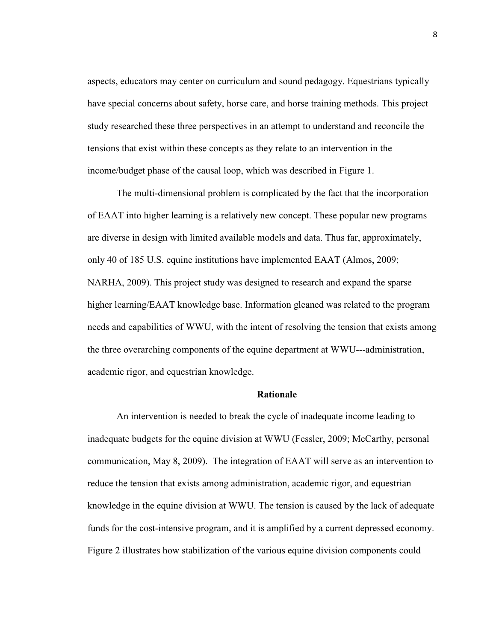aspects, educators may center on curriculum and sound pedagogy. Equestrians typically have special concerns about safety, horse care, and horse training methods. This project study researched these three perspectives in an attempt to understand and reconcile the tensions that exist within these concepts as they relate to an intervention in the income/budget phase of the causal loop, which was described in Figure 1.

The multi-dimensional problem is complicated by the fact that the incorporation of EAAT into higher learning is a relatively new concept. These popular new programs are diverse in design with limited available models and data. Thus far, approximately, only 40 of 185 U.S. equine institutions have implemented EAAT (Almos, 2009; NARHA, 2009). This project study was designed to research and expand the sparse higher learning/EAAT knowledge base. Information gleaned was related to the program needs and capabilities of WWU, with the intent of resolving the tension that exists among the three overarching components of the equine department at WWU---administration, academic rigor, and equestrian knowledge.

#### **Rationale**

An intervention is needed to break the cycle of inadequate income leading to inadequate budgets for the equine division at WWU (Fessler, 2009; McCarthy, personal communication, May 8, 2009). The integration of EAAT will serve as an intervention to reduce the tension that exists among administration, academic rigor, and equestrian knowledge in the equine division at WWU. The tension is caused by the lack of adequate funds for the cost-intensive program, and it is amplified by a current depressed economy. Figure 2 illustrates how stabilization of the various equine division components could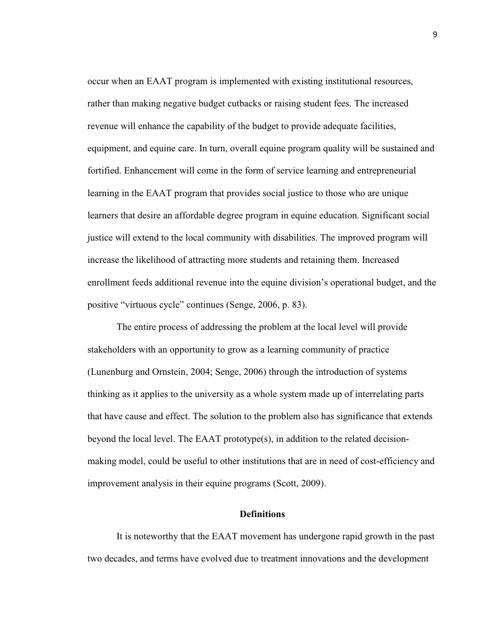occur when an EAAT program is implemented with existing institutional resources, rather than making negative budget cutbacks or raising student fees. The increased revenue will enhance the capability of the budget to provide adequate facilities, equipment, and equine care. In turn, overall equine program quality will be sustained and fortified. Enhancement will come in the form of service learning and entrepreneurial learning in the EAAT program that provides social justice to those who are unique learners that desire an affordable degree program in equine education. Significant social justice will extend to the local community with disabilities. The improved program will increase the likelihood of attracting more students and retaining them. Increased enrollment feeds additional revenue into the equine division's operational budget, and the positive "virtuous cycle" continues (Senge, 2006, p. 83).

The entire process of addressing the problem at the local level will provide stakeholders with an opportunity to grow as a learning community of practice (Lunenburg and Ornstein, 2004; Senge, 2006) through the introduction of systems thinking as it applies to the university as a whole system made up of interrelating parts that have cause and effect. The solution to the problem also has significance that extends beyond the local level. The EAAT prototype(s), in addition to the related decisionmaking model, could be useful to other institutions that are in need of cost-efficiency and improvement analysis in their equine programs (Scott, 2009).

#### **Definitions**

It is noteworthy that the EAAT movement has undergone rapid growth in the past two decades, and terms have evolved due to treatment innovations and the development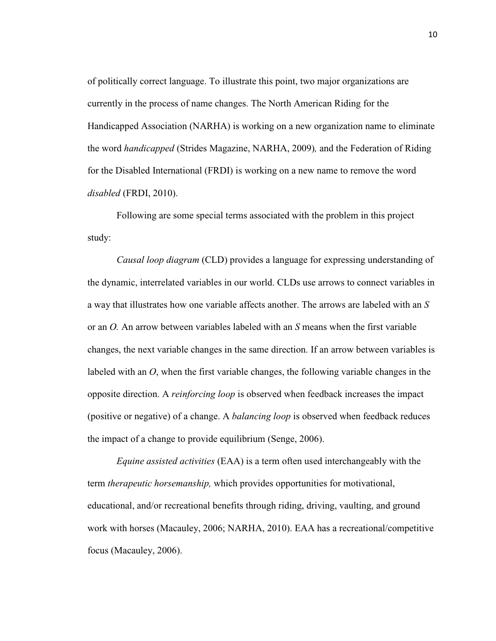of politically correct language. To illustrate this point, two major organizations are currently in the process of name changes. The North American Riding for the Handicapped Association (NARHA) is working on a new organization name to eliminate the word *handicapped* (Strides Magazine, NARHA, 2009)*,* and the Federation of Riding for the Disabled International (FRDI) is working on a new name to remove the word *disabled* (FRDI, 2010).

Following are some special terms associated with the problem in this project study:

*Causal loop diagram* (CLD) provides a language for expressing understanding of the dynamic, interrelated variables in our world. CLDs use arrows to connect variables in a way that illustrates how one variable affects another. The arrows are labeled with an *S*  or an *O.* An arrow between variables labeled with an *S* means when the first variable changes, the next variable changes in the same direction. If an arrow between variables is labeled with an *O*, when the first variable changes, the following variable changes in the opposite direction. A *reinforcing loop* is observed when feedback increases the impact (positive or negative) of a change. A *balancing loop* is observed when feedback reduces the impact of a change to provide equilibrium (Senge, 2006).

*Equine assisted activities* (EAA) is a term often used interchangeably with the term *therapeutic horsemanship,* which provides opportunities for motivational, educational, and/or recreational benefits through riding, driving, vaulting, and ground work with horses (Macauley, 2006; NARHA, 2010). EAA has a recreational/competitive focus (Macauley, 2006).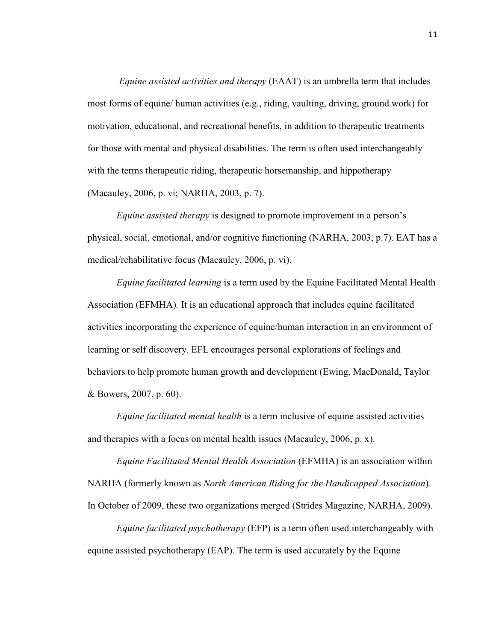*Equine assisted activities and therapy* (EAAT) is an umbrella term that includes most forms of equine/ human activities (e.g., riding, vaulting, driving, ground work) for motivation, educational, and recreational benefits, in addition to therapeutic treatments for those with mental and physical disabilities. The term is often used interchangeably with the terms therapeutic riding, therapeutic horsemanship, and hippotherapy (Macauley, 2006, p. vi; NARHA, 2003, p. 7).

*Equine assisted therapy* is designed to promote improvement in a person's physical, social, emotional, and/or cognitive functioning (NARHA, 2003, p.7). EAT has a medical/rehabilitative focus (Macauley, 2006, p. vi).

*Equine facilitated learning* is a term used by the Equine Facilitated Mental Health Association (EFMHA)*.* It is an educational approach that includes equine facilitated activities incorporating the experience of equine/human interaction in an environment of learning or self discovery. EFL encourages personal explorations of feelings and behaviors to help promote human growth and development (Ewing, MacDonald, Taylor & Bowers, 2007, p. 60).

*Equine facilitated mental health* is a term inclusive of equine assisted activities and therapies with a focus on mental health issues (Macauley, 2006, p. x).

*Equine Facilitated Mental Health Association* (EFMHA) is an association within NARHA (formerly known as *North American Riding for the Handicapped Association*). In October of 2009, these two organizations merged (Strides Magazine, NARHA, 2009).

*Equine facilitated psychotherapy* (EFP) is a term often used interchangeably with equine assisted psychotherapy (EAP). The term is used accurately by the Equine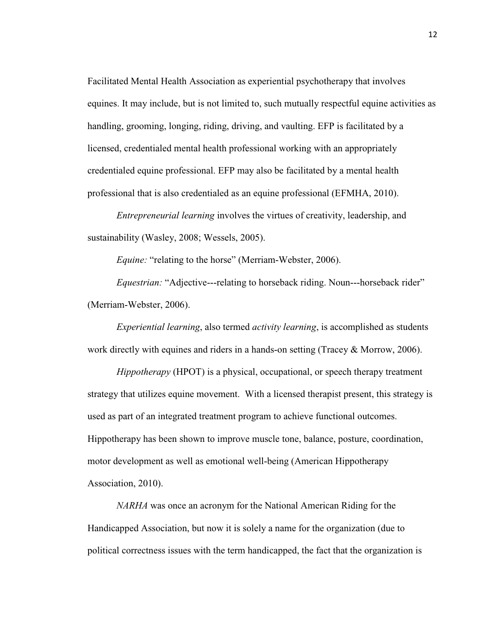Facilitated Mental Health Association as experiential psychotherapy that involves equines. It may include, but is not limited to, such mutually respectful equine activities as handling, grooming, longing, riding, driving, and vaulting. EFP is facilitated by a licensed, credentialed mental health professional working with an appropriately credentialed equine professional. EFP may also be facilitated by a mental health professional that is also credentialed as an equine professional (EFMHA, 2010).

*Entrepreneurial learning* involves the virtues of creativity, leadership, and sustainability (Wasley, 2008; Wessels, 2005).

*Equine:* "relating to the horse" (Merriam-Webster, 2006).

*Equestrian:* "Adjective---relating to horseback riding. Noun---horseback rider" (Merriam-Webster, 2006).

*Experiential learning*, also termed *activity learning*, is accomplished as students work directly with equines and riders in a hands-on setting (Tracey & Morrow, 2006).

*Hippotherapy* (HPOT) is a physical, occupational, or speech therapy treatment strategy that utilizes equine movement. With a licensed therapist present, this strategy is used as part of an integrated treatment program to achieve functional outcomes. Hippotherapy has been shown to improve muscle tone, balance, posture, coordination, motor development as well as emotional well-being (American Hippotherapy Association, 2010).

*NARHA* was once an acronym for the National American Riding for the Handicapped Association, but now it is solely a name for the organization (due to political correctness issues with the term handicapped, the fact that the organization is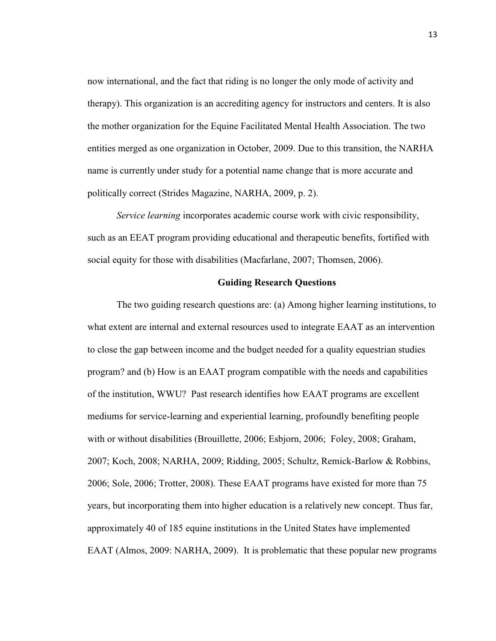now international, and the fact that riding is no longer the only mode of activity and therapy). This organization is an accrediting agency for instructors and centers. It is also the mother organization for the Equine Facilitated Mental Health Association. The two entities merged as one organization in October, 2009. Due to this transition, the NARHA name is currently under study for a potential name change that is more accurate and politically correct (Strides Magazine, NARHA, 2009, p. 2).

*Service learning* incorporates academic course work with civic responsibility, such as an EEAT program providing educational and therapeutic benefits, fortified with social equity for those with disabilities (Macfarlane, 2007; Thomsen, 2006).

#### **Guiding Research Questions**

The two guiding research questions are: (a) Among higher learning institutions, to what extent are internal and external resources used to integrate EAAT as an intervention to close the gap between income and the budget needed for a quality equestrian studies program? and (b) How is an EAAT program compatible with the needs and capabilities of the institution, WWU? Past research identifies how EAAT programs are excellent mediums for service-learning and experiential learning, profoundly benefiting people with or without disabilities (Brouillette, 2006; Esbjorn, 2006; Foley, 2008; Graham, 2007; Koch, 2008; NARHA, 2009; Ridding, 2005; Schultz, Remick-Barlow & Robbins, 2006; Sole, 2006; Trotter, 2008). These EAAT programs have existed for more than 75 years, but incorporating them into higher education is a relatively new concept. Thus far, approximately 40 of 185 equine institutions in the United States have implemented EAAT (Almos, 2009: NARHA, 2009). It is problematic that these popular new programs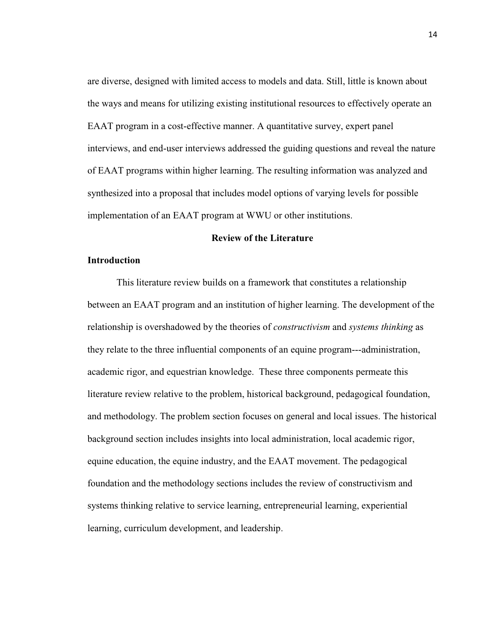are diverse, designed with limited access to models and data. Still, little is known about the ways and means for utilizing existing institutional resources to effectively operate an EAAT program in a cost-effective manner. A quantitative survey, expert panel interviews, and end-user interviews addressed the guiding questions and reveal the nature of EAAT programs within higher learning. The resulting information was analyzed and synthesized into a proposal that includes model options of varying levels for possible implementation of an EAAT program at WWU or other institutions.

#### **Review of the Literature**

#### **Introduction**

 This literature review builds on a framework that constitutes a relationship between an EAAT program and an institution of higher learning. The development of the relationship is overshadowed by the theories of *constructivism* and *systems thinking* as they relate to the three influential components of an equine program---administration, academic rigor, and equestrian knowledge. These three components permeate this literature review relative to the problem, historical background, pedagogical foundation, and methodology. The problem section focuses on general and local issues. The historical background section includes insights into local administration, local academic rigor, equine education, the equine industry, and the EAAT movement. The pedagogical foundation and the methodology sections includes the review of constructivism and systems thinking relative to service learning, entrepreneurial learning, experiential learning, curriculum development, and leadership.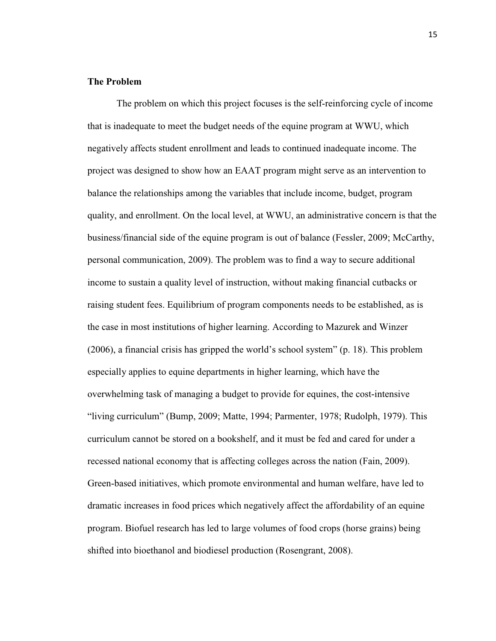#### **The Problem**

The problem on which this project focuses is the self-reinforcing cycle of income that is inadequate to meet the budget needs of the equine program at WWU, which negatively affects student enrollment and leads to continued inadequate income. The project was designed to show how an EAAT program might serve as an intervention to balance the relationships among the variables that include income, budget, program quality, and enrollment. On the local level, at WWU, an administrative concern is that the business/financial side of the equine program is out of balance (Fessler, 2009; McCarthy, personal communication, 2009). The problem was to find a way to secure additional income to sustain a quality level of instruction, without making financial cutbacks or raising student fees. Equilibrium of program components needs to be established, as is the case in most institutions of higher learning. According to Mazurek and Winzer (2006), a financial crisis has gripped the world's school system" (p. 18). This problem especially applies to equine departments in higher learning, which have the overwhelming task of managing a budget to provide for equines, the cost-intensive "living curriculum" (Bump, 2009; Matte, 1994; Parmenter, 1978; Rudolph, 1979). This curriculum cannot be stored on a bookshelf, and it must be fed and cared for under a recessed national economy that is affecting colleges across the nation (Fain, 2009). Green-based initiatives, which promote environmental and human welfare, have led to dramatic increases in food prices which negatively affect the affordability of an equine program. Biofuel research has led to large volumes of food crops (horse grains) being shifted into bioethanol and biodiesel production (Rosengrant, 2008).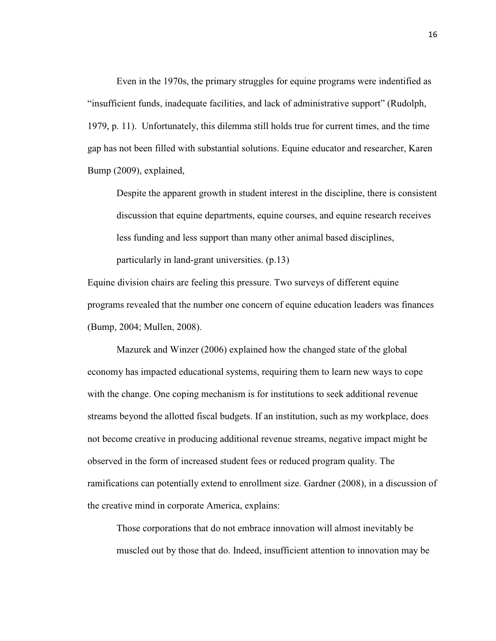Even in the 1970s, the primary struggles for equine programs were indentified as "insufficient funds, inadequate facilities, and lack of administrative support" (Rudolph, 1979, p. 11). Unfortunately, this dilemma still holds true for current times, and the time gap has not been filled with substantial solutions. Equine educator and researcher, Karen Bump (2009), explained,

Despite the apparent growth in student interest in the discipline, there is consistent discussion that equine departments, equine courses, and equine research receives less funding and less support than many other animal based disciplines, particularly in land-grant universities. (p.13)

Equine division chairs are feeling this pressure. Two surveys of different equine programs revealed that the number one concern of equine education leaders was finances (Bump, 2004; Mullen, 2008).

Mazurek and Winzer (2006) explained how the changed state of the global economy has impacted educational systems, requiring them to learn new ways to cope with the change. One coping mechanism is for institutions to seek additional revenue streams beyond the allotted fiscal budgets. If an institution, such as my workplace, does not become creative in producing additional revenue streams, negative impact might be observed in the form of increased student fees or reduced program quality. The ramifications can potentially extend to enrollment size. Gardner (2008), in a discussion of the creative mind in corporate America, explains:

Those corporations that do not embrace innovation will almost inevitably be muscled out by those that do. Indeed, insufficient attention to innovation may be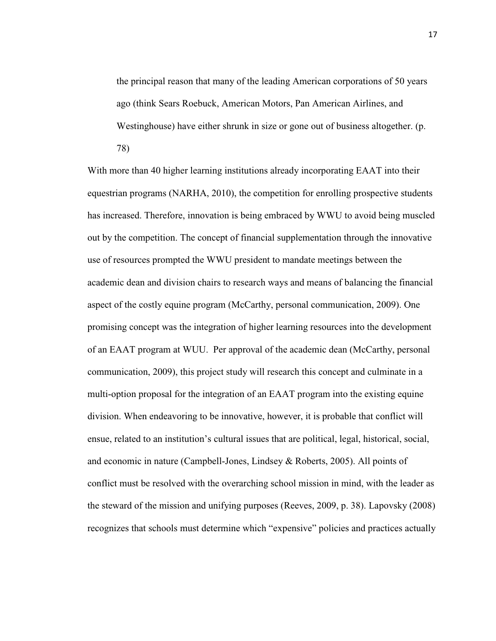the principal reason that many of the leading American corporations of 50 years ago (think Sears Roebuck, American Motors, Pan American Airlines, and Westinghouse) have either shrunk in size or gone out of business altogether. (p. 78)

With more than 40 higher learning institutions already incorporating EAAT into their equestrian programs (NARHA, 2010), the competition for enrolling prospective students has increased. Therefore, innovation is being embraced by WWU to avoid being muscled out by the competition. The concept of financial supplementation through the innovative use of resources prompted the WWU president to mandate meetings between the academic dean and division chairs to research ways and means of balancing the financial aspect of the costly equine program (McCarthy, personal communication, 2009). One promising concept was the integration of higher learning resources into the development of an EAAT program at WUU. Per approval of the academic dean (McCarthy, personal communication, 2009), this project study will research this concept and culminate in a multi-option proposal for the integration of an EAAT program into the existing equine division. When endeavoring to be innovative, however, it is probable that conflict will ensue, related to an institution's cultural issues that are political, legal, historical, social, and economic in nature (Campbell-Jones, Lindsey & Roberts, 2005). All points of conflict must be resolved with the overarching school mission in mind, with the leader as the steward of the mission and unifying purposes (Reeves, 2009, p. 38). Lapovsky (2008) recognizes that schools must determine which "expensive" policies and practices actually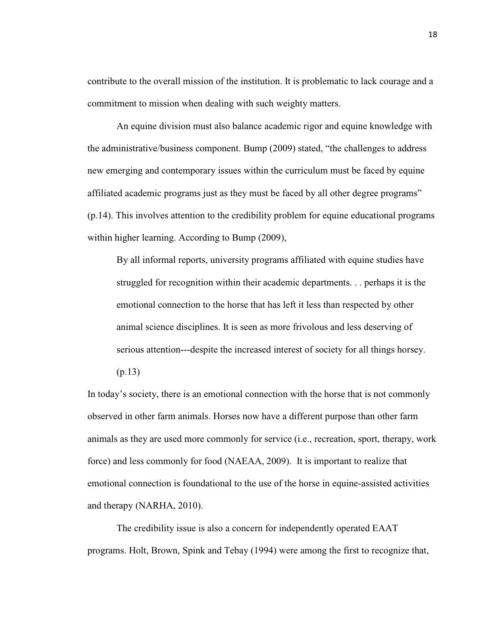contribute to the overall mission of the institution. It is problematic to lack courage and a commitment to mission when dealing with such weighty matters.

An equine division must also balance academic rigor and equine knowledge with the administrative/business component. Bump (2009) stated, "the challenges to address new emerging and contemporary issues within the curriculum must be faced by equine affiliated academic programs just as they must be faced by all other degree programs" (p.14). This involves attention to the credibility problem for equine educational programs within higher learning. According to Bump (2009),

By all informal reports, university programs affiliated with equine studies have struggled for recognition within their academic departments. . . perhaps it is the emotional connection to the horse that has left it less than respected by other animal science disciplines. It is seen as more frivolous and less deserving of serious attention---despite the increased interest of society for all things horsey.

(p.13)

In today's society, there is an emotional connection with the horse that is not commonly observed in other farm animals. Horses now have a different purpose than other farm animals as they are used more commonly for service (i.e., recreation, sport, therapy, work force) and less commonly for food (NAEAA, 2009). It is important to realize that emotional connection is foundational to the use of the horse in equine-assisted activities and therapy (NARHA, 2010).

The credibility issue is also a concern for independently operated EAAT programs. Holt, Brown, Spink and Tebay (1994) were among the first to recognize that,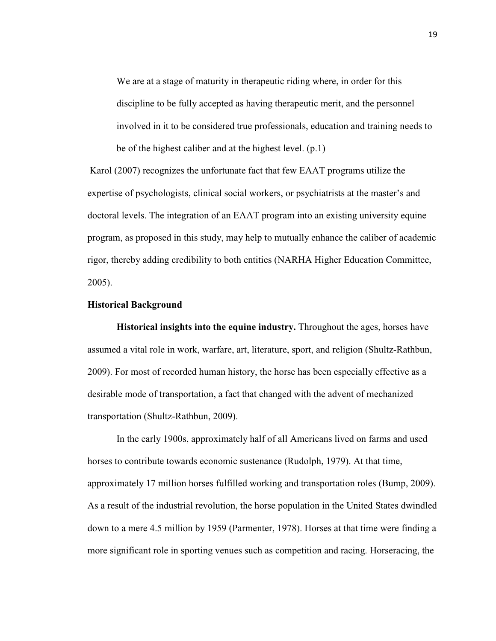We are at a stage of maturity in therapeutic riding where, in order for this discipline to be fully accepted as having therapeutic merit, and the personnel involved in it to be considered true professionals, education and training needs to be of the highest caliber and at the highest level. (p.1)

 Karol (2007) recognizes the unfortunate fact that few EAAT programs utilize the expertise of psychologists, clinical social workers, or psychiatrists at the master's and doctoral levels. The integration of an EAAT program into an existing university equine program, as proposed in this study, may help to mutually enhance the caliber of academic rigor, thereby adding credibility to both entities (NARHA Higher Education Committee, 2005).

#### **Historical Background**

**Historical insights into the equine industry.** Throughout the ages, horses have assumed a vital role in work, warfare, art, literature, sport, and religion (Shultz-Rathbun, 2009). For most of recorded human history, the horse has been especially effective as a desirable mode of transportation, a fact that changed with the advent of mechanized transportation (Shultz-Rathbun, 2009).

In the early 1900s, approximately half of all Americans lived on farms and used horses to contribute towards economic sustenance (Rudolph, 1979). At that time, approximately 17 million horses fulfilled working and transportation roles (Bump, 2009). As a result of the industrial revolution, the horse population in the United States dwindled down to a mere 4.5 million by 1959 (Parmenter, 1978). Horses at that time were finding a more significant role in sporting venues such as competition and racing. Horseracing, the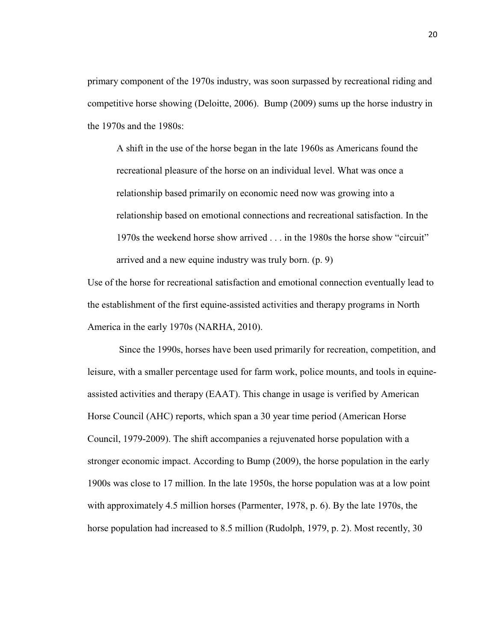primary component of the 1970s industry, was soon surpassed by recreational riding and competitive horse showing (Deloitte, 2006). Bump (2009) sums up the horse industry in the 1970s and the 1980s:

A shift in the use of the horse began in the late 1960s as Americans found the recreational pleasure of the horse on an individual level. What was once a relationship based primarily on economic need now was growing into a relationship based on emotional connections and recreational satisfaction. In the 1970s the weekend horse show arrived . . . in the 1980s the horse show "circuit" arrived and a new equine industry was truly born. (p. 9)

Use of the horse for recreational satisfaction and emotional connection eventually lead to the establishment of the first equine-assisted activities and therapy programs in North America in the early 1970s (NARHA, 2010).

 Since the 1990s, horses have been used primarily for recreation, competition, and leisure, with a smaller percentage used for farm work, police mounts, and tools in equineassisted activities and therapy (EAAT). This change in usage is verified by American Horse Council (AHC) reports, which span a 30 year time period (American Horse Council, 1979-2009). The shift accompanies a rejuvenated horse population with a stronger economic impact. According to Bump (2009), the horse population in the early 1900s was close to 17 million. In the late 1950s, the horse population was at a low point with approximately 4.5 million horses (Parmenter, 1978, p. 6). By the late 1970s, the horse population had increased to 8.5 million (Rudolph, 1979, p. 2). Most recently, 30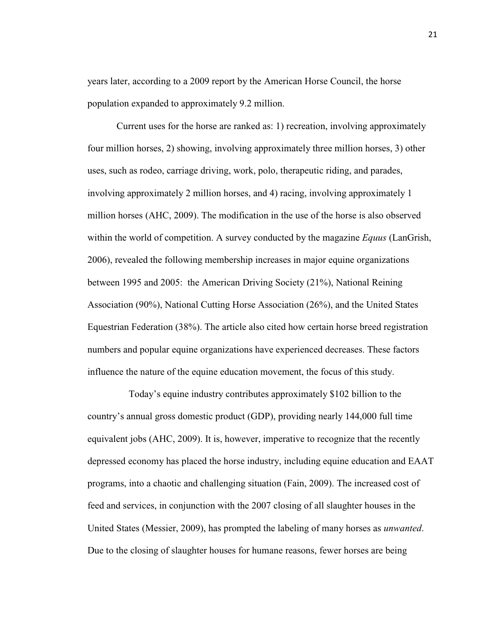years later, according to a 2009 report by the American Horse Council, the horse population expanded to approximately 9.2 million.

Current uses for the horse are ranked as: 1) recreation, involving approximately four million horses, 2) showing, involving approximately three million horses, 3) other uses, such as rodeo, carriage driving, work, polo, therapeutic riding, and parades, involving approximately 2 million horses, and 4) racing, involving approximately 1 million horses (AHC, 2009). The modification in the use of the horse is also observed within the world of competition. A survey conducted by the magazine *Equus* (LanGrish, 2006), revealed the following membership increases in major equine organizations between 1995 and 2005: the American Driving Society (21%), National Reining Association (90%), National Cutting Horse Association (26%), and the United States Equestrian Federation (38%). The article also cited how certain horse breed registration numbers and popular equine organizations have experienced decreases. These factors influence the nature of the equine education movement, the focus of this study.

 Today's equine industry contributes approximately \$102 billion to the country's annual gross domestic product (GDP), providing nearly 144,000 full time equivalent jobs (AHC, 2009). It is, however, imperative to recognize that the recently depressed economy has placed the horse industry, including equine education and EAAT programs, into a chaotic and challenging situation (Fain, 2009). The increased cost of feed and services, in conjunction with the 2007 closing of all slaughter houses in the United States (Messier, 2009), has prompted the labeling of many horses as *unwanted*. Due to the closing of slaughter houses for humane reasons, fewer horses are being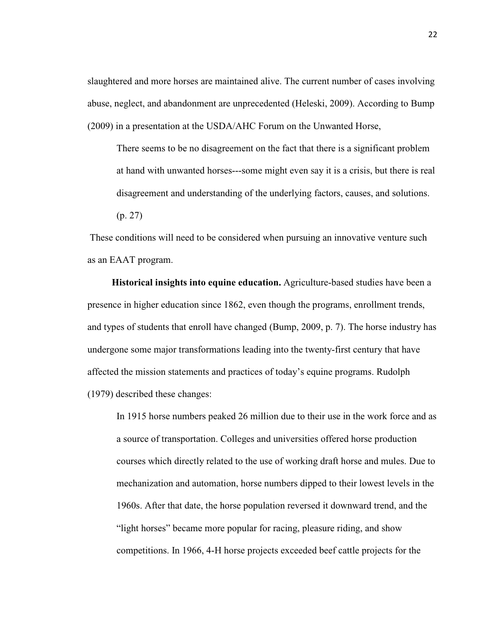slaughtered and more horses are maintained alive. The current number of cases involving abuse, neglect, and abandonment are unprecedented (Heleski, 2009). According to Bump (2009) in a presentation at the USDA/AHC Forum on the Unwanted Horse,

There seems to be no disagreement on the fact that there is a significant problem at hand with unwanted horses---some might even say it is a crisis, but there is real disagreement and understanding of the underlying factors, causes, and solutions.

(p. 27)

 These conditions will need to be considered when pursuing an innovative venture such as an EAAT program.

 **Historical insights into equine education.** Agriculture-based studies have been a presence in higher education since 1862, even though the programs, enrollment trends, and types of students that enroll have changed (Bump, 2009, p. 7). The horse industry has undergone some major transformations leading into the twenty-first century that have affected the mission statements and practices of today's equine programs. Rudolph (1979) described these changes:

In 1915 horse numbers peaked 26 million due to their use in the work force and as a source of transportation. Colleges and universities offered horse production courses which directly related to the use of working draft horse and mules. Due to mechanization and automation, horse numbers dipped to their lowest levels in the 1960s. After that date, the horse population reversed it downward trend, and the "light horses" became more popular for racing, pleasure riding, and show competitions. In 1966, 4-H horse projects exceeded beef cattle projects for the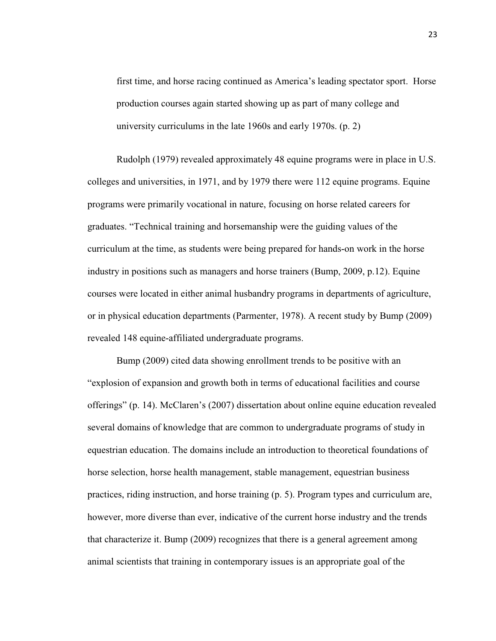first time, and horse racing continued as America's leading spectator sport. Horse production courses again started showing up as part of many college and university curriculums in the late 1960s and early 1970s. (p. 2)

Rudolph (1979) revealed approximately 48 equine programs were in place in U.S. colleges and universities, in 1971, and by 1979 there were 112 equine programs. Equine programs were primarily vocational in nature, focusing on horse related careers for graduates. "Technical training and horsemanship were the guiding values of the curriculum at the time, as students were being prepared for hands-on work in the horse industry in positions such as managers and horse trainers (Bump, 2009, p.12). Equine courses were located in either animal husbandry programs in departments of agriculture, or in physical education departments (Parmenter, 1978). A recent study by Bump (2009) revealed 148 equine-affiliated undergraduate programs.

Bump (2009) cited data showing enrollment trends to be positive with an "explosion of expansion and growth both in terms of educational facilities and course offerings" (p. 14). McClaren's (2007) dissertation about online equine education revealed several domains of knowledge that are common to undergraduate programs of study in equestrian education. The domains include an introduction to theoretical foundations of horse selection, horse health management, stable management, equestrian business practices, riding instruction, and horse training (p. 5). Program types and curriculum are, however, more diverse than ever, indicative of the current horse industry and the trends that characterize it. Bump (2009) recognizes that there is a general agreement among animal scientists that training in contemporary issues is an appropriate goal of the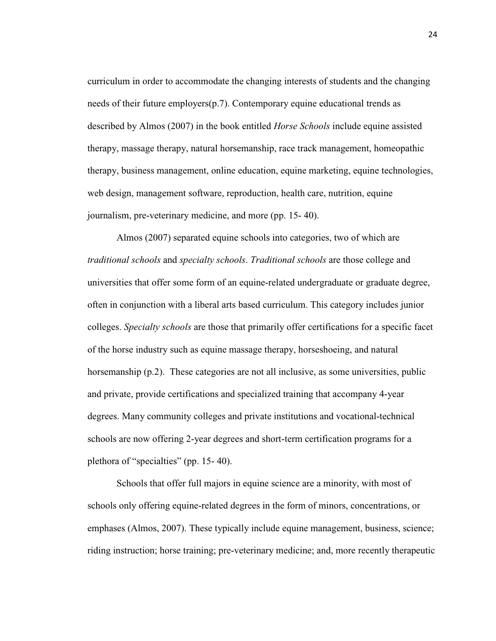curriculum in order to accommodate the changing interests of students and the changing needs of their future employers(p.7). Contemporary equine educational trends as described by Almos (2007) in the book entitled *Horse Schools* include equine assisted therapy, massage therapy, natural horsemanship, race track management, homeopathic therapy, business management, online education, equine marketing, equine technologies, web design, management software, reproduction, health care, nutrition, equine journalism, pre-veterinary medicine, and more (pp. 15- 40).

Almos (2007) separated equine schools into categories, two of which are *traditional schools* and *specialty schools*. *Traditional schools* are those college and universities that offer some form of an equine-related undergraduate or graduate degree, often in conjunction with a liberal arts based curriculum. This category includes junior colleges. *Specialty schools* are those that primarily offer certifications for a specific facet of the horse industry such as equine massage therapy, horseshoeing, and natural horsemanship (p.2). These categories are not all inclusive, as some universities, public and private, provide certifications and specialized training that accompany 4-year degrees. Many community colleges and private institutions and vocational-technical schools are now offering 2-year degrees and short-term certification programs for a plethora of "specialties" (pp. 15- 40).

Schools that offer full majors in equine science are a minority, with most of schools only offering equine-related degrees in the form of minors, concentrations, or emphases (Almos, 2007). These typically include equine management, business, science; riding instruction; horse training; pre-veterinary medicine; and, more recently therapeutic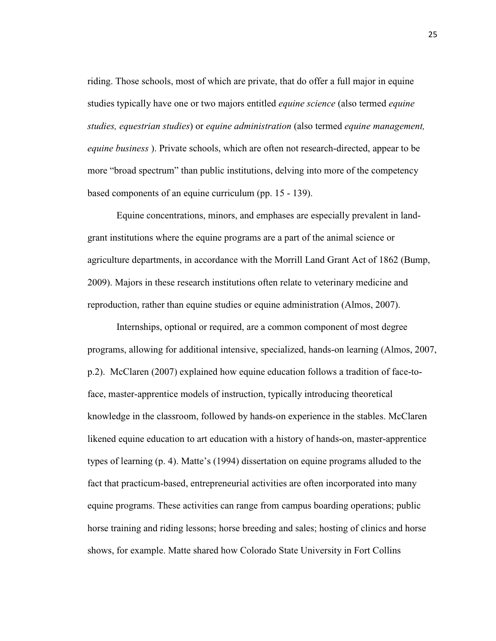riding. Those schools, most of which are private, that do offer a full major in equine studies typically have one or two majors entitled *equine science* (also termed *equine studies, equestrian studies*) or *equine administration* (also termed *equine management, equine business* ). Private schools, which are often not research-directed, appear to be more "broad spectrum" than public institutions, delving into more of the competency based components of an equine curriculum (pp. 15 - 139).

Equine concentrations, minors, and emphases are especially prevalent in landgrant institutions where the equine programs are a part of the animal science or agriculture departments, in accordance with the Morrill Land Grant Act of 1862 (Bump, 2009). Majors in these research institutions often relate to veterinary medicine and reproduction, rather than equine studies or equine administration (Almos, 2007).

Internships, optional or required, are a common component of most degree programs, allowing for additional intensive, specialized, hands-on learning (Almos, 2007, p.2). McClaren (2007) explained how equine education follows a tradition of face-toface, master-apprentice models of instruction, typically introducing theoretical knowledge in the classroom, followed by hands-on experience in the stables. McClaren likened equine education to art education with a history of hands-on, master-apprentice types of learning (p. 4). Matte's (1994) dissertation on equine programs alluded to the fact that practicum-based, entrepreneurial activities are often incorporated into many equine programs. These activities can range from campus boarding operations; public horse training and riding lessons; horse breeding and sales; hosting of clinics and horse shows, for example. Matte shared how Colorado State University in Fort Collins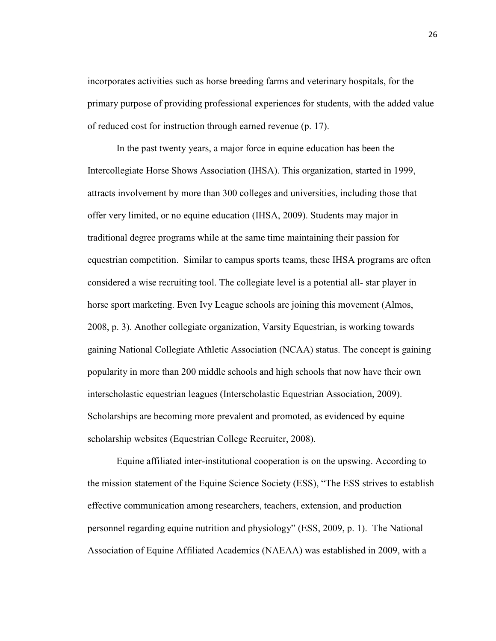incorporates activities such as horse breeding farms and veterinary hospitals, for the primary purpose of providing professional experiences for students, with the added value of reduced cost for instruction through earned revenue (p. 17).

In the past twenty years, a major force in equine education has been the Intercollegiate Horse Shows Association (IHSA). This organization, started in 1999, attracts involvement by more than 300 colleges and universities, including those that offer very limited, or no equine education (IHSA, 2009). Students may major in traditional degree programs while at the same time maintaining their passion for equestrian competition. Similar to campus sports teams, these IHSA programs are often considered a wise recruiting tool. The collegiate level is a potential all- star player in horse sport marketing. Even Ivy League schools are joining this movement (Almos, 2008, p. 3). Another collegiate organization, Varsity Equestrian, is working towards gaining National Collegiate Athletic Association (NCAA) status. The concept is gaining popularity in more than 200 middle schools and high schools that now have their own interscholastic equestrian leagues (Interscholastic Equestrian Association, 2009). Scholarships are becoming more prevalent and promoted, as evidenced by equine scholarship websites (Equestrian College Recruiter, 2008).

Equine affiliated inter-institutional cooperation is on the upswing. According to the mission statement of the Equine Science Society (ESS), "The ESS strives to establish effective communication among researchers, teachers, extension, and production personnel regarding equine nutrition and physiology" (ESS, 2009, p. 1). The National Association of Equine Affiliated Academics (NAEAA) was established in 2009, with a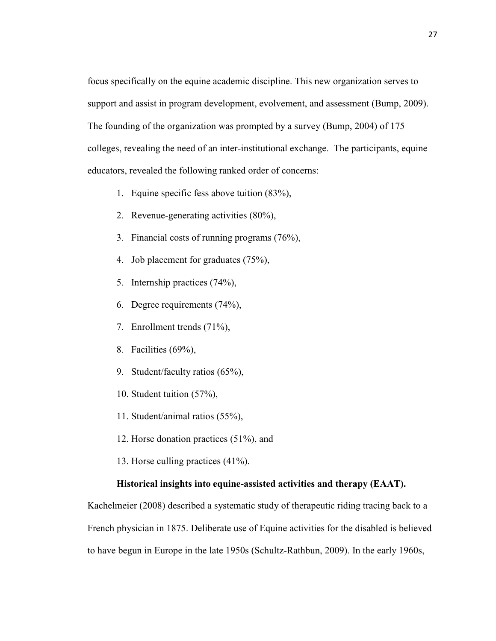focus specifically on the equine academic discipline. This new organization serves to support and assist in program development, evolvement, and assessment (Bump, 2009). The founding of the organization was prompted by a survey (Bump, 2004) of 175 colleges, revealing the need of an inter-institutional exchange. The participants, equine educators, revealed the following ranked order of concerns:

- 1. Equine specific fess above tuition (83%),
- 2. Revenue-generating activities (80%),
- 3. Financial costs of running programs (76%),
- 4. Job placement for graduates (75%),
- 5. Internship practices (74%),
- 6. Degree requirements (74%),
- 7. Enrollment trends (71%),
- 8. Facilities (69%),
- 9. Student/faculty ratios (65%),
- 10. Student tuition (57%),
- 11. Student/animal ratios (55%),
- 12. Horse donation practices (51%), and
- 13. Horse culling practices (41%).

# **Historical insights into equine-assisted activities and therapy (EAAT).**

Kachelmeier (2008) described a systematic study of therapeutic riding tracing back to a French physician in 1875. Deliberate use of Equine activities for the disabled is believed to have begun in Europe in the late 1950s (Schultz-Rathbun, 2009). In the early 1960s,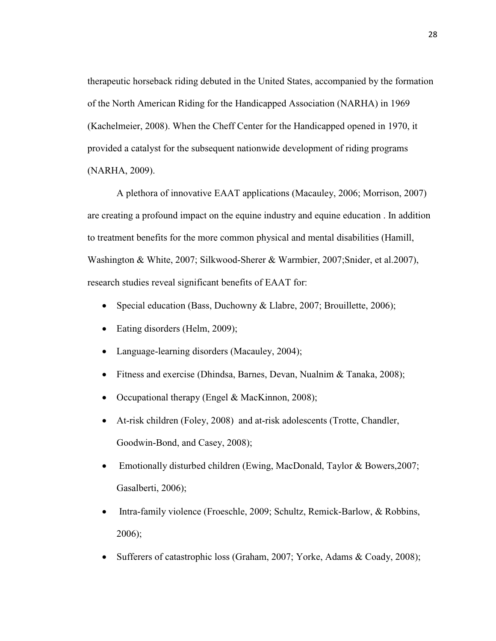therapeutic horseback riding debuted in the United States, accompanied by the formation of the North American Riding for the Handicapped Association (NARHA) in 1969 (Kachelmeier, 2008). When the Cheff Center for the Handicapped opened in 1970, it provided a catalyst for the subsequent nationwide development of riding programs (NARHA, 2009).

A plethora of innovative EAAT applications (Macauley, 2006; Morrison, 2007) are creating a profound impact on the equine industry and equine education . In addition to treatment benefits for the more common physical and mental disabilities (Hamill, Washington & White, 2007; Silkwood-Sherer & Warmbier, 2007;Snider, et al.2007), research studies reveal significant benefits of EAAT for:

- Special education (Bass, Duchowny & Llabre, 2007; Brouillette, 2006);
- Eating disorders (Helm, 2009);
- Language-learning disorders (Macauley, 2004);
- Fitness and exercise (Dhindsa, Barnes, Devan, Nualnim & Tanaka, 2008);
- Occupational therapy (Engel & MacKinnon, 2008);
- At-risk children (Foley, 2008) and at-risk adolescents (Trotte, Chandler, Goodwin-Bond, and Casey, 2008);
- Emotionally disturbed children (Ewing, MacDonald, Taylor & Bowers, 2007; Gasalberti, 2006);
- Intra-family violence (Froeschle, 2009; Schultz, Remick-Barlow, & Robbins, 2006);
- Sufferers of catastrophic loss (Graham, 2007; Yorke, Adams & Coady, 2008);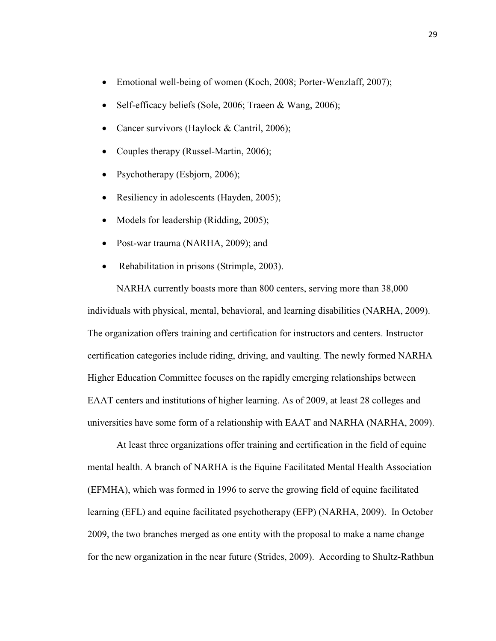- Emotional well-being of women (Koch, 2008; Porter-Wenzlaff, 2007);
- Self-efficacy beliefs (Sole, 2006; Traeen & Wang, 2006);
- Cancer survivors (Haylock & Cantril, 2006);
- Couples therapy (Russel-Martin, 2006);
- Psychotherapy (Esbjorn, 2006);
- Resiliency in adolescents (Hayden, 2005);
- Models for leadership (Ridding, 2005);
- Post-war trauma (NARHA, 2009); and
- Rehabilitation in prisons (Strimple, 2003).

NARHA currently boasts more than 800 centers, serving more than 38,000 individuals with physical, mental, behavioral, and learning disabilities (NARHA, 2009). The organization offers training and certification for instructors and centers. Instructor certification categories include riding, driving, and vaulting. The newly formed NARHA Higher Education Committee focuses on the rapidly emerging relationships between EAAT centers and institutions of higher learning. As of 2009, at least 28 colleges and universities have some form of a relationship with EAAT and NARHA (NARHA, 2009).

At least three organizations offer training and certification in the field of equine mental health. A branch of NARHA is the Equine Facilitated Mental Health Association (EFMHA), which was formed in 1996 to serve the growing field of equine facilitated learning (EFL) and equine facilitated psychotherapy (EFP) (NARHA, 2009). In October 2009, the two branches merged as one entity with the proposal to make a name change for the new organization in the near future (Strides, 2009). According to Shultz-Rathbun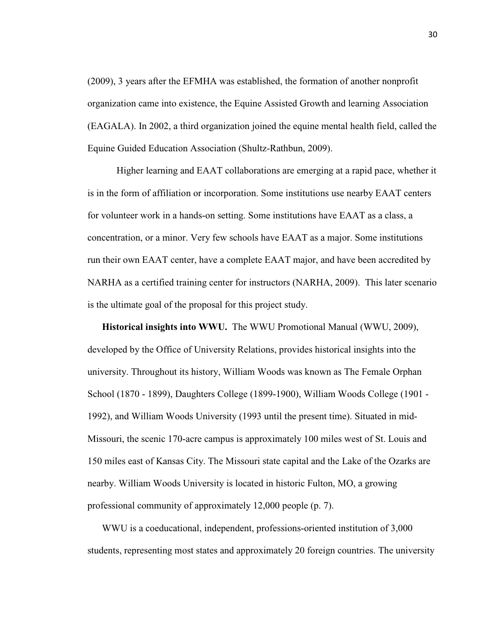(2009), 3 years after the EFMHA was established, the formation of another nonprofit organization came into existence, the Equine Assisted Growth and learning Association (EAGALA). In 2002, a third organization joined the equine mental health field, called the Equine Guided Education Association (Shultz-Rathbun, 2009).

Higher learning and EAAT collaborations are emerging at a rapid pace, whether it is in the form of affiliation or incorporation. Some institutions use nearby EAAT centers for volunteer work in a hands-on setting. Some institutions have EAAT as a class, a concentration, or a minor. Very few schools have EAAT as a major. Some institutions run their own EAAT center, have a complete EAAT major, and have been accredited by NARHA as a certified training center for instructors (NARHA, 2009). This later scenario is the ultimate goal of the proposal for this project study.

**Historical insights into WWU.** The WWU Promotional Manual (WWU, 2009), developed by the Office of University Relations, provides historical insights into the university. Throughout its history, William Woods was known as The Female Orphan School (1870 - 1899), Daughters College (1899-1900), William Woods College (1901 - 1992), and William Woods University (1993 until the present time). Situated in mid-Missouri, the scenic 170-acre campus is approximately 100 miles west of St. Louis and 150 miles east of Kansas City. The Missouri state capital and the Lake of the Ozarks are nearby. William Woods University is located in historic Fulton, MO, a growing professional community of approximately 12,000 people (p. 7).

WWU is a coeducational, independent, professions-oriented institution of 3,000 students, representing most states and approximately 20 foreign countries. The university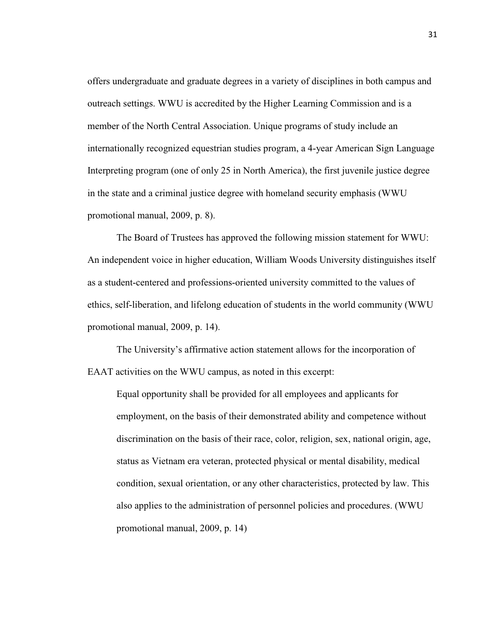offers undergraduate and graduate degrees in a variety of disciplines in both campus and outreach settings. WWU is accredited by the Higher Learning Commission and is a member of the North Central Association. Unique programs of study include an internationally recognized equestrian studies program, a 4-year American Sign Language Interpreting program (one of only 25 in North America), the first juvenile justice degree in the state and a criminal justice degree with homeland security emphasis (WWU promotional manual, 2009, p. 8).

The Board of Trustees has approved the following mission statement for WWU: An independent voice in higher education, William Woods University distinguishes itself as a student-centered and professions-oriented university committed to the values of ethics, self-liberation, and lifelong education of students in the world community (WWU promotional manual, 2009, p. 14).

The University's affirmative action statement allows for the incorporation of EAAT activities on the WWU campus, as noted in this excerpt:

Equal opportunity shall be provided for all employees and applicants for employment, on the basis of their demonstrated ability and competence without discrimination on the basis of their race, color, religion, sex, national origin, age, status as Vietnam era veteran, protected physical or mental disability, medical condition, sexual orientation, or any other characteristics, protected by law. This also applies to the administration of personnel policies and procedures. (WWU promotional manual, 2009, p. 14)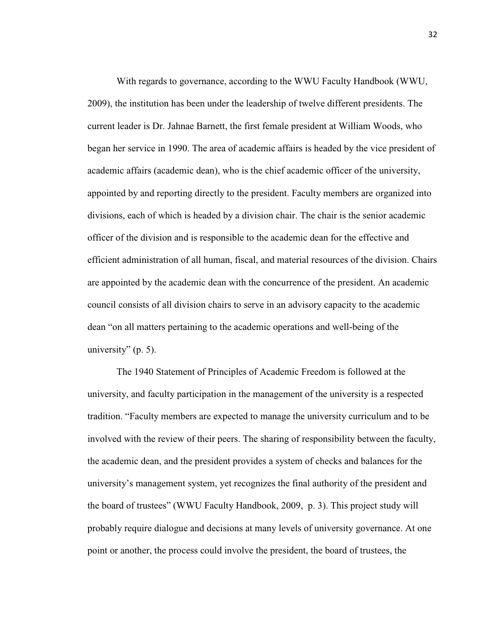With regards to governance, according to the WWU Faculty Handbook (WWU, 2009), the institution has been under the leadership of twelve different presidents. The current leader is Dr. Jahnae Barnett, the first female president at William Woods, who began her service in 1990. The area of academic affairs is headed by the vice president of academic affairs (academic dean), who is the chief academic officer of the university, appointed by and reporting directly to the president. Faculty members are organized into divisions, each of which is headed by a division chair. The chair is the senior academic officer of the division and is responsible to the academic dean for the effective and efficient administration of all human, fiscal, and material resources of the division. Chairs are appointed by the academic dean with the concurrence of the president. An academic council consists of all division chairs to serve in an advisory capacity to the academic dean "on all matters pertaining to the academic operations and well-being of the university"  $(p, 5)$ .

The 1940 Statement of Principles of Academic Freedom is followed at the university, and faculty participation in the management of the university is a respected tradition. "Faculty members are expected to manage the university curriculum and to be involved with the review of their peers. The sharing of responsibility between the faculty, the academic dean, and the president provides a system of checks and balances for the university's management system, yet recognizes the final authority of the president and the board of trustees" (WWU Faculty Handbook, 2009, p. 3). This project study will probably require dialogue and decisions at many levels of university governance. At one point or another, the process could involve the president, the board of trustees, the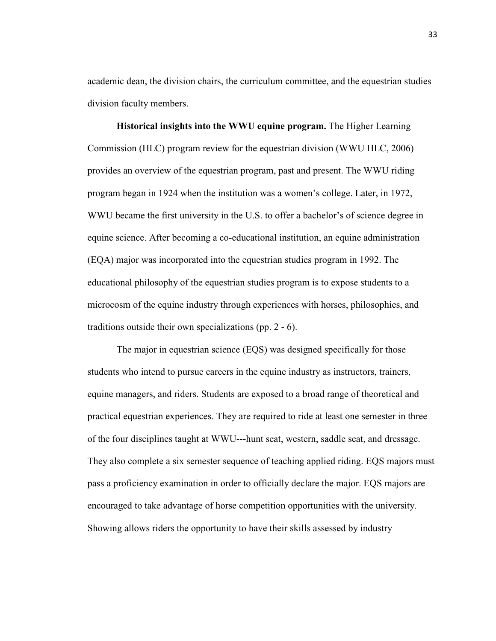academic dean, the division chairs, the curriculum committee, and the equestrian studies division faculty members.

**Historical insights into the WWU equine program.** The Higher Learning Commission (HLC) program review for the equestrian division (WWU HLC, 2006) provides an overview of the equestrian program, past and present. The WWU riding program began in 1924 when the institution was a women's college. Later, in 1972, WWU became the first university in the U.S. to offer a bachelor's of science degree in equine science. After becoming a co-educational institution, an equine administration (EQA) major was incorporated into the equestrian studies program in 1992. The educational philosophy of the equestrian studies program is to expose students to a microcosm of the equine industry through experiences with horses, philosophies, and traditions outside their own specializations (pp. 2 - 6).

The major in equestrian science (EQS) was designed specifically for those students who intend to pursue careers in the equine industry as instructors, trainers, equine managers, and riders. Students are exposed to a broad range of theoretical and practical equestrian experiences. They are required to ride at least one semester in three of the four disciplines taught at WWU---hunt seat, western, saddle seat, and dressage. They also complete a six semester sequence of teaching applied riding. EQS majors must pass a proficiency examination in order to officially declare the major. EQS majors are encouraged to take advantage of horse competition opportunities with the university. Showing allows riders the opportunity to have their skills assessed by industry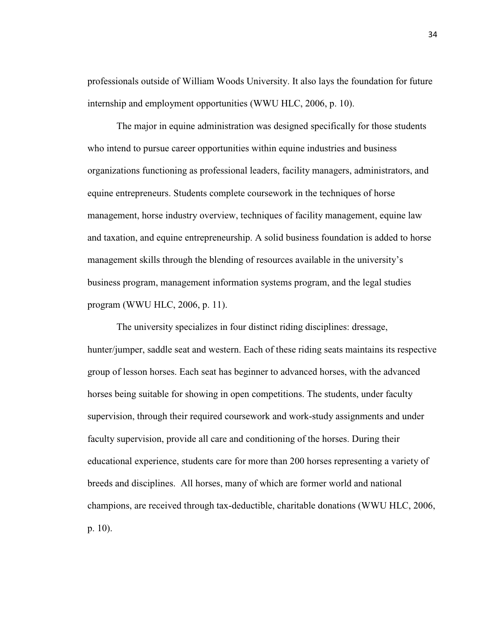professionals outside of William Woods University. It also lays the foundation for future internship and employment opportunities (WWU HLC, 2006, p. 10).

The major in equine administration was designed specifically for those students who intend to pursue career opportunities within equine industries and business organizations functioning as professional leaders, facility managers, administrators, and equine entrepreneurs. Students complete coursework in the techniques of horse management, horse industry overview, techniques of facility management, equine law and taxation, and equine entrepreneurship. A solid business foundation is added to horse management skills through the blending of resources available in the university's business program, management information systems program, and the legal studies program (WWU HLC, 2006, p. 11).

The university specializes in four distinct riding disciplines: dressage, hunter/jumper, saddle seat and western. Each of these riding seats maintains its respective group of lesson horses. Each seat has beginner to advanced horses, with the advanced horses being suitable for showing in open competitions. The students, under faculty supervision, through their required coursework and work-study assignments and under faculty supervision, provide all care and conditioning of the horses. During their educational experience, students care for more than 200 horses representing a variety of breeds and disciplines. All horses, many of which are former world and national champions, are received through tax-deductible, charitable donations (WWU HLC, 2006, p. 10).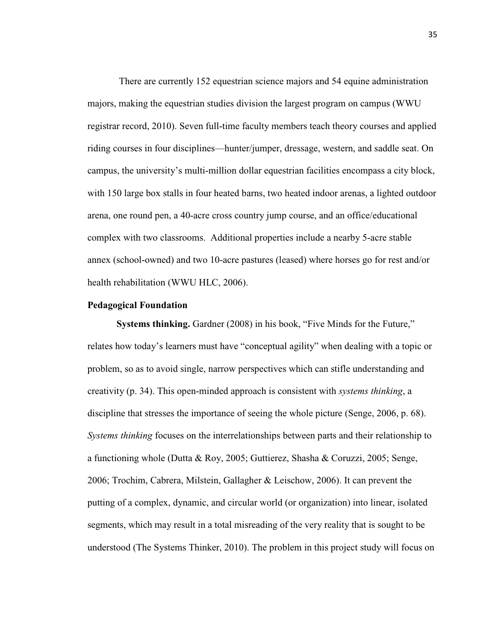There are currently 152 equestrian science majors and 54 equine administration majors, making the equestrian studies division the largest program on campus (WWU registrar record, 2010). Seven full-time faculty members teach theory courses and applied riding courses in four disciplines—hunter/jumper, dressage, western, and saddle seat. On campus, the university's multi-million dollar equestrian facilities encompass a city block, with 150 large box stalls in four heated barns, two heated indoor arenas, a lighted outdoor arena, one round pen, a 40-acre cross country jump course, and an office/educational complex with two classrooms. Additional properties include a nearby 5-acre stable annex (school-owned) and two 10-acre pastures (leased) where horses go for rest and/or health rehabilitation (WWU HLC, 2006).

# **Pedagogical Foundation**

**Systems thinking.** Gardner (2008) in his book, "Five Minds for the Future," relates how today's learners must have "conceptual agility" when dealing with a topic or problem, so as to avoid single, narrow perspectives which can stifle understanding and creativity (p. 34). This open-minded approach is consistent with *systems thinking*, a discipline that stresses the importance of seeing the whole picture (Senge, 2006, p. 68). *Systems thinking* focuses on the interrelationships between parts and their relationship to a functioning whole (Dutta & Roy, 2005; Guttierez, Shasha & Coruzzi, 2005; Senge, 2006; Trochim, Cabrera, Milstein, Gallagher & Leischow, 2006). It can prevent the putting of a complex, dynamic, and circular world (or organization) into linear, isolated segments, which may result in a total misreading of the very reality that is sought to be understood (The Systems Thinker, 2010). The problem in this project study will focus on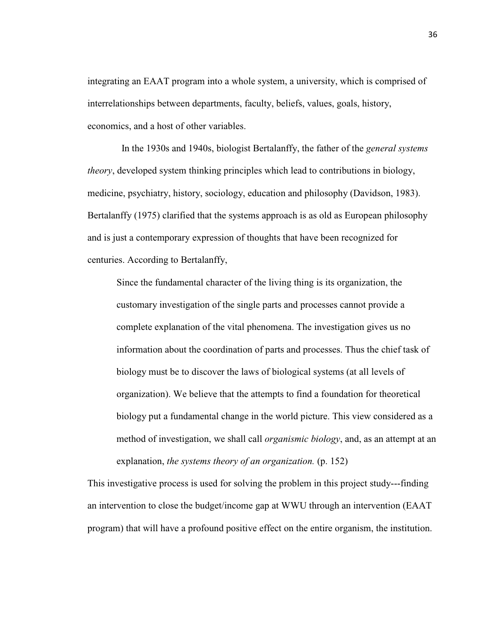integrating an EAAT program into a whole system, a university, which is comprised of interrelationships between departments, faculty, beliefs, values, goals, history, economics, and a host of other variables.

 In the 1930s and 1940s, biologist Bertalanffy, the father of the *general systems theory*, developed system thinking principles which lead to contributions in biology, medicine, psychiatry, history, sociology, education and philosophy (Davidson, 1983). Bertalanffy (1975) clarified that the systems approach is as old as European philosophy and is just a contemporary expression of thoughts that have been recognized for centuries. According to Bertalanffy,

Since the fundamental character of the living thing is its organization, the customary investigation of the single parts and processes cannot provide a complete explanation of the vital phenomena. The investigation gives us no information about the coordination of parts and processes. Thus the chief task of biology must be to discover the laws of biological systems (at all levels of organization). We believe that the attempts to find a foundation for theoretical biology put a fundamental change in the world picture. This view considered as a method of investigation, we shall call *organismic biology*, and, as an attempt at an explanation, *the systems theory of an organization.* (p. 152)

This investigative process is used for solving the problem in this project study---finding an intervention to close the budget/income gap at WWU through an intervention (EAAT program) that will have a profound positive effect on the entire organism, the institution.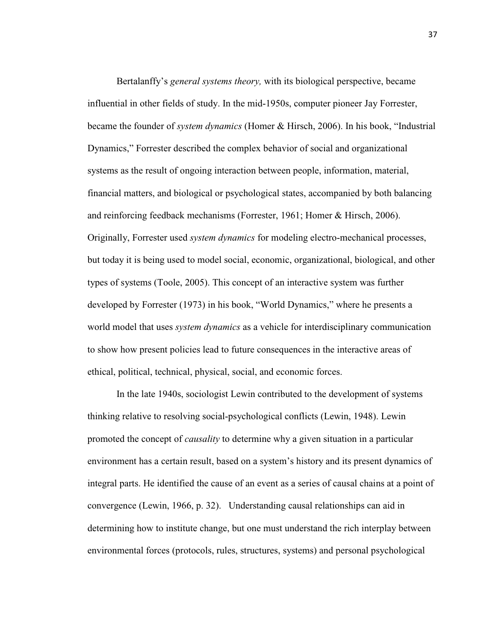Bertalanffy's *general systems theory,* with its biological perspective, became influential in other fields of study. In the mid-1950s, computer pioneer Jay Forrester, became the founder of *system dynamics* (Homer & Hirsch, 2006). In his book, "Industrial Dynamics," Forrester described the complex behavior of social and organizational systems as the result of ongoing interaction between people, information, material, financial matters, and biological or psychological states, accompanied by both balancing and reinforcing feedback mechanisms (Forrester, 1961; Homer & Hirsch, 2006). Originally, Forrester used *system dynamics* for modeling electro-mechanical processes, but today it is being used to model social, economic, organizational, biological, and other types of systems (Toole, 2005). This concept of an interactive system was further developed by Forrester (1973) in his book, "World Dynamics," where he presents a world model that uses *system dynamics* as a vehicle for interdisciplinary communication to show how present policies lead to future consequences in the interactive areas of ethical, political, technical, physical, social, and economic forces.

In the late 1940s, sociologist Lewin contributed to the development of systems thinking relative to resolving social-psychological conflicts (Lewin, 1948). Lewin promoted the concept of *causality* to determine why a given situation in a particular environment has a certain result, based on a system's history and its present dynamics of integral parts. He identified the cause of an event as a series of causal chains at a point of convergence (Lewin, 1966, p. 32). Understanding causal relationships can aid in determining how to institute change, but one must understand the rich interplay between environmental forces (protocols, rules, structures, systems) and personal psychological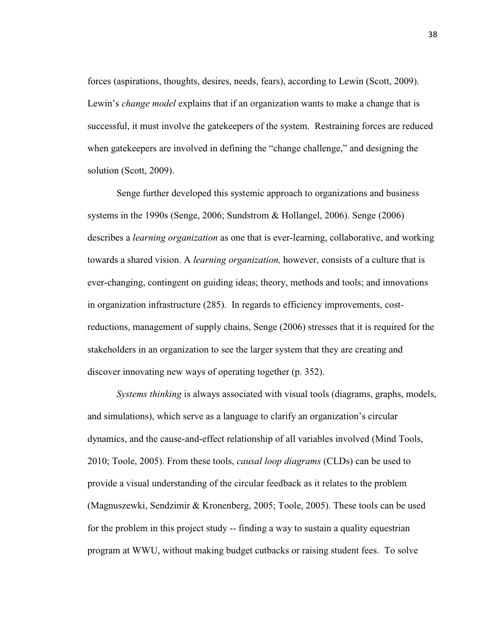forces (aspirations, thoughts, desires, needs, fears), according to Lewin (Scott, 2009). Lewin's *change model* explains that if an organization wants to make a change that is successful, it must involve the gatekeepers of the system. Restraining forces are reduced when gatekeepers are involved in defining the "change challenge," and designing the solution (Scott, 2009).

Senge further developed this systemic approach to organizations and business systems in the 1990s (Senge, 2006; Sundstrom & Hollangel, 2006). Senge (2006) describes a *learning organization* as one that is ever-learning, collaborative, and working towards a shared vision. A *learning organization,* however, consists of a culture that is ever-changing, contingent on guiding ideas; theory, methods and tools; and innovations in organization infrastructure (285). In regards to efficiency improvements, costreductions, management of supply chains, Senge (2006) stresses that it is required for the stakeholders in an organization to see the larger system that they are creating and discover innovating new ways of operating together (p. 352).

*Systems thinking* is always associated with visual tools (diagrams, graphs, models, and simulations), which serve as a language to clarify an organization's circular dynamics, and the cause-and-effect relationship of all variables involved (Mind Tools, 2010; Toole, 2005). From these tools, *causal loop diagrams* (CLDs) can be used to provide a visual understanding of the circular feedback as it relates to the problem (Magnuszewki, Sendzimir & Kronenberg, 2005; Toole, 2005). These tools can be used for the problem in this project study -- finding a way to sustain a quality equestrian program at WWU, without making budget cutbacks or raising student fees. To solve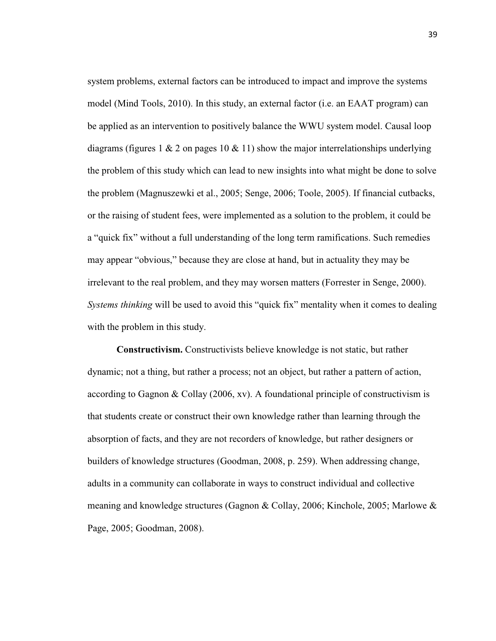system problems, external factors can be introduced to impact and improve the systems model (Mind Tools, 2010). In this study, an external factor (i.e. an EAAT program) can be applied as an intervention to positively balance the WWU system model. Causal loop diagrams (figures  $1 \& 2$  on pages  $10 \& 11$ ) show the major interrelationships underlying the problem of this study which can lead to new insights into what might be done to solve the problem (Magnuszewki et al., 2005; Senge, 2006; Toole, 2005). If financial cutbacks, or the raising of student fees, were implemented as a solution to the problem, it could be a "quick fix" without a full understanding of the long term ramifications. Such remedies may appear "obvious," because they are close at hand, but in actuality they may be irrelevant to the real problem, and they may worsen matters (Forrester in Senge, 2000). *Systems thinking* will be used to avoid this "quick fix" mentality when it comes to dealing with the problem in this study.

**Constructivism.** Constructivists believe knowledge is not static, but rather dynamic; not a thing, but rather a process; not an object, but rather a pattern of action, according to Gagnon & Collay (2006, xv). A foundational principle of constructivism is that students create or construct their own knowledge rather than learning through the absorption of facts, and they are not recorders of knowledge, but rather designers or builders of knowledge structures (Goodman, 2008, p. 259). When addressing change, adults in a community can collaborate in ways to construct individual and collective meaning and knowledge structures (Gagnon & Collay, 2006; Kinchole, 2005; Marlowe & Page, 2005; Goodman, 2008).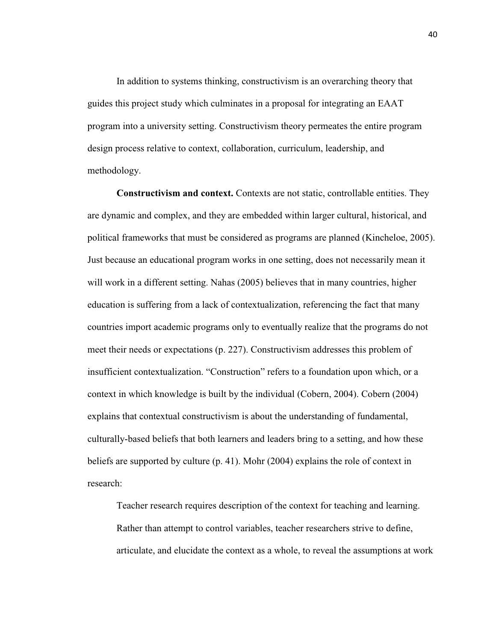In addition to systems thinking, constructivism is an overarching theory that guides this project study which culminates in a proposal for integrating an EAAT program into a university setting. Constructivism theory permeates the entire program design process relative to context, collaboration, curriculum, leadership, and methodology.

**Constructivism and context.** Contexts are not static, controllable entities. They are dynamic and complex, and they are embedded within larger cultural, historical, and political frameworks that must be considered as programs are planned (Kincheloe, 2005). Just because an educational program works in one setting, does not necessarily mean it will work in a different setting. Nahas (2005) believes that in many countries, higher education is suffering from a lack of contextualization, referencing the fact that many countries import academic programs only to eventually realize that the programs do not meet their needs or expectations (p. 227). Constructivism addresses this problem of insufficient contextualization. "Construction" refers to a foundation upon which, or a context in which knowledge is built by the individual (Cobern, 2004). Cobern (2004) explains that contextual constructivism is about the understanding of fundamental, culturally-based beliefs that both learners and leaders bring to a setting, and how these beliefs are supported by culture (p. 41). Mohr (2004) explains the role of context in research:

Teacher research requires description of the context for teaching and learning. Rather than attempt to control variables, teacher researchers strive to define, articulate, and elucidate the context as a whole, to reveal the assumptions at work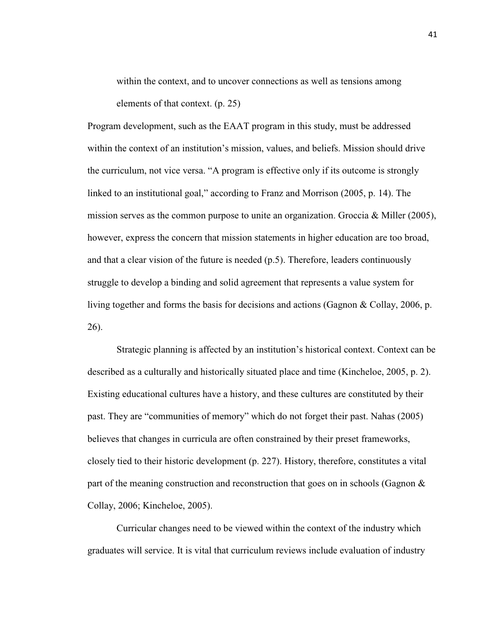within the context, and to uncover connections as well as tensions among elements of that context. (p. 25)

Program development, such as the EAAT program in this study, must be addressed within the context of an institution's mission, values, and beliefs. Mission should drive the curriculum, not vice versa. "A program is effective only if its outcome is strongly linked to an institutional goal," according to Franz and Morrison (2005, p. 14). The mission serves as the common purpose to unite an organization. Groccia & Miller (2005), however, express the concern that mission statements in higher education are too broad, and that a clear vision of the future is needed (p.5). Therefore, leaders continuously struggle to develop a binding and solid agreement that represents a value system for living together and forms the basis for decisions and actions (Gagnon & Collay, 2006, p. 26).

Strategic planning is affected by an institution's historical context. Context can be described as a culturally and historically situated place and time (Kincheloe, 2005, p. 2). Existing educational cultures have a history, and these cultures are constituted by their past. They are "communities of memory" which do not forget their past. Nahas (2005) believes that changes in curricula are often constrained by their preset frameworks, closely tied to their historic development (p. 227). History, therefore, constitutes a vital part of the meaning construction and reconstruction that goes on in schools (Gagnon & Collay, 2006; Kincheloe, 2005).

Curricular changes need to be viewed within the context of the industry which graduates will service. It is vital that curriculum reviews include evaluation of industry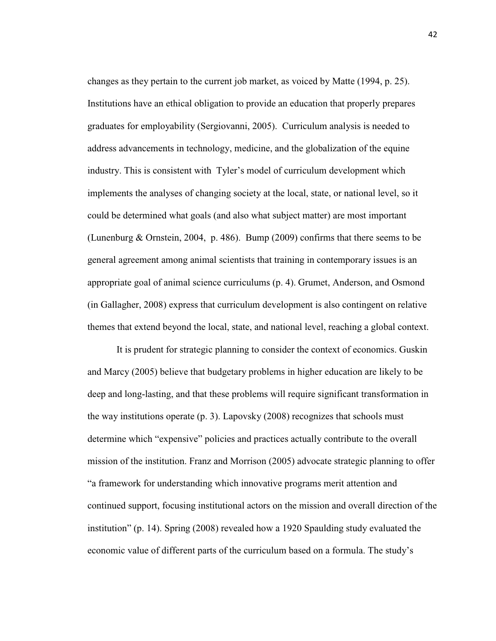changes as they pertain to the current job market, as voiced by Matte (1994, p. 25). Institutions have an ethical obligation to provide an education that properly prepares graduates for employability (Sergiovanni, 2005). Curriculum analysis is needed to address advancements in technology, medicine, and the globalization of the equine industry. This is consistent with Tyler's model of curriculum development which implements the analyses of changing society at the local, state, or national level, so it could be determined what goals (and also what subject matter) are most important (Lunenburg & Ornstein, 2004, p. 486). Bump (2009) confirms that there seems to be general agreement among animal scientists that training in contemporary issues is an appropriate goal of animal science curriculums (p. 4). Grumet, Anderson, and Osmond (in Gallagher, 2008) express that curriculum development is also contingent on relative themes that extend beyond the local, state, and national level, reaching a global context.

It is prudent for strategic planning to consider the context of economics. Guskin and Marcy (2005) believe that budgetary problems in higher education are likely to be deep and long-lasting, and that these problems will require significant transformation in the way institutions operate  $(p, 3)$ . Lapovsky  $(2008)$  recognizes that schools must determine which "expensive" policies and practices actually contribute to the overall mission of the institution. Franz and Morrison (2005) advocate strategic planning to offer "a framework for understanding which innovative programs merit attention and continued support, focusing institutional actors on the mission and overall direction of the institution" (p. 14). Spring (2008) revealed how a 1920 Spaulding study evaluated the economic value of different parts of the curriculum based on a formula. The study's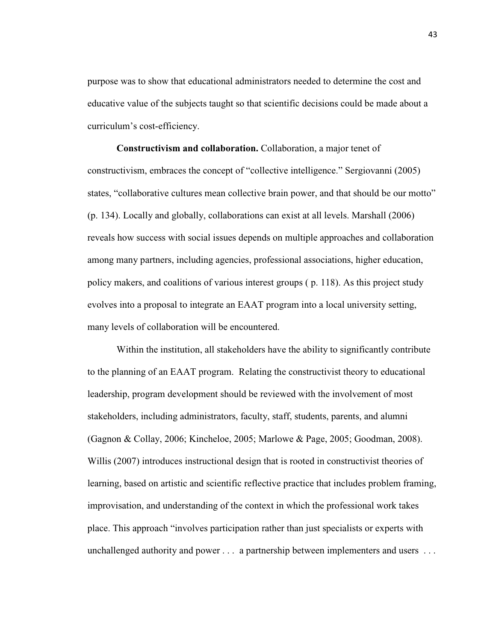purpose was to show that educational administrators needed to determine the cost and educative value of the subjects taught so that scientific decisions could be made about a curriculum's cost-efficiency.

**Constructivism and collaboration.** Collaboration, a major tenet of constructivism, embraces the concept of "collective intelligence." Sergiovanni (2005) states, "collaborative cultures mean collective brain power, and that should be our motto" (p. 134). Locally and globally, collaborations can exist at all levels. Marshall (2006) reveals how success with social issues depends on multiple approaches and collaboration among many partners, including agencies, professional associations, higher education, policy makers, and coalitions of various interest groups ( p. 118). As this project study evolves into a proposal to integrate an EAAT program into a local university setting, many levels of collaboration will be encountered.

Within the institution, all stakeholders have the ability to significantly contribute to the planning of an EAAT program. Relating the constructivist theory to educational leadership, program development should be reviewed with the involvement of most stakeholders, including administrators, faculty, staff, students, parents, and alumni (Gagnon & Collay, 2006; Kincheloe, 2005; Marlowe & Page, 2005; Goodman, 2008). Willis (2007) introduces instructional design that is rooted in constructivist theories of learning, based on artistic and scientific reflective practice that includes problem framing, improvisation, and understanding of the context in which the professional work takes place. This approach "involves participation rather than just specialists or experts with unchallenged authority and power . . . a partnership between implementers and users . . .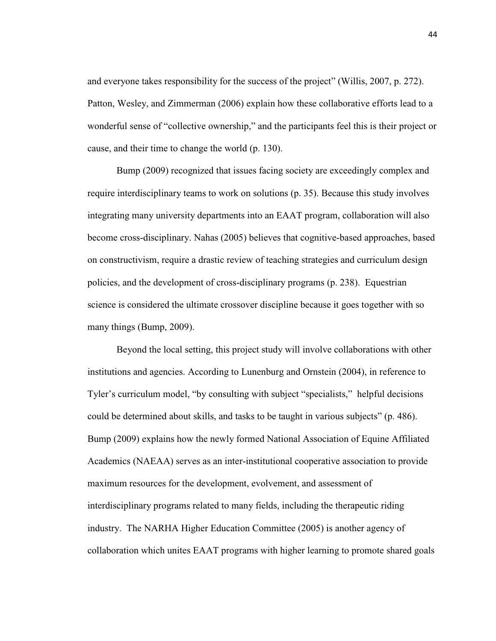and everyone takes responsibility for the success of the project" (Willis, 2007, p. 272). Patton, Wesley, and Zimmerman (2006) explain how these collaborative efforts lead to a wonderful sense of "collective ownership," and the participants feel this is their project or cause, and their time to change the world (p. 130).

Bump (2009) recognized that issues facing society are exceedingly complex and require interdisciplinary teams to work on solutions (p. 35). Because this study involves integrating many university departments into an EAAT program, collaboration will also become cross-disciplinary. Nahas (2005) believes that cognitive-based approaches, based on constructivism, require a drastic review of teaching strategies and curriculum design policies, and the development of cross-disciplinary programs (p. 238). Equestrian science is considered the ultimate crossover discipline because it goes together with so many things (Bump, 2009).

Beyond the local setting, this project study will involve collaborations with other institutions and agencies. According to Lunenburg and Ornstein (2004), in reference to Tyler's curriculum model, "by consulting with subject "specialists," helpful decisions could be determined about skills, and tasks to be taught in various subjects" (p. 486). Bump (2009) explains how the newly formed National Association of Equine Affiliated Academics (NAEAA) serves as an inter-institutional cooperative association to provide maximum resources for the development, evolvement, and assessment of interdisciplinary programs related to many fields, including the therapeutic riding industry. The NARHA Higher Education Committee (2005) is another agency of collaboration which unites EAAT programs with higher learning to promote shared goals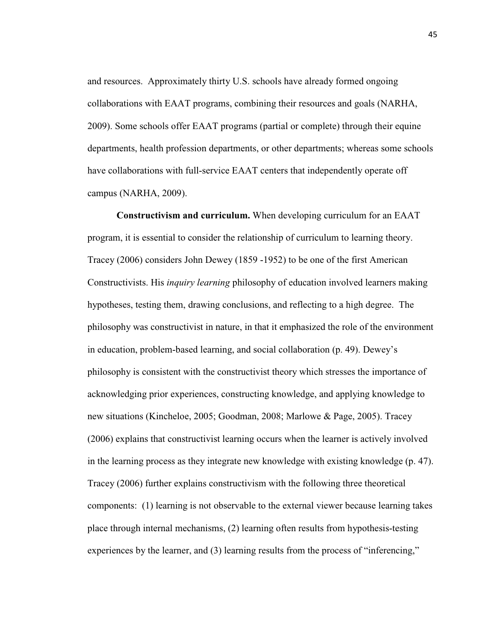and resources. Approximately thirty U.S. schools have already formed ongoing collaborations with EAAT programs, combining their resources and goals (NARHA, 2009). Some schools offer EAAT programs (partial or complete) through their equine departments, health profession departments, or other departments; whereas some schools have collaborations with full-service EAAT centers that independently operate off campus (NARHA, 2009).

**Constructivism and curriculum.** When developing curriculum for an EAAT program, it is essential to consider the relationship of curriculum to learning theory. Tracey (2006) considers John Dewey (1859 -1952) to be one of the first American Constructivists. His *inquiry learning* philosophy of education involved learners making hypotheses, testing them, drawing conclusions, and reflecting to a high degree. The philosophy was constructivist in nature, in that it emphasized the role of the environment in education, problem-based learning, and social collaboration (p. 49). Dewey's philosophy is consistent with the constructivist theory which stresses the importance of acknowledging prior experiences, constructing knowledge, and applying knowledge to new situations (Kincheloe, 2005; Goodman, 2008; Marlowe & Page, 2005). Tracey (2006) explains that constructivist learning occurs when the learner is actively involved in the learning process as they integrate new knowledge with existing knowledge (p. 47). Tracey (2006) further explains constructivism with the following three theoretical components: (1) learning is not observable to the external viewer because learning takes place through internal mechanisms, (2) learning often results from hypothesis-testing experiences by the learner, and (3) learning results from the process of "inferencing,"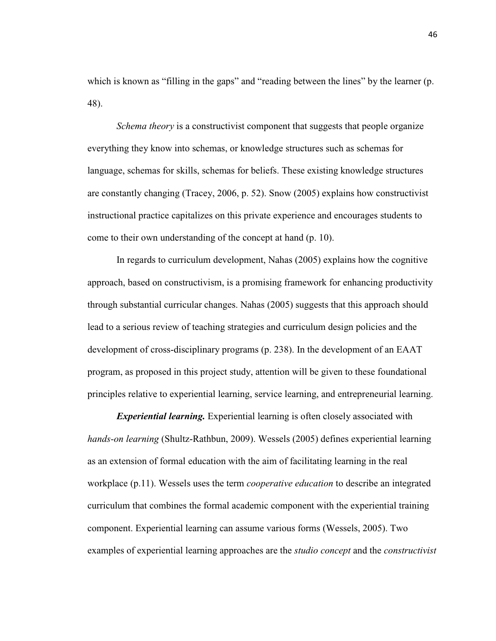which is known as "filling in the gaps" and "reading between the lines" by the learner (p. 48).

*Schema theory* is a constructivist component that suggests that people organize everything they know into schemas, or knowledge structures such as schemas for language, schemas for skills, schemas for beliefs. These existing knowledge structures are constantly changing (Tracey, 2006, p. 52). Snow (2005) explains how constructivist instructional practice capitalizes on this private experience and encourages students to come to their own understanding of the concept at hand (p. 10).

In regards to curriculum development, Nahas (2005) explains how the cognitive approach, based on constructivism, is a promising framework for enhancing productivity through substantial curricular changes. Nahas (2005) suggests that this approach should lead to a serious review of teaching strategies and curriculum design policies and the development of cross-disciplinary programs (p. 238). In the development of an EAAT program, as proposed in this project study, attention will be given to these foundational principles relative to experiential learning, service learning, and entrepreneurial learning.

*Experiential learning.* Experiential learning is often closely associated with *hands-on learning* (Shultz-Rathbun, 2009). Wessels (2005) defines experiential learning as an extension of formal education with the aim of facilitating learning in the real workplace (p.11). Wessels uses the term *cooperative education* to describe an integrated curriculum that combines the formal academic component with the experiential training component. Experiential learning can assume various forms (Wessels, 2005). Two examples of experiential learning approaches are the *studio concept* and the *constructivist*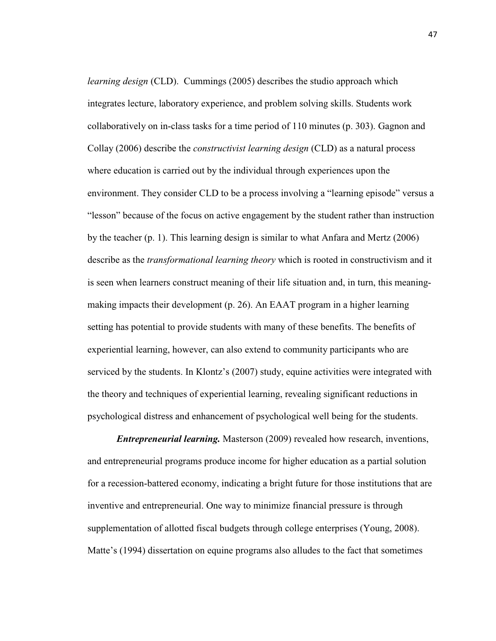*learning design* (CLD). Cummings (2005) describes the studio approach which integrates lecture, laboratory experience, and problem solving skills. Students work collaboratively on in-class tasks for a time period of 110 minutes (p. 303). Gagnon and Collay (2006) describe the *constructivist learning design* (CLD) as a natural process where education is carried out by the individual through experiences upon the environment. They consider CLD to be a process involving a "learning episode" versus a "lesson" because of the focus on active engagement by the student rather than instruction by the teacher (p. 1). This learning design is similar to what Anfara and Mertz (2006) describe as the *transformational learning theory* which is rooted in constructivism and it is seen when learners construct meaning of their life situation and, in turn, this meaningmaking impacts their development (p. 26). An EAAT program in a higher learning setting has potential to provide students with many of these benefits. The benefits of experiential learning, however, can also extend to community participants who are serviced by the students. In Klontz's (2007) study, equine activities were integrated with the theory and techniques of experiential learning, revealing significant reductions in psychological distress and enhancement of psychological well being for the students.

*Entrepreneurial learning.* Masterson (2009) revealed how research, inventions, and entrepreneurial programs produce income for higher education as a partial solution for a recession-battered economy, indicating a bright future for those institutions that are inventive and entrepreneurial. One way to minimize financial pressure is through supplementation of allotted fiscal budgets through college enterprises (Young, 2008). Matte's (1994) dissertation on equine programs also alludes to the fact that sometimes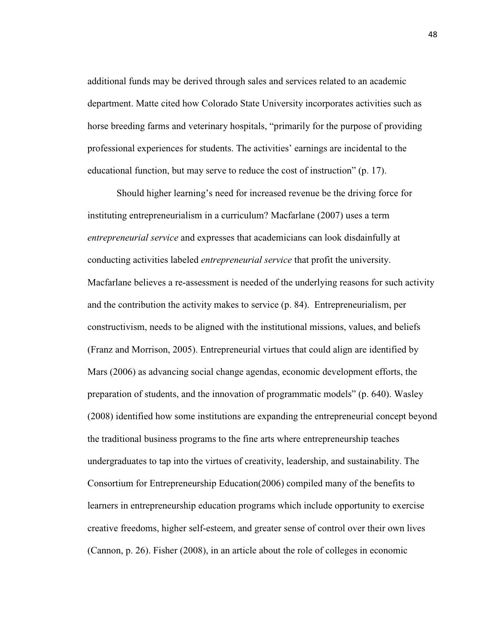additional funds may be derived through sales and services related to an academic department. Matte cited how Colorado State University incorporates activities such as horse breeding farms and veterinary hospitals, "primarily for the purpose of providing professional experiences for students. The activities' earnings are incidental to the educational function, but may serve to reduce the cost of instruction" (p. 17).

 Should higher learning's need for increased revenue be the driving force for instituting entrepreneurialism in a curriculum? Macfarlane (2007) uses a term *entrepreneurial service* and expresses that academicians can look disdainfully at conducting activities labeled *entrepreneurial service* that profit the university. Macfarlane believes a re-assessment is needed of the underlying reasons for such activity and the contribution the activity makes to service (p. 84). Entrepreneurialism, per constructivism, needs to be aligned with the institutional missions, values, and beliefs (Franz and Morrison, 2005). Entrepreneurial virtues that could align are identified by Mars (2006) as advancing social change agendas, economic development efforts, the preparation of students, and the innovation of programmatic models" (p. 640). Wasley (2008) identified how some institutions are expanding the entrepreneurial concept beyond the traditional business programs to the fine arts where entrepreneurship teaches undergraduates to tap into the virtues of creativity, leadership, and sustainability. The Consortium for Entrepreneurship Education(2006) compiled many of the benefits to learners in entrepreneurship education programs which include opportunity to exercise creative freedoms, higher self-esteem, and greater sense of control over their own lives (Cannon, p. 26). Fisher (2008), in an article about the role of colleges in economic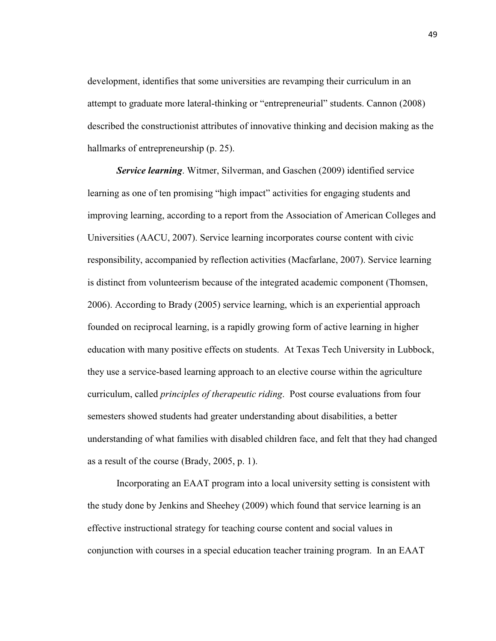development, identifies that some universities are revamping their curriculum in an attempt to graduate more lateral-thinking or "entrepreneurial" students. Cannon (2008) described the constructionist attributes of innovative thinking and decision making as the hallmarks of entrepreneurship (p. 25).

*Service learning*. Witmer, Silverman, and Gaschen (2009) identified service learning as one of ten promising "high impact" activities for engaging students and improving learning, according to a report from the Association of American Colleges and Universities (AACU, 2007). Service learning incorporates course content with civic responsibility, accompanied by reflection activities (Macfarlane, 2007). Service learning is distinct from volunteerism because of the integrated academic component (Thomsen, 2006). According to Brady (2005) service learning, which is an experiential approach founded on reciprocal learning, is a rapidly growing form of active learning in higher education with many positive effects on students. At Texas Tech University in Lubbock, they use a service-based learning approach to an elective course within the agriculture curriculum, called *principles of therapeutic riding*. Post course evaluations from four semesters showed students had greater understanding about disabilities, a better understanding of what families with disabled children face, and felt that they had changed as a result of the course (Brady, 2005, p. 1).

Incorporating an EAAT program into a local university setting is consistent with the study done by Jenkins and Sheehey (2009) which found that service learning is an effective instructional strategy for teaching course content and social values in conjunction with courses in a special education teacher training program. In an EAAT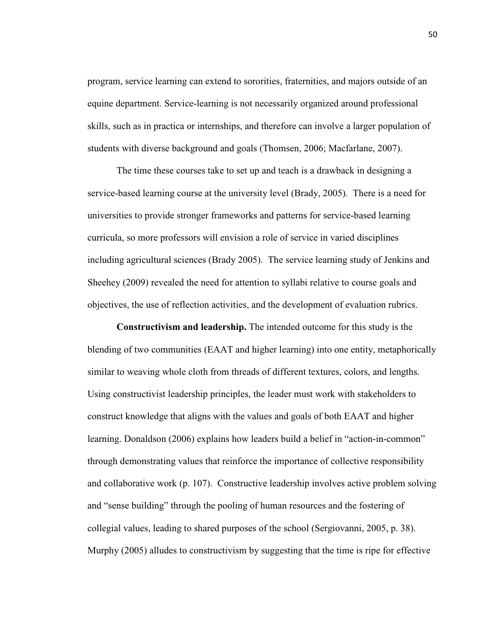program, service learning can extend to sororities, fraternities, and majors outside of an equine department. Service-learning is not necessarily organized around professional skills, such as in practica or internships, and therefore can involve a larger population of students with diverse background and goals (Thomsen, 2006; Macfarlane, 2007).

The time these courses take to set up and teach is a drawback in designing a service-based learning course at the university level (Brady, 2005). There is a need for universities to provide stronger frameworks and patterns for service-based learning curricula, so more professors will envision a role of service in varied disciplines including agricultural sciences (Brady 2005). The service learning study of Jenkins and Sheehey (2009) revealed the need for attention to syllabi relative to course goals and objectives, the use of reflection activities, and the development of evaluation rubrics.

**Constructivism and leadership.** The intended outcome for this study is the blending of two communities (EAAT and higher learning) into one entity, metaphorically similar to weaving whole cloth from threads of different textures, colors, and lengths. Using constructivist leadership principles, the leader must work with stakeholders to construct knowledge that aligns with the values and goals of both EAAT and higher learning. Donaldson (2006) explains how leaders build a belief in "action-in-common" through demonstrating values that reinforce the importance of collective responsibility and collaborative work (p. 107). Constructive leadership involves active problem solving and "sense building" through the pooling of human resources and the fostering of collegial values, leading to shared purposes of the school (Sergiovanni, 2005, p. 38). Murphy (2005) alludes to constructivism by suggesting that the time is ripe for effective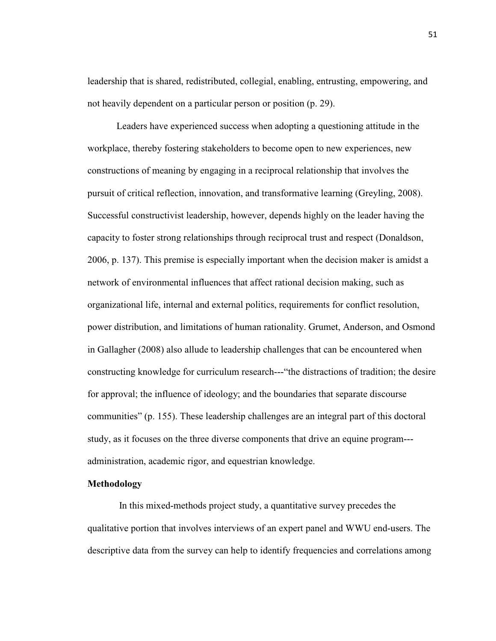leadership that is shared, redistributed, collegial, enabling, entrusting, empowering, and not heavily dependent on a particular person or position (p. 29).

Leaders have experienced success when adopting a questioning attitude in the workplace, thereby fostering stakeholders to become open to new experiences, new constructions of meaning by engaging in a reciprocal relationship that involves the pursuit of critical reflection, innovation, and transformative learning (Greyling, 2008). Successful constructivist leadership, however, depends highly on the leader having the capacity to foster strong relationships through reciprocal trust and respect (Donaldson, 2006, p. 137). This premise is especially important when the decision maker is amidst a network of environmental influences that affect rational decision making, such as organizational life, internal and external politics, requirements for conflict resolution, power distribution, and limitations of human rationality. Grumet, Anderson, and Osmond in Gallagher (2008) also allude to leadership challenges that can be encountered when constructing knowledge for curriculum research---"the distractions of tradition; the desire for approval; the influence of ideology; and the boundaries that separate discourse communities" (p. 155). These leadership challenges are an integral part of this doctoral study, as it focuses on the three diverse components that drive an equine program-- administration, academic rigor, and equestrian knowledge.

### **Methodology**

In this mixed-methods project study, a quantitative survey precedes the qualitative portion that involves interviews of an expert panel and WWU end-users. The descriptive data from the survey can help to identify frequencies and correlations among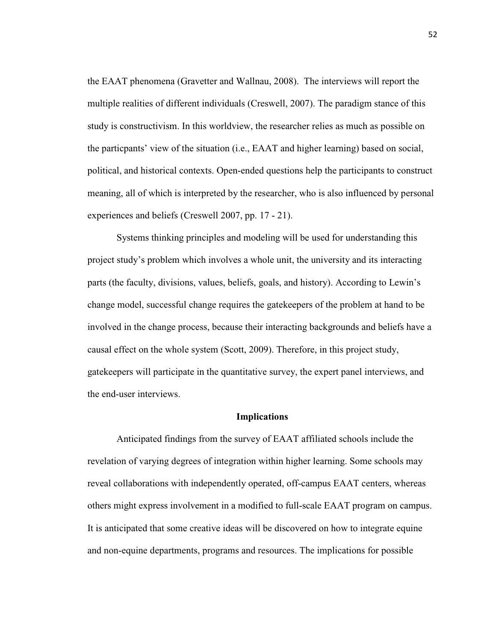the EAAT phenomena (Gravetter and Wallnau, 2008). The interviews will report the multiple realities of different individuals (Creswell, 2007). The paradigm stance of this study is constructivism. In this worldview, the researcher relies as much as possible on the particpants' view of the situation (i.e., EAAT and higher learning) based on social, political, and historical contexts. Open-ended questions help the participants to construct meaning, all of which is interpreted by the researcher, who is also influenced by personal experiences and beliefs (Creswell 2007, pp. 17 - 21).

Systems thinking principles and modeling will be used for understanding this project study's problem which involves a whole unit, the university and its interacting parts (the faculty, divisions, values, beliefs, goals, and history). According to Lewin's change model, successful change requires the gatekeepers of the problem at hand to be involved in the change process, because their interacting backgrounds and beliefs have a causal effect on the whole system (Scott, 2009). Therefore, in this project study, gatekeepers will participate in the quantitative survey, the expert panel interviews, and the end-user interviews.

#### **Implications**

 Anticipated findings from the survey of EAAT affiliated schools include the revelation of varying degrees of integration within higher learning. Some schools may reveal collaborations with independently operated, off-campus EAAT centers, whereas others might express involvement in a modified to full-scale EAAT program on campus. It is anticipated that some creative ideas will be discovered on how to integrate equine and non-equine departments, programs and resources. The implications for possible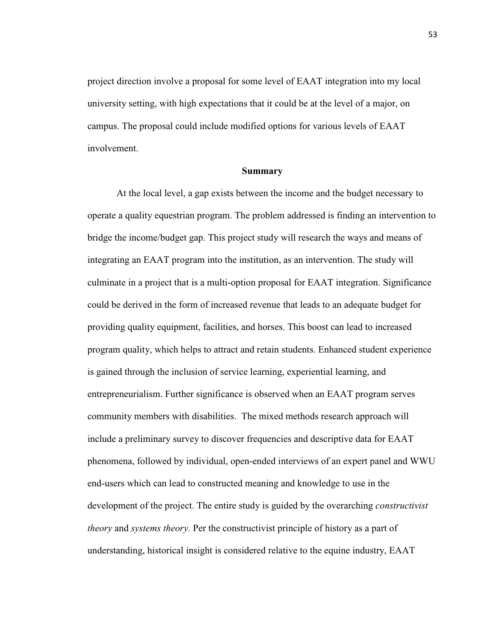project direction involve a proposal for some level of EAAT integration into my local university setting, with high expectations that it could be at the level of a major, on campus. The proposal could include modified options for various levels of EAAT involvement.

### **Summary**

At the local level, a gap exists between the income and the budget necessary to operate a quality equestrian program. The problem addressed is finding an intervention to bridge the income/budget gap. This project study will research the ways and means of integrating an EAAT program into the institution, as an intervention. The study will culminate in a project that is a multi-option proposal for EAAT integration. Significance could be derived in the form of increased revenue that leads to an adequate budget for providing quality equipment, facilities, and horses. This boost can lead to increased program quality, which helps to attract and retain students. Enhanced student experience is gained through the inclusion of service learning, experiential learning, and entrepreneurialism. Further significance is observed when an EAAT program serves community members with disabilities. The mixed methods research approach will include a preliminary survey to discover frequencies and descriptive data for EAAT phenomena, followed by individual, open-ended interviews of an expert panel and WWU end-users which can lead to constructed meaning and knowledge to use in the development of the project. The entire study is guided by the overarching *constructivist theory* and *systems theory.* Per the constructivist principle of history as a part of understanding, historical insight is considered relative to the equine industry, EAAT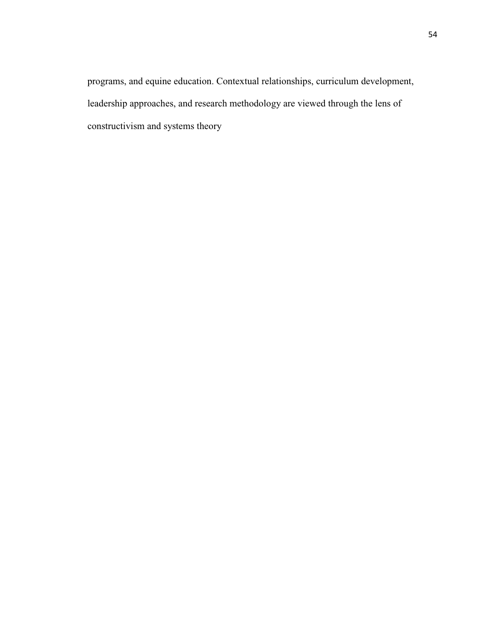programs, and equine education. Contextual relationships, curriculum development, leadership approaches, and research methodology are viewed through the lens of constructivism and systems theory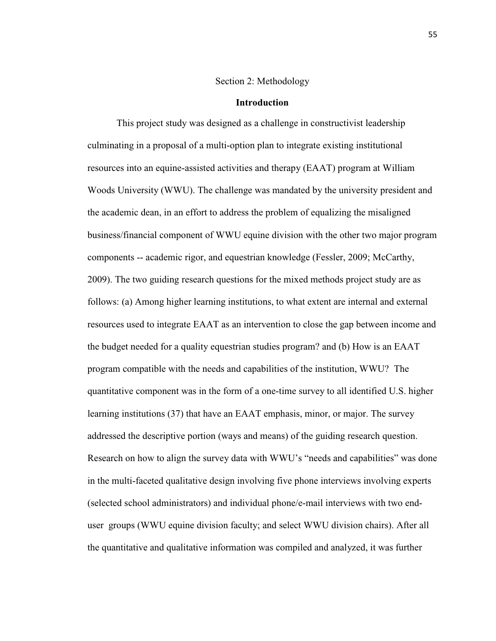## Section 2: Methodology

### **Introduction**

This project study was designed as a challenge in constructivist leadership culminating in a proposal of a multi-option plan to integrate existing institutional resources into an equine-assisted activities and therapy (EAAT) program at William Woods University (WWU). The challenge was mandated by the university president and the academic dean, in an effort to address the problem of equalizing the misaligned business/financial component of WWU equine division with the other two major program components -- academic rigor, and equestrian knowledge (Fessler, 2009; McCarthy, 2009). The two guiding research questions for the mixed methods project study are as follows: (a) Among higher learning institutions, to what extent are internal and external resources used to integrate EAAT as an intervention to close the gap between income and the budget needed for a quality equestrian studies program? and (b) How is an EAAT program compatible with the needs and capabilities of the institution, WWU? The quantitative component was in the form of a one-time survey to all identified U.S. higher learning institutions (37) that have an EAAT emphasis, minor, or major. The survey addressed the descriptive portion (ways and means) of the guiding research question. Research on how to align the survey data with WWU's "needs and capabilities" was done in the multi-faceted qualitative design involving five phone interviews involving experts (selected school administrators) and individual phone/e-mail interviews with two enduser groups (WWU equine division faculty; and select WWU division chairs). After all the quantitative and qualitative information was compiled and analyzed, it was further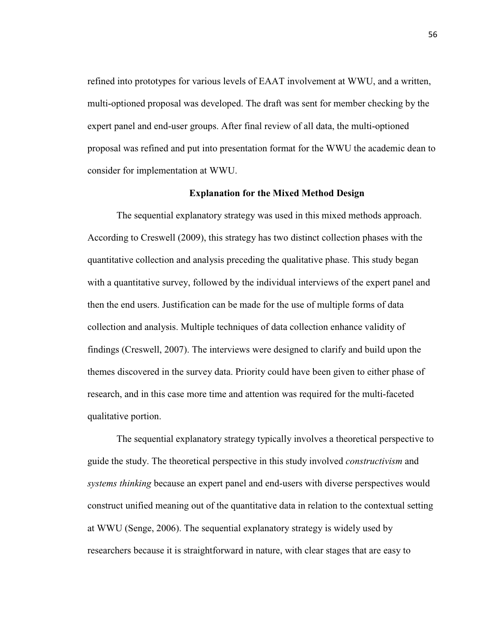refined into prototypes for various levels of EAAT involvement at WWU, and a written, multi-optioned proposal was developed. The draft was sent for member checking by the expert panel and end-user groups. After final review of all data, the multi-optioned proposal was refined and put into presentation format for the WWU the academic dean to consider for implementation at WWU.

# **Explanation for the Mixed Method Design**

The sequential explanatory strategy was used in this mixed methods approach. According to Creswell (2009), this strategy has two distinct collection phases with the quantitative collection and analysis preceding the qualitative phase. This study began with a quantitative survey, followed by the individual interviews of the expert panel and then the end users. Justification can be made for the use of multiple forms of data collection and analysis. Multiple techniques of data collection enhance validity of findings (Creswell, 2007). The interviews were designed to clarify and build upon the themes discovered in the survey data. Priority could have been given to either phase of research, and in this case more time and attention was required for the multi-faceted qualitative portion.

The sequential explanatory strategy typically involves a theoretical perspective to guide the study. The theoretical perspective in this study involved *constructivism* and *systems thinking* because an expert panel and end-users with diverse perspectives would construct unified meaning out of the quantitative data in relation to the contextual setting at WWU (Senge, 2006). The sequential explanatory strategy is widely used by researchers because it is straightforward in nature, with clear stages that are easy to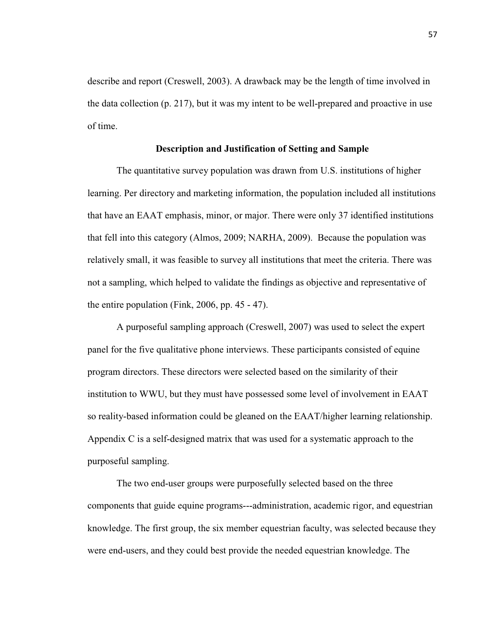describe and report (Creswell, 2003). A drawback may be the length of time involved in the data collection (p. 217), but it was my intent to be well-prepared and proactive in use of time.

# **Description and Justification of Setting and Sample**

The quantitative survey population was drawn from U.S. institutions of higher learning. Per directory and marketing information, the population included all institutions that have an EAAT emphasis, minor, or major. There were only 37 identified institutions that fell into this category (Almos, 2009; NARHA, 2009). Because the population was relatively small, it was feasible to survey all institutions that meet the criteria. There was not a sampling, which helped to validate the findings as objective and representative of the entire population (Fink, 2006, pp. 45 - 47).

 A purposeful sampling approach (Creswell, 2007) was used to select the expert panel for the five qualitative phone interviews. These participants consisted of equine program directors. These directors were selected based on the similarity of their institution to WWU, but they must have possessed some level of involvement in EAAT so reality-based information could be gleaned on the EAAT/higher learning relationship. Appendix C is a self-designed matrix that was used for a systematic approach to the purposeful sampling.

The two end-user groups were purposefully selected based on the three components that guide equine programs---administration, academic rigor, and equestrian knowledge. The first group, the six member equestrian faculty, was selected because they were end-users, and they could best provide the needed equestrian knowledge. The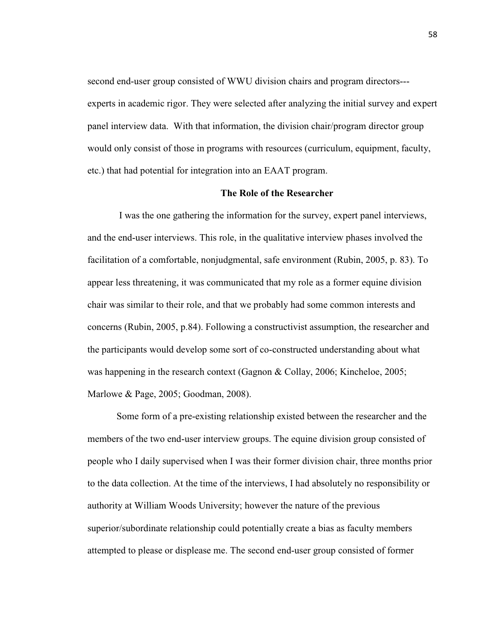second end-user group consisted of WWU division chairs and program directors-- experts in academic rigor. They were selected after analyzing the initial survey and expert panel interview data. With that information, the division chair/program director group would only consist of those in programs with resources (curriculum, equipment, faculty, etc.) that had potential for integration into an EAAT program.

# **The Role of the Researcher**

 I was the one gathering the information for the survey, expert panel interviews, and the end-user interviews. This role, in the qualitative interview phases involved the facilitation of a comfortable, nonjudgmental, safe environment (Rubin, 2005, p. 83). To appear less threatening, it was communicated that my role as a former equine division chair was similar to their role, and that we probably had some common interests and concerns (Rubin, 2005, p.84). Following a constructivist assumption, the researcher and the participants would develop some sort of co-constructed understanding about what was happening in the research context (Gagnon & Collay, 2006; Kincheloe, 2005; Marlowe & Page, 2005; Goodman, 2008).

Some form of a pre-existing relationship existed between the researcher and the members of the two end-user interview groups. The equine division group consisted of people who I daily supervised when I was their former division chair, three months prior to the data collection. At the time of the interviews, I had absolutely no responsibility or authority at William Woods University; however the nature of the previous superior/subordinate relationship could potentially create a bias as faculty members attempted to please or displease me. The second end-user group consisted of former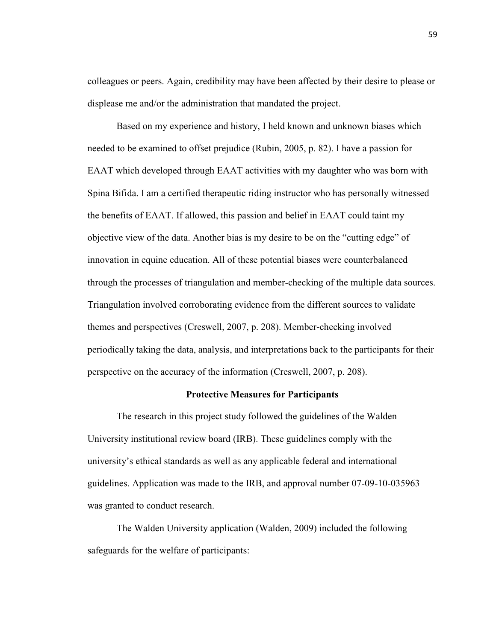colleagues or peers. Again, credibility may have been affected by their desire to please or displease me and/or the administration that mandated the project.

Based on my experience and history, I held known and unknown biases which needed to be examined to offset prejudice (Rubin, 2005, p. 82). I have a passion for EAAT which developed through EAAT activities with my daughter who was born with Spina Bifida. I am a certified therapeutic riding instructor who has personally witnessed the benefits of EAAT. If allowed, this passion and belief in EAAT could taint my objective view of the data. Another bias is my desire to be on the "cutting edge" of innovation in equine education. All of these potential biases were counterbalanced through the processes of triangulation and member-checking of the multiple data sources. Triangulation involved corroborating evidence from the different sources to validate themes and perspectives (Creswell, 2007, p. 208). Member-checking involved periodically taking the data, analysis, and interpretations back to the participants for their perspective on the accuracy of the information (Creswell, 2007, p. 208).

### **Protective Measures for Participants**

The research in this project study followed the guidelines of the Walden University institutional review board (IRB). These guidelines comply with the university's ethical standards as well as any applicable federal and international guidelines. Application was made to the IRB, and approval number 07-09-10-035963 was granted to conduct research.

The Walden University application (Walden, 2009) included the following safeguards for the welfare of participants: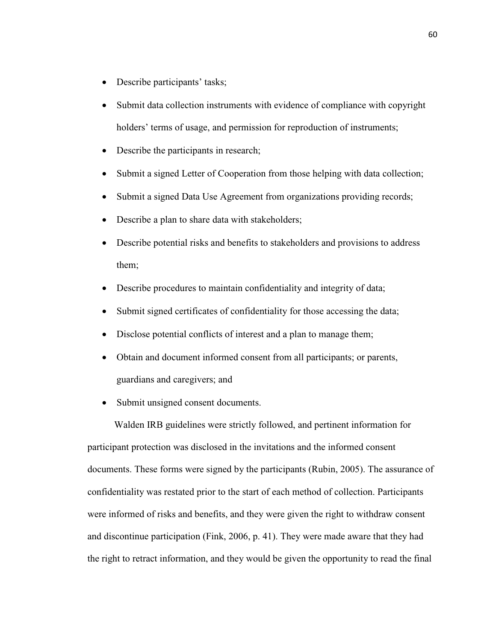- Describe participants' tasks;
- Submit data collection instruments with evidence of compliance with copyright holders' terms of usage, and permission for reproduction of instruments;
- Describe the participants in research;
- Submit a signed Letter of Cooperation from those helping with data collection;
- Submit a signed Data Use Agreement from organizations providing records;
- Describe a plan to share data with stakeholders;
- Describe potential risks and benefits to stakeholders and provisions to address them;
- Describe procedures to maintain confidentiality and integrity of data;
- Submit signed certificates of confidentiality for those accessing the data;
- Disclose potential conflicts of interest and a plan to manage them;
- Obtain and document informed consent from all participants; or parents, guardians and caregivers; and
- Submit unsigned consent documents.

 Walden IRB guidelines were strictly followed, and pertinent information for participant protection was disclosed in the invitations and the informed consent documents. These forms were signed by the participants (Rubin, 2005). The assurance of confidentiality was restated prior to the start of each method of collection. Participants were informed of risks and benefits, and they were given the right to withdraw consent and discontinue participation (Fink, 2006, p. 41). They were made aware that they had the right to retract information, and they would be given the opportunity to read the final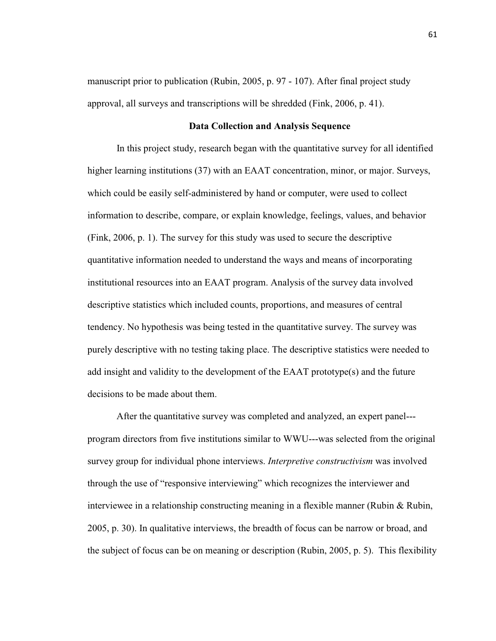manuscript prior to publication (Rubin, 2005, p. 97 - 107). After final project study approval, all surveys and transcriptions will be shredded (Fink, 2006, p. 41).

## **Data Collection and Analysis Sequence**

 In this project study, research began with the quantitative survey for all identified higher learning institutions (37) with an EAAT concentration, minor, or major. Surveys, which could be easily self-administered by hand or computer, were used to collect information to describe, compare, or explain knowledge, feelings, values, and behavior (Fink, 2006, p. 1). The survey for this study was used to secure the descriptive quantitative information needed to understand the ways and means of incorporating institutional resources into an EAAT program. Analysis of the survey data involved descriptive statistics which included counts, proportions, and measures of central tendency. No hypothesis was being tested in the quantitative survey. The survey was purely descriptive with no testing taking place. The descriptive statistics were needed to add insight and validity to the development of the EAAT prototype(s) and the future decisions to be made about them.

 After the quantitative survey was completed and analyzed, an expert panel-- program directors from five institutions similar to WWU---was selected from the original survey group for individual phone interviews. *Interpretive constructivism* was involved through the use of "responsive interviewing" which recognizes the interviewer and interviewee in a relationship constructing meaning in a flexible manner (Rubin & Rubin, 2005, p. 30). In qualitative interviews, the breadth of focus can be narrow or broad, and the subject of focus can be on meaning or description (Rubin, 2005, p. 5). This flexibility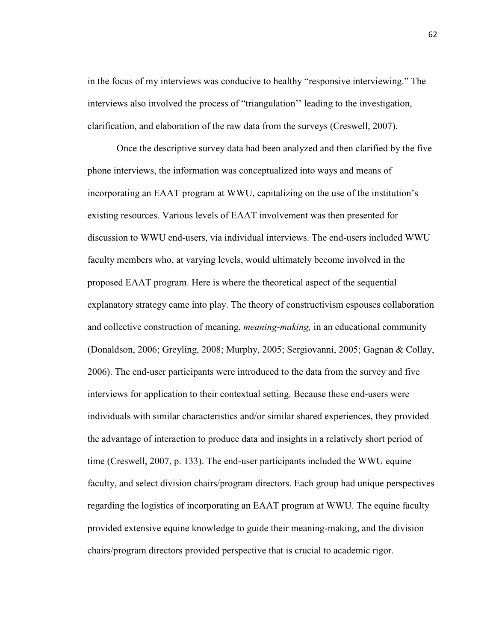in the focus of my interviews was conducive to healthy "responsive interviewing." The interviews also involved the process of "triangulation'' leading to the investigation, clarification, and elaboration of the raw data from the surveys (Creswell, 2007).

Once the descriptive survey data had been analyzed and then clarified by the five phone interviews, the information was conceptualized into ways and means of incorporating an EAAT program at WWU, capitalizing on the use of the institution's existing resources. Various levels of EAAT involvement was then presented for discussion to WWU end-users, via individual interviews. The end-users included WWU faculty members who, at varying levels, would ultimately become involved in the proposed EAAT program. Here is where the theoretical aspect of the sequential explanatory strategy came into play. The theory of constructivism espouses collaboration and collective construction of meaning, *meaning-making,* in an educational community (Donaldson, 2006; Greyling, 2008; Murphy, 2005; Sergiovanni, 2005; Gagnan & Collay, 2006). The end-user participants were introduced to the data from the survey and five interviews for application to their contextual setting. Because these end-users were individuals with similar characteristics and/or similar shared experiences, they provided the advantage of interaction to produce data and insights in a relatively short period of time (Creswell, 2007, p. 133). The end-user participants included the WWU equine faculty, and select division chairs/program directors. Each group had unique perspectives regarding the logistics of incorporating an EAAT program at WWU. The equine faculty provided extensive equine knowledge to guide their meaning-making, and the division chairs/program directors provided perspective that is crucial to academic rigor.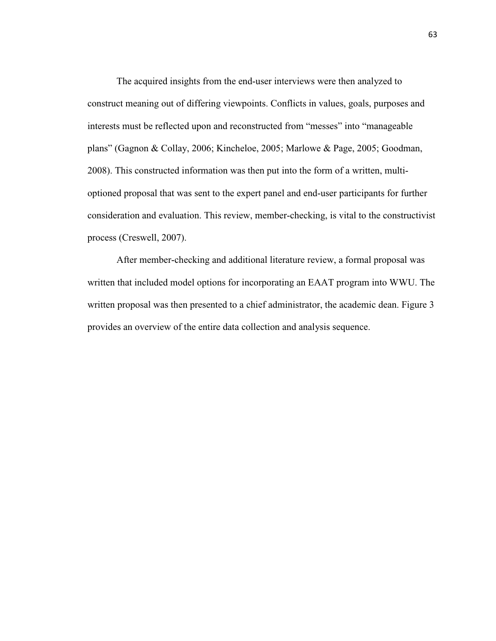The acquired insights from the end-user interviews were then analyzed to construct meaning out of differing viewpoints. Conflicts in values, goals, purposes and interests must be reflected upon and reconstructed from "messes" into "manageable plans" (Gagnon & Collay, 2006; Kincheloe, 2005; Marlowe & Page, 2005; Goodman, 2008). This constructed information was then put into the form of a written, multioptioned proposal that was sent to the expert panel and end-user participants for further consideration and evaluation. This review, member-checking, is vital to the constructivist process (Creswell, 2007).

After member-checking and additional literature review, a formal proposal was written that included model options for incorporating an EAAT program into WWU. The written proposal was then presented to a chief administrator, the academic dean. Figure 3 provides an overview of the entire data collection and analysis sequence.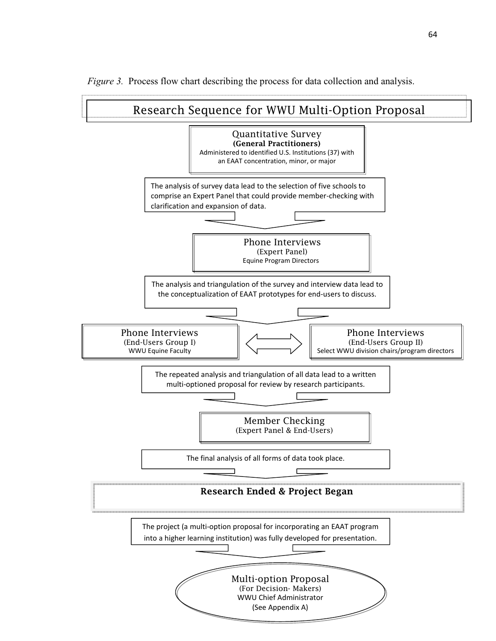*Figure 3.* Process flow chart describing the process for data collection and analysis.

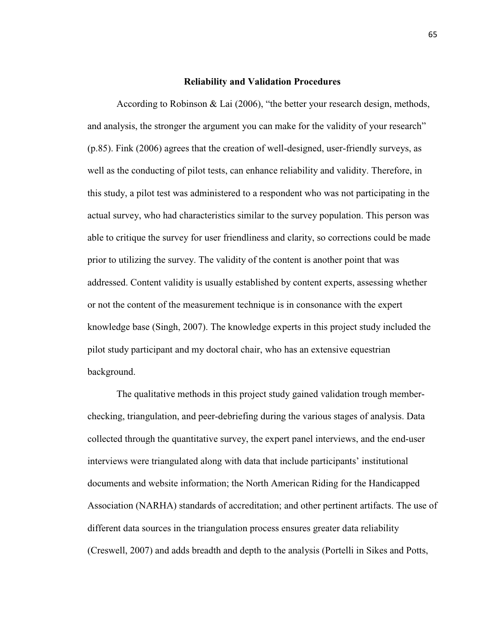#### **Reliability and Validation Procedures**

According to Robinson & Lai (2006), "the better your research design, methods, and analysis, the stronger the argument you can make for the validity of your research" (p.85). Fink (2006) agrees that the creation of well-designed, user-friendly surveys, as well as the conducting of pilot tests, can enhance reliability and validity. Therefore, in this study, a pilot test was administered to a respondent who was not participating in the actual survey, who had characteristics similar to the survey population. This person was able to critique the survey for user friendliness and clarity, so corrections could be made prior to utilizing the survey. The validity of the content is another point that was addressed. Content validity is usually established by content experts, assessing whether or not the content of the measurement technique is in consonance with the expert knowledge base (Singh, 2007). The knowledge experts in this project study included the pilot study participant and my doctoral chair, who has an extensive equestrian background.

The qualitative methods in this project study gained validation trough memberchecking, triangulation, and peer-debriefing during the various stages of analysis. Data collected through the quantitative survey, the expert panel interviews, and the end-user interviews were triangulated along with data that include participants' institutional documents and website information; the North American Riding for the Handicapped Association (NARHA) standards of accreditation; and other pertinent artifacts. The use of different data sources in the triangulation process ensures greater data reliability (Creswell, 2007) and adds breadth and depth to the analysis (Portelli in Sikes and Potts,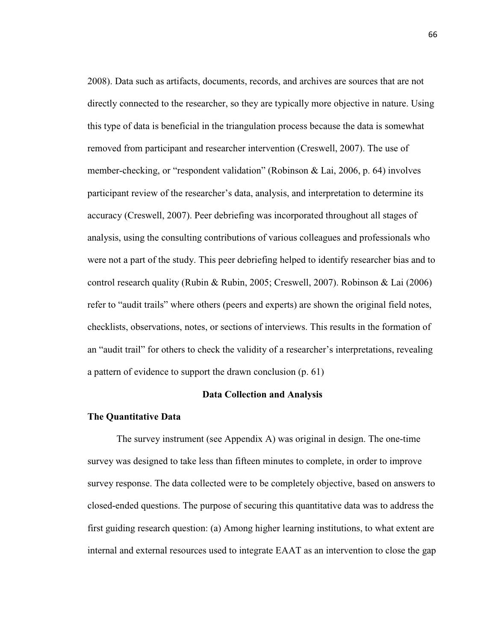2008). Data such as artifacts, documents, records, and archives are sources that are not directly connected to the researcher, so they are typically more objective in nature. Using this type of data is beneficial in the triangulation process because the data is somewhat removed from participant and researcher intervention (Creswell, 2007). The use of member-checking, or "respondent validation" (Robinson & Lai, 2006, p. 64) involves participant review of the researcher's data, analysis, and interpretation to determine its accuracy (Creswell, 2007). Peer debriefing was incorporated throughout all stages of analysis, using the consulting contributions of various colleagues and professionals who were not a part of the study. This peer debriefing helped to identify researcher bias and to control research quality (Rubin & Rubin, 2005; Creswell, 2007). Robinson & Lai (2006) refer to "audit trails" where others (peers and experts) are shown the original field notes, checklists, observations, notes, or sections of interviews. This results in the formation of an "audit trail" for others to check the validity of a researcher's interpretations, revealing a pattern of evidence to support the drawn conclusion (p. 61)

### **Data Collection and Analysis**

#### **The Quantitative Data**

The survey instrument (see Appendix A) was original in design. The one-time survey was designed to take less than fifteen minutes to complete, in order to improve survey response. The data collected were to be completely objective, based on answers to closed-ended questions. The purpose of securing this quantitative data was to address the first guiding research question: (a) Among higher learning institutions, to what extent are internal and external resources used to integrate EAAT as an intervention to close the gap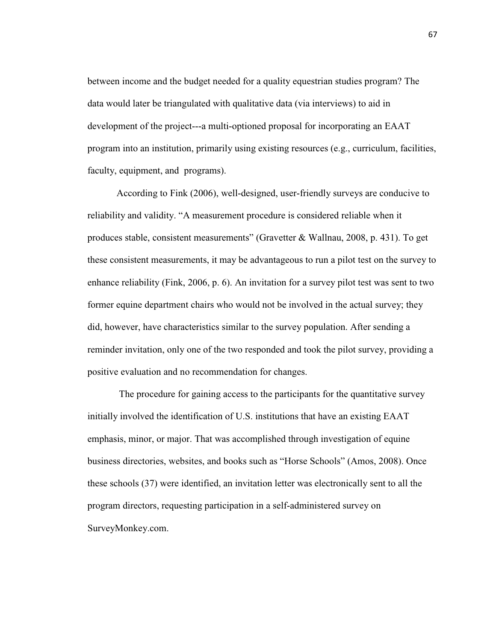between income and the budget needed for a quality equestrian studies program? The data would later be triangulated with qualitative data (via interviews) to aid in development of the project---a multi-optioned proposal for incorporating an EAAT program into an institution, primarily using existing resources (e.g., curriculum, facilities, faculty, equipment, and programs).

According to Fink (2006), well-designed, user-friendly surveys are conducive to reliability and validity. "A measurement procedure is considered reliable when it produces stable, consistent measurements" (Gravetter & Wallnau, 2008, p. 431). To get these consistent measurements, it may be advantageous to run a pilot test on the survey to enhance reliability (Fink, 2006, p. 6). An invitation for a survey pilot test was sent to two former equine department chairs who would not be involved in the actual survey; they did, however, have characteristics similar to the survey population. After sending a reminder invitation, only one of the two responded and took the pilot survey, providing a positive evaluation and no recommendation for changes.

The procedure for gaining access to the participants for the quantitative survey initially involved the identification of U.S. institutions that have an existing EAAT emphasis, minor, or major. That was accomplished through investigation of equine business directories, websites, and books such as "Horse Schools" (Amos, 2008). Once these schools (37) were identified, an invitation letter was electronically sent to all the program directors, requesting participation in a self-administered survey on SurveyMonkey.com.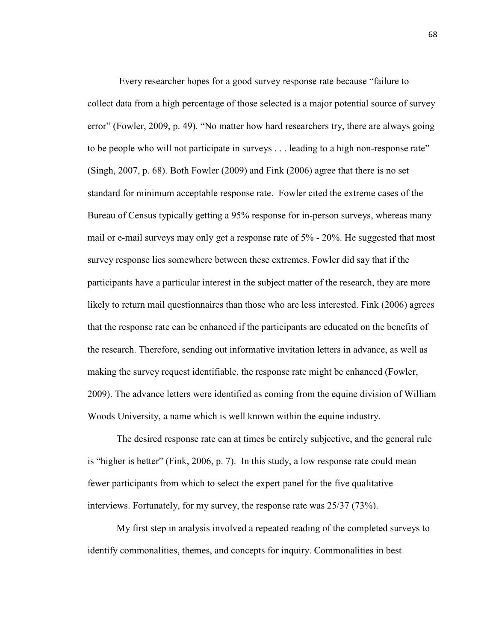Every researcher hopes for a good survey response rate because "failure to collect data from a high percentage of those selected is a major potential source of survey error" (Fowler, 2009, p. 49). "No matter how hard researchers try, there are always going to be people who will not participate in surveys . . . leading to a high non-response rate" (Singh, 2007, p. 68). Both Fowler (2009) and Fink (2006) agree that there is no set standard for minimum acceptable response rate. Fowler cited the extreme cases of the Bureau of Census typically getting a 95% response for in-person surveys, whereas many mail or e-mail surveys may only get a response rate of 5% - 20%. He suggested that most survey response lies somewhere between these extremes. Fowler did say that if the participants have a particular interest in the subject matter of the research, they are more likely to return mail questionnaires than those who are less interested. Fink (2006) agrees that the response rate can be enhanced if the participants are educated on the benefits of the research. Therefore, sending out informative invitation letters in advance, as well as making the survey request identifiable, the response rate might be enhanced (Fowler, 2009). The advance letters were identified as coming from the equine division of William Woods University, a name which is well known within the equine industry.

The desired response rate can at times be entirely subjective, and the general rule is "higher is better" (Fink, 2006, p. 7). In this study, a low response rate could mean fewer participants from which to select the expert panel for the five qualitative interviews. Fortunately, for my survey, the response rate was 25/37 (73%).

My first step in analysis involved a repeated reading of the completed surveys to identify commonalities, themes, and concepts for inquiry. Commonalities in best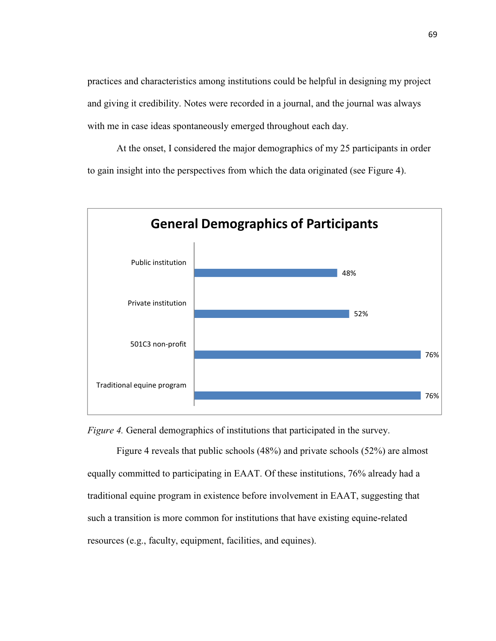practices and characteristics among institutions could be helpful in designing my project and giving it credibility. Notes were recorded in a journal, and the journal was always with me in case ideas spontaneously emerged throughout each day.

At the onset, I considered the major demographics of my 25 participants in order to gain insight into the perspectives from which the data originated (see Figure 4).



*Figure 4.* General demographics of institutions that participated in the survey.

Figure 4 reveals that public schools (48%) and private schools (52%) are almost equally committed to participating in EAAT. Of these institutions, 76% already had a traditional equine program in existence before involvement in EAAT, suggesting that such a transition is more common for institutions that have existing equine-related resources (e.g., faculty, equipment, facilities, and equines).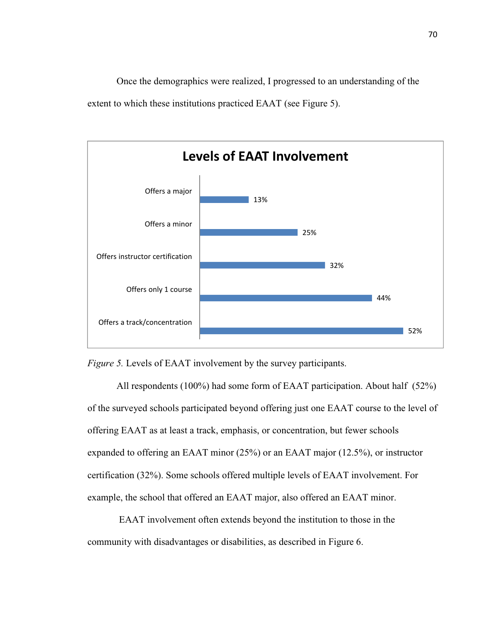Once the demographics were realized, I progressed to an understanding of the extent to which these institutions practiced EAAT (see Figure 5).



*Figure 5.* Levels of EAAT involvement by the survey participants.

All respondents (100%) had some form of EAAT participation. About half (52%) of the surveyed schools participated beyond offering just one EAAT course to the level of offering EAAT as at least a track, emphasis, or concentration, but fewer schools expanded to offering an EAAT minor (25%) or an EAAT major (12.5%), or instructor certification (32%). Some schools offered multiple levels of EAAT involvement. For example, the school that offered an EAAT major, also offered an EAAT minor.

 EAAT involvement often extends beyond the institution to those in the community with disadvantages or disabilities, as described in Figure 6.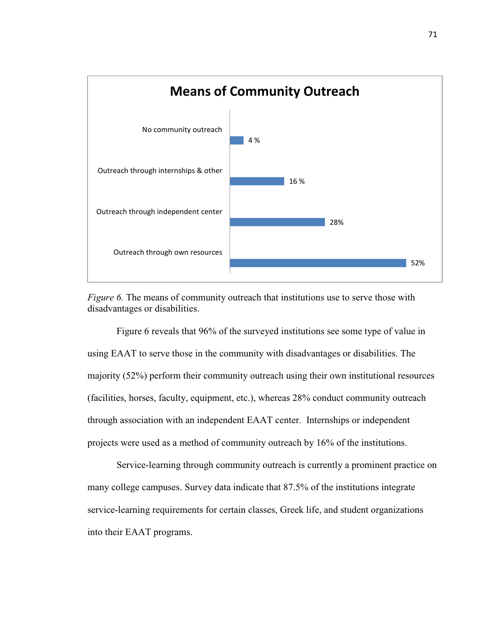

*Figure 6.* The means of community outreach that institutions use to serve those with disadvantages or disabilities.

Figure 6 reveals that 96% of the surveyed institutions see some type of value in using EAAT to serve those in the community with disadvantages or disabilities. The majority (52%) perform their community outreach using their own institutional resources (facilities, horses, faculty, equipment, etc.), whereas 28% conduct community outreach through association with an independent EAAT center. Internships or independent projects were used as a method of community outreach by 16% of the institutions.

Service-learning through community outreach is currently a prominent practice on many college campuses. Survey data indicate that 87.5% of the institutions integrate service-learning requirements for certain classes, Greek life, and student organizations into their EAAT programs.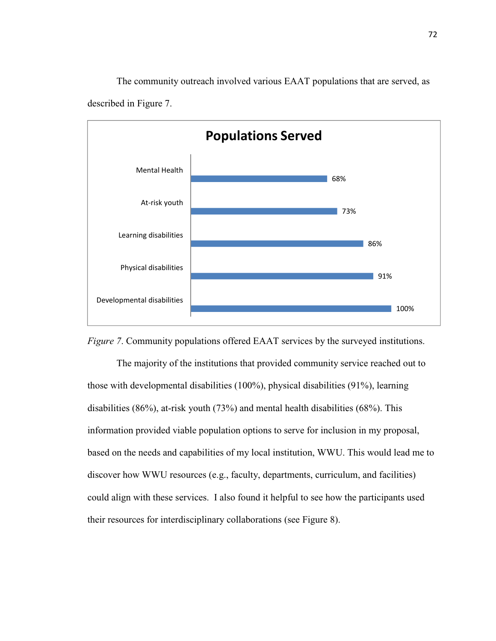

The community outreach involved various EAAT populations that are served, as described in Figure 7.

*Figure 7*. Community populations offered EAAT services by the surveyed institutions.

The majority of the institutions that provided community service reached out to those with developmental disabilities (100%), physical disabilities (91%), learning disabilities (86%), at-risk youth (73%) and mental health disabilities (68%). This information provided viable population options to serve for inclusion in my proposal, based on the needs and capabilities of my local institution, WWU. This would lead me to discover how WWU resources (e.g., faculty, departments, curriculum, and facilities) could align with these services. I also found it helpful to see how the participants used their resources for interdisciplinary collaborations (see Figure 8).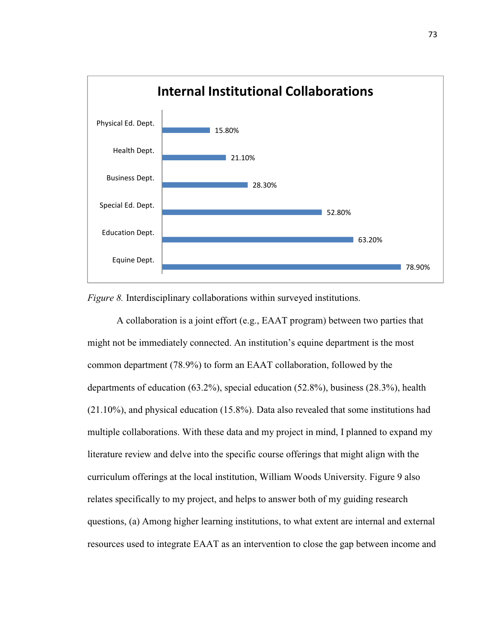

*Figure 8.* Interdisciplinary collaborations within surveyed institutions.

 A collaboration is a joint effort (e.g., EAAT program) between two parties that might not be immediately connected. An institution's equine department is the most common department (78.9%) to form an EAAT collaboration, followed by the departments of education (63.2%), special education (52.8%), business (28.3%), health (21.10%), and physical education (15.8%). Data also revealed that some institutions had multiple collaborations. With these data and my project in mind, I planned to expand my literature review and delve into the specific course offerings that might align with the curriculum offerings at the local institution, William Woods University. Figure 9 also relates specifically to my project, and helps to answer both of my guiding research questions, (a) Among higher learning institutions, to what extent are internal and external resources used to integrate EAAT as an intervention to close the gap between income and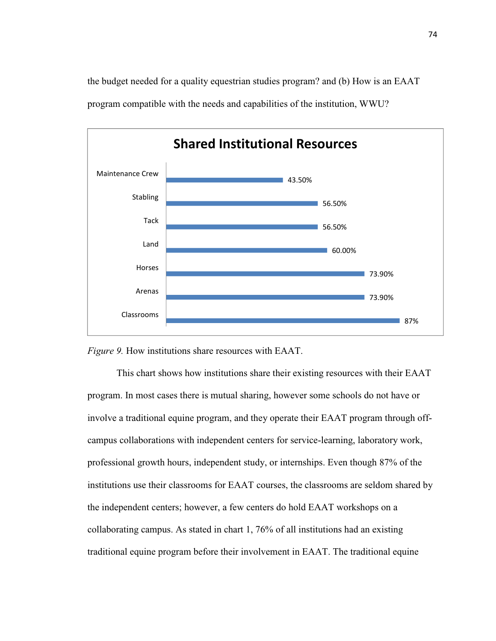the budget needed for a quality equestrian studies program? and (b) How is an EAAT program compatible with the needs and capabilities of the institution, WWU?





This chart shows how institutions share their existing resources with their EAAT program. In most cases there is mutual sharing, however some schools do not have or involve a traditional equine program, and they operate their EAAT program through offcampus collaborations with independent centers for service-learning, laboratory work, professional growth hours, independent study, or internships. Even though 87% of the institutions use their classrooms for EAAT courses, the classrooms are seldom shared by the independent centers; however, a few centers do hold EAAT workshops on a collaborating campus. As stated in chart 1, 76% of all institutions had an existing traditional equine program before their involvement in EAAT. The traditional equine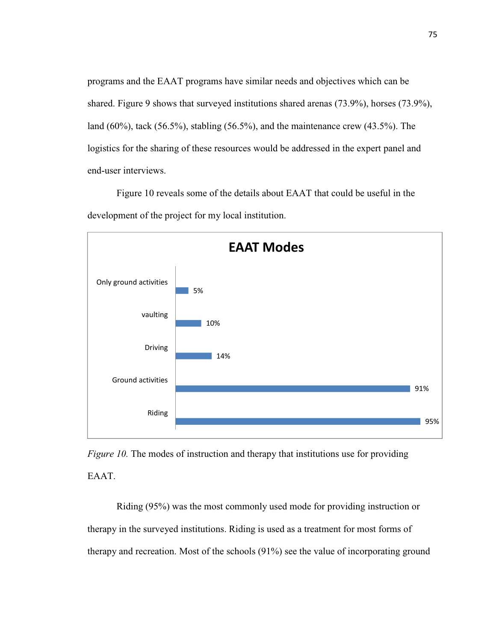programs and the EAAT programs have similar needs and objectives which can be shared. Figure 9 shows that surveyed institutions shared arenas (73.9%), horses (73.9%), land (60%), tack (56.5%), stabling (56.5%), and the maintenance crew (43.5%). The logistics for the sharing of these resources would be addressed in the expert panel and end-user interviews.

 Figure 10 reveals some of the details about EAAT that could be useful in the development of the project for my local institution.



*Figure 10.* The modes of instruction and therapy that institutions use for providing EAAT.

Riding (95%) was the most commonly used mode for providing instruction or therapy in the surveyed institutions. Riding is used as a treatment for most forms of therapy and recreation. Most of the schools (91%) see the value of incorporating ground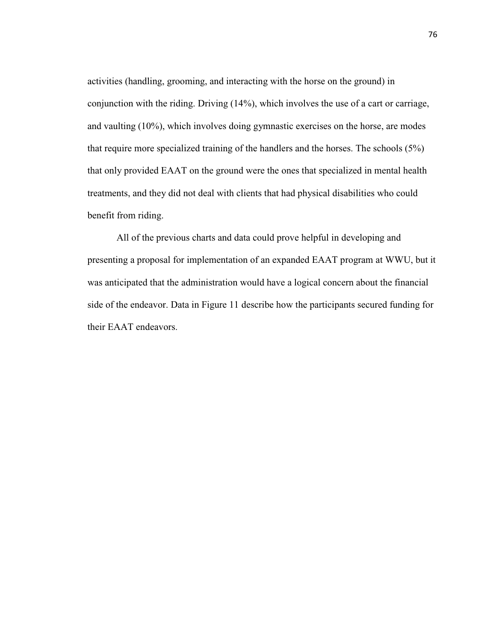activities (handling, grooming, and interacting with the horse on the ground) in conjunction with the riding. Driving (14%), which involves the use of a cart or carriage, and vaulting (10%), which involves doing gymnastic exercises on the horse, are modes that require more specialized training of the handlers and the horses. The schools (5%) that only provided EAAT on the ground were the ones that specialized in mental health treatments, and they did not deal with clients that had physical disabilities who could benefit from riding.

All of the previous charts and data could prove helpful in developing and presenting a proposal for implementation of an expanded EAAT program at WWU, but it was anticipated that the administration would have a logical concern about the financial side of the endeavor. Data in Figure 11 describe how the participants secured funding for their EAAT endeavors.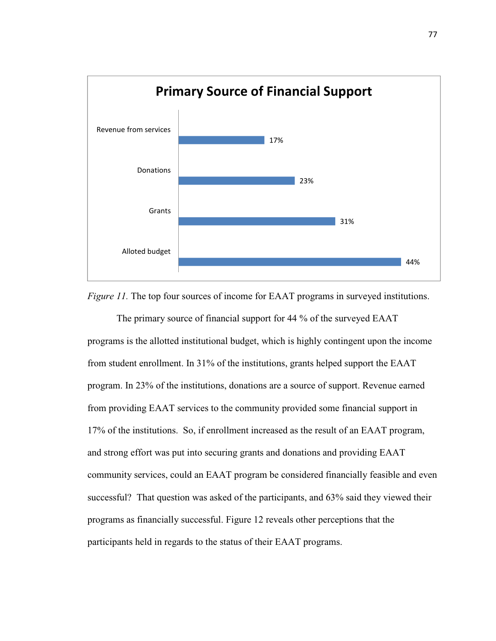

*Figure 11.* The top four sources of income for EAAT programs in surveyed institutions.

The primary source of financial support for 44 % of the surveyed EAAT programs is the allotted institutional budget, which is highly contingent upon the income from student enrollment. In 31% of the institutions, grants helped support the EAAT program. In 23% of the institutions, donations are a source of support. Revenue earned from providing EAAT services to the community provided some financial support in 17% of the institutions. So, if enrollment increased as the result of an EAAT program, and strong effort was put into securing grants and donations and providing EAAT community services, could an EAAT program be considered financially feasible and even successful? That question was asked of the participants, and 63% said they viewed their programs as financially successful. Figure 12 reveals other perceptions that the participants held in regards to the status of their EAAT programs.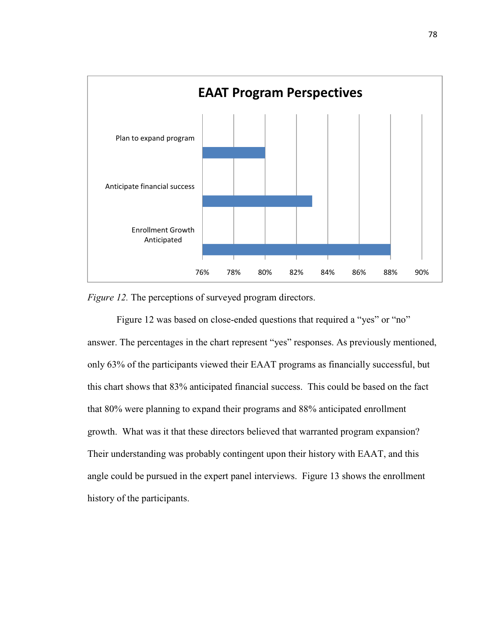

*Figure 12.* The perceptions of surveyed program directors.

Figure 12 was based on close-ended questions that required a "yes" or "no" answer. The percentages in the chart represent "yes" responses. As previously mentioned, only 63% of the participants viewed their EAAT programs as financially successful, but this chart shows that 83% anticipated financial success. This could be based on the fact that 80% were planning to expand their programs and 88% anticipated enrollment growth. What was it that these directors believed that warranted program expansion? Their understanding was probably contingent upon their history with EAAT, and this angle could be pursued in the expert panel interviews. Figure 13 shows the enrollment history of the participants.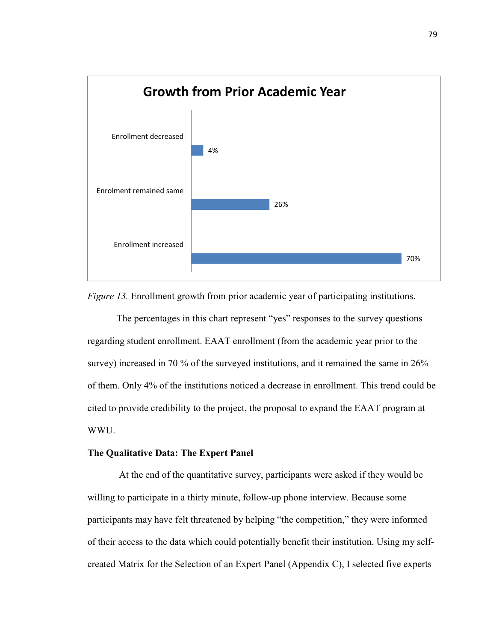

*Figure 13.* Enrollment growth from prior academic year of participating institutions.

The percentages in this chart represent "yes" responses to the survey questions regarding student enrollment. EAAT enrollment (from the academic year prior to the survey) increased in 70 % of the surveyed institutions, and it remained the same in 26% of them. Only 4% of the institutions noticed a decrease in enrollment. This trend could be cited to provide credibility to the project, the proposal to expand the EAAT program at WWU.

## **The Qualitative Data: The Expert Panel**

At the end of the quantitative survey, participants were asked if they would be willing to participate in a thirty minute, follow-up phone interview. Because some participants may have felt threatened by helping "the competition," they were informed of their access to the data which could potentially benefit their institution. Using my selfcreated Matrix for the Selection of an Expert Panel (Appendix C), I selected five experts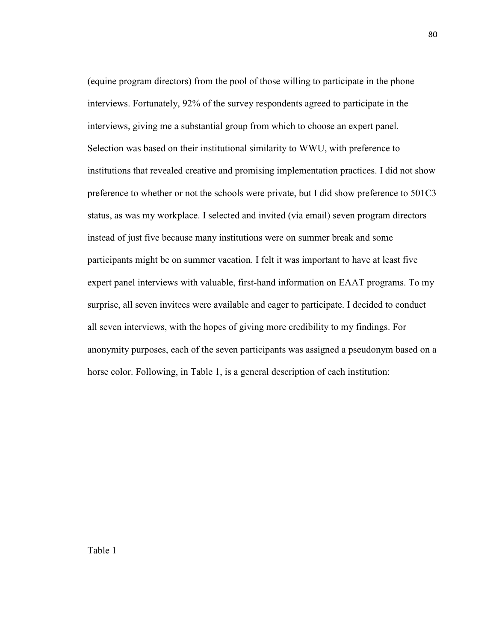(equine program directors) from the pool of those willing to participate in the phone interviews. Fortunately, 92% of the survey respondents agreed to participate in the interviews, giving me a substantial group from which to choose an expert panel. Selection was based on their institutional similarity to WWU, with preference to institutions that revealed creative and promising implementation practices. I did not show preference to whether or not the schools were private, but I did show preference to 501C3 status, as was my workplace. I selected and invited (via email) seven program directors instead of just five because many institutions were on summer break and some participants might be on summer vacation. I felt it was important to have at least five expert panel interviews with valuable, first-hand information on EAAT programs. To my surprise, all seven invitees were available and eager to participate. I decided to conduct all seven interviews, with the hopes of giving more credibility to my findings. For anonymity purposes, each of the seven participants was assigned a pseudonym based on a horse color. Following, in Table 1, is a general description of each institution: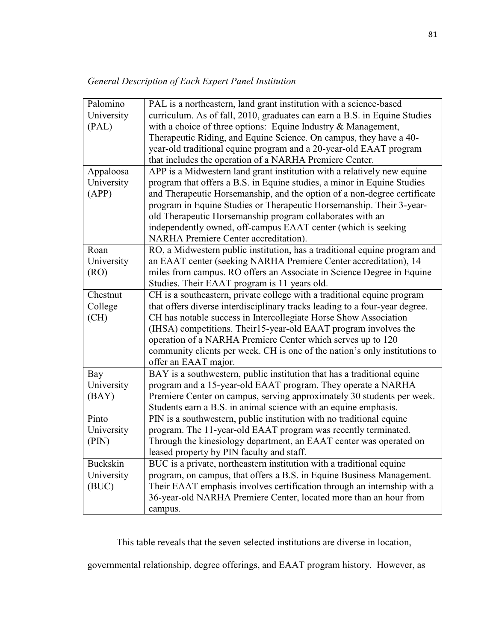| Palomino        | PAL is a northeastern, land grant institution with a science-based          |
|-----------------|-----------------------------------------------------------------------------|
| University      | curriculum. As of fall, 2010, graduates can earn a B.S. in Equine Studies   |
| (PAL)           | with a choice of three options: Equine Industry & Management,               |
|                 | Therapeutic Riding, and Equine Science. On campus, they have a 40-          |
|                 | year-old traditional equine program and a 20-year-old EAAT program          |
|                 | that includes the operation of a NARHA Premiere Center.                     |
| Appaloosa       | APP is a Midwestern land grant institution with a relatively new equine     |
| University      | program that offers a B.S. in Equine studies, a minor in Equine Studies     |
| (APP)           | and Therapeutic Horsemanship, and the option of a non-degree certificate    |
|                 | program in Equine Studies or Therapeutic Horsemanship. Their 3-year-        |
|                 | old Therapeutic Horsemanship program collaborates with an                   |
|                 | independently owned, off-campus EAAT center (which is seeking               |
|                 | NARHA Premiere Center accreditation).                                       |
| Roan            | RO, a Midwestern public institution, has a traditional equine program and   |
| University      | an EAAT center (seeking NARHA Premiere Center accreditation), 14            |
| (RO)            | miles from campus. RO offers an Associate in Science Degree in Equine       |
|                 | Studies. Their EAAT program is 11 years old.                                |
| Chestnut        | CH is a southeastern, private college with a traditional equine program     |
| College         | that offers diverse interdisciplinary tracks leading to a four-year degree. |
| (CH)            | CH has notable success in Intercollegiate Horse Show Association            |
|                 | (IHSA) competitions. Their15-year-old EAAT program involves the             |
|                 | operation of a NARHA Premiere Center which serves up to 120                 |
|                 | community clients per week. CH is one of the nation's only institutions to  |
|                 | offer an EAAT major.                                                        |
| Bay             | BAY is a southwestern, public institution that has a traditional equine     |
| University      | program and a 15-year-old EAAT program. They operate a NARHA                |
| (BAY)           | Premiere Center on campus, serving approximately 30 students per week.      |
|                 | Students earn a B.S. in animal science with an equine emphasis.             |
| Pinto           | PIN is a southwestern, public institution with no traditional equine        |
| University      | program. The 11-year-old EAAT program was recently terminated.              |
| (PIN)           | Through the kinesiology department, an EAAT center was operated on          |
|                 | leased property by PIN faculty and staff.                                   |
| <b>Buckskin</b> | BUC is a private, northeastern institution with a traditional equine        |
| University      | program, on campus, that offers a B.S. in Equine Business Management.       |
| (BUC)           | Their EAAT emphasis involves certification through an internship with a     |
|                 | 36-year-old NARHA Premiere Center, located more than an hour from           |
|                 | campus.                                                                     |

This table reveals that the seven selected institutions are diverse in location,

governmental relationship, degree offerings, and EAAT program history. However, as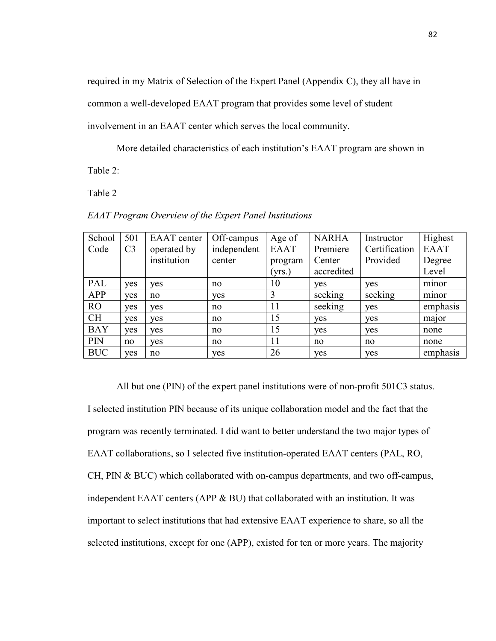required in my Matrix of Selection of the Expert Panel (Appendix C), they all have in

common a well-developed EAAT program that provides some level of student

involvement in an EAAT center which serves the local community.

More detailed characteristics of each institution's EAAT program are shown in

Table 2:

Table 2

*EAAT Program Overview of the Expert Panel Institutions* 

| School     | 501            | <b>EAAT</b> center | Off-campus  | Age of      | <b>NARHA</b> | Instructor    | Highest     |
|------------|----------------|--------------------|-------------|-------------|--------------|---------------|-------------|
| Code       | C <sub>3</sub> | operated by        | independent | <b>EAAT</b> | Premiere     | Certification | <b>EAAT</b> |
|            |                | institution        | center      | program     | Center       | Provided      | Degree      |
|            |                |                    |             | (yrs.)      | accredited   |               | Level       |
| PAL        | yes            | yes                | no          | 10          | yes          | yes           | minor       |
| <b>APP</b> | yes            | no                 | yes         | 3           | seeking      | seeking       | minor       |
| <b>RO</b>  | yes            | yes                | no          | 11          | seeking      | yes           | emphasis    |
| <b>CH</b>  | yes            | yes                | no          | 15          | yes          | yes           | major       |
| <b>BAY</b> | yes            | yes                | no          | 15          | yes          | yes           | none        |
| PIN        | no             | yes                | no          | 11          | no           | no            | none        |
| <b>BUC</b> | yes            | no                 | yes         | 26          | yes          | yes           | emphasis    |

All but one (PIN) of the expert panel institutions were of non-profit 501C3 status. I selected institution PIN because of its unique collaboration model and the fact that the program was recently terminated. I did want to better understand the two major types of EAAT collaborations, so I selected five institution-operated EAAT centers (PAL, RO, CH, PIN & BUC) which collaborated with on-campus departments, and two off-campus, independent EAAT centers (APP & BU) that collaborated with an institution. It was important to select institutions that had extensive EAAT experience to share, so all the selected institutions, except for one (APP), existed for ten or more years. The majority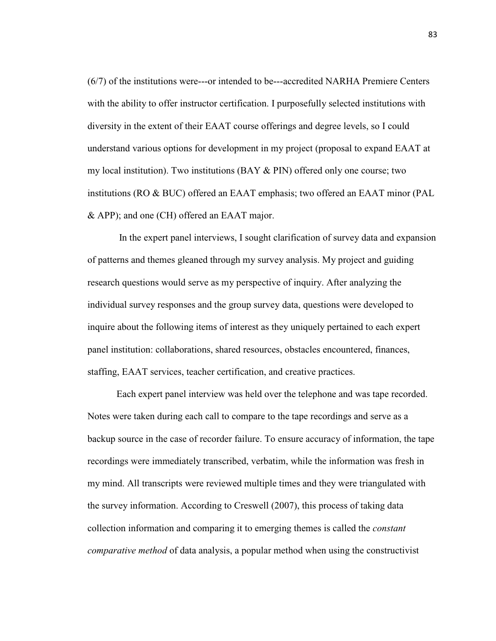(6/7) of the institutions were---or intended to be---accredited NARHA Premiere Centers with the ability to offer instructor certification. I purposefully selected institutions with diversity in the extent of their EAAT course offerings and degree levels, so I could understand various options for development in my project (proposal to expand EAAT at my local institution). Two institutions (BAY & PIN) offered only one course; two institutions (RO & BUC) offered an EAAT emphasis; two offered an EAAT minor (PAL & APP); and one (CH) offered an EAAT major.

 In the expert panel interviews, I sought clarification of survey data and expansion of patterns and themes gleaned through my survey analysis. My project and guiding research questions would serve as my perspective of inquiry. After analyzing the individual survey responses and the group survey data, questions were developed to inquire about the following items of interest as they uniquely pertained to each expert panel institution: collaborations, shared resources, obstacles encountered, finances, staffing, EAAT services, teacher certification, and creative practices.

 Each expert panel interview was held over the telephone and was tape recorded. Notes were taken during each call to compare to the tape recordings and serve as a backup source in the case of recorder failure. To ensure accuracy of information, the tape recordings were immediately transcribed, verbatim, while the information was fresh in my mind. All transcripts were reviewed multiple times and they were triangulated with the survey information. According to Creswell (2007), this process of taking data collection information and comparing it to emerging themes is called the *constant comparative method* of data analysis, a popular method when using the constructivist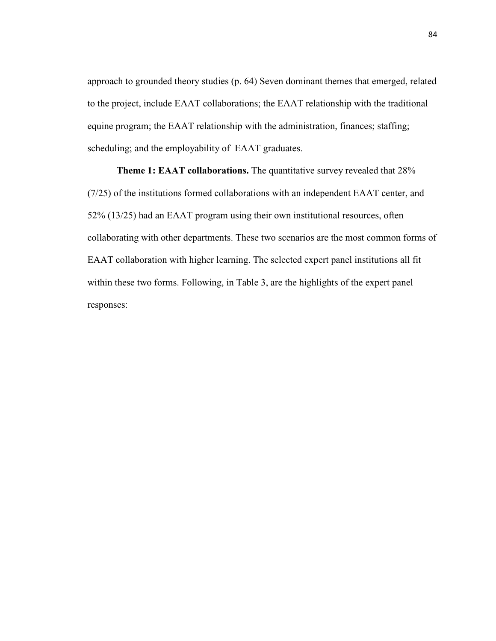approach to grounded theory studies (p. 64) Seven dominant themes that emerged, related to the project, include EAAT collaborations; the EAAT relationship with the traditional equine program; the EAAT relationship with the administration, finances; staffing; scheduling; and the employability of EAAT graduates.

**Theme 1: EAAT collaborations.** The quantitative survey revealed that 28% (7/25) of the institutions formed collaborations with an independent EAAT center, and 52% (13/25) had an EAAT program using their own institutional resources, often collaborating with other departments. These two scenarios are the most common forms of EAAT collaboration with higher learning. The selected expert panel institutions all fit within these two forms. Following, in Table 3, are the highlights of the expert panel responses: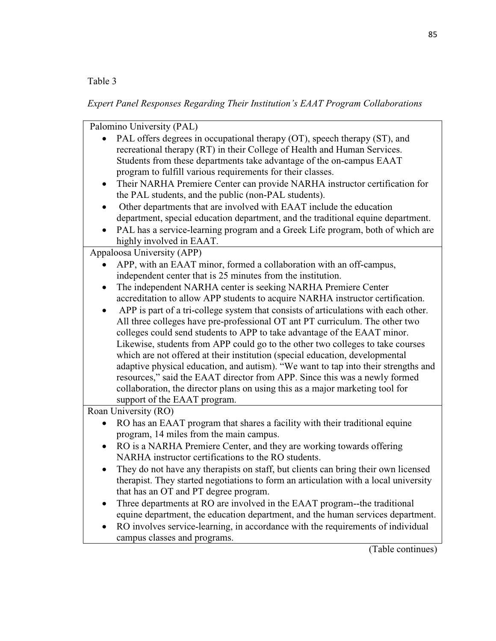Table 3

*Expert Panel Responses Regarding Their Institution's EAAT Program Collaborations* 

| Palomino University (PAL)                                                                        |  |
|--------------------------------------------------------------------------------------------------|--|
| PAL offers degrees in occupational therapy (OT), speech therapy (ST), and                        |  |
| recreational therapy (RT) in their College of Health and Human Services.                         |  |
| Students from these departments take advantage of the on-campus EAAT                             |  |
| program to fulfill various requirements for their classes.                                       |  |
| Their NARHA Premiere Center can provide NARHA instructor certification for<br>٠                  |  |
| the PAL students, and the public (non-PAL students).                                             |  |
| Other departments that are involved with EAAT include the education<br>$\bullet$                 |  |
| department, special education department, and the traditional equine department.                 |  |
| PAL has a service-learning program and a Greek Life program, both of which are                   |  |
| highly involved in EAAT.                                                                         |  |
| Appaloosa University (APP)                                                                       |  |
| APP, with an EAAT minor, formed a collaboration with an off-campus,                              |  |
| independent center that is 25 minutes from the institution.                                      |  |
| The independent NARHA center is seeking NARHA Premiere Center<br>$\bullet$                       |  |
| accreditation to allow APP students to acquire NARHA instructor certification.                   |  |
| APP is part of a tri-college system that consists of articulations with each other.<br>$\bullet$ |  |
| All three colleges have pre-professional OT ant PT curriculum. The other two                     |  |
| colleges could send students to APP to take advantage of the EAAT minor.                         |  |
| Likewise, students from APP could go to the other two colleges to take courses                   |  |
| which are not offered at their institution (special education, developmental                     |  |
| adaptive physical education, and autism). "We want to tap into their strengths and               |  |
| resources," said the EAAT director from APP. Since this was a newly formed                       |  |
| collaboration, the director plans on using this as a major marketing tool for                    |  |
| support of the EAAT program.                                                                     |  |
| Roan University (RO)                                                                             |  |
| RO has an EAAT program that shares a facility with their traditional equine<br>$\bullet$         |  |
| program, 14 miles from the main campus.                                                          |  |
| RO is a NARHA Premiere Center, and they are working towards offering<br>$\bullet$                |  |
| NARHA instructor certifications to the RO students.                                              |  |
| They do not have any therapists on staff, but clients can bring their own licensed<br>$\bullet$  |  |
| therapist. They started negotiations to form an articulation with a local university             |  |
| that has an OT and PT degree program.                                                            |  |
| Three departments at RO are involved in the EAAT program--the traditional                        |  |
| equine department, the education department, and the human services department.                  |  |
| RO involves service-learning, in accordance with the requirements of individual                  |  |
| campus classes and programs.                                                                     |  |

(Table continues)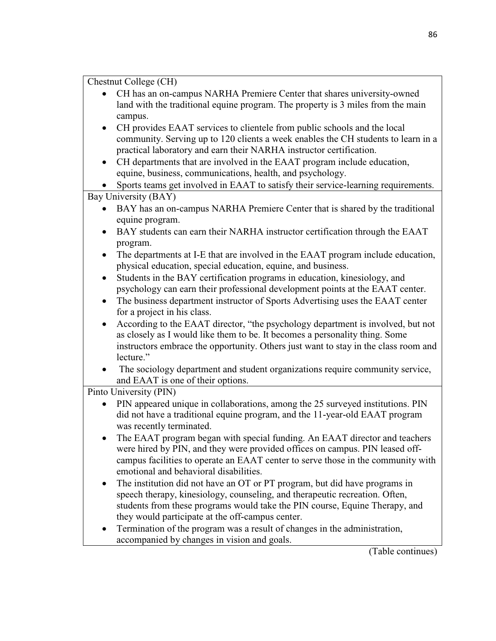Chestnut College (CH)

- CH has an on-campus NARHA Premiere Center that shares university-owned land with the traditional equine program. The property is 3 miles from the main campus.
- CH provides EAAT services to clientele from public schools and the local community. Serving up to 120 clients a week enables the CH students to learn in a practical laboratory and earn their NARHA instructor certification.
- CH departments that are involved in the EAAT program include education, equine, business, communications, health, and psychology.
- Sports teams get involved in EAAT to satisfy their service-learning requirements.

Bay University (BAY)

- BAY has an on-campus NARHA Premiere Center that is shared by the traditional equine program.
- BAY students can earn their NARHA instructor certification through the EAAT program.
- The departments at I-E that are involved in the EAAT program include education, physical education, special education, equine, and business.
- Students in the BAY certification programs in education, kinesiology, and psychology can earn their professional development points at the EAAT center.
- The business department instructor of Sports Advertising uses the EAAT center for a project in his class.
- According to the EAAT director, "the psychology department is involved, but not as closely as I would like them to be. It becomes a personality thing. Some instructors embrace the opportunity. Others just want to stay in the class room and lecture."
- The sociology department and student organizations require community service, and EAAT is one of their options.

Pinto University (PIN)

- PIN appeared unique in collaborations, among the 25 surveyed institutions. PIN did not have a traditional equine program, and the 11-year-old EAAT program was recently terminated.
- The EAAT program began with special funding. An EAAT director and teachers were hired by PIN, and they were provided offices on campus. PIN leased offcampus facilities to operate an EAAT center to serve those in the community with emotional and behavioral disabilities.
- The institution did not have an OT or PT program, but did have programs in speech therapy, kinesiology, counseling, and therapeutic recreation. Often, students from these programs would take the PIN course, Equine Therapy, and they would participate at the off-campus center.
- Termination of the program was a result of changes in the administration, accompanied by changes in vision and goals.

(Table continues)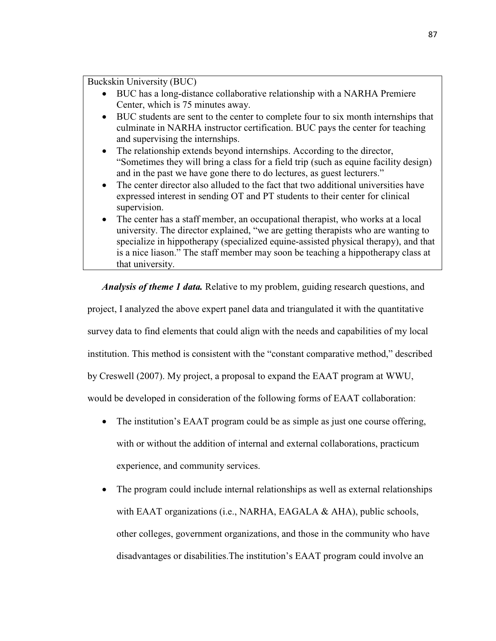Buckskin University (BUC)

- BUC has a long-distance collaborative relationship with a NARHA Premiere Center, which is 75 minutes away.
- BUC students are sent to the center to complete four to six month internships that culminate in NARHA instructor certification. BUC pays the center for teaching and supervising the internships.
- The relationship extends beyond internships. According to the director, "Sometimes they will bring a class for a field trip (such as equine facility design) and in the past we have gone there to do lectures, as guest lecturers."
- The center director also alluded to the fact that two additional universities have expressed interest in sending OT and PT students to their center for clinical supervision.
- The center has a staff member, an occupational therapist, who works at a local university. The director explained, "we are getting therapists who are wanting to specialize in hippotherapy (specialized equine-assisted physical therapy), and that is a nice liason." The staff member may soon be teaching a hippotherapy class at that university.

*Analysis of theme 1 data.* Relative to my problem, guiding research questions, and

project, I analyzed the above expert panel data and triangulated it with the quantitative

survey data to find elements that could align with the needs and capabilities of my local

institution. This method is consistent with the "constant comparative method," described

by Creswell (2007). My project, a proposal to expand the EAAT program at WWU,

would be developed in consideration of the following forms of EAAT collaboration:

- The institution's EAAT program could be as simple as just one course offering, with or without the addition of internal and external collaborations, practicum experience, and community services.
- The program could include internal relationships as well as external relationships with EAAT organizations (i.e., NARHA, EAGALA & AHA), public schools, other colleges, government organizations, and those in the community who have disadvantages or disabilities.The institution's EAAT program could involve an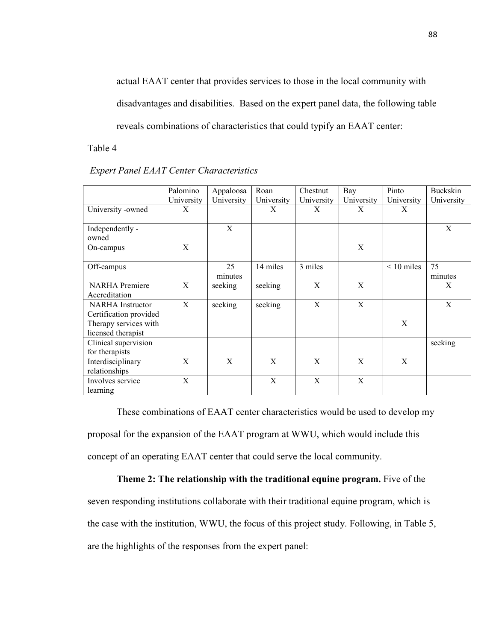actual EAAT center that provides services to those in the local community with disadvantages and disabilities. Based on the expert panel data, the following table reveals combinations of characteristics that could typify an EAAT center:

Table 4

|                                                   | Palomino   | Appaloosa     | Roan       | Chestnut   | Bay        | Pinto        | Buckskin      |
|---------------------------------------------------|------------|---------------|------------|------------|------------|--------------|---------------|
|                                                   | University | University    | University | University | University | University   | University    |
| University -owned                                 | X          |               | X          | X          | X          | X            |               |
| Independently -<br>owned                          |            | X             |            |            |            |              | X             |
| On-campus                                         | X          |               |            |            | X          |              |               |
| Off-campus                                        |            | 25<br>minutes | 14 miles   | 3 miles    |            | $< 10$ miles | 75<br>minutes |
| <b>NARHA</b> Premiere<br>Accreditation            | X          | seeking       | seeking    | X          | X          |              | X             |
| <b>NARHA</b> Instructor<br>Certification provided | X          | seeking       | seeking    | X          | X          |              | X             |
| Therapy services with<br>licensed therapist       |            |               |            |            |            | X            |               |
| Clinical supervision<br>for therapists            |            |               |            |            |            |              | seeking       |
| Interdisciplinary<br>relationships                | X          | X             | X          | X          | X          | X            |               |
| Involves service<br>learning                      | X          |               | X          | X          | X          |              |               |

 *Expert Panel EAAT Center Characteristics* 

 These combinations of EAAT center characteristics would be used to develop my proposal for the expansion of the EAAT program at WWU, which would include this concept of an operating EAAT center that could serve the local community.

**Theme 2: The relationship with the traditional equine program.** Five of the seven responding institutions collaborate with their traditional equine program, which is the case with the institution, WWU, the focus of this project study. Following, in Table 5, are the highlights of the responses from the expert panel: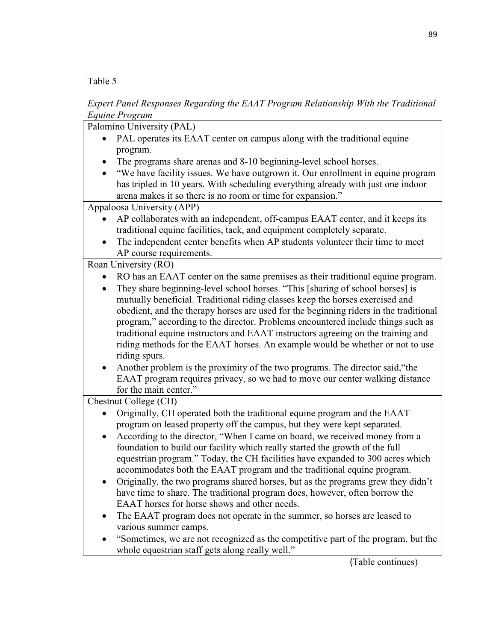Table 5

*Expert Panel Responses Regarding the EAAT Program Relationship With the Traditional Equine Program* 

| Lyume 1 rogram                                                                                                                                                    |
|-------------------------------------------------------------------------------------------------------------------------------------------------------------------|
| Palomino University (PAL)                                                                                                                                         |
| PAL operates its EAAT center on campus along with the traditional equine                                                                                          |
| program.                                                                                                                                                          |
| The programs share arenas and 8-10 beginning-level school horses.                                                                                                 |
| "We have facility issues. We have outgrown it. Our enrollment in equine program                                                                                   |
| has tripled in 10 years. With scheduling everything already with just one indoor                                                                                  |
| arena makes it so there is no room or time for expansion."                                                                                                        |
| Appaloosa University (APP)                                                                                                                                        |
| AP collaborates with an independent, off-campus EAAT center, and it keeps its                                                                                     |
| traditional equine facilities, tack, and equipment completely separate.                                                                                           |
| The independent center benefits when AP students volunteer their time to meet                                                                                     |
| AP course requirements.                                                                                                                                           |
| Roan University (RO)                                                                                                                                              |
| RO has an EAAT center on the same premises as their traditional equine program.                                                                                   |
| They share beginning-level school horses. "This [sharing of school horses] is<br>$\bullet$                                                                        |
| mutually beneficial. Traditional riding classes keep the horses exercised and                                                                                     |
| obedient, and the therapy horses are used for the beginning riders in the traditional                                                                             |
| program," according to the director. Problems encountered include things such as                                                                                  |
| traditional equine instructors and EAAT instructors agreeing on the training and                                                                                  |
| riding methods for the EAAT horses. An example would be whether or not to use                                                                                     |
| riding spurs.                                                                                                                                                     |
| Another problem is the proximity of the two programs. The director said, "the<br>$\bullet$                                                                        |
| EAAT program requires privacy, so we had to move our center walking distance                                                                                      |
| for the main center."                                                                                                                                             |
| Chestnut College (CH)                                                                                                                                             |
| Originally, CH operated both the traditional equine program and the EAAT<br>$\bullet$<br>program on leased property off the campus, but they were kept separated. |
| According to the director, "When I came on board, we received money from a<br>$\bullet$                                                                           |
| foundation to build our facility which really started the growth of the full                                                                                      |
| equestrian program." Today, the CH facilities have expanded to 300 acres which<br>accommodates both the EAAT program and the traditional equine program.          |
| Originally, the two programs shared horses, but as the programs grew they didn't                                                                                  |
| have time to share. The traditional program does, however, often borrow the                                                                                       |
| EAAT horses for horse shows and other needs.                                                                                                                      |
| The EAAT program does not operate in the summer, so horses are leased to                                                                                          |
| various summer camps.                                                                                                                                             |
| "Sometimes, we are not recognized as the competitive part of the program, but the                                                                                 |
| whole equestrian staff gets along really well."                                                                                                                   |

(Table continues)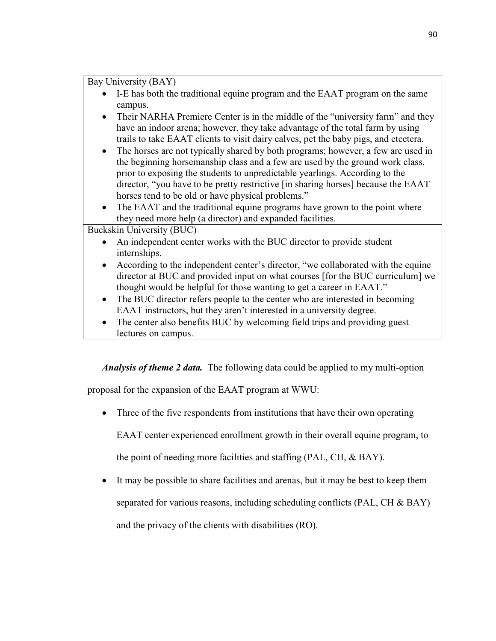Bay University (BAY)

- I-E has both the traditional equine program and the EAAT program on the same campus.
- Their NARHA Premiere Center is in the middle of the "university farm" and they have an indoor arena; however, they take advantage of the total farm by using trails to take EAAT clients to visit dairy calves, pet the baby pigs, and etcetera.
- The horses are not typically shared by both programs; however, a few are used in the beginning horsemanship class and a few are used by the ground work class, prior to exposing the students to unpredictable yearlings. According to the director, "you have to be pretty restrictive [in sharing horses] because the EAAT horses tend to be old or have physical problems."
- The EAAT and the traditional equine programs have grown to the point where they need more help (a director) and expanded facilities.

Buckskin University (BUC)

- An independent center works with the BUC director to provide student internships.
- According to the independent center's director, "we collaborated with the equine director at BUC and provided input on what courses [for the BUC curriculum] we thought would be helpful for those wanting to get a career in EAAT."
- The BUC director refers people to the center who are interested in becoming EAAT instructors, but they aren't interested in a university degree.
- The center also benefits BUC by welcoming field trips and providing guest lectures on campus.

*Analysis of theme 2 data.* The following data could be applied to my multi-option

proposal for the expansion of the EAAT program at WWU:

Three of the five respondents from institutions that have their own operating

EAAT center experienced enrollment growth in their overall equine program, to

the point of needing more facilities and staffing (PAL, CH, & BAY).

It may be possible to share facilities and arenas, but it may be best to keep them separated for various reasons, including scheduling conflicts (PAL, CH & BAY) and the privacy of the clients with disabilities (RO).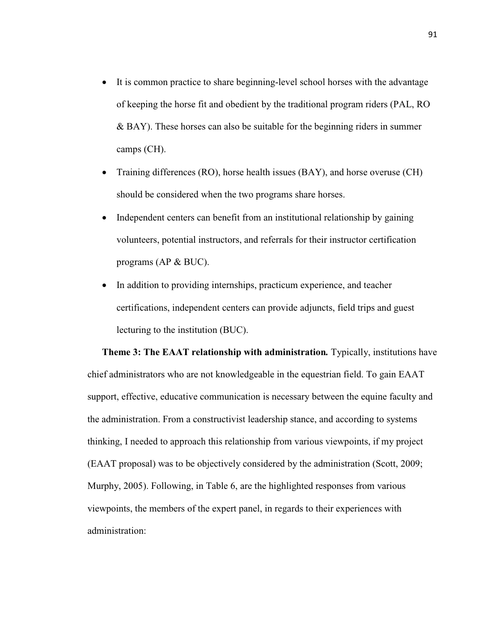- It is common practice to share beginning-level school horses with the advantage of keeping the horse fit and obedient by the traditional program riders (PAL, RO & BAY). These horses can also be suitable for the beginning riders in summer camps (CH).
- Training differences (RO), horse health issues (BAY), and horse overuse (CH) should be considered when the two programs share horses.
- Independent centers can benefit from an institutional relationship by gaining volunteers, potential instructors, and referrals for their instructor certification programs (AP & BUC).
- In addition to providing internships, practicum experience, and teacher certifications, independent centers can provide adjuncts, field trips and guest lecturing to the institution (BUC).

**Theme 3: The EAAT relationship with administration.** Typically, institutions have chief administrators who are not knowledgeable in the equestrian field. To gain EAAT support, effective, educative communication is necessary between the equine faculty and the administration. From a constructivist leadership stance, and according to systems thinking, I needed to approach this relationship from various viewpoints, if my project (EAAT proposal) was to be objectively considered by the administration (Scott, 2009; Murphy, 2005). Following, in Table 6, are the highlighted responses from various viewpoints, the members of the expert panel, in regards to their experiences with administration: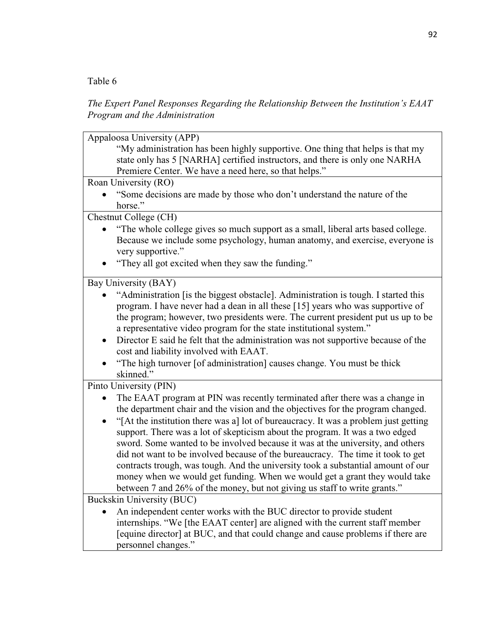Table 6

*The Expert Panel Responses Regarding the Relationship Between the Institution's EAAT Program and the Administration* 

Appaloosa University (APP) "My administration has been highly supportive. One thing that helps is that my state only has 5 [NARHA] certified instructors, and there is only one NARHA Premiere Center. We have a need here, so that helps." Roan University (RO) • "Some decisions are made by those who don't understand the nature of the horse." Chestnut College (CH) • "The whole college gives so much support as a small, liberal arts based college. Because we include some psychology, human anatomy, and exercise, everyone is very supportive." • "They all got excited when they saw the funding." Bay University (BAY) • "Administration [is the biggest obstacle]. Administration is tough. I started this program. I have never had a dean in all these [15] years who was supportive of the program; however, two presidents were. The current president put us up to be a representative video program for the state institutional system." • Director E said he felt that the administration was not supportive because of the cost and liability involved with EAAT. • "The high turnover [of administration] causes change. You must be thick skinned." Pinto University (PIN) • The EAAT program at PIN was recently terminated after there was a change in the department chair and the vision and the objectives for the program changed. • "[At the institution there was a] lot of bureaucracy. It was a problem just getting support. There was a lot of skepticism about the program. It was a two edged sword. Some wanted to be involved because it was at the university, and others did not want to be involved because of the bureaucracy. The time it took to get contracts trough, was tough. And the university took a substantial amount of our money when we would get funding. When we would get a grant they would take between 7 and 26% of the money, but not giving us staff to write grants." Buckskin University (BUC) An independent center works with the BUC director to provide student internships. "We [the EAAT center] are aligned with the current staff member [equine director] at BUC, and that could change and cause problems if there are personnel changes."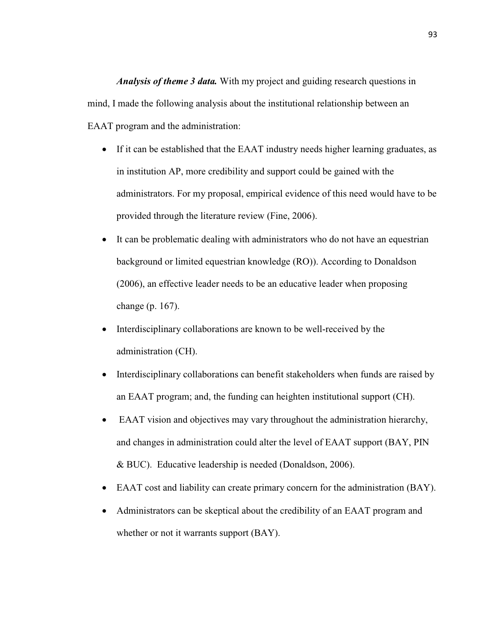*Analysis of theme 3 data.* With my project and guiding research questions in mind, I made the following analysis about the institutional relationship between an EAAT program and the administration:

- If it can be established that the EAAT industry needs higher learning graduates, as in institution AP, more credibility and support could be gained with the administrators. For my proposal, empirical evidence of this need would have to be provided through the literature review (Fine, 2006).
- It can be problematic dealing with administrators who do not have an equestrian background or limited equestrian knowledge (RO)). According to Donaldson (2006), an effective leader needs to be an educative leader when proposing change (p. 167).
- Interdisciplinary collaborations are known to be well-received by the administration (CH).
- Interdisciplinary collaborations can benefit stakeholders when funds are raised by an EAAT program; and, the funding can heighten institutional support (CH).
- EAAT vision and objectives may vary throughout the administration hierarchy, and changes in administration could alter the level of EAAT support (BAY, PIN & BUC). Educative leadership is needed (Donaldson, 2006).
- EAAT cost and liability can create primary concern for the administration (BAY).
- Administrators can be skeptical about the credibility of an EAAT program and whether or not it warrants support (BAY).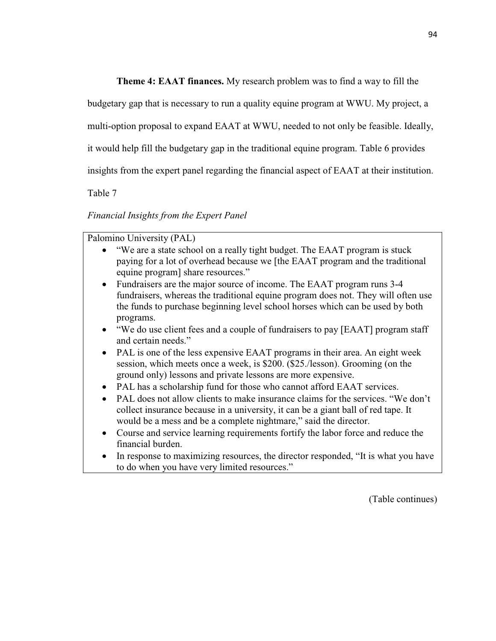**Theme 4: EAAT finances.** My research problem was to find a way to fill the

budgetary gap that is necessary to run a quality equine program at WWU. My project, a

multi-option proposal to expand EAAT at WWU, needed to not only be feasible. Ideally,

it would help fill the budgetary gap in the traditional equine program. Table 6 provides

insights from the expert panel regarding the financial aspect of EAAT at their institution.

Table 7

# *Financial Insights from the Expert Panel*

Palomino University (PAL)

- "We are a state school on a really tight budget. The EAAT program is stuck paying for a lot of overhead because we [the EAAT program and the traditional equine program] share resources."
- Fundraisers are the major source of income. The EAAT program runs 3-4 fundraisers, whereas the traditional equine program does not. They will often use the funds to purchase beginning level school horses which can be used by both programs.
- "We do use client fees and a couple of fundraisers to pay [EAAT] program staff and certain needs."
- PAL is one of the less expensive EAAT programs in their area. An eight week session, which meets once a week, is \$200. (\$25./lesson). Grooming (on the ground only) lessons and private lessons are more expensive.
- PAL has a scholarship fund for those who cannot afford EAAT services.
- PAL does not allow clients to make insurance claims for the services. "We don't collect insurance because in a university, it can be a giant ball of red tape. It would be a mess and be a complete nightmare," said the director.
- Course and service learning requirements fortify the labor force and reduce the financial burden.
- In response to maximizing resources, the director responded, "It is what you have to do when you have very limited resources."

(Table continues)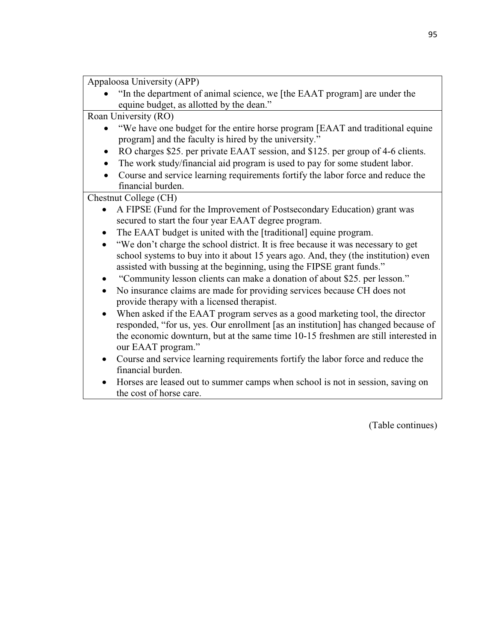| Appaloosa University (APP) |  |
|----------------------------|--|
|                            |  |

• "In the department of animal science, we [the EAAT program] are under the equine budget, as allotted by the dean."

Roan University (RO)

- "We have one budget for the entire horse program [EAAT and traditional equine program] and the faculty is hired by the university."
- RO charges \$25. per private EAAT session, and \$125. per group of 4-6 clients.
- The work study/financial aid program is used to pay for some student labor.
- Course and service learning requirements fortify the labor force and reduce the financial burden.

Chestnut College (CH)

- A FIPSE (Fund for the Improvement of Postsecondary Education) grant was secured to start the four year EAAT degree program.
- The EAAT budget is united with the [traditional] equine program.
- "We don't charge the school district. It is free because it was necessary to get school systems to buy into it about 15 years ago. And, they (the institution) even assisted with bussing at the beginning, using the FIPSE grant funds."
- "Community lesson clients can make a donation of about \$25. per lesson."
- No insurance claims are made for providing services because CH does not provide therapy with a licensed therapist.
- When asked if the EAAT program serves as a good marketing tool, the director responded, "for us, yes. Our enrollment [as an institution] has changed because of the economic downturn, but at the same time 10-15 freshmen are still interested in our EAAT program."
- Course and service learning requirements fortify the labor force and reduce the financial burden.
- Horses are leased out to summer camps when school is not in session, saving on the cost of horse care.

(Table continues)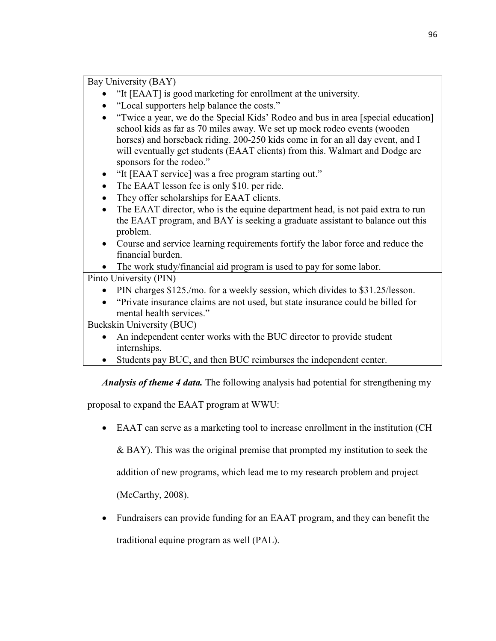Bay University (BAY)

- "It [EAAT] is good marketing for enrollment at the university.
- "Local supporters help balance the costs."
- "Twice a year, we do the Special Kids' Rodeo and bus in area [special education] school kids as far as 70 miles away. We set up mock rodeo events (wooden horses) and horseback riding. 200-250 kids come in for an all day event, and I will eventually get students (EAAT clients) from this. Walmart and Dodge are sponsors for the rodeo."
- "It [EAAT service] was a free program starting out."
- The EAAT lesson fee is only \$10, per ride.
- They offer scholarships for EAAT clients.
- The EAAT director, who is the equine department head, is not paid extra to run the EAAT program, and BAY is seeking a graduate assistant to balance out this problem.
- Course and service learning requirements fortify the labor force and reduce the financial burden.
- The work study/financial aid program is used to pay for some labor.

Pinto University (PIN)

- PIN charges \$125./mo. for a weekly session, which divides to \$31.25/lesson.
- "Private insurance claims are not used, but state insurance could be billed for mental health services."

Buckskin University (BUC)

- An independent center works with the BUC director to provide student internships.
- Students pay BUC, and then BUC reimburses the independent center.

*Analysis of theme 4 data.* The following analysis had potential for strengthening my

proposal to expand the EAAT program at WWU:

• EAAT can serve as a marketing tool to increase enrollment in the institution (CH

& BAY). This was the original premise that prompted my institution to seek the

addition of new programs, which lead me to my research problem and project

(McCarthy, 2008).

• Fundraisers can provide funding for an EAAT program, and they can benefit the traditional equine program as well (PAL).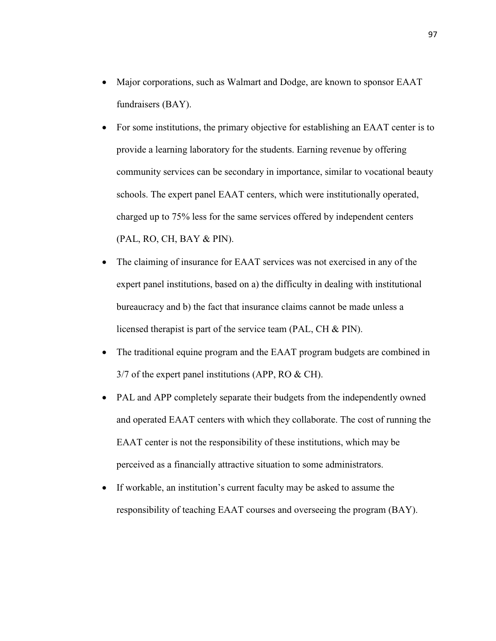- Major corporations, such as Walmart and Dodge, are known to sponsor EAAT fundraisers (BAY).
- For some institutions, the primary objective for establishing an EAAT center is to provide a learning laboratory for the students. Earning revenue by offering community services can be secondary in importance, similar to vocational beauty schools. The expert panel EAAT centers, which were institutionally operated, charged up to 75% less for the same services offered by independent centers (PAL, RO, CH, BAY & PIN).
- The claiming of insurance for EAAT services was not exercised in any of the expert panel institutions, based on a) the difficulty in dealing with institutional bureaucracy and b) the fact that insurance claims cannot be made unless a licensed therapist is part of the service team (PAL, CH & PIN).
- The traditional equine program and the EAAT program budgets are combined in 3/7 of the expert panel institutions (APP, RO & CH).
- PAL and APP completely separate their budgets from the independently owned and operated EAAT centers with which they collaborate. The cost of running the EAAT center is not the responsibility of these institutions, which may be perceived as a financially attractive situation to some administrators.
- If workable, an institution's current faculty may be asked to assume the responsibility of teaching EAAT courses and overseeing the program (BAY).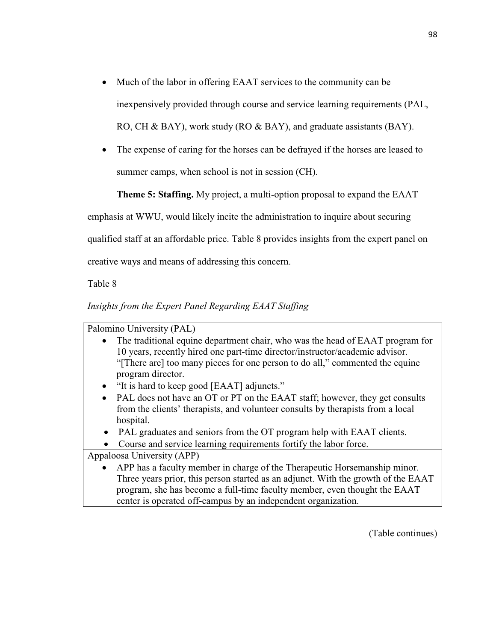- Much of the labor in offering EAAT services to the community can be inexpensively provided through course and service learning requirements (PAL, RO, CH & BAY), work study (RO & BAY), and graduate assistants (BAY).
- The expense of caring for the horses can be defrayed if the horses are leased to summer camps, when school is not in session (CH).

**Theme 5: Staffing.** My project, a multi-option proposal to expand the EAAT

emphasis at WWU, would likely incite the administration to inquire about securing

qualified staff at an affordable price. Table 8 provides insights from the expert panel on

creative ways and means of addressing this concern.

Table 8

*Insights from the Expert Panel Regarding EAAT Staffing* 

Palomino University (PAL)

- The traditional equine department chair, who was the head of EAAT program for 10 years, recently hired one part-time director/instructor/academic advisor. "[There are] too many pieces for one person to do all," commented the equine program director.
- "It is hard to keep good [EAAT] adjuncts."
- PAL does not have an OT or PT on the EAAT staff; however, they get consults from the clients' therapists, and volunteer consults by therapists from a local hospital.
- PAL graduates and seniors from the OT program help with EAAT clients.
- Course and service learning requirements fortify the labor force.

Appaloosa University (APP)

• APP has a faculty member in charge of the Therapeutic Horsemanship minor. Three years prior, this person started as an adjunct. With the growth of the EAAT program, she has become a full-time faculty member, even thought the EAAT center is operated off-campus by an independent organization.

(Table continues)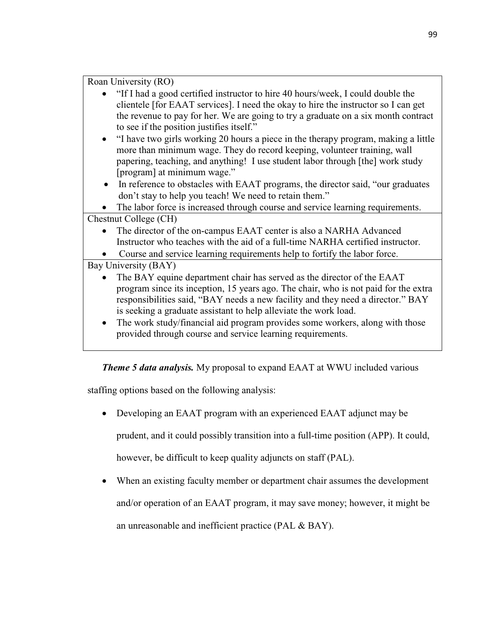Roan University (RO)

- "If I had a good certified instructor to hire 40 hours/week, I could double the clientele [for EAAT services]. I need the okay to hire the instructor so I can get the revenue to pay for her. We are going to try a graduate on a six month contract to see if the position justifies itself."
- "I have two girls working 20 hours a piece in the therapy program, making a little more than minimum wage. They do record keeping, volunteer training, wall papering, teaching, and anything! I use student labor through [the] work study [program] at minimum wage."
- In reference to obstacles with EAAT programs, the director said, "our graduates" don't stay to help you teach! We need to retain them."

• The labor force is increased through course and service learning requirements. Chestnut College (CH)

- The director of the on-campus EAAT center is also a NARHA Advanced Instructor who teaches with the aid of a full-time NARHA certified instructor.
	- Course and service learning requirements help to fortify the labor force.

Bay University (BAY)

- The BAY equine department chair has served as the director of the EAAT program since its inception, 15 years ago. The chair, who is not paid for the extra responsibilities said, "BAY needs a new facility and they need a director." BAY is seeking a graduate assistant to help alleviate the work load.
- The work study/financial aid program provides some workers, along with those provided through course and service learning requirements.

*Theme 5 data analysis.* My proposal to expand EAAT at WWU included various

staffing options based on the following analysis:

• Developing an EAAT program with an experienced EAAT adjunct may be

prudent, and it could possibly transition into a full-time position (APP). It could,

however, be difficult to keep quality adjuncts on staff (PAL).

When an existing faculty member or department chair assumes the development and/or operation of an EAAT program, it may save money; however, it might be an unreasonable and inefficient practice (PAL & BAY).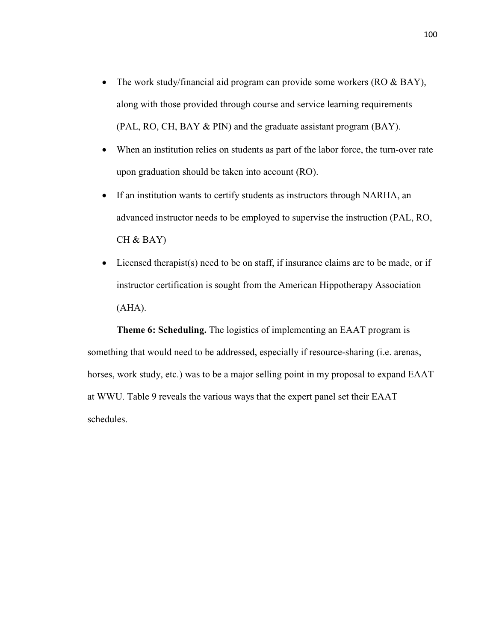- The work study/financial aid program can provide some workers (RO & BAY), along with those provided through course and service learning requirements (PAL, RO, CH, BAY & PIN) and the graduate assistant program (BAY).
- When an institution relies on students as part of the labor force, the turn-over rate upon graduation should be taken into account (RO).
- If an institution wants to certify students as instructors through NARHA, an advanced instructor needs to be employed to supervise the instruction (PAL, RO, CH & BAY)
- Licensed therapist(s) need to be on staff, if insurance claims are to be made, or if instructor certification is sought from the American Hippotherapy Association (AHA).

**Theme 6: Scheduling.** The logistics of implementing an EAAT program is something that would need to be addressed, especially if resource-sharing (i.e. arenas, horses, work study, etc.) was to be a major selling point in my proposal to expand EAAT at WWU. Table 9 reveals the various ways that the expert panel set their EAAT schedules.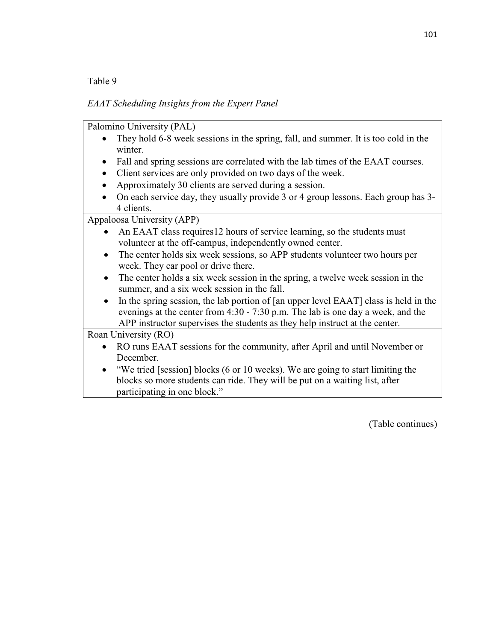Table 9

# *EAAT Scheduling Insights from the Expert Panel*

Palomino University (PAL)

- They hold 6-8 week sessions in the spring, fall, and summer. It is too cold in the winter.
- Fall and spring sessions are correlated with the lab times of the EAAT courses.
- Client services are only provided on two days of the week.
- Approximately 30 clients are served during a session.
- On each service day, they usually provide 3 or 4 group lessons. Each group has 3-4 clients.

Appaloosa University (APP)

- An EAAT class requires12 hours of service learning, so the students must volunteer at the off-campus, independently owned center.
- The center holds six week sessions, so APP students volunteer two hours per week. They car pool or drive there.
- The center holds a six week session in the spring, a twelve week session in the summer, and a six week session in the fall.
- In the spring session, the lab portion of [an upper level EAAT] class is held in the evenings at the center from 4:30 - 7:30 p.m. The lab is one day a week, and the APP instructor supervises the students as they help instruct at the center.

Roan University (RO)

- RO runs EAAT sessions for the community, after April and until November or December.
- "We tried [session] blocks (6 or 10 weeks). We are going to start limiting the blocks so more students can ride. They will be put on a waiting list, after participating in one block."

(Table continues)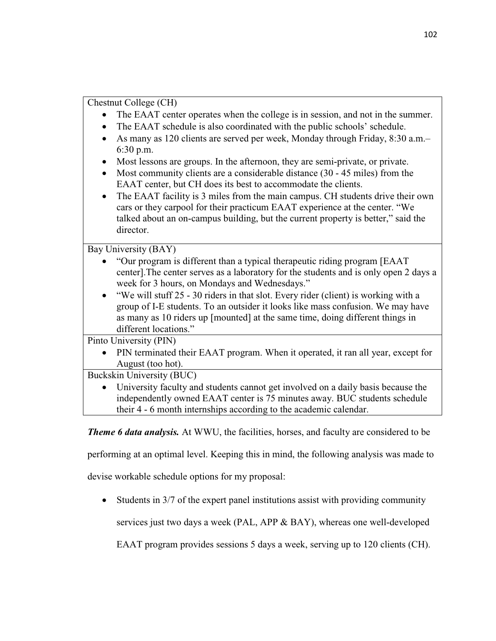# Chestnut College (CH)

- The EAAT center operates when the college is in session, and not in the summer.
- The EAAT schedule is also coordinated with the public schools' schedule.
- As many as 120 clients are served per week, Monday through Friday, 8:30 a.m.– 6:30 p.m.
- Most lessons are groups. In the afternoon, they are semi-private, or private.
- Most community clients are a considerable distance (30 45 miles) from the EAAT center, but CH does its best to accommodate the clients.
- The EAAT facility is 3 miles from the main campus. CH students drive their own cars or they carpool for their practicum EAAT experience at the center. "We talked about an on-campus building, but the current property is better," said the director.

Bay University (BAY)

- "Our program is different than a typical therapeutic riding program [EAAT center].The center serves as a laboratory for the students and is only open 2 days a week for 3 hours, on Mondays and Wednesdays."
- "We will stuff 25 30 riders in that slot. Every rider (client) is working with a group of I-E students. To an outsider it looks like mass confusion. We may have as many as 10 riders up [mounted] at the same time, doing different things in different locations."

Pinto University (PIN)

• PIN terminated their EAAT program. When it operated, it ran all year, except for August (too hot).

Buckskin University (BUC)

• University faculty and students cannot get involved on a daily basis because the independently owned EAAT center is 75 minutes away. BUC students schedule their 4 - 6 month internships according to the academic calendar.

*Theme 6 data analysis.* At WWU, the facilities, horses, and faculty are considered to be

performing at an optimal level. Keeping this in mind, the following analysis was made to

devise workable schedule options for my proposal:

• Students in 3/7 of the expert panel institutions assist with providing community

services just two days a week (PAL, APP & BAY), whereas one well-developed

EAAT program provides sessions 5 days a week, serving up to 120 clients (CH).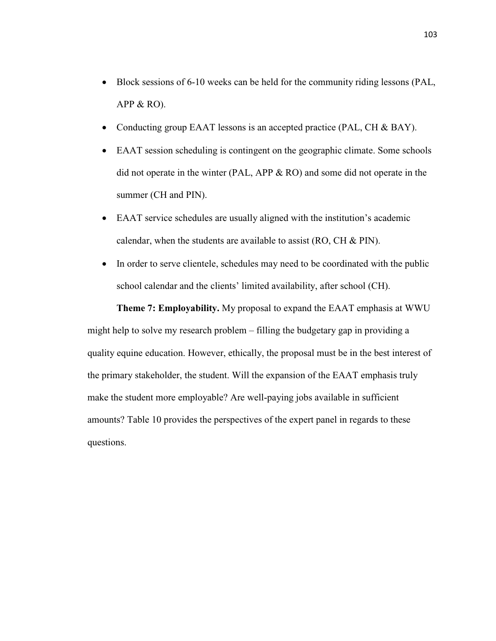- Block sessions of 6-10 weeks can be held for the community riding lessons (PAL, APP  $&$  RO).
- Conducting group EAAT lessons is an accepted practice (PAL, CH & BAY).
- EAAT session scheduling is contingent on the geographic climate. Some schools did not operate in the winter (PAL, APP & RO) and some did not operate in the summer (CH and PIN).
- EAAT service schedules are usually aligned with the institution's academic calendar, when the students are available to assist (RO, CH & PIN).
- In order to serve clientele, schedules may need to be coordinated with the public school calendar and the clients' limited availability, after school (CH).

**Theme 7: Employability.** My proposal to expand the EAAT emphasis at WWU might help to solve my research problem – filling the budgetary gap in providing a quality equine education. However, ethically, the proposal must be in the best interest of the primary stakeholder, the student. Will the expansion of the EAAT emphasis truly make the student more employable? Are well-paying jobs available in sufficient amounts? Table 10 provides the perspectives of the expert panel in regards to these questions.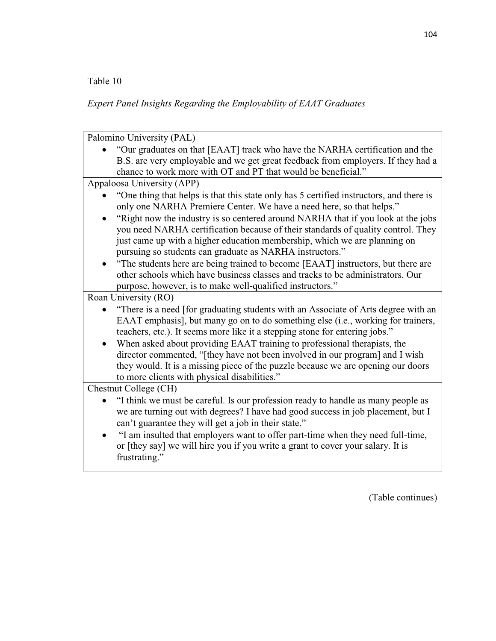Table 10

*Expert Panel Insights Regarding the Employability of EAAT Graduates* 

| Palomino University (PAL)                                                                                                                                       |  |  |
|-----------------------------------------------------------------------------------------------------------------------------------------------------------------|--|--|
| "Our graduates on that [EAAT] track who have the NARHA certification and the                                                                                    |  |  |
| B.S. are very employable and we get great feedback from employers. If they had a                                                                                |  |  |
| chance to work more with OT and PT that would be beneficial."<br>Appaloosa University (APP)                                                                     |  |  |
|                                                                                                                                                                 |  |  |
| "One thing that helps is that this state only has 5 certified instructors, and there is<br>only one NARHA Premiere Center. We have a need here, so that helps." |  |  |
| "Right now the industry is so centered around NARHA that if you look at the jobs<br>$\bullet$                                                                   |  |  |
| you need NARHA certification because of their standards of quality control. They                                                                                |  |  |
| just came up with a higher education membership, which we are planning on                                                                                       |  |  |
| pursuing so students can graduate as NARHA instructors."                                                                                                        |  |  |
| "The students here are being trained to become [EAAT] instructors, but there are<br>$\bullet$                                                                   |  |  |
| other schools which have business classes and tracks to be administrators. Our                                                                                  |  |  |
| purpose, however, is to make well-qualified instructors."                                                                                                       |  |  |
| Roan University (RO)                                                                                                                                            |  |  |
| "There is a need [for graduating students with an Associate of Arts degree with an                                                                              |  |  |
| EAAT emphasis], but many go on to do something else (i.e., working for trainers,<br>teachers, etc.). It seems more like it a stepping stone for entering jobs." |  |  |
| When asked about providing EAAT training to professional therapists, the<br>$\bullet$                                                                           |  |  |
| director commented, "[they have not been involved in our program] and I wish                                                                                    |  |  |
| they would. It is a missing piece of the puzzle because we are opening our doors                                                                                |  |  |
| to more clients with physical disabilities."                                                                                                                    |  |  |
| Chestnut College (CH)                                                                                                                                           |  |  |
| "I think we must be careful. Is our profession ready to handle as many people as                                                                                |  |  |
| we are turning out with degrees? I have had good success in job placement, but I                                                                                |  |  |
| can't guarantee they will get a job in their state."                                                                                                            |  |  |
| "I am insulted that employers want to offer part-time when they need full-time,<br>$\bullet$                                                                    |  |  |
| or [they say] we will hire you if you write a grant to cover your salary. It is                                                                                 |  |  |
| frustrating."                                                                                                                                                   |  |  |
|                                                                                                                                                                 |  |  |

(Table continues)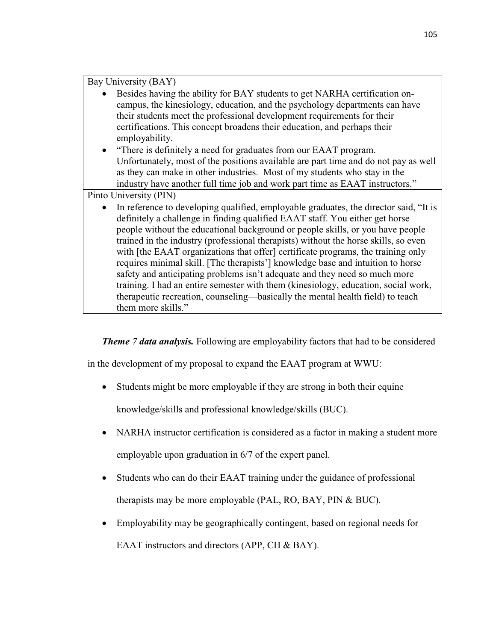| Bay University (BAY)                                                                                                                                                                                                                                                                                                                                                                                                                                                                                                                                                                                                                                                                                                                                                                              |
|---------------------------------------------------------------------------------------------------------------------------------------------------------------------------------------------------------------------------------------------------------------------------------------------------------------------------------------------------------------------------------------------------------------------------------------------------------------------------------------------------------------------------------------------------------------------------------------------------------------------------------------------------------------------------------------------------------------------------------------------------------------------------------------------------|
| Besides having the ability for BAY students to get NARHA certification on-<br>campus, the kinesiology, education, and the psychology departments can have<br>their students meet the professional development requirements for their<br>certifications. This concept broadens their education, and perhaps their<br>employability.<br>"There is definitely a need for graduates from our EAAT program.<br>$\bullet$                                                                                                                                                                                                                                                                                                                                                                               |
| Unfortunately, most of the positions available are part time and do not pay as well<br>as they can make in other industries. Most of my students who stay in the                                                                                                                                                                                                                                                                                                                                                                                                                                                                                                                                                                                                                                  |
| industry have another full time job and work part time as EAAT instructors."                                                                                                                                                                                                                                                                                                                                                                                                                                                                                                                                                                                                                                                                                                                      |
| Pinto University (PIN)                                                                                                                                                                                                                                                                                                                                                                                                                                                                                                                                                                                                                                                                                                                                                                            |
| In reference to developing qualified, employable graduates, the director said, "It is<br>definitely a challenge in finding qualified EAAT staff. You either get horse<br>people without the educational background or people skills, or you have people<br>trained in the industry (professional therapists) without the horse skills, so even<br>with [the EAAT organizations that offer] certificate programs, the training only<br>requires minimal skill. [The therapists'] knowledge base and intuition to horse<br>safety and anticipating problems isn't adequate and they need so much more<br>training. I had an entire semester with them (kinesiology, education, social work,<br>therapeutic recreation, counseling—basically the mental health field) to teach<br>them more skills." |

*Theme 7 data analysis.* Following are employability factors that had to be considered

in the development of my proposal to expand the EAAT program at WWU:

• Students might be more employable if they are strong in both their equine

knowledge/skills and professional knowledge/skills (BUC).

- NARHA instructor certification is considered as a factor in making a student more employable upon graduation in 6/7 of the expert panel.
- Students who can do their EAAT training under the guidance of professional therapists may be more employable (PAL, RO, BAY, PIN & BUC).
- Employability may be geographically contingent, based on regional needs for EAAT instructors and directors (APP, CH & BAY).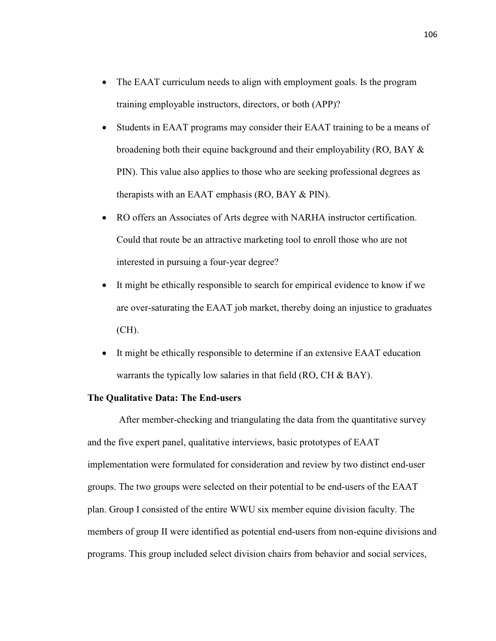- The EAAT curriculum needs to align with employment goals. Is the program training employable instructors, directors, or both (APP)?
- Students in EAAT programs may consider their EAAT training to be a means of broadening both their equine background and their employability (RO, BAY  $&$ PIN). This value also applies to those who are seeking professional degrees as therapists with an EAAT emphasis (RO, BAY & PIN).
- RO offers an Associates of Arts degree with NARHA instructor certification. Could that route be an attractive marketing tool to enroll those who are not interested in pursuing a four-year degree?
- It might be ethically responsible to search for empirical evidence to know if we are over-saturating the EAAT job market, thereby doing an injustice to graduates (CH).
- It might be ethically responsible to determine if an extensive EAAT education warrants the typically low salaries in that field (RO, CH & BAY).

### **The Qualitative Data: The End-users**

 After member-checking and triangulating the data from the quantitative survey and the five expert panel, qualitative interviews, basic prototypes of EAAT implementation were formulated for consideration and review by two distinct end-user groups. The two groups were selected on their potential to be end-users of the EAAT plan. Group I consisted of the entire WWU six member equine division faculty. The members of group II were identified as potential end-users from non-equine divisions and programs. This group included select division chairs from behavior and social services,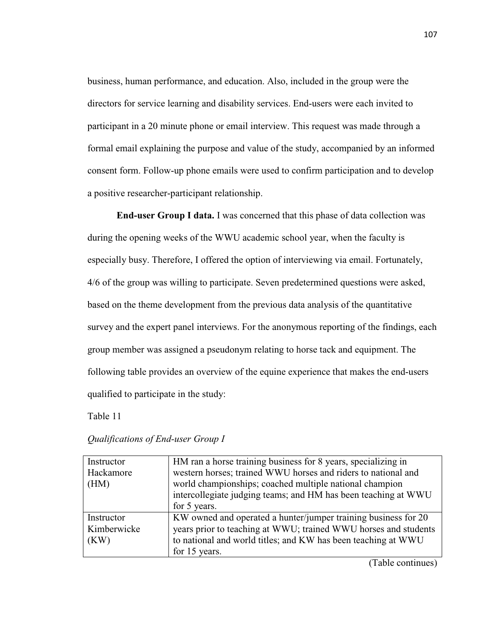business, human performance, and education. Also, included in the group were the directors for service learning and disability services. End-users were each invited to participant in a 20 minute phone or email interview. This request was made through a formal email explaining the purpose and value of the study, accompanied by an informed consent form. Follow-up phone emails were used to confirm participation and to develop a positive researcher-participant relationship.

**End-user Group I data.** I was concerned that this phase of data collection was during the opening weeks of the WWU academic school year, when the faculty is especially busy. Therefore, I offered the option of interviewing via email. Fortunately, 4/6 of the group was willing to participate. Seven predetermined questions were asked, based on the theme development from the previous data analysis of the quantitative survey and the expert panel interviews. For the anonymous reporting of the findings, each group member was assigned a pseudonym relating to horse tack and equipment. The following table provides an overview of the equine experience that makes the end-users qualified to participate in the study:

Table 11

|  | Qualifications of End-user Group I |  |
|--|------------------------------------|--|
|  |                                    |  |

| Instructor  | HM ran a horse training business for 8 years, specializing in   |  |
|-------------|-----------------------------------------------------------------|--|
| Hackamore   | western horses; trained WWU horses and riders to national and   |  |
| (HM)        | world championships; coached multiple national champion         |  |
|             | intercollegiate judging teams; and HM has been teaching at WWU  |  |
|             | for 5 years.                                                    |  |
| Instructor  | KW owned and operated a hunter/jumper training business for 20  |  |
| Kimberwicke | years prior to teaching at WWU; trained WWU horses and students |  |
| (KW)        | to national and world titles; and KW has been teaching at WWU   |  |
|             | for 15 years.                                                   |  |

(Table continues)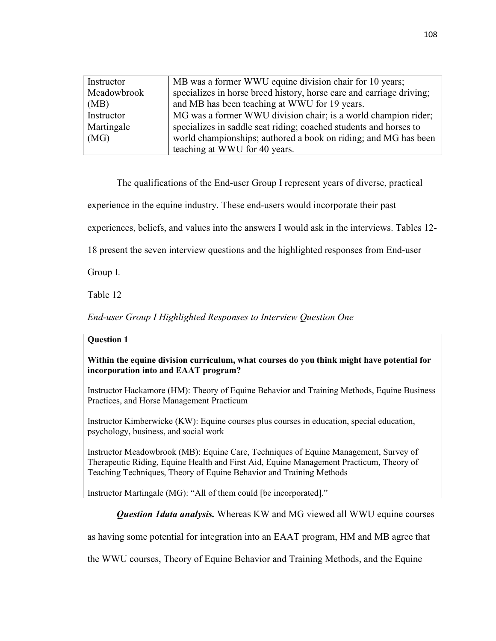| Instructor  | MB was a former WWU equine division chair for 10 years;              |
|-------------|----------------------------------------------------------------------|
| Meadowbrook | specializes in horse breed history, horse care and carriage driving; |
| (MB)        | and MB has been teaching at WWU for 19 years.                        |
| Instructor  | MG was a former WWU division chair; is a world champion rider;       |
| Martingale  | specializes in saddle seat riding; coached students and horses to    |
| (MG)        | world championships; authored a book on riding; and MG has been      |
|             | teaching at WWU for 40 years.                                        |

The qualifications of the End-user Group I represent years of diverse, practical

experience in the equine industry. These end-users would incorporate their past

experiences, beliefs, and values into the answers I would ask in the interviews. Tables 12-

18 present the seven interview questions and the highlighted responses from End-user

Group I.

Table 12

## *End-user Group I Highlighted Responses to Interview Question One*

#### **Question 1**

### **Within the equine division curriculum, what courses do you think might have potential for incorporation into and EAAT program?**

Instructor Hackamore (HM): Theory of Equine Behavior and Training Methods, Equine Business Practices, and Horse Management Practicum

Instructor Kimberwicke (KW): Equine courses plus courses in education, special education, psychology, business, and social work

Instructor Meadowbrook (MB): Equine Care, Techniques of Equine Management, Survey of Therapeutic Riding, Equine Health and First Aid, Equine Management Practicum, Theory of Teaching Techniques, Theory of Equine Behavior and Training Methods

Instructor Martingale (MG): "All of them could [be incorporated]."

*Question 1data analysis.* Whereas KW and MG viewed all WWU equine courses

as having some potential for integration into an EAAT program, HM and MB agree that

the WWU courses, Theory of Equine Behavior and Training Methods, and the Equine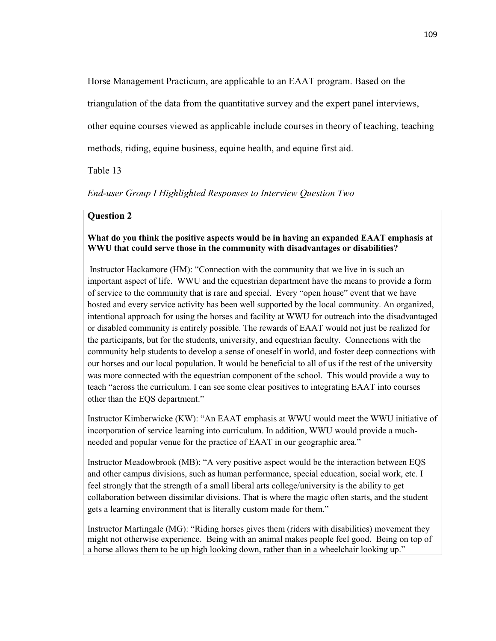Horse Management Practicum, are applicable to an EAAT program. Based on the

triangulation of the data from the quantitative survey and the expert panel interviews,

other equine courses viewed as applicable include courses in theory of teaching, teaching

methods, riding, equine business, equine health, and equine first aid.

Table 13

*End-user Group I Highlighted Responses to Interview Question Two* 

## **Question 2**

### **What do you think the positive aspects would be in having an expanded EAAT emphasis at WWU that could serve those in the community with disadvantages or disabilities?**

 Instructor Hackamore (HM): "Connection with the community that we live in is such an important aspect of life. WWU and the equestrian department have the means to provide a form of service to the community that is rare and special. Every "open house" event that we have hosted and every service activity has been well supported by the local community. An organized, intentional approach for using the horses and facility at WWU for outreach into the disadvantaged or disabled community is entirely possible. The rewards of EAAT would not just be realized for the participants, but for the students, university, and equestrian faculty. Connections with the community help students to develop a sense of oneself in world, and foster deep connections with our horses and our local population. It would be beneficial to all of us if the rest of the university was more connected with the equestrian component of the school. This would provide a way to teach "across the curriculum. I can see some clear positives to integrating EAAT into courses other than the EQS department."

Instructor Kimberwicke (KW): "An EAAT emphasis at WWU would meet the WWU initiative of incorporation of service learning into curriculum. In addition, WWU would provide a muchneeded and popular venue for the practice of EAAT in our geographic area."

Instructor Meadowbrook (MB): "A very positive aspect would be the interaction between EQS and other campus divisions, such as human performance, special education, social work, etc. I feel strongly that the strength of a small liberal arts college/university is the ability to get collaboration between dissimilar divisions. That is where the magic often starts, and the student gets a learning environment that is literally custom made for them."

Instructor Martingale (MG): "Riding horses gives them (riders with disabilities) movement they might not otherwise experience. Being with an animal makes people feel good. Being on top of a horse allows them to be up high looking down, rather than in a wheelchair looking up."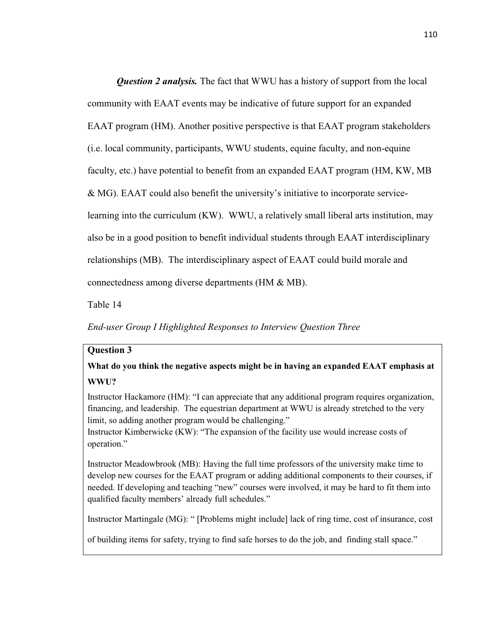*Question 2 analysis.* The fact that WWU has a history of support from the local community with EAAT events may be indicative of future support for an expanded EAAT program (HM). Another positive perspective is that EAAT program stakeholders (i.e. local community, participants, WWU students, equine faculty, and non-equine faculty, etc.) have potential to benefit from an expanded EAAT program (HM, KW, MB & MG). EAAT could also benefit the university's initiative to incorporate servicelearning into the curriculum (KW). WWU, a relatively small liberal arts institution, may also be in a good position to benefit individual students through EAAT interdisciplinary relationships (MB). The interdisciplinary aspect of EAAT could build morale and connectedness among diverse departments (HM & MB).

Table 14

*End-user Group I Highlighted Responses to Interview Question Three* 

## **Question 3**

**What do you think the negative aspects might be in having an expanded EAAT emphasis at WWU?** 

Instructor Hackamore (HM): "I can appreciate that any additional program requires organization, financing, and leadership. The equestrian department at WWU is already stretched to the very limit, so adding another program would be challenging."

Instructor Kimberwicke (KW): "The expansion of the facility use would increase costs of operation."

Instructor Meadowbrook (MB): Having the full time professors of the university make time to develop new courses for the EAAT program or adding additional components to their courses, if needed. If developing and teaching "new" courses were involved, it may be hard to fit them into qualified faculty members' already full schedules."

Instructor Martingale (MG): " [Problems might include] lack of ring time, cost of insurance, cost

of building items for safety, trying to find safe horses to do the job, and finding stall space."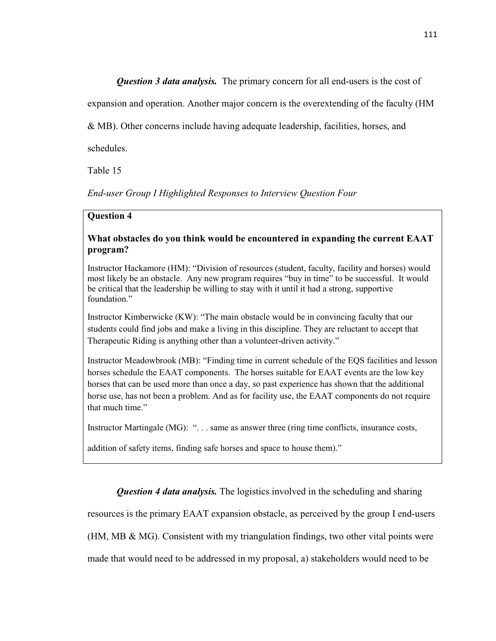*Question 3 data analysis.*The primary concern for all end-users is the cost of

expansion and operation. Another major concern is the overextending of the faculty (HM

& MB). Other concerns include having adequate leadership, facilities, horses, and

schedules.

Table 15

*End-user Group I Highlighted Responses to Interview Question Four* 

## **Question 4**

# **What obstacles do you think would be encountered in expanding the current EAAT program?**

Instructor Hackamore (HM): "Division of resources (student, faculty, facility and horses) would most likely be an obstacle. Any new program requires "buy in time" to be successful. It would be critical that the leadership be willing to stay with it until it had a strong, supportive foundation."

Instructor Kimberwicke (KW): "The main obstacle would be in convincing faculty that our students could find jobs and make a living in this discipline. They are reluctant to accept that Therapeutic Riding is anything other than a volunteer-driven activity."

Instructor Meadowbrook (MB): "Finding time in current schedule of the EQS facilities and lesson horses schedule the EAAT components. The horses suitable for EAAT events are the low key horses that can be used more than once a day, so past experience has shown that the additional horse use, has not been a problem. And as for facility use, the EAAT components do not require that much time."

Instructor Martingale (MG): ". . . same as answer three (ring time conflicts, insurance costs,

addition of safety items, finding safe horses and space to house them)."

*Question 4 data analysis.* The logistics involved in the scheduling and sharing

resources is the primary EAAT expansion obstacle, as perceived by the group I end-users

(HM, MB & MG). Consistent with my triangulation findings, two other vital points were

made that would need to be addressed in my proposal, a) stakeholders would need to be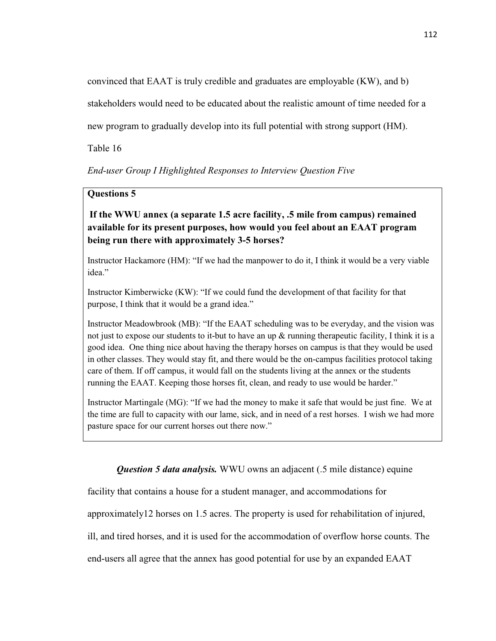convinced that EAAT is truly credible and graduates are employable (KW), and b)

stakeholders would need to be educated about the realistic amount of time needed for a

new program to gradually develop into its full potential with strong support (HM).

Table 16

# *End-user Group I Highlighted Responses to Interview Question Five*

# **Questions 5**

**If the WWU annex (a separate 1.5 acre facility, .5 mile from campus) remained available for its present purposes, how would you feel about an EAAT program being run there with approximately 3-5 horses?** 

Instructor Hackamore (HM): "If we had the manpower to do it, I think it would be a very viable idea"

Instructor Kimberwicke (KW): "If we could fund the development of that facility for that purpose, I think that it would be a grand idea."

Instructor Meadowbrook (MB): "If the EAAT scheduling was to be everyday, and the vision was not just to expose our students to it-but to have an up & running therapeutic facility, I think it is a good idea. One thing nice about having the therapy horses on campus is that they would be used in other classes. They would stay fit, and there would be the on-campus facilities protocol taking care of them. If off campus, it would fall on the students living at the annex or the students running the EAAT. Keeping those horses fit, clean, and ready to use would be harder."

Instructor Martingale (MG): "If we had the money to make it safe that would be just fine. We at the time are full to capacity with our lame, sick, and in need of a rest horses. I wish we had more pasture space for our current horses out there now."

*Question 5 data analysis.* WWU owns an adjacent (.5 mile distance) equine

facility that contains a house for a student manager, and accommodations for

approximately12 horses on 1.5 acres. The property is used for rehabilitation of injured,

ill, and tired horses, and it is used for the accommodation of overflow horse counts. The

end-users all agree that the annex has good potential for use by an expanded EAAT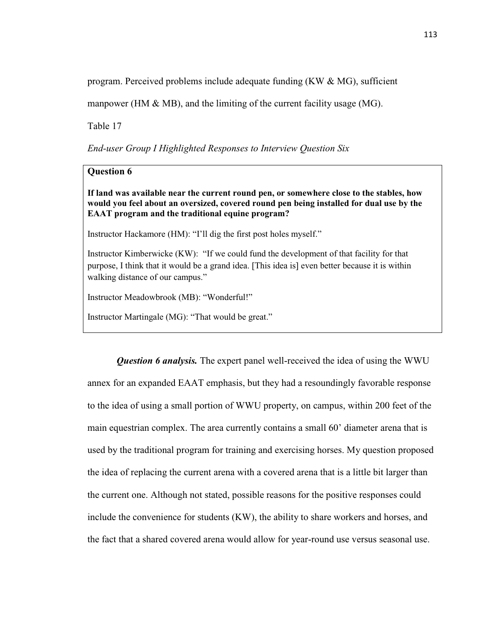program. Perceived problems include adequate funding (KW  $\&$  MG), sufficient

manpower (HM  $\&$  MB), and the limiting of the current facility usage (MG).

Table 17

*End-user Group I Highlighted Responses to Interview Question Six* 

## **Question 6**

**If land was available near the current round pen, or somewhere close to the stables, how would you feel about an oversized, covered round pen being installed for dual use by the EAAT program and the traditional equine program?** 

Instructor Hackamore (HM): "I'll dig the first post holes myself."

Instructor Kimberwicke (KW): "If we could fund the development of that facility for that purpose, I think that it would be a grand idea. [This idea is] even better because it is within walking distance of our campus."

Instructor Meadowbrook (MB): "Wonderful!"

Instructor Martingale (MG): "That would be great."

*Question 6 analysis.* The expert panel well-received the idea of using the WWU annex for an expanded EAAT emphasis, but they had a resoundingly favorable response to the idea of using a small portion of WWU property, on campus, within 200 feet of the main equestrian complex. The area currently contains a small 60' diameter arena that is used by the traditional program for training and exercising horses. My question proposed the idea of replacing the current arena with a covered arena that is a little bit larger than the current one. Although not stated, possible reasons for the positive responses could include the convenience for students (KW), the ability to share workers and horses, and the fact that a shared covered arena would allow for year-round use versus seasonal use.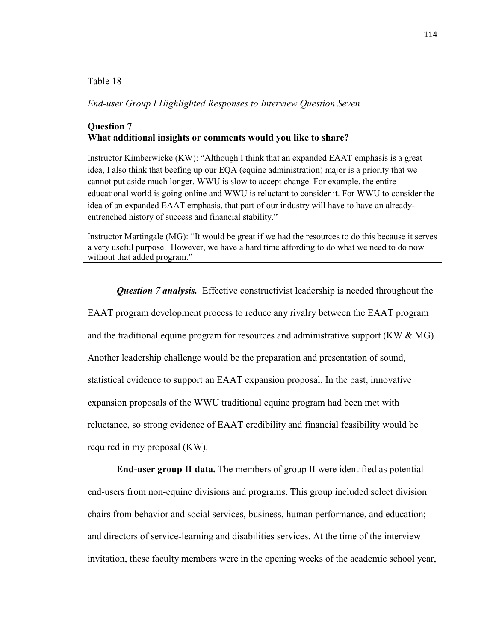Table 18

*End-user Group I Highlighted Responses to Interview Question Seven* 

## **Question 7 What additional insights or comments would you like to share?**

Instructor Kimberwicke (KW): "Although I think that an expanded EAAT emphasis is a great idea, I also think that beefing up our EQA (equine administration) major is a priority that we cannot put aside much longer. WWU is slow to accept change. For example, the entire educational world is going online and WWU is reluctant to consider it. For WWU to consider the idea of an expanded EAAT emphasis, that part of our industry will have to have an alreadyentrenched history of success and financial stability."

Instructor Martingale (MG): "It would be great if we had the resources to do this because it serves a very useful purpose. However, we have a hard time affording to do what we need to do now without that added program."

*Question 7 analysis.* Effective constructivist leadership is needed throughout the EAAT program development process to reduce any rivalry between the EAAT program and the traditional equine program for resources and administrative support (KW  $\&$  MG). Another leadership challenge would be the preparation and presentation of sound, statistical evidence to support an EAAT expansion proposal. In the past, innovative expansion proposals of the WWU traditional equine program had been met with reluctance, so strong evidence of EAAT credibility and financial feasibility would be required in my proposal (KW).

**End-user group II data.** The members of group II were identified as potential end-users from non-equine divisions and programs. This group included select division chairs from behavior and social services, business, human performance, and education; and directors of service-learning and disabilities services. At the time of the interview invitation, these faculty members were in the opening weeks of the academic school year,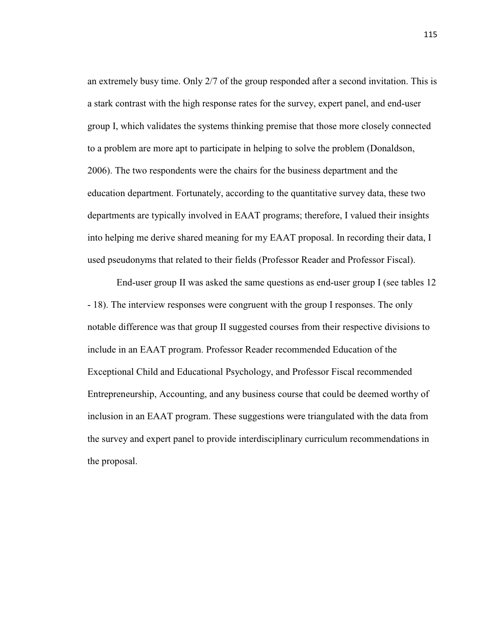an extremely busy time. Only 2/7 of the group responded after a second invitation. This is a stark contrast with the high response rates for the survey, expert panel, and end-user group I, which validates the systems thinking premise that those more closely connected to a problem are more apt to participate in helping to solve the problem (Donaldson, 2006). The two respondents were the chairs for the business department and the education department. Fortunately, according to the quantitative survey data, these two departments are typically involved in EAAT programs; therefore, I valued their insights into helping me derive shared meaning for my EAAT proposal. In recording their data, I used pseudonyms that related to their fields (Professor Reader and Professor Fiscal).

End-user group II was asked the same questions as end-user group I (see tables 12 - 18). The interview responses were congruent with the group I responses. The only notable difference was that group II suggested courses from their respective divisions to include in an EAAT program. Professor Reader recommended Education of the Exceptional Child and Educational Psychology, and Professor Fiscal recommended Entrepreneurship, Accounting, and any business course that could be deemed worthy of inclusion in an EAAT program. These suggestions were triangulated with the data from the survey and expert panel to provide interdisciplinary curriculum recommendations in the proposal.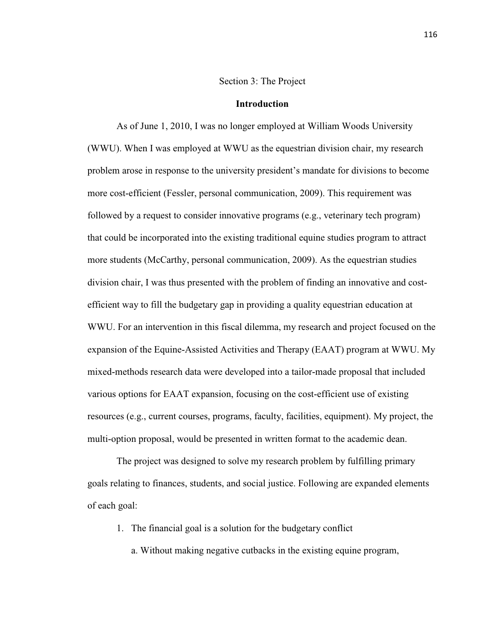#### Section 3: The Project

#### **Introduction**

 As of June 1, 2010, I was no longer employed at William Woods University (WWU). When I was employed at WWU as the equestrian division chair, my research problem arose in response to the university president's mandate for divisions to become more cost-efficient (Fessler, personal communication, 2009). This requirement was followed by a request to consider innovative programs (e.g., veterinary tech program) that could be incorporated into the existing traditional equine studies program to attract more students (McCarthy, personal communication, 2009). As the equestrian studies division chair, I was thus presented with the problem of finding an innovative and costefficient way to fill the budgetary gap in providing a quality equestrian education at WWU. For an intervention in this fiscal dilemma, my research and project focused on the expansion of the Equine-Assisted Activities and Therapy (EAAT) program at WWU. My mixed-methods research data were developed into a tailor-made proposal that included various options for EAAT expansion, focusing on the cost-efficient use of existing resources (e.g., current courses, programs, faculty, facilities, equipment). My project, the multi-option proposal, would be presented in written format to the academic dean.

The project was designed to solve my research problem by fulfilling primary goals relating to finances, students, and social justice. Following are expanded elements of each goal:

1. The financial goal is a solution for the budgetary conflict

a. Without making negative cutbacks in the existing equine program,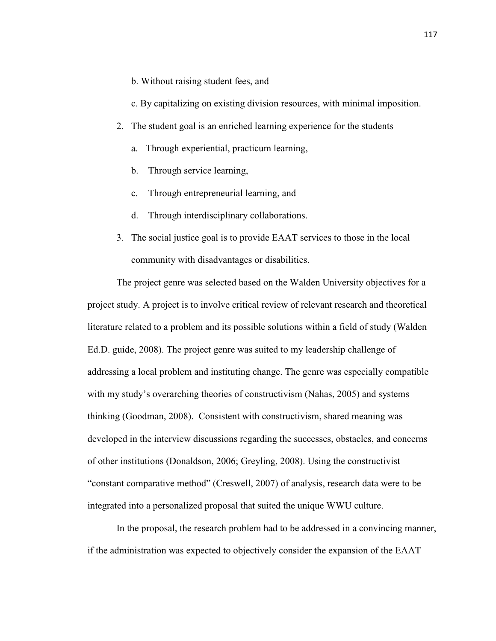- b. Without raising student fees, and
- c. By capitalizing on existing division resources, with minimal imposition.
- 2. The student goal is an enriched learning experience for the students
	- a. Through experiential, practicum learning,
	- b. Through service learning,
	- c. Through entrepreneurial learning, and
	- d. Through interdisciplinary collaborations.
- 3. The social justice goal is to provide EAAT services to those in the local community with disadvantages or disabilities.

The project genre was selected based on the Walden University objectives for a project study. A project is to involve critical review of relevant research and theoretical literature related to a problem and its possible solutions within a field of study (Walden Ed.D. guide, 2008). The project genre was suited to my leadership challenge of addressing a local problem and instituting change. The genre was especially compatible with my study's overarching theories of constructivism (Nahas, 2005) and systems thinking (Goodman, 2008). Consistent with constructivism, shared meaning was developed in the interview discussions regarding the successes, obstacles, and concerns of other institutions (Donaldson, 2006; Greyling, 2008). Using the constructivist "constant comparative method" (Creswell, 2007) of analysis, research data were to be integrated into a personalized proposal that suited the unique WWU culture.

In the proposal, the research problem had to be addressed in a convincing manner, if the administration was expected to objectively consider the expansion of the EAAT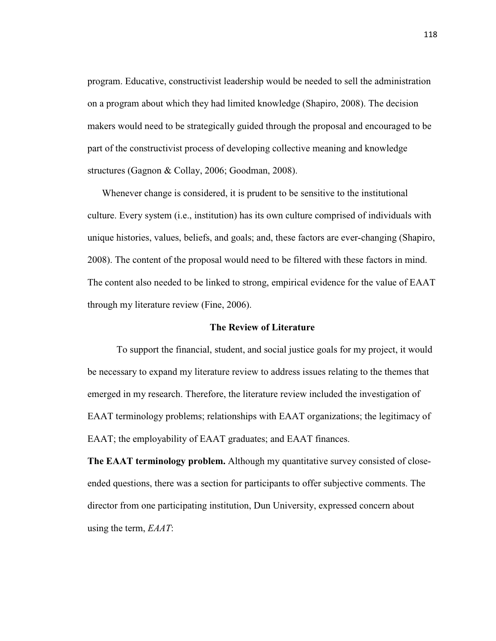program. Educative, constructivist leadership would be needed to sell the administration on a program about which they had limited knowledge (Shapiro, 2008). The decision makers would need to be strategically guided through the proposal and encouraged to be part of the constructivist process of developing collective meaning and knowledge structures (Gagnon & Collay, 2006; Goodman, 2008).

Whenever change is considered, it is prudent to be sensitive to the institutional culture. Every system (i.e., institution) has its own culture comprised of individuals with unique histories, values, beliefs, and goals; and, these factors are ever-changing (Shapiro, 2008). The content of the proposal would need to be filtered with these factors in mind. The content also needed to be linked to strong, empirical evidence for the value of EAAT through my literature review (Fine, 2006).

### **The Review of Literature**

To support the financial, student, and social justice goals for my project, it would be necessary to expand my literature review to address issues relating to the themes that emerged in my research. Therefore, the literature review included the investigation of EAAT terminology problems; relationships with EAAT organizations; the legitimacy of EAAT; the employability of EAAT graduates; and EAAT finances.

**The EAAT terminology problem.** Although my quantitative survey consisted of closeended questions, there was a section for participants to offer subjective comments. The director from one participating institution, Dun University, expressed concern about using the term, *EAAT*: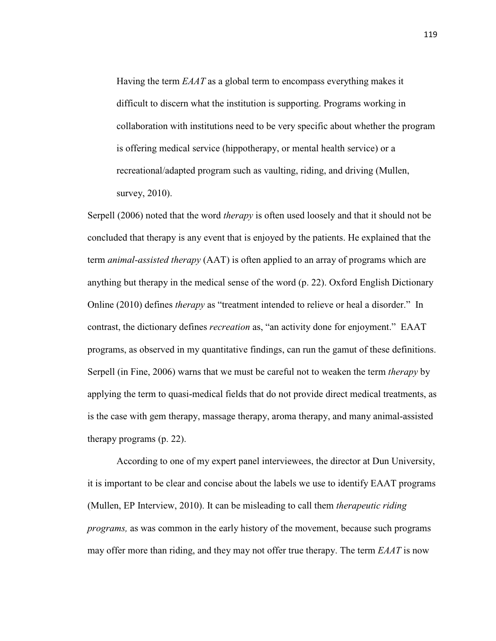Having the term *EAAT* as a global term to encompass everything makes it difficult to discern what the institution is supporting. Programs working in collaboration with institutions need to be very specific about whether the program is offering medical service (hippotherapy, or mental health service) or a recreational/adapted program such as vaulting, riding, and driving (Mullen, survey, 2010).

Serpell (2006) noted that the word *therapy* is often used loosely and that it should not be concluded that therapy is any event that is enjoyed by the patients. He explained that the term *animal-assisted therapy* (AAT) is often applied to an array of programs which are anything but therapy in the medical sense of the word (p. 22). Oxford English Dictionary Online (2010) defines *therapy* as "treatment intended to relieve or heal a disorder." In contrast, the dictionary defines *recreation* as, "an activity done for enjoyment." EAAT programs, as observed in my quantitative findings, can run the gamut of these definitions. Serpell (in Fine, 2006) warns that we must be careful not to weaken the term *therapy* by applying the term to quasi-medical fields that do not provide direct medical treatments, as is the case with gem therapy, massage therapy, aroma therapy, and many animal-assisted therapy programs (p. 22).

According to one of my expert panel interviewees, the director at Dun University, it is important to be clear and concise about the labels we use to identify EAAT programs (Mullen, EP Interview, 2010). It can be misleading to call them *therapeutic riding programs,* as was common in the early history of the movement, because such programs may offer more than riding, and they may not offer true therapy. The term *EAAT* is now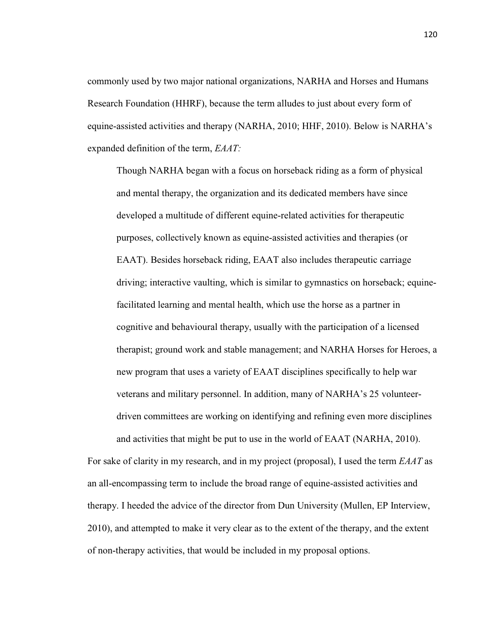commonly used by two major national organizations, NARHA and Horses and Humans Research Foundation (HHRF), because the term alludes to just about every form of equine-assisted activities and therapy (NARHA, 2010; HHF, 2010). Below is NARHA's expanded definition of the term, *EAAT:* 

Though NARHA began with a focus on horseback riding as a form of physical and mental therapy, the organization and its dedicated members have since developed a multitude of different equine-related activities for therapeutic purposes, collectively known as equine-assisted activities and therapies (or EAAT). Besides horseback riding, EAAT also includes therapeutic carriage driving; interactive vaulting, which is similar to gymnastics on horseback; equinefacilitated learning and mental health, which use the horse as a partner in cognitive and behavioural therapy, usually with the participation of a licensed therapist; ground work and stable management; and NARHA Horses for Heroes, a new program that uses a variety of EAAT disciplines specifically to help war veterans and military personnel. In addition, many of NARHA's 25 volunteerdriven committees are working on identifying and refining even more disciplines and activities that might be put to use in the world of EAAT (NARHA, 2010).

For sake of clarity in my research, and in my project (proposal), I used the term *EAAT* as an all-encompassing term to include the broad range of equine-assisted activities and therapy. I heeded the advice of the director from Dun University (Mullen, EP Interview, 2010), and attempted to make it very clear as to the extent of the therapy, and the extent of non-therapy activities, that would be included in my proposal options.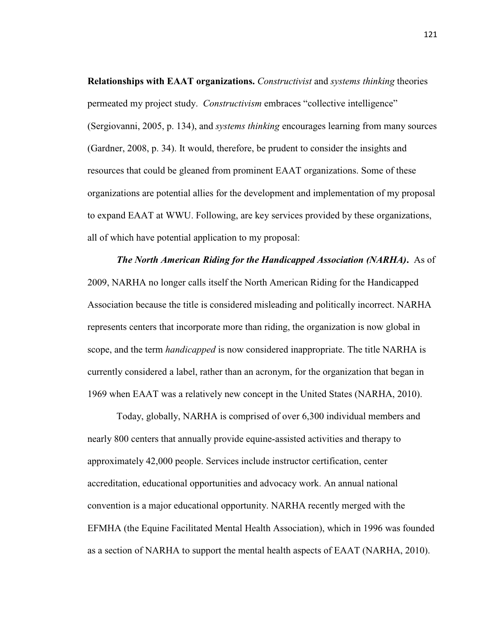**Relationships with EAAT organizations.** *Constructivist* and *systems thinking* theories permeated my project study. *Constructivism* embraces "collective intelligence" (Sergiovanni, 2005, p. 134), and *systems thinking* encourages learning from many sources (Gardner, 2008, p. 34). It would, therefore, be prudent to consider the insights and resources that could be gleaned from prominent EAAT organizations. Some of these organizations are potential allies for the development and implementation of my proposal to expand EAAT at WWU. Following, are key services provided by these organizations, all of which have potential application to my proposal:

*The North American Riding for the Handicapped Association (NARHA)***.** As of 2009, NARHA no longer calls itself the North American Riding for the Handicapped Association because the title is considered misleading and politically incorrect. NARHA represents centers that incorporate more than riding, the organization is now global in scope, and the term *handicapped* is now considered inappropriate. The title NARHA is currently considered a label, rather than an acronym, for the organization that began in 1969 when EAAT was a relatively new concept in the United States (NARHA, 2010).

Today, globally, NARHA is comprised of over 6,300 individual members and nearly 800 centers that annually provide equine-assisted activities and therapy to approximately 42,000 people. Services include instructor certification, center accreditation, educational opportunities and advocacy work. An annual national convention is a major educational opportunity. NARHA recently merged with the EFMHA (the Equine Facilitated Mental Health Association), which in 1996 was founded as a section of NARHA to support the mental health aspects of EAAT (NARHA, 2010).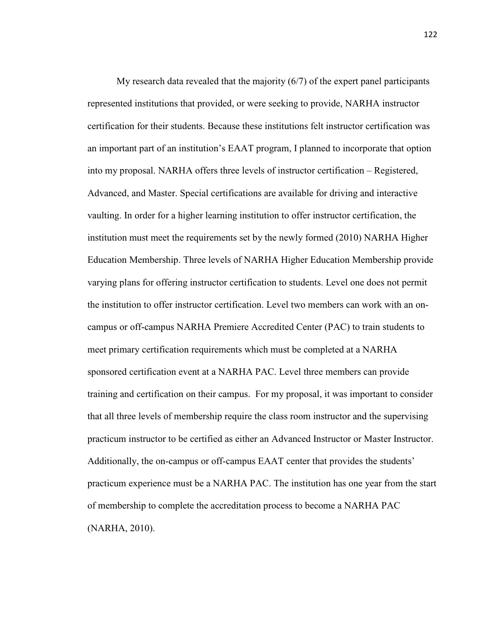My research data revealed that the majority (6/7) of the expert panel participants represented institutions that provided, or were seeking to provide, NARHA instructor certification for their students. Because these institutions felt instructor certification was an important part of an institution's EAAT program, I planned to incorporate that option into my proposal. NARHA offers three levels of instructor certification – Registered, Advanced, and Master. Special certifications are available for driving and interactive vaulting. In order for a higher learning institution to offer instructor certification, the institution must meet the requirements set by the newly formed (2010) NARHA Higher Education Membership. Three levels of NARHA Higher Education Membership provide varying plans for offering instructor certification to students. Level one does not permit the institution to offer instructor certification. Level two members can work with an oncampus or off-campus NARHA Premiere Accredited Center (PAC) to train students to meet primary certification requirements which must be completed at a NARHA sponsored certification event at a NARHA PAC. Level three members can provide training and certification on their campus. For my proposal, it was important to consider that all three levels of membership require the class room instructor and the supervising practicum instructor to be certified as either an Advanced Instructor or Master Instructor. Additionally, the on-campus or off-campus EAAT center that provides the students' practicum experience must be a NARHA PAC. The institution has one year from the start of membership to complete the accreditation process to become a NARHA PAC (NARHA, 2010).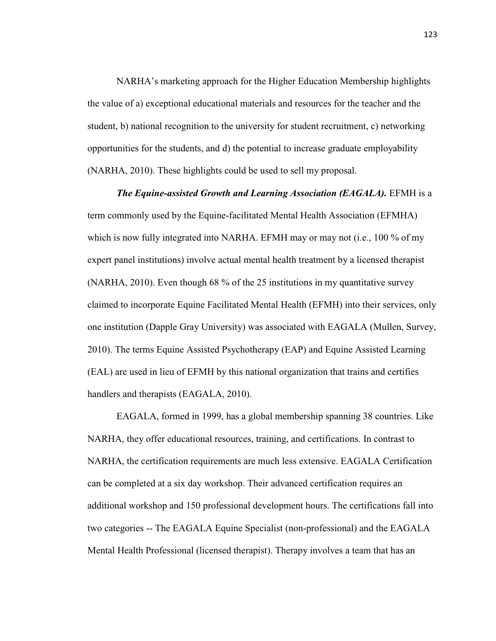NARHA's marketing approach for the Higher Education Membership highlights the value of a) exceptional educational materials and resources for the teacher and the student, b) national recognition to the university for student recruitment, c) networking opportunities for the students, and d) the potential to increase graduate employability (NARHA, 2010). These highlights could be used to sell my proposal.

*The Equine-assisted Growth and Learning Association (EAGALA).* EFMH is a term commonly used by the Equine-facilitated Mental Health Association (EFMHA) which is now fully integrated into NARHA. EFMH may or may not (i.e., 100 % of my expert panel institutions) involve actual mental health treatment by a licensed therapist (NARHA, 2010). Even though 68 % of the 25 institutions in my quantitative survey claimed to incorporate Equine Facilitated Mental Health (EFMH) into their services, only one institution (Dapple Gray University) was associated with EAGALA (Mullen, Survey, 2010). The terms Equine Assisted Psychotherapy (EAP) and Equine Assisted Learning (EAL) are used in lieu of EFMH by this national organization that trains and certifies handlers and therapists (EAGALA, 2010).

EAGALA, formed in 1999, has a global membership spanning 38 countries. Like NARHA, they offer educational resources, training, and certifications. In contrast to NARHA, the certification requirements are much less extensive. EAGALA Certification can be completed at a six day workshop. Their advanced certification requires an additional workshop and 150 professional development hours. The certifications fall into two categories -- The EAGALA Equine Specialist (non-professional) and the EAGALA Mental Health Professional (licensed therapist). Therapy involves a team that has an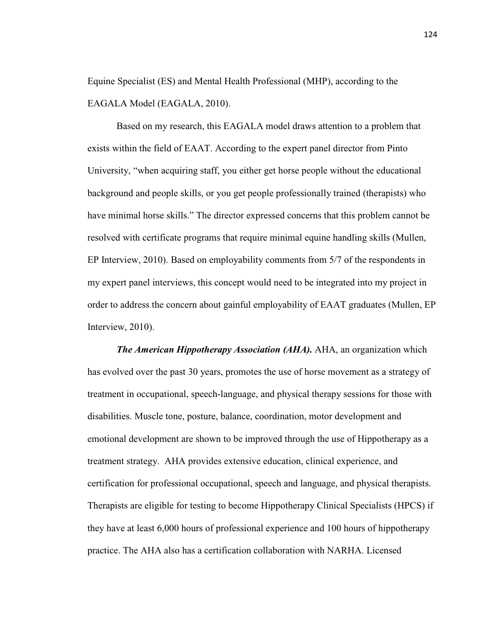Equine Specialist (ES) and Mental Health Professional (MHP), according to the EAGALA Model (EAGALA, 2010).

Based on my research, this EAGALA model draws attention to a problem that exists within the field of EAAT. According to the expert panel director from Pinto University, "when acquiring staff, you either get horse people without the educational background and people skills, or you get people professionally trained (therapists) who have minimal horse skills." The director expressed concerns that this problem cannot be resolved with certificate programs that require minimal equine handling skills (Mullen, EP Interview, 2010). Based on employability comments from 5/7 of the respondents in my expert panel interviews, this concept would need to be integrated into my project in order to address the concern about gainful employability of EAAT graduates (Mullen, EP Interview, 2010).

*The American Hippotherapy Association (AHA).* AHA, an organization which has evolved over the past 30 years, promotes the use of horse movement as a strategy of treatment in occupational, speech-language, and physical therapy sessions for those with disabilities. Muscle tone, posture, balance, coordination, motor development and emotional development are shown to be improved through the use of Hippotherapy as a treatment strategy. AHA provides extensive education, clinical experience, and certification for professional occupational, speech and language, and physical therapists. Therapists are eligible for testing to become Hippotherapy Clinical Specialists (HPCS) if they have at least 6,000 hours of professional experience and 100 hours of hippotherapy practice. The AHA also has a certification collaboration with NARHA. Licensed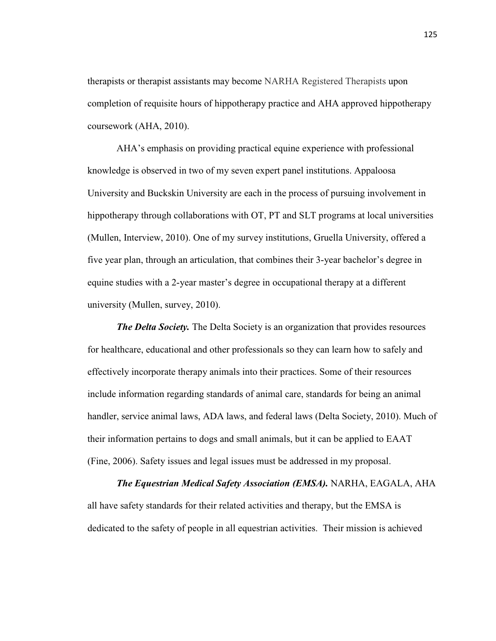therapists or therapist assistants may become NARHA Registered Therapists upon completion of requisite hours of hippotherapy practice and AHA approved hippotherapy coursework (AHA, 2010).

AHA's emphasis on providing practical equine experience with professional knowledge is observed in two of my seven expert panel institutions. Appaloosa University and Buckskin University are each in the process of pursuing involvement in hippotherapy through collaborations with OT, PT and SLT programs at local universities (Mullen, Interview, 2010). One of my survey institutions, Gruella University, offered a five year plan, through an articulation, that combines their 3-year bachelor's degree in equine studies with a 2-year master's degree in occupational therapy at a different university (Mullen, survey, 2010).

*The Delta Society.* The Delta Society is an organization that provides resources for healthcare, educational and other professionals so they can learn how to safely and effectively incorporate therapy animals into their practices. Some of their resources include information regarding standards of animal care, standards for being an animal handler, service animal laws, ADA laws, and federal laws (Delta Society, 2010). Much of their information pertains to dogs and small animals, but it can be applied to EAAT (Fine, 2006). Safety issues and legal issues must be addressed in my proposal.

*The Equestrian Medical Safety Association (EMSA).* NARHA, EAGALA, AHA all have safety standards for their related activities and therapy, but the EMSA is dedicated to the safety of people in all equestrian activities. Their mission is achieved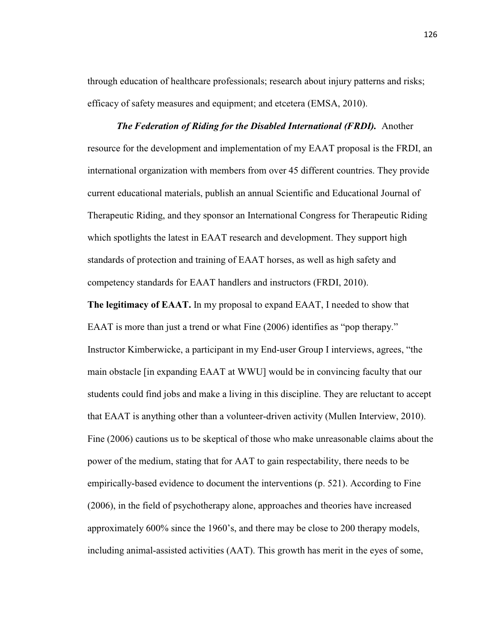through education of healthcare professionals; research about injury patterns and risks; efficacy of safety measures and equipment; and etcetera (EMSA, 2010).

*The Federation of Riding for the Disabled International (FRDI).* Another resource for the development and implementation of my EAAT proposal is the FRDI, an international organization with members from over 45 different countries. They provide current educational materials, publish an annual Scientific and Educational Journal of Therapeutic Riding, and they sponsor an International Congress for Therapeutic Riding which spotlights the latest in EAAT research and development. They support high standards of protection and training of EAAT horses, as well as high safety and competency standards for EAAT handlers and instructors (FRDI, 2010).

**The legitimacy of EAAT.** In my proposal to expand EAAT, I needed to show that EAAT is more than just a trend or what Fine (2006) identifies as "pop therapy." Instructor Kimberwicke, a participant in my End-user Group I interviews, agrees, "the main obstacle [in expanding EAAT at WWU] would be in convincing faculty that our students could find jobs and make a living in this discipline. They are reluctant to accept that EAAT is anything other than a volunteer-driven activity (Mullen Interview, 2010). Fine (2006) cautions us to be skeptical of those who make unreasonable claims about the power of the medium, stating that for AAT to gain respectability, there needs to be empirically-based evidence to document the interventions (p. 521). According to Fine (2006), in the field of psychotherapy alone, approaches and theories have increased approximately 600% since the 1960's, and there may be close to 200 therapy models, including animal-assisted activities (AAT). This growth has merit in the eyes of some,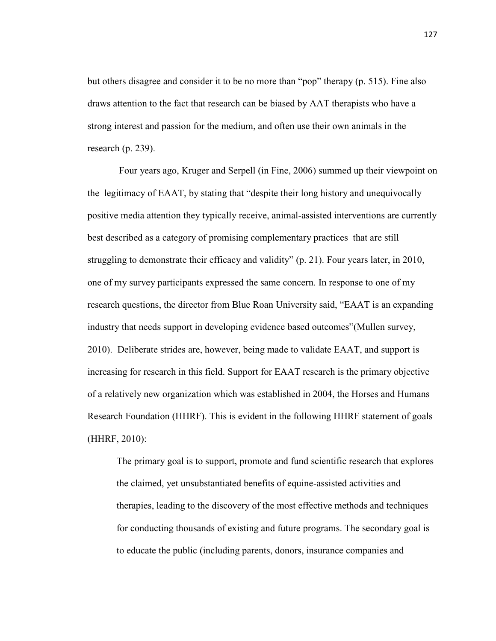but others disagree and consider it to be no more than "pop" therapy (p. 515). Fine also draws attention to the fact that research can be biased by AAT therapists who have a strong interest and passion for the medium, and often use their own animals in the research (p. 239).

 Four years ago, Kruger and Serpell (in Fine, 2006) summed up their viewpoint on the legitimacy of EAAT, by stating that "despite their long history and unequivocally positive media attention they typically receive, animal-assisted interventions are currently best described as a category of promising complementary practices that are still struggling to demonstrate their efficacy and validity" (p. 21). Four years later, in 2010, one of my survey participants expressed the same concern. In response to one of my research questions, the director from Blue Roan University said, "EAAT is an expanding industry that needs support in developing evidence based outcomes"(Mullen survey, 2010). Deliberate strides are, however, being made to validate EAAT, and support is increasing for research in this field. Support for EAAT research is the primary objective of a relatively new organization which was established in 2004, the Horses and Humans Research Foundation (HHRF). This is evident in the following HHRF statement of goals (HHRF, 2010):

The primary goal is to support, promote and fund scientific research that explores the claimed, yet unsubstantiated benefits of equine-assisted activities and therapies, leading to the discovery of the most effective methods and techniques for conducting thousands of existing and future programs. The secondary goal is to educate the public (including parents, donors, insurance companies and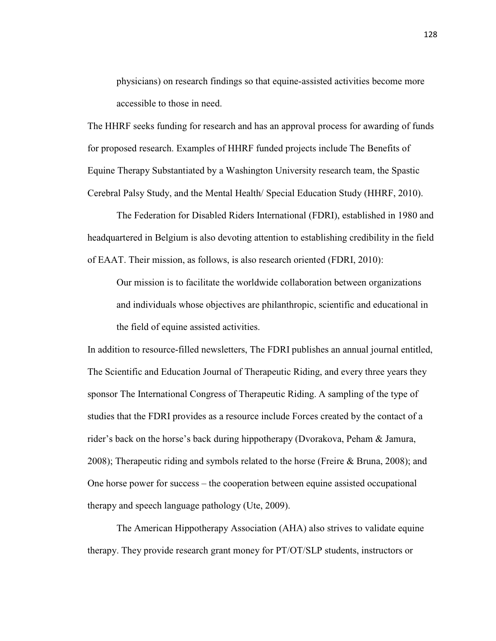physicians) on research findings so that equine-assisted activities become more accessible to those in need.

The HHRF seeks funding for research and has an approval process for awarding of funds for proposed research. Examples of HHRF funded projects include The Benefits of Equine Therapy Substantiated by a Washington University research team, the Spastic Cerebral Palsy Study, and the Mental Health/ Special Education Study (HHRF, 2010).

 The Federation for Disabled Riders International (FDRI), established in 1980 and headquartered in Belgium is also devoting attention to establishing credibility in the field of EAAT. Their mission, as follows, is also research oriented (FDRI, 2010):

Our mission is to facilitate the worldwide collaboration between organizations and individuals whose objectives are philanthropic, scientific and educational in the field of equine assisted activities.

In addition to resource-filled newsletters, The FDRI publishes an annual journal entitled, The Scientific and Education Journal of Therapeutic Riding, and every three years they sponsor The International Congress of Therapeutic Riding. A sampling of the type of studies that the FDRI provides as a resource include Forces created by the contact of a rider's back on the horse's back during hippotherapy (Dvorakova, Peham & Jamura, 2008); Therapeutic riding and symbols related to the horse (Freire & Bruna, 2008); and One horse power for success – the cooperation between equine assisted occupational therapy and speech language pathology (Ute, 2009).

 The American Hippotherapy Association (AHA) also strives to validate equine therapy. They provide research grant money for PT/OT/SLP students, instructors or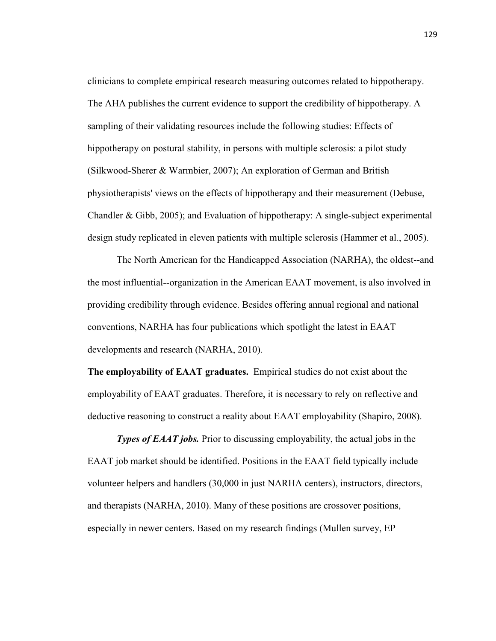clinicians to complete empirical research measuring outcomes related to hippotherapy. The AHA publishes the current evidence to support the credibility of hippotherapy. A sampling of their validating resources include the following studies: Effects of hippotherapy on postural stability, in persons with multiple sclerosis: a pilot study (Silkwood-Sherer & Warmbier, 2007); An exploration of German and British physiotherapists' views on the effects of hippotherapy and their measurement (Debuse, Chandler & Gibb, 2005); and Evaluation of hippotherapy: A single-subject experimental design study replicated in eleven patients with multiple sclerosis (Hammer et al., 2005).

The North American for the Handicapped Association (NARHA), the oldest--and the most influential--organization in the American EAAT movement, is also involved in providing credibility through evidence. Besides offering annual regional and national conventions, NARHA has four publications which spotlight the latest in EAAT developments and research (NARHA, 2010).

**The employability of EAAT graduates.** Empirical studies do not exist about the employability of EAAT graduates. Therefore, it is necessary to rely on reflective and deductive reasoning to construct a reality about EAAT employability (Shapiro, 2008).

*Types of EAAT jobs.* Prior to discussing employability, the actual jobs in the EAAT job market should be identified. Positions in the EAAT field typically include volunteer helpers and handlers (30,000 in just NARHA centers), instructors, directors, and therapists (NARHA, 2010). Many of these positions are crossover positions, especially in newer centers. Based on my research findings (Mullen survey, EP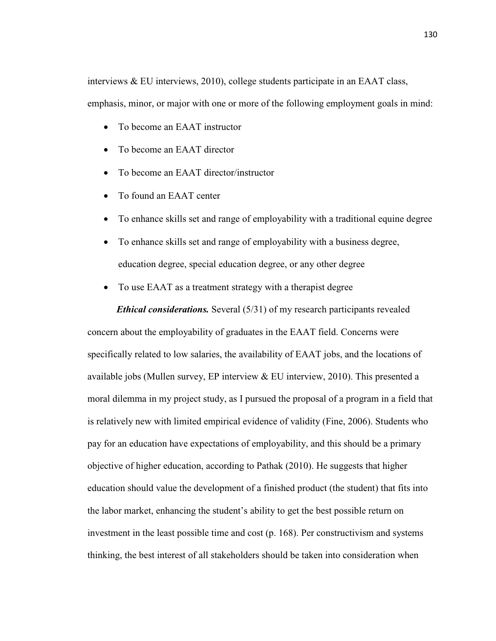interviews & EU interviews, 2010), college students participate in an EAAT class, emphasis, minor, or major with one or more of the following employment goals in mind:

- To become an EAAT instructor
- To become an EAAT director
- To become an EAAT director/instructor
- To found an EAAT center
- To enhance skills set and range of employability with a traditional equine degree
- To enhance skills set and range of employability with a business degree, education degree, special education degree, or any other degree
- To use EAAT as a treatment strategy with a therapist degree

*Ethical considerations.* Several (5/31) of my research participants revealed concern about the employability of graduates in the EAAT field. Concerns were specifically related to low salaries, the availability of EAAT jobs, and the locations of available jobs (Mullen survey, EP interview  $&$  EU interview, 2010). This presented a moral dilemma in my project study, as I pursued the proposal of a program in a field that is relatively new with limited empirical evidence of validity (Fine, 2006). Students who pay for an education have expectations of employability, and this should be a primary objective of higher education, according to Pathak (2010). He suggests that higher education should value the development of a finished product (the student) that fits into the labor market, enhancing the student's ability to get the best possible return on investment in the least possible time and cost (p. 168). Per constructivism and systems thinking, the best interest of all stakeholders should be taken into consideration when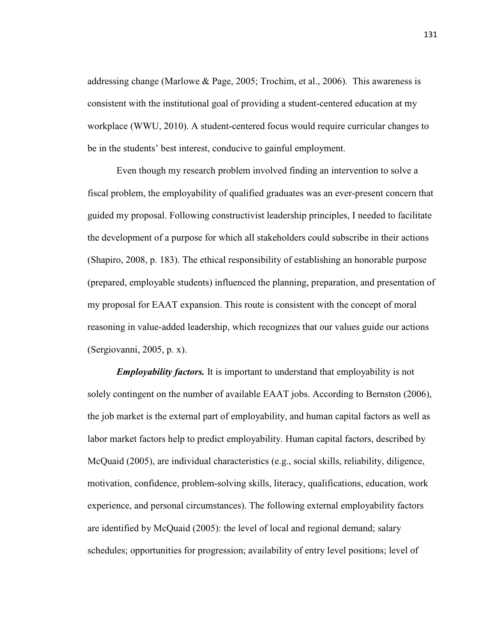addressing change (Marlowe & Page, 2005; Trochim, et al., 2006). This awareness is consistent with the institutional goal of providing a student-centered education at my workplace (WWU, 2010). A student-centered focus would require curricular changes to be in the students' best interest, conducive to gainful employment.

Even though my research problem involved finding an intervention to solve a fiscal problem, the employability of qualified graduates was an ever-present concern that guided my proposal. Following constructivist leadership principles, I needed to facilitate the development of a purpose for which all stakeholders could subscribe in their actions (Shapiro, 2008, p. 183). The ethical responsibility of establishing an honorable purpose (prepared, employable students) influenced the planning, preparation, and presentation of my proposal for EAAT expansion. This route is consistent with the concept of moral reasoning in value-added leadership, which recognizes that our values guide our actions (Sergiovanni, 2005, p. x).

*Employability factors.* It is important to understand that employability is not solely contingent on the number of available EAAT jobs. According to Bernston (2006), the job market is the external part of employability, and human capital factors as well as labor market factors help to predict employability. Human capital factors, described by McQuaid (2005), are individual characteristics (e.g., social skills, reliability, diligence, motivation, confidence, problem-solving skills, literacy, qualifications, education, work experience, and personal circumstances). The following external employability factors are identified by McQuaid (2005): the level of local and regional demand; salary schedules; opportunities for progression; availability of entry level positions; level of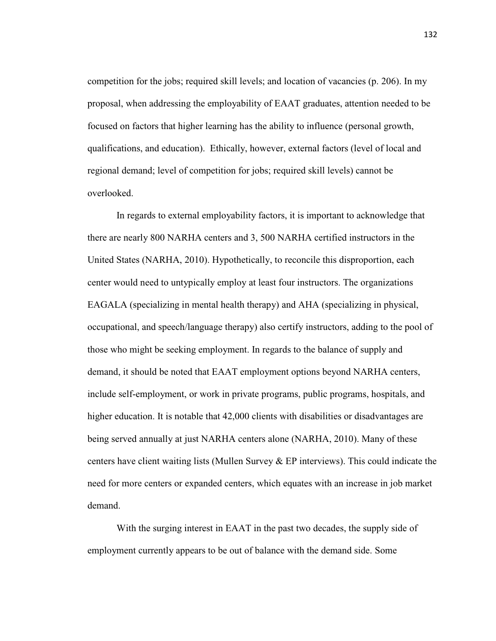competition for the jobs; required skill levels; and location of vacancies (p. 206). In my proposal, when addressing the employability of EAAT graduates, attention needed to be focused on factors that higher learning has the ability to influence (personal growth, qualifications, and education). Ethically, however, external factors (level of local and regional demand; level of competition for jobs; required skill levels) cannot be overlooked.

In regards to external employability factors, it is important to acknowledge that there are nearly 800 NARHA centers and 3, 500 NARHA certified instructors in the United States (NARHA, 2010). Hypothetically, to reconcile this disproportion, each center would need to untypically employ at least four instructors. The organizations EAGALA (specializing in mental health therapy) and AHA (specializing in physical, occupational, and speech/language therapy) also certify instructors, adding to the pool of those who might be seeking employment. In regards to the balance of supply and demand, it should be noted that EAAT employment options beyond NARHA centers, include self-employment, or work in private programs, public programs, hospitals, and higher education. It is notable that 42,000 clients with disabilities or disadvantages are being served annually at just NARHA centers alone (NARHA, 2010). Many of these centers have client waiting lists (Mullen Survey  $\&$  EP interviews). This could indicate the need for more centers or expanded centers, which equates with an increase in job market demand.

With the surging interest in EAAT in the past two decades, the supply side of employment currently appears to be out of balance with the demand side. Some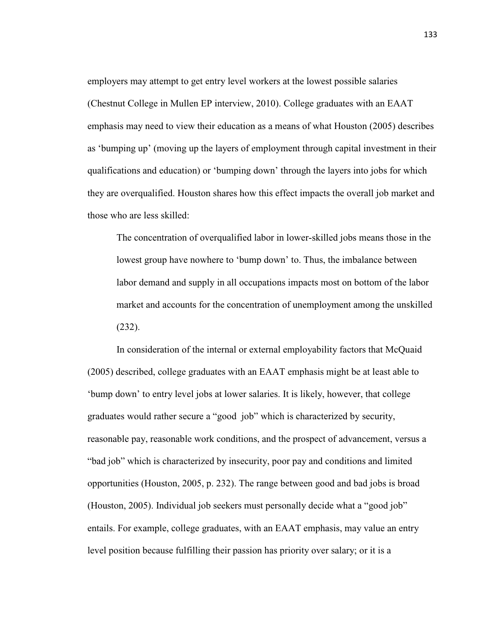employers may attempt to get entry level workers at the lowest possible salaries (Chestnut College in Mullen EP interview, 2010). College graduates with an EAAT emphasis may need to view their education as a means of what Houston (2005) describes as 'bumping up' (moving up the layers of employment through capital investment in their qualifications and education) or 'bumping down' through the layers into jobs for which they are overqualified. Houston shares how this effect impacts the overall job market and those who are less skilled:

The concentration of overqualified labor in lower-skilled jobs means those in the lowest group have nowhere to 'bump down' to. Thus, the imbalance between labor demand and supply in all occupations impacts most on bottom of the labor market and accounts for the concentration of unemployment among the unskilled (232).

In consideration of the internal or external employability factors that McQuaid (2005) described, college graduates with an EAAT emphasis might be at least able to 'bump down' to entry level jobs at lower salaries. It is likely, however, that college graduates would rather secure a "good job" which is characterized by security, reasonable pay, reasonable work conditions, and the prospect of advancement, versus a "bad job" which is characterized by insecurity, poor pay and conditions and limited opportunities (Houston, 2005, p. 232). The range between good and bad jobs is broad (Houston, 2005). Individual job seekers must personally decide what a "good job" entails. For example, college graduates, with an EAAT emphasis, may value an entry level position because fulfilling their passion has priority over salary; or it is a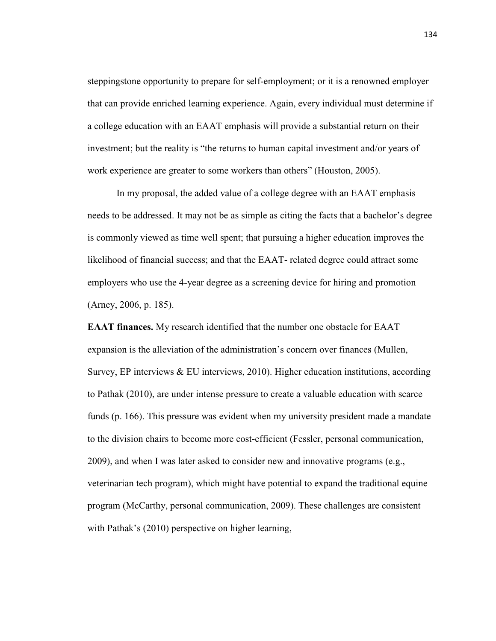steppingstone opportunity to prepare for self-employment; or it is a renowned employer that can provide enriched learning experience. Again, every individual must determine if a college education with an EAAT emphasis will provide a substantial return on their investment; but the reality is "the returns to human capital investment and/or years of work experience are greater to some workers than others" (Houston, 2005).

In my proposal, the added value of a college degree with an EAAT emphasis needs to be addressed. It may not be as simple as citing the facts that a bachelor's degree is commonly viewed as time well spent; that pursuing a higher education improves the likelihood of financial success; and that the EAAT- related degree could attract some employers who use the 4-year degree as a screening device for hiring and promotion (Arney, 2006, p. 185).

**EAAT finances.** My research identified that the number one obstacle for EAAT expansion is the alleviation of the administration's concern over finances (Mullen, Survey, EP interviews & EU interviews, 2010). Higher education institutions, according to Pathak (2010), are under intense pressure to create a valuable education with scarce funds (p. 166). This pressure was evident when my university president made a mandate to the division chairs to become more cost-efficient (Fessler, personal communication, 2009), and when I was later asked to consider new and innovative programs (e.g., veterinarian tech program), which might have potential to expand the traditional equine program (McCarthy, personal communication, 2009). These challenges are consistent with Pathak's (2010) perspective on higher learning,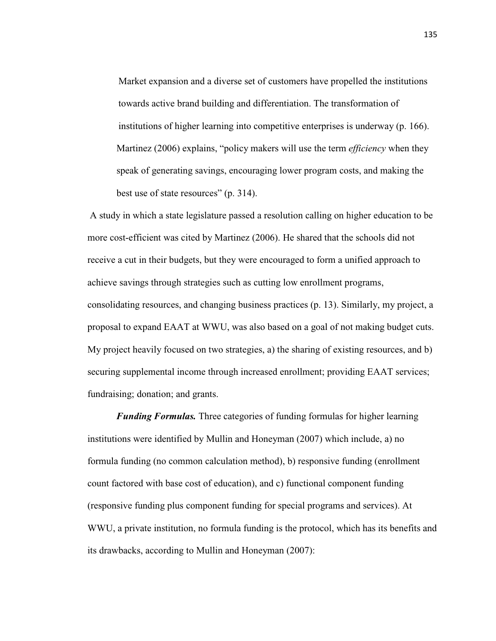Market expansion and a diverse set of customers have propelled the institutions towards active brand building and differentiation. The transformation of institutions of higher learning into competitive enterprises is underway (p. 166). Martinez (2006) explains, "policy makers will use the term *efficiency* when they speak of generating savings, encouraging lower program costs, and making the best use of state resources" (p. 314).

A study in which a state legislature passed a resolution calling on higher education to be more cost-efficient was cited by Martinez (2006). He shared that the schools did not receive a cut in their budgets, but they were encouraged to form a unified approach to achieve savings through strategies such as cutting low enrollment programs, consolidating resources, and changing business practices (p. 13). Similarly, my project, a proposal to expand EAAT at WWU, was also based on a goal of not making budget cuts. My project heavily focused on two strategies, a) the sharing of existing resources, and b) securing supplemental income through increased enrollment; providing EAAT services; fundraising; donation; and grants.

*Funding Formulas.* Three categories of funding formulas for higher learning institutions were identified by Mullin and Honeyman (2007) which include, a) no formula funding (no common calculation method), b) responsive funding (enrollment count factored with base cost of education), and c) functional component funding (responsive funding plus component funding for special programs and services). At WWU, a private institution, no formula funding is the protocol, which has its benefits and its drawbacks, according to Mullin and Honeyman (2007):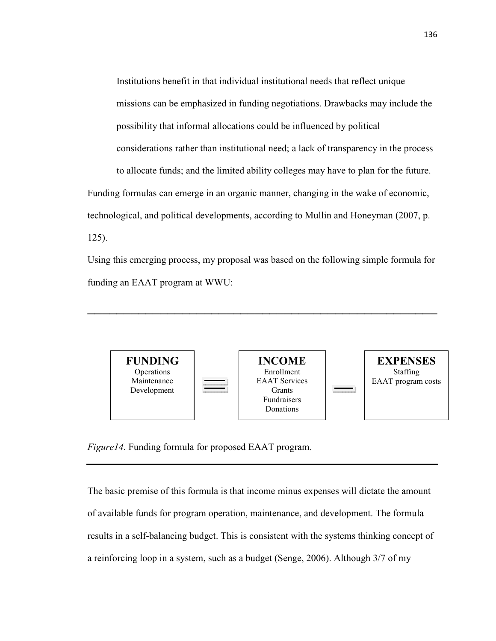Institutions benefit in that individual institutional needs that reflect unique missions can be emphasized in funding negotiations. Drawbacks may include the possibility that informal allocations could be influenced by political considerations rather than institutional need; a lack of transparency in the process to allocate funds; and the limited ability colleges may have to plan for the future. Funding formulas can emerge in an organic manner, changing in the wake of economic, technological, and political developments, according to Mullin and Honeyman (2007, p. 125).

Using this emerging process, my proposal was based on the following simple formula for funding an EAAT program at WWU:

**\_\_\_\_\_\_\_\_\_\_\_\_\_\_\_\_\_\_\_\_\_\_\_\_\_\_\_\_\_\_\_\_\_\_\_\_\_\_\_\_\_\_\_\_\_\_\_\_**



*Figure14.* Funding formula for proposed EAAT program.

The basic premise of this formula is that income minus expenses will dictate the amount of available funds for program operation, maintenance, and development. The formula results in a self-balancing budget. This is consistent with the systems thinking concept of a reinforcing loop in a system, such as a budget (Senge, 2006). Although 3/7 of my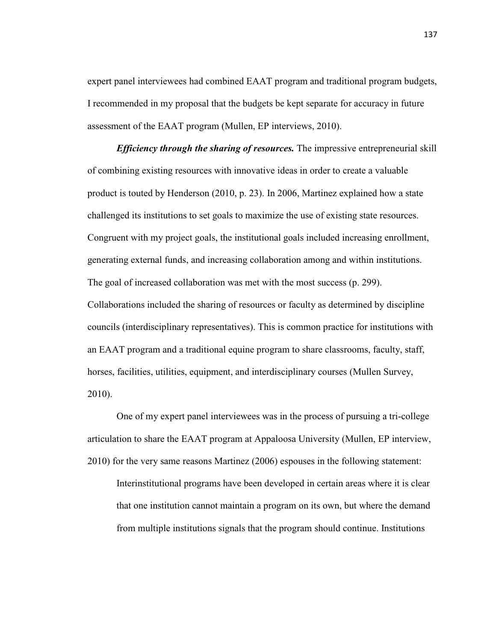expert panel interviewees had combined EAAT program and traditional program budgets, I recommended in my proposal that the budgets be kept separate for accuracy in future assessment of the EAAT program (Mullen, EP interviews, 2010).

*Efficiency through the sharing of resources.* The impressive entrepreneurial skill of combining existing resources with innovative ideas in order to create a valuable product is touted by Henderson (2010, p. 23). In 2006, Martinez explained how a state challenged its institutions to set goals to maximize the use of existing state resources. Congruent with my project goals, the institutional goals included increasing enrollment, generating external funds, and increasing collaboration among and within institutions. The goal of increased collaboration was met with the most success (p. 299). Collaborations included the sharing of resources or faculty as determined by discipline councils (interdisciplinary representatives). This is common practice for institutions with an EAAT program and a traditional equine program to share classrooms, faculty, staff, horses, facilities, utilities, equipment, and interdisciplinary courses (Mullen Survey,

2010).

One of my expert panel interviewees was in the process of pursuing a tri-college articulation to share the EAAT program at Appaloosa University (Mullen, EP interview, 2010) for the very same reasons Martinez (2006) espouses in the following statement:

Interinstitutional programs have been developed in certain areas where it is clear that one institution cannot maintain a program on its own, but where the demand from multiple institutions signals that the program should continue. Institutions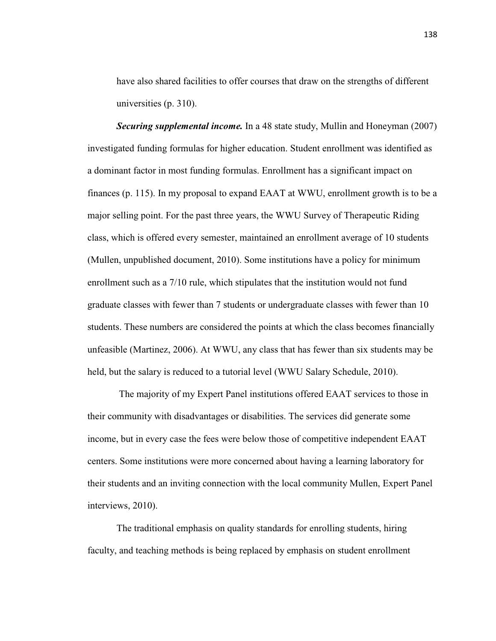have also shared facilities to offer courses that draw on the strengths of different universities (p. 310).

*Securing supplemental income.* In a 48 state study, Mullin and Honeyman (2007) investigated funding formulas for higher education. Student enrollment was identified as a dominant factor in most funding formulas. Enrollment has a significant impact on finances (p. 115). In my proposal to expand EAAT at WWU, enrollment growth is to be a major selling point. For the past three years, the WWU Survey of Therapeutic Riding class, which is offered every semester, maintained an enrollment average of 10 students (Mullen, unpublished document, 2010). Some institutions have a policy for minimum enrollment such as a 7/10 rule, which stipulates that the institution would not fund graduate classes with fewer than 7 students or undergraduate classes with fewer than 10 students. These numbers are considered the points at which the class becomes financially unfeasible (Martinez, 2006). At WWU, any class that has fewer than six students may be held, but the salary is reduced to a tutorial level (WWU Salary Schedule, 2010).

 The majority of my Expert Panel institutions offered EAAT services to those in their community with disadvantages or disabilities. The services did generate some income, but in every case the fees were below those of competitive independent EAAT centers. Some institutions were more concerned about having a learning laboratory for their students and an inviting connection with the local community Mullen, Expert Panel interviews, 2010).

The traditional emphasis on quality standards for enrolling students, hiring faculty, and teaching methods is being replaced by emphasis on student enrollment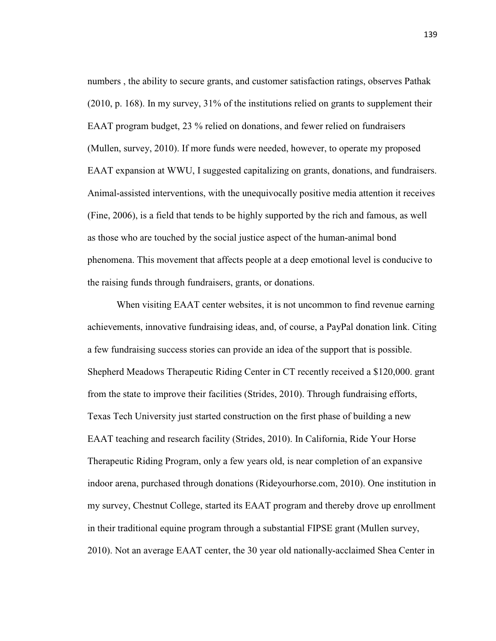numbers , the ability to secure grants, and customer satisfaction ratings, observes Pathak (2010, p. 168). In my survey, 31% of the institutions relied on grants to supplement their EAAT program budget, 23 % relied on donations, and fewer relied on fundraisers (Mullen, survey, 2010). If more funds were needed, however, to operate my proposed EAAT expansion at WWU, I suggested capitalizing on grants, donations, and fundraisers. Animal-assisted interventions, with the unequivocally positive media attention it receives (Fine, 2006), is a field that tends to be highly supported by the rich and famous, as well as those who are touched by the social justice aspect of the human-animal bond phenomena. This movement that affects people at a deep emotional level is conducive to the raising funds through fundraisers, grants, or donations.

When visiting EAAT center websites, it is not uncommon to find revenue earning achievements, innovative fundraising ideas, and, of course, a PayPal donation link. Citing a few fundraising success stories can provide an idea of the support that is possible. Shepherd Meadows Therapeutic Riding Center in CT recently received a \$120,000. grant from the state to improve their facilities (Strides, 2010). Through fundraising efforts, Texas Tech University just started construction on the first phase of building a new EAAT teaching and research facility (Strides, 2010). In California, Ride Your Horse Therapeutic Riding Program, only a few years old, is near completion of an expansive indoor arena, purchased through donations (Rideyourhorse.com, 2010). One institution in my survey, Chestnut College, started its EAAT program and thereby drove up enrollment in their traditional equine program through a substantial FIPSE grant (Mullen survey, 2010). Not an average EAAT center, the 30 year old nationally-acclaimed Shea Center in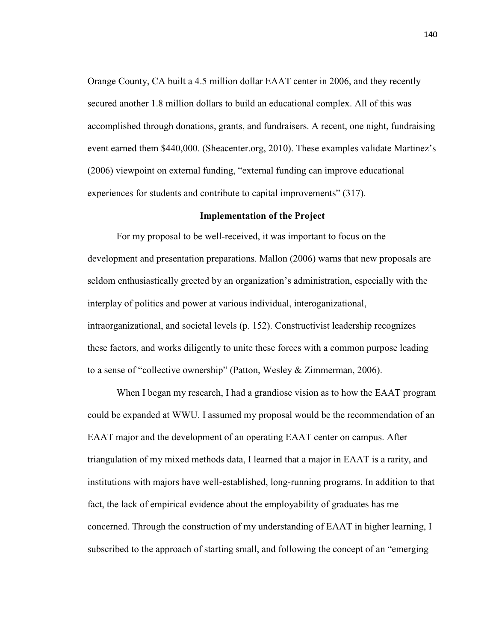Orange County, CA built a 4.5 million dollar EAAT center in 2006, and they recently secured another 1.8 million dollars to build an educational complex. All of this was accomplished through donations, grants, and fundraisers. A recent, one night, fundraising event earned them \$440,000. (Sheacenter.org, 2010). These examples validate Martinez's (2006) viewpoint on external funding, "external funding can improve educational experiences for students and contribute to capital improvements" (317).

# **Implementation of the Project**

 For my proposal to be well-received, it was important to focus on the development and presentation preparations. Mallon (2006) warns that new proposals are seldom enthusiastically greeted by an organization's administration, especially with the interplay of politics and power at various individual, interoganizational, intraorganizational, and societal levels (p. 152). Constructivist leadership recognizes these factors, and works diligently to unite these forces with a common purpose leading to a sense of "collective ownership" (Patton, Wesley & Zimmerman, 2006).

When I began my research, I had a grandiose vision as to how the EAAT program could be expanded at WWU. I assumed my proposal would be the recommendation of an EAAT major and the development of an operating EAAT center on campus. After triangulation of my mixed methods data, I learned that a major in EAAT is a rarity, and institutions with majors have well-established, long-running programs. In addition to that fact, the lack of empirical evidence about the employability of graduates has me concerned. Through the construction of my understanding of EAAT in higher learning, I subscribed to the approach of starting small, and following the concept of an "emerging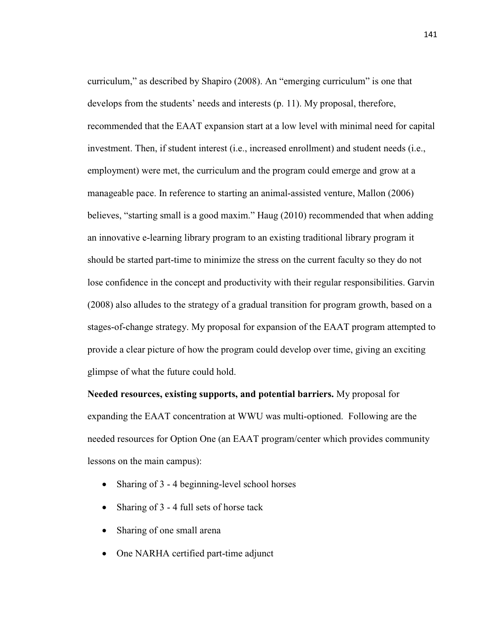curriculum," as described by Shapiro (2008). An "emerging curriculum" is one that develops from the students' needs and interests (p. 11). My proposal, therefore, recommended that the EAAT expansion start at a low level with minimal need for capital investment. Then, if student interest (i.e., increased enrollment) and student needs (i.e., employment) were met, the curriculum and the program could emerge and grow at a manageable pace. In reference to starting an animal-assisted venture, Mallon (2006) believes, "starting small is a good maxim." Haug (2010) recommended that when adding an innovative e-learning library program to an existing traditional library program it should be started part-time to minimize the stress on the current faculty so they do not lose confidence in the concept and productivity with their regular responsibilities. Garvin (2008) also alludes to the strategy of a gradual transition for program growth, based on a stages-of-change strategy. My proposal for expansion of the EAAT program attempted to provide a clear picture of how the program could develop over time, giving an exciting glimpse of what the future could hold.

**Needed resources, existing supports, and potential barriers.** My proposal for expanding the EAAT concentration at WWU was multi-optioned. Following are the needed resources for Option One (an EAAT program/center which provides community lessons on the main campus):

- Sharing of 3 4 beginning-level school horses
- Sharing of 3 4 full sets of horse tack
- Sharing of one small arena
- One NARHA certified part-time adjunct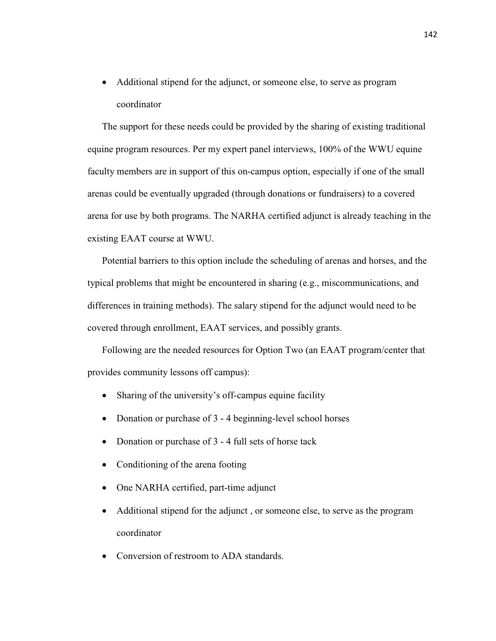• Additional stipend for the adjunct, or someone else, to serve as program coordinator

The support for these needs could be provided by the sharing of existing traditional equine program resources. Per my expert panel interviews, 100% of the WWU equine faculty members are in support of this on-campus option, especially if one of the small arenas could be eventually upgraded (through donations or fundraisers) to a covered arena for use by both programs. The NARHA certified adjunct is already teaching in the existing EAAT course at WWU.

Potential barriers to this option include the scheduling of arenas and horses, and the typical problems that might be encountered in sharing (e.g., miscommunications, and differences in training methods). The salary stipend for the adjunct would need to be covered through enrollment, EAAT services, and possibly grants.

Following are the needed resources for Option Two (an EAAT program/center that provides community lessons off campus):

- Sharing of the university's off-campus equine facility
- Donation or purchase of 3 4 beginning-level school horses
- Donation or purchase of 3 4 full sets of horse tack
- Conditioning of the arena footing
- One NARHA certified, part-time adjunct
- Additional stipend for the adjunct, or someone else, to serve as the program coordinator
- Conversion of restroom to ADA standards.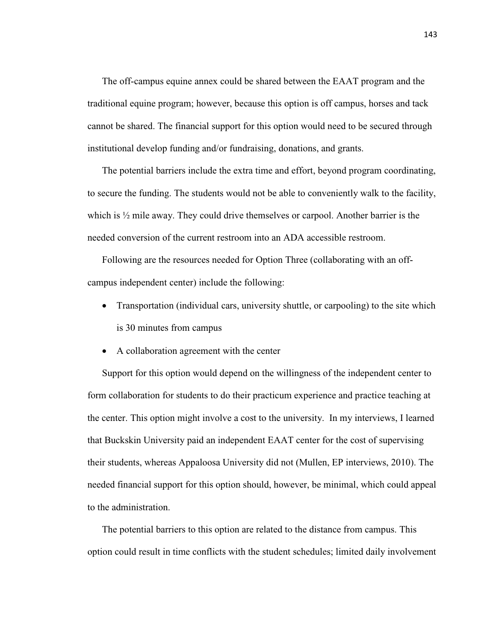The off-campus equine annex could be shared between the EAAT program and the traditional equine program; however, because this option is off campus, horses and tack cannot be shared. The financial support for this option would need to be secured through institutional develop funding and/or fundraising, donations, and grants.

The potential barriers include the extra time and effort, beyond program coordinating, to secure the funding. The students would not be able to conveniently walk to the facility, which is  $\frac{1}{2}$  mile away. They could drive themselves or carpool. Another barrier is the needed conversion of the current restroom into an ADA accessible restroom.

Following are the resources needed for Option Three (collaborating with an offcampus independent center) include the following:

- Transportation (individual cars, university shuttle, or carpooling) to the site which is 30 minutes from campus
- A collaboration agreement with the center

Support for this option would depend on the willingness of the independent center to form collaboration for students to do their practicum experience and practice teaching at the center. This option might involve a cost to the university. In my interviews, I learned that Buckskin University paid an independent EAAT center for the cost of supervising their students, whereas Appaloosa University did not (Mullen, EP interviews, 2010). The needed financial support for this option should, however, be minimal, which could appeal to the administration.

The potential barriers to this option are related to the distance from campus. This option could result in time conflicts with the student schedules; limited daily involvement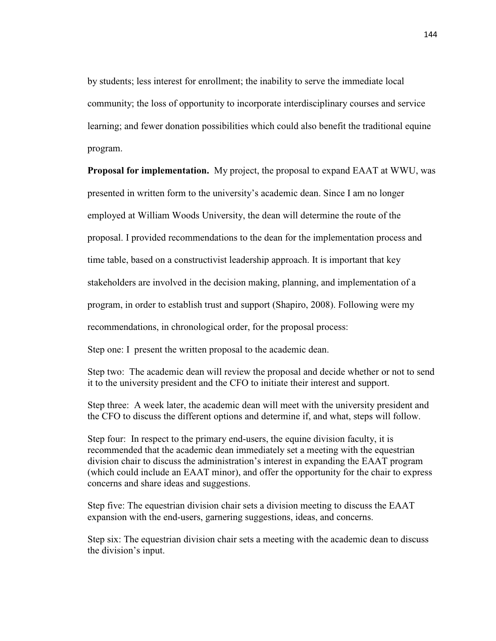by students; less interest for enrollment; the inability to serve the immediate local community; the loss of opportunity to incorporate interdisciplinary courses and service learning; and fewer donation possibilities which could also benefit the traditional equine program.

**Proposal for implementation.** My project, the proposal to expand EAAT at WWU, was presented in written form to the university's academic dean. Since I am no longer employed at William Woods University, the dean will determine the route of the proposal. I provided recommendations to the dean for the implementation process and time table, based on a constructivist leadership approach. It is important that key stakeholders are involved in the decision making, planning, and implementation of a program, in order to establish trust and support (Shapiro, 2008). Following were my recommendations, in chronological order, for the proposal process:

Step one: I present the written proposal to the academic dean.

Step two: The academic dean will review the proposal and decide whether or not to send it to the university president and the CFO to initiate their interest and support.

Step three: A week later, the academic dean will meet with the university president and the CFO to discuss the different options and determine if, and what, steps will follow.

Step four: In respect to the primary end-users, the equine division faculty, it is recommended that the academic dean immediately set a meeting with the equestrian division chair to discuss the administration's interest in expanding the EAAT program (which could include an EAAT minor), and offer the opportunity for the chair to express concerns and share ideas and suggestions.

Step five: The equestrian division chair sets a division meeting to discuss the EAAT expansion with the end-users, garnering suggestions, ideas, and concerns.

Step six: The equestrian division chair sets a meeting with the academic dean to discuss the division's input.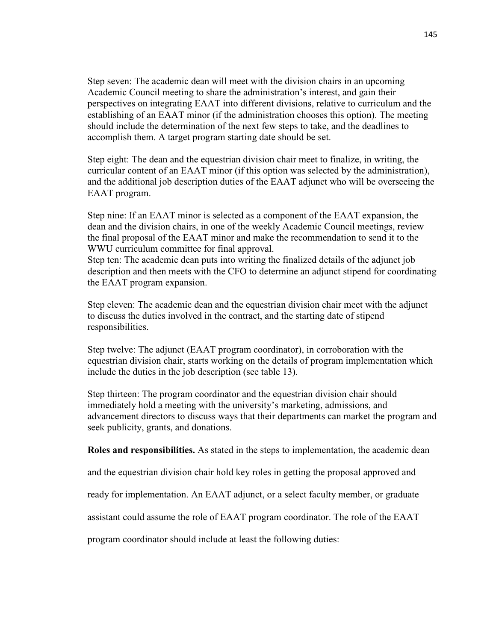Step seven: The academic dean will meet with the division chairs in an upcoming Academic Council meeting to share the administration's interest, and gain their perspectives on integrating EAAT into different divisions, relative to curriculum and the establishing of an EAAT minor (if the administration chooses this option). The meeting should include the determination of the next few steps to take, and the deadlines to accomplish them. A target program starting date should be set.

Step eight: The dean and the equestrian division chair meet to finalize, in writing, the curricular content of an EAAT minor (if this option was selected by the administration), and the additional job description duties of the EAAT adjunct who will be overseeing the EAAT program.

Step nine: If an EAAT minor is selected as a component of the EAAT expansion, the dean and the division chairs, in one of the weekly Academic Council meetings, review the final proposal of the EAAT minor and make the recommendation to send it to the WWU curriculum committee for final approval.

Step ten: The academic dean puts into writing the finalized details of the adjunct job description and then meets with the CFO to determine an adjunct stipend for coordinating the EAAT program expansion.

Step eleven: The academic dean and the equestrian division chair meet with the adjunct to discuss the duties involved in the contract, and the starting date of stipend responsibilities.

Step twelve: The adjunct (EAAT program coordinator), in corroboration with the equestrian division chair, starts working on the details of program implementation which include the duties in the job description (see table 13).

Step thirteen: The program coordinator and the equestrian division chair should immediately hold a meeting with the university's marketing, admissions, and advancement directors to discuss ways that their departments can market the program and seek publicity, grants, and donations.

**Roles and responsibilities.** As stated in the steps to implementation, the academic dean

and the equestrian division chair hold key roles in getting the proposal approved and

ready for implementation. An EAAT adjunct, or a select faculty member, or graduate

assistant could assume the role of EAAT program coordinator. The role of the EAAT

program coordinator should include at least the following duties: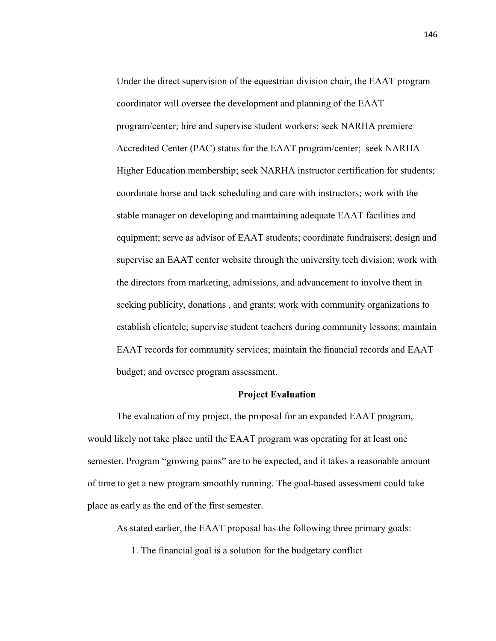Under the direct supervision of the equestrian division chair, the EAAT program coordinator will oversee the development and planning of the EAAT program/center; hire and supervise student workers; seek NARHA premiere Accredited Center (PAC) status for the EAAT program/center; seek NARHA Higher Education membership; seek NARHA instructor certification for students; coordinate horse and tack scheduling and care with instructors; work with the stable manager on developing and maintaining adequate EAAT facilities and equipment; serve as advisor of EAAT students; coordinate fundraisers; design and supervise an EAAT center website through the university tech division; work with the directors from marketing, admissions, and advancement to involve them in seeking publicity, donations , and grants; work with community organizations to establish clientele; supervise student teachers during community lessons; maintain EAAT records for community services; maintain the financial records and EAAT budget; and oversee program assessment.

#### **Project Evaluation**

The evaluation of my project, the proposal for an expanded EAAT program, would likely not take place until the EAAT program was operating for at least one semester. Program "growing pains" are to be expected, and it takes a reasonable amount of time to get a new program smoothly running. The goal-based assessment could take place as early as the end of the first semester.

As stated earlier, the EAAT proposal has the following three primary goals:

1. The financial goal is a solution for the budgetary conflict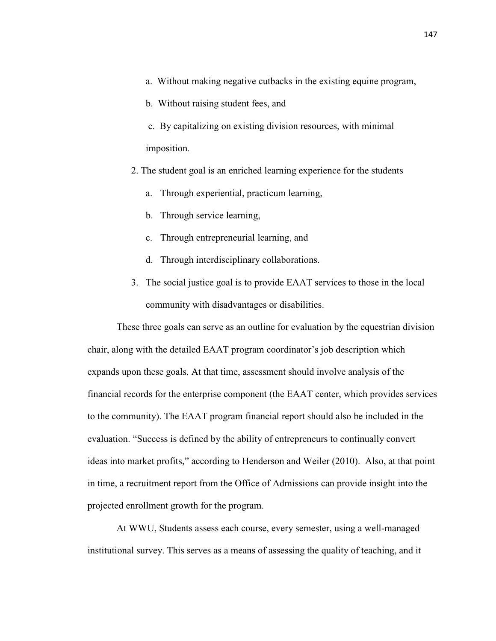- a. Without making negative cutbacks in the existing equine program,
- b. Without raising student fees, and
- c. By capitalizing on existing division resources, with minimal imposition.
- 2. The student goal is an enriched learning experience for the students
	- a. Through experiential, practicum learning,
	- b. Through service learning,
	- c. Through entrepreneurial learning, and
	- d. Through interdisciplinary collaborations.
- 3. The social justice goal is to provide EAAT services to those in the local community with disadvantages or disabilities.

These three goals can serve as an outline for evaluation by the equestrian division chair, along with the detailed EAAT program coordinator's job description which expands upon these goals. At that time, assessment should involve analysis of the financial records for the enterprise component (the EAAT center, which provides services to the community). The EAAT program financial report should also be included in the evaluation. "Success is defined by the ability of entrepreneurs to continually convert ideas into market profits," according to Henderson and Weiler (2010). Also, at that point in time, a recruitment report from the Office of Admissions can provide insight into the projected enrollment growth for the program.

At WWU, Students assess each course, every semester, using a well-managed institutional survey. This serves as a means of assessing the quality of teaching, and it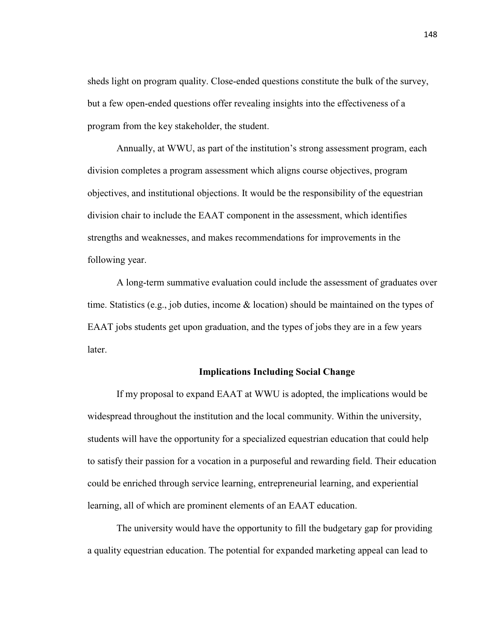sheds light on program quality. Close-ended questions constitute the bulk of the survey, but a few open-ended questions offer revealing insights into the effectiveness of a program from the key stakeholder, the student.

Annually, at WWU, as part of the institution's strong assessment program, each division completes a program assessment which aligns course objectives, program objectives, and institutional objections. It would be the responsibility of the equestrian division chair to include the EAAT component in the assessment, which identifies strengths and weaknesses, and makes recommendations for improvements in the following year.

A long-term summative evaluation could include the assessment of graduates over time. Statistics (e.g., job duties, income  $\&$  location) should be maintained on the types of EAAT jobs students get upon graduation, and the types of jobs they are in a few years later.

#### **Implications Including Social Change**

 If my proposal to expand EAAT at WWU is adopted, the implications would be widespread throughout the institution and the local community. Within the university, students will have the opportunity for a specialized equestrian education that could help to satisfy their passion for a vocation in a purposeful and rewarding field. Their education could be enriched through service learning, entrepreneurial learning, and experiential learning, all of which are prominent elements of an EAAT education.

The university would have the opportunity to fill the budgetary gap for providing a quality equestrian education. The potential for expanded marketing appeal can lead to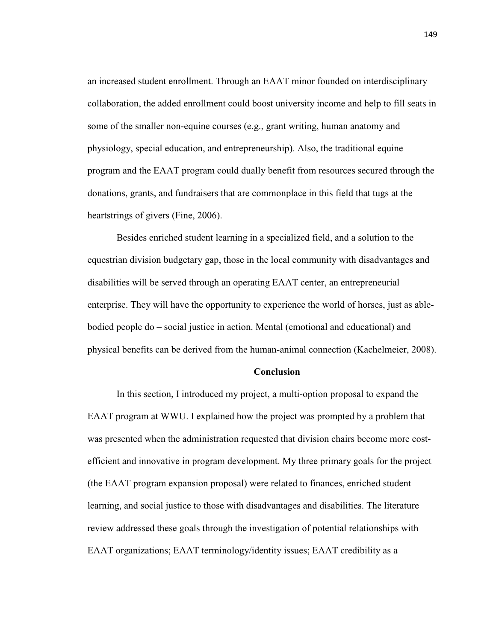an increased student enrollment. Through an EAAT minor founded on interdisciplinary collaboration, the added enrollment could boost university income and help to fill seats in some of the smaller non-equine courses (e.g., grant writing, human anatomy and physiology, special education, and entrepreneurship). Also, the traditional equine program and the EAAT program could dually benefit from resources secured through the donations, grants, and fundraisers that are commonplace in this field that tugs at the heartstrings of givers (Fine, 2006).

Besides enriched student learning in a specialized field, and a solution to the equestrian division budgetary gap, those in the local community with disadvantages and disabilities will be served through an operating EAAT center, an entrepreneurial enterprise. They will have the opportunity to experience the world of horses, just as ablebodied people do – social justice in action. Mental (emotional and educational) and physical benefits can be derived from the human-animal connection (Kachelmeier, 2008).

#### **Conclusion**

In this section, I introduced my project, a multi-option proposal to expand the EAAT program at WWU. I explained how the project was prompted by a problem that was presented when the administration requested that division chairs become more costefficient and innovative in program development. My three primary goals for the project (the EAAT program expansion proposal) were related to finances, enriched student learning, and social justice to those with disadvantages and disabilities. The literature review addressed these goals through the investigation of potential relationships with EAAT organizations; EAAT terminology/identity issues; EAAT credibility as a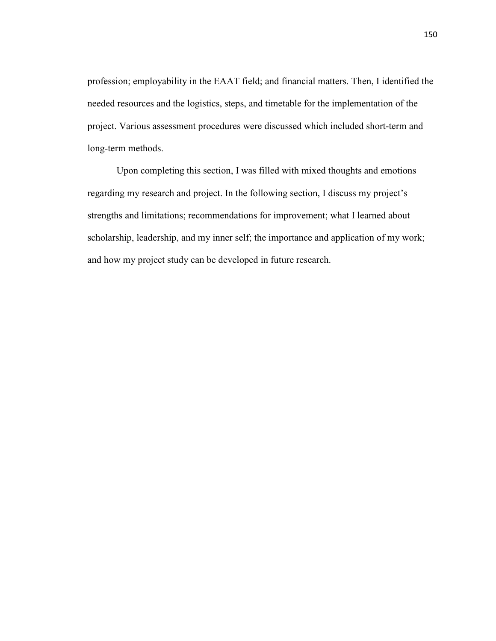profession; employability in the EAAT field; and financial matters. Then, I identified the needed resources and the logistics, steps, and timetable for the implementation of the project. Various assessment procedures were discussed which included short-term and long-term methods.

Upon completing this section, I was filled with mixed thoughts and emotions regarding my research and project. In the following section, I discuss my project's strengths and limitations; recommendations for improvement; what I learned about scholarship, leadership, and my inner self; the importance and application of my work; and how my project study can be developed in future research.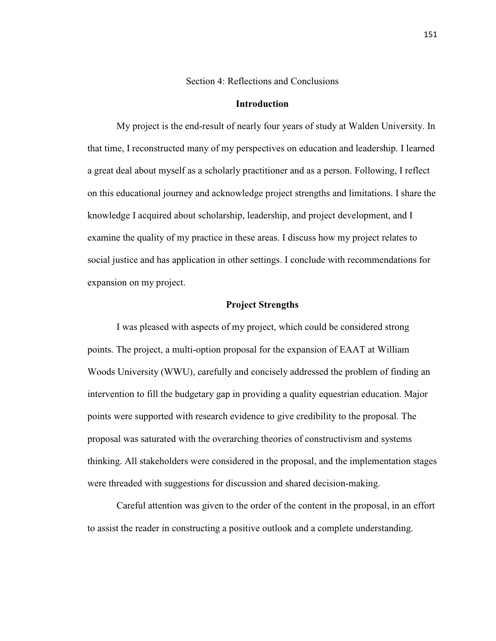Section 4: Reflections and Conclusions

# **Introduction**

My project is the end-result of nearly four years of study at Walden University. In that time, I reconstructed many of my perspectives on education and leadership. I learned a great deal about myself as a scholarly practitioner and as a person. Following, I reflect on this educational journey and acknowledge project strengths and limitations. I share the knowledge I acquired about scholarship, leadership, and project development, and I examine the quality of my practice in these areas. I discuss how my project relates to social justice and has application in other settings. I conclude with recommendations for expansion on my project.

# **Project Strengths**

I was pleased with aspects of my project, which could be considered strong points. The project, a multi-option proposal for the expansion of EAAT at William Woods University (WWU), carefully and concisely addressed the problem of finding an intervention to fill the budgetary gap in providing a quality equestrian education. Major points were supported with research evidence to give credibility to the proposal. The proposal was saturated with the overarching theories of constructivism and systems thinking. All stakeholders were considered in the proposal, and the implementation stages were threaded with suggestions for discussion and shared decision-making.

Careful attention was given to the order of the content in the proposal, in an effort to assist the reader in constructing a positive outlook and a complete understanding.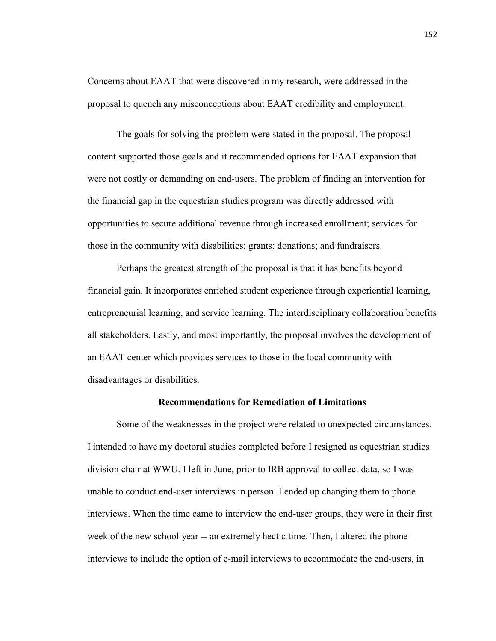Concerns about EAAT that were discovered in my research, were addressed in the proposal to quench any misconceptions about EAAT credibility and employment.

The goals for solving the problem were stated in the proposal. The proposal content supported those goals and it recommended options for EAAT expansion that were not costly or demanding on end-users. The problem of finding an intervention for the financial gap in the equestrian studies program was directly addressed with opportunities to secure additional revenue through increased enrollment; services for those in the community with disabilities; grants; donations; and fundraisers.

Perhaps the greatest strength of the proposal is that it has benefits beyond financial gain. It incorporates enriched student experience through experiential learning, entrepreneurial learning, and service learning. The interdisciplinary collaboration benefits all stakeholders. Lastly, and most importantly, the proposal involves the development of an EAAT center which provides services to those in the local community with disadvantages or disabilities.

### **Recommendations for Remediation of Limitations**

 Some of the weaknesses in the project were related to unexpected circumstances. I intended to have my doctoral studies completed before I resigned as equestrian studies division chair at WWU. I left in June, prior to IRB approval to collect data, so I was unable to conduct end-user interviews in person. I ended up changing them to phone interviews. When the time came to interview the end-user groups, they were in their first week of the new school year -- an extremely hectic time. Then, I altered the phone interviews to include the option of e-mail interviews to accommodate the end-users, in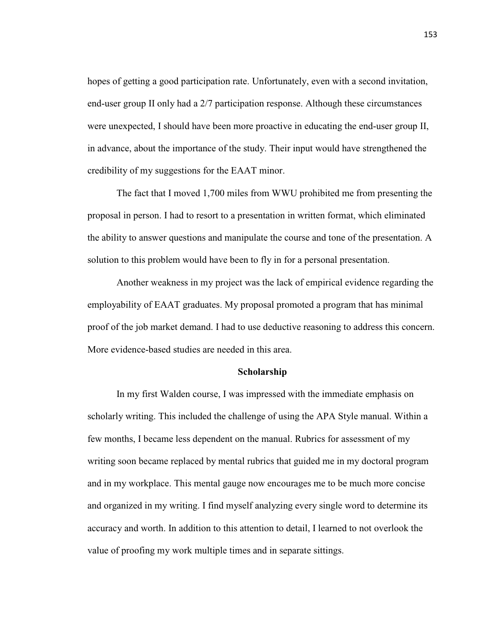hopes of getting a good participation rate. Unfortunately, even with a second invitation, end-user group II only had a 2/7 participation response. Although these circumstances were unexpected, I should have been more proactive in educating the end-user group II, in advance, about the importance of the study. Their input would have strengthened the credibility of my suggestions for the EAAT minor.

The fact that I moved 1,700 miles from WWU prohibited me from presenting the proposal in person. I had to resort to a presentation in written format, which eliminated the ability to answer questions and manipulate the course and tone of the presentation. A solution to this problem would have been to fly in for a personal presentation.

Another weakness in my project was the lack of empirical evidence regarding the employability of EAAT graduates. My proposal promoted a program that has minimal proof of the job market demand. I had to use deductive reasoning to address this concern. More evidence-based studies are needed in this area.

#### **Scholarship**

In my first Walden course, I was impressed with the immediate emphasis on scholarly writing. This included the challenge of using the APA Style manual. Within a few months, I became less dependent on the manual. Rubrics for assessment of my writing soon became replaced by mental rubrics that guided me in my doctoral program and in my workplace. This mental gauge now encourages me to be much more concise and organized in my writing. I find myself analyzing every single word to determine its accuracy and worth. In addition to this attention to detail, I learned to not overlook the value of proofing my work multiple times and in separate sittings.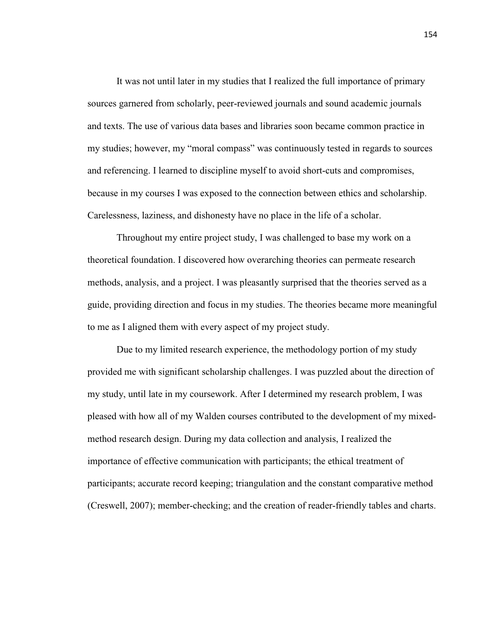It was not until later in my studies that I realized the full importance of primary sources garnered from scholarly, peer-reviewed journals and sound academic journals and texts. The use of various data bases and libraries soon became common practice in my studies; however, my "moral compass" was continuously tested in regards to sources and referencing. I learned to discipline myself to avoid short-cuts and compromises, because in my courses I was exposed to the connection between ethics and scholarship. Carelessness, laziness, and dishonesty have no place in the life of a scholar.

Throughout my entire project study, I was challenged to base my work on a theoretical foundation. I discovered how overarching theories can permeate research methods, analysis, and a project. I was pleasantly surprised that the theories served as a guide, providing direction and focus in my studies. The theories became more meaningful to me as I aligned them with every aspect of my project study.

Due to my limited research experience, the methodology portion of my study provided me with significant scholarship challenges. I was puzzled about the direction of my study, until late in my coursework. After I determined my research problem, I was pleased with how all of my Walden courses contributed to the development of my mixedmethod research design. During my data collection and analysis, I realized the importance of effective communication with participants; the ethical treatment of participants; accurate record keeping; triangulation and the constant comparative method (Creswell, 2007); member-checking; and the creation of reader-friendly tables and charts.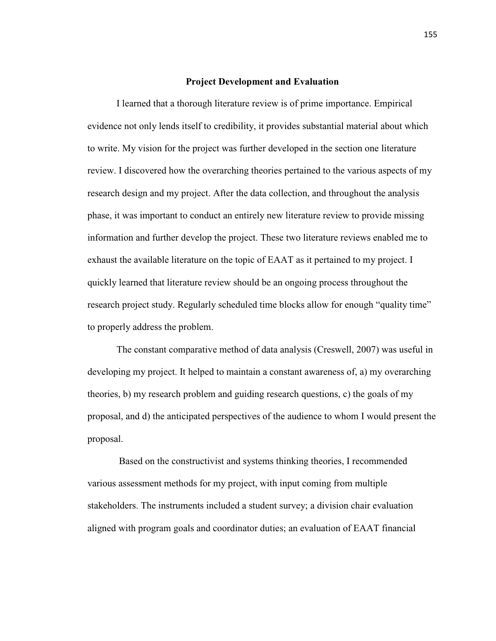### **Project Development and Evaluation**

 I learned that a thorough literature review is of prime importance. Empirical evidence not only lends itself to credibility, it provides substantial material about which to write. My vision for the project was further developed in the section one literature review. I discovered how the overarching theories pertained to the various aspects of my research design and my project. After the data collection, and throughout the analysis phase, it was important to conduct an entirely new literature review to provide missing information and further develop the project. These two literature reviews enabled me to exhaust the available literature on the topic of EAAT as it pertained to my project. I quickly learned that literature review should be an ongoing process throughout the research project study. Regularly scheduled time blocks allow for enough "quality time" to properly address the problem.

The constant comparative method of data analysis (Creswell, 2007) was useful in developing my project. It helped to maintain a constant awareness of, a) my overarching theories, b) my research problem and guiding research questions, c) the goals of my proposal, and d) the anticipated perspectives of the audience to whom I would present the proposal.

 Based on the constructivist and systems thinking theories, I recommended various assessment methods for my project, with input coming from multiple stakeholders. The instruments included a student survey; a division chair evaluation aligned with program goals and coordinator duties; an evaluation of EAAT financial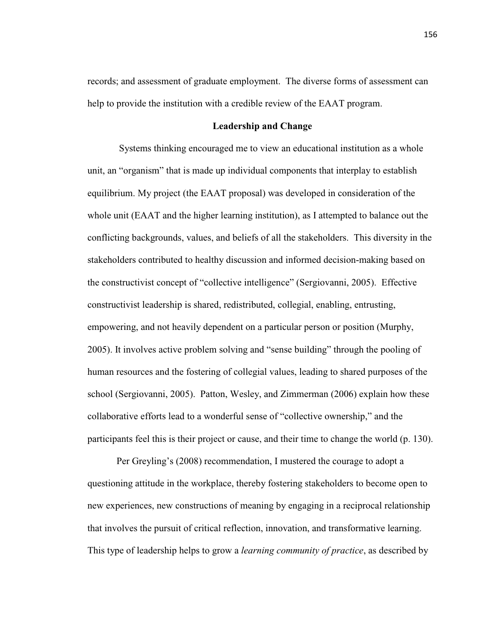records; and assessment of graduate employment. The diverse forms of assessment can help to provide the institution with a credible review of the EAAT program.

### **Leadership and Change**

 Systems thinking encouraged me to view an educational institution as a whole unit, an "organism" that is made up individual components that interplay to establish equilibrium. My project (the EAAT proposal) was developed in consideration of the whole unit (EAAT and the higher learning institution), as I attempted to balance out the conflicting backgrounds, values, and beliefs of all the stakeholders. This diversity in the stakeholders contributed to healthy discussion and informed decision-making based on the constructivist concept of "collective intelligence" (Sergiovanni, 2005). Effective constructivist leadership is shared, redistributed, collegial, enabling, entrusting, empowering, and not heavily dependent on a particular person or position (Murphy, 2005). It involves active problem solving and "sense building" through the pooling of human resources and the fostering of collegial values, leading to shared purposes of the school (Sergiovanni, 2005). Patton, Wesley, and Zimmerman (2006) explain how these collaborative efforts lead to a wonderful sense of "collective ownership," and the participants feel this is their project or cause, and their time to change the world (p. 130).

Per Greyling's (2008) recommendation, I mustered the courage to adopt a questioning attitude in the workplace, thereby fostering stakeholders to become open to new experiences, new constructions of meaning by engaging in a reciprocal relationship that involves the pursuit of critical reflection, innovation, and transformative learning. This type of leadership helps to grow a *learning community of practice*, as described by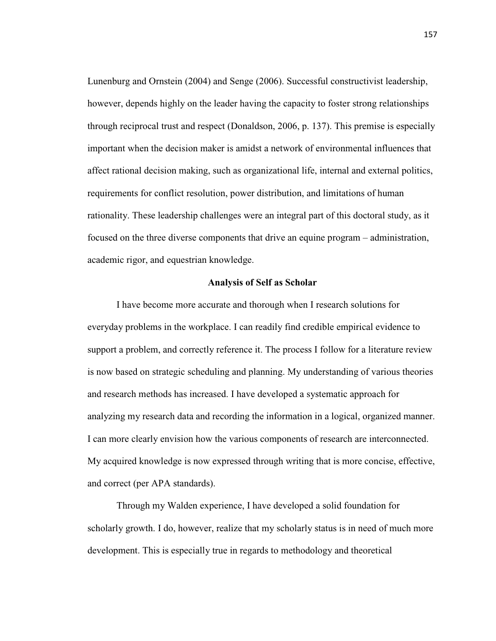Lunenburg and Ornstein (2004) and Senge (2006). Successful constructivist leadership, however, depends highly on the leader having the capacity to foster strong relationships through reciprocal trust and respect (Donaldson, 2006, p. 137). This premise is especially important when the decision maker is amidst a network of environmental influences that affect rational decision making, such as organizational life, internal and external politics, requirements for conflict resolution, power distribution, and limitations of human rationality. These leadership challenges were an integral part of this doctoral study, as it focused on the three diverse components that drive an equine program – administration, academic rigor, and equestrian knowledge.

# **Analysis of Self as Scholar**

I have become more accurate and thorough when I research solutions for everyday problems in the workplace. I can readily find credible empirical evidence to support a problem, and correctly reference it. The process I follow for a literature review is now based on strategic scheduling and planning. My understanding of various theories and research methods has increased. I have developed a systematic approach for analyzing my research data and recording the information in a logical, organized manner. I can more clearly envision how the various components of research are interconnected. My acquired knowledge is now expressed through writing that is more concise, effective, and correct (per APA standards).

 Through my Walden experience, I have developed a solid foundation for scholarly growth. I do, however, realize that my scholarly status is in need of much more development. This is especially true in regards to methodology and theoretical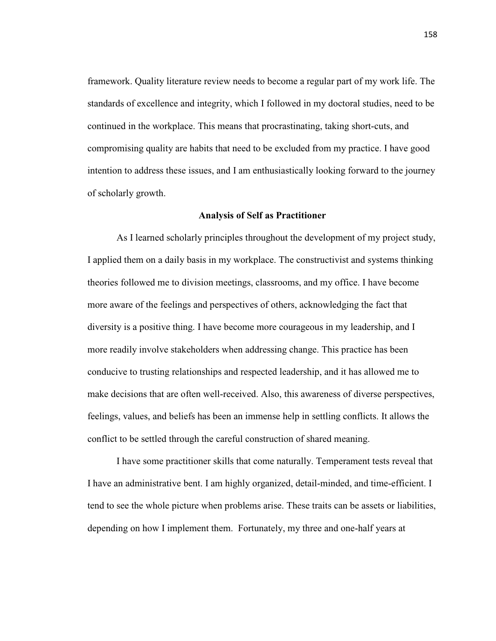framework. Quality literature review needs to become a regular part of my work life. The standards of excellence and integrity, which I followed in my doctoral studies, need to be continued in the workplace. This means that procrastinating, taking short-cuts, and compromising quality are habits that need to be excluded from my practice. I have good intention to address these issues, and I am enthusiastically looking forward to the journey of scholarly growth.

#### **Analysis of Self as Practitioner**

As I learned scholarly principles throughout the development of my project study, I applied them on a daily basis in my workplace. The constructivist and systems thinking theories followed me to division meetings, classrooms, and my office. I have become more aware of the feelings and perspectives of others, acknowledging the fact that diversity is a positive thing. I have become more courageous in my leadership, and I more readily involve stakeholders when addressing change. This practice has been conducive to trusting relationships and respected leadership, and it has allowed me to make decisions that are often well-received. Also, this awareness of diverse perspectives, feelings, values, and beliefs has been an immense help in settling conflicts. It allows the conflict to be settled through the careful construction of shared meaning.

I have some practitioner skills that come naturally. Temperament tests reveal that I have an administrative bent. I am highly organized, detail-minded, and time-efficient. I tend to see the whole picture when problems arise. These traits can be assets or liabilities, depending on how I implement them. Fortunately, my three and one-half years at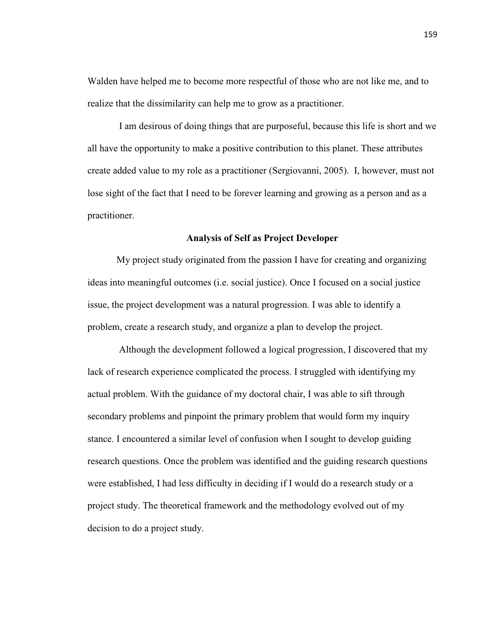Walden have helped me to become more respectful of those who are not like me, and to realize that the dissimilarity can help me to grow as a practitioner.

 I am desirous of doing things that are purposeful, because this life is short and we all have the opportunity to make a positive contribution to this planet. These attributes create added value to my role as a practitioner (Sergiovanni, 2005). I, however, must not lose sight of the fact that I need to be forever learning and growing as a person and as a practitioner.

# **Analysis of Self as Project Developer**

 My project study originated from the passion I have for creating and organizing ideas into meaningful outcomes (i.e. social justice). Once I focused on a social justice issue, the project development was a natural progression. I was able to identify a problem, create a research study, and organize a plan to develop the project.

 Although the development followed a logical progression, I discovered that my lack of research experience complicated the process. I struggled with identifying my actual problem. With the guidance of my doctoral chair, I was able to sift through secondary problems and pinpoint the primary problem that would form my inquiry stance. I encountered a similar level of confusion when I sought to develop guiding research questions. Once the problem was identified and the guiding research questions were established, I had less difficulty in deciding if I would do a research study or a project study. The theoretical framework and the methodology evolved out of my decision to do a project study.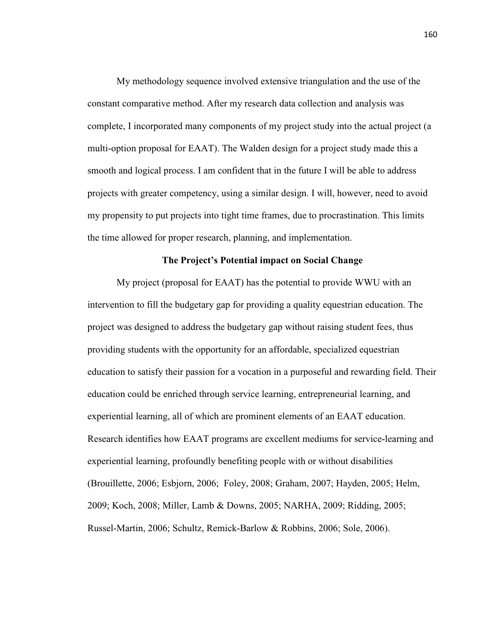My methodology sequence involved extensive triangulation and the use of the constant comparative method. After my research data collection and analysis was complete, I incorporated many components of my project study into the actual project (a multi-option proposal for EAAT). The Walden design for a project study made this a smooth and logical process. I am confident that in the future I will be able to address projects with greater competency, using a similar design. I will, however, need to avoid my propensity to put projects into tight time frames, due to procrastination. This limits the time allowed for proper research, planning, and implementation.

# **The Project's Potential impact on Social Change**

My project (proposal for EAAT) has the potential to provide WWU with an intervention to fill the budgetary gap for providing a quality equestrian education. The project was designed to address the budgetary gap without raising student fees, thus providing students with the opportunity for an affordable, specialized equestrian education to satisfy their passion for a vocation in a purposeful and rewarding field. Their education could be enriched through service learning, entrepreneurial learning, and experiential learning, all of which are prominent elements of an EAAT education. Research identifies how EAAT programs are excellent mediums for service-learning and experiential learning, profoundly benefiting people with or without disabilities (Brouillette, 2006; Esbjorn, 2006; Foley, 2008; Graham, 2007; Hayden, 2005; Helm, 2009; Koch, 2008; Miller, Lamb & Downs, 2005; NARHA, 2009; Ridding, 2005; Russel-Martin, 2006; Schultz, Remick-Barlow & Robbins, 2006; Sole, 2006).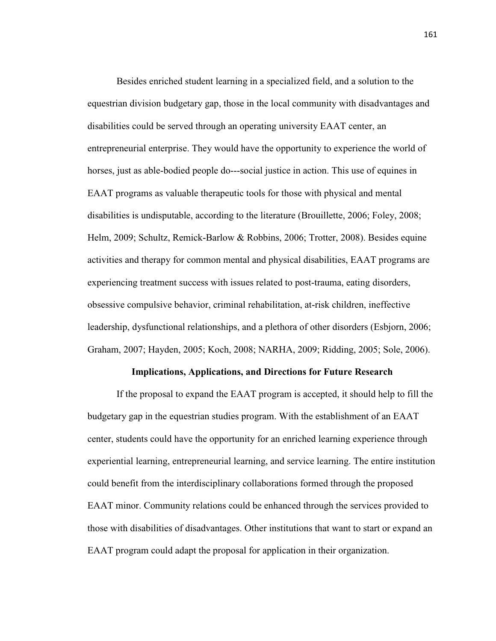Besides enriched student learning in a specialized field, and a solution to the equestrian division budgetary gap, those in the local community with disadvantages and disabilities could be served through an operating university EAAT center, an entrepreneurial enterprise. They would have the opportunity to experience the world of horses, just as able-bodied people do---social justice in action. This use of equines in EAAT programs as valuable therapeutic tools for those with physical and mental disabilities is undisputable, according to the literature (Brouillette, 2006; Foley, 2008; Helm, 2009; Schultz, Remick-Barlow & Robbins, 2006; Trotter, 2008). Besides equine activities and therapy for common mental and physical disabilities, EAAT programs are experiencing treatment success with issues related to post-trauma, eating disorders, obsessive compulsive behavior, criminal rehabilitation, at-risk children, ineffective leadership, dysfunctional relationships, and a plethora of other disorders (Esbjorn, 2006; Graham, 2007; Hayden, 2005; Koch, 2008; NARHA, 2009; Ridding, 2005; Sole, 2006).

#### **Implications, Applications, and Directions for Future Research**

 If the proposal to expand the EAAT program is accepted, it should help to fill the budgetary gap in the equestrian studies program. With the establishment of an EAAT center, students could have the opportunity for an enriched learning experience through experiential learning, entrepreneurial learning, and service learning. The entire institution could benefit from the interdisciplinary collaborations formed through the proposed EAAT minor. Community relations could be enhanced through the services provided to those with disabilities of disadvantages. Other institutions that want to start or expand an EAAT program could adapt the proposal for application in their organization.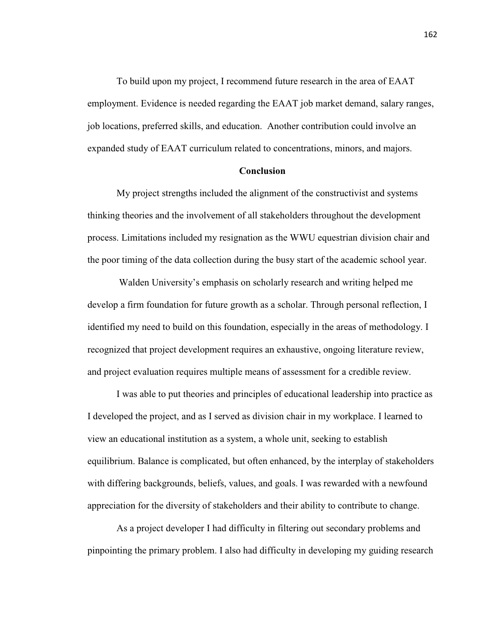To build upon my project, I recommend future research in the area of EAAT employment. Evidence is needed regarding the EAAT job market demand, salary ranges, job locations, preferred skills, and education. Another contribution could involve an expanded study of EAAT curriculum related to concentrations, minors, and majors.

## **Conclusion**

My project strengths included the alignment of the constructivist and systems thinking theories and the involvement of all stakeholders throughout the development process. Limitations included my resignation as the WWU equestrian division chair and the poor timing of the data collection during the busy start of the academic school year.

 Walden University's emphasis on scholarly research and writing helped me develop a firm foundation for future growth as a scholar. Through personal reflection, I identified my need to build on this foundation, especially in the areas of methodology. I recognized that project development requires an exhaustive, ongoing literature review, and project evaluation requires multiple means of assessment for a credible review.

I was able to put theories and principles of educational leadership into practice as I developed the project, and as I served as division chair in my workplace. I learned to view an educational institution as a system, a whole unit, seeking to establish equilibrium. Balance is complicated, but often enhanced, by the interplay of stakeholders with differing backgrounds, beliefs, values, and goals. I was rewarded with a newfound appreciation for the diversity of stakeholders and their ability to contribute to change.

As a project developer I had difficulty in filtering out secondary problems and pinpointing the primary problem. I also had difficulty in developing my guiding research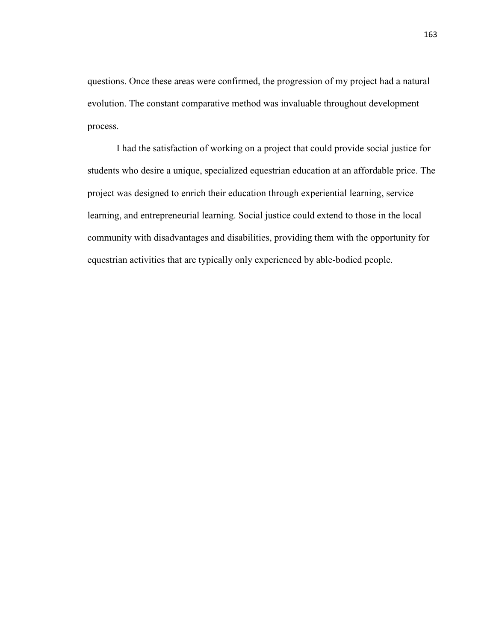questions. Once these areas were confirmed, the progression of my project had a natural evolution. The constant comparative method was invaluable throughout development process.

I had the satisfaction of working on a project that could provide social justice for students who desire a unique, specialized equestrian education at an affordable price. The project was designed to enrich their education through experiential learning, service learning, and entrepreneurial learning. Social justice could extend to those in the local community with disadvantages and disabilities, providing them with the opportunity for equestrian activities that are typically only experienced by able-bodied people.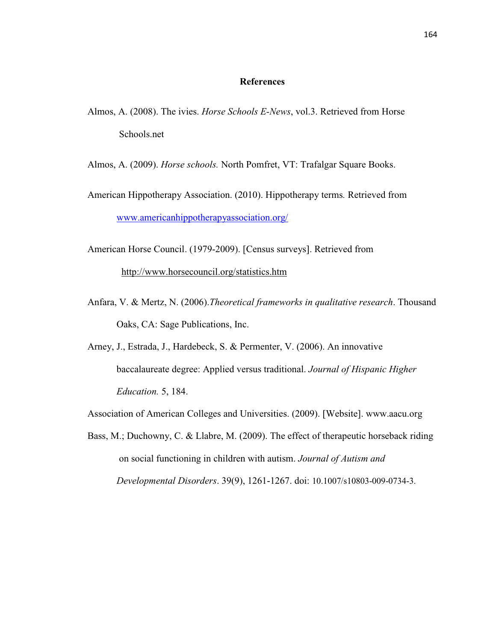### **References**

Almos, A. (2008). The ivies. *Horse Schools E-News*, vol.3. Retrieved from Horse Schools.net

Almos, A. (2009). *Horse schools.* North Pomfret, VT: Trafalgar Square Books.

- American Hippotherapy Association. (2010). Hippotherapy terms*.* Retrieved from www.americanhippotherapyassociation.org/
- American Horse Council. (1979-2009). [Census surveys]. Retrieved from http://www.horsecouncil.org/statistics.htm
- Anfara, V. & Mertz, N. (2006).*Theoretical frameworks in qualitative research*. Thousand Oaks, CA: Sage Publications, Inc.
- Arney, J., Estrada, J., Hardebeck, S. & Permenter, V. (2006). An innovative baccalaureate degree: Applied versus traditional. *Journal of Hispanic Higher Education.* 5, 184.

Association of American Colleges and Universities. (2009). [Website]. www.aacu.org

Bass, M.; Duchowny, C. & Llabre, M. (2009). The effect of therapeutic horseback riding on social functioning in children with autism. *Journal of Autism and Developmental Disorders*. 39(9), 1261-1267. doi: 10.1007/s10803-009-0734-3.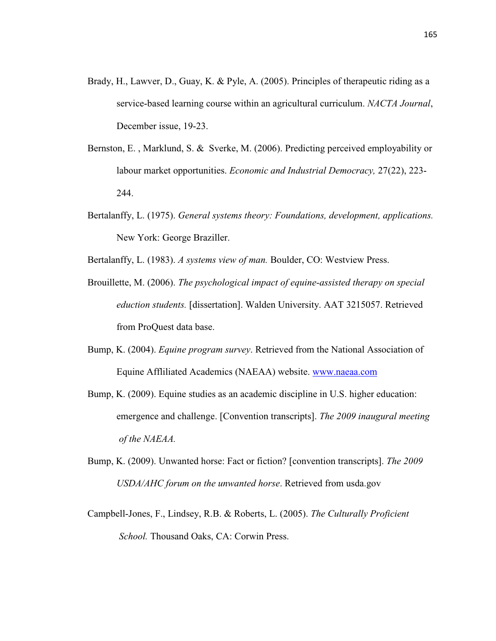- Brady, H., Lawver, D., Guay, K. & Pyle, A. (2005). Principles of therapeutic riding as a service-based learning course within an agricultural curriculum. *NACTA Journal*, December issue, 19-23.
- Bernston, E. , Marklund, S. & Sverke, M. (2006). Predicting perceived employability or labour market opportunities. *Economic and Industrial Democracy,* 27(22), 223- 244.
- Bertalanffy, L. (1975). *General systems theory: Foundations, development, applications.* New York: George Braziller.

Bertalanffy, L. (1983). *A systems view of man.* Boulder, CO: Westview Press.

- Brouillette, M. (2006). *The psychological impact of equine-assisted therapy on special eduction students.* [dissertation]. Walden University. AAT 3215057. Retrieved from ProQuest data base.
- Bump, K. (2004). *Equine program survey*. Retrieved from the National Association of Equine Affliliated Academics (NAEAA) website. www.naeaa.com
- Bump, K. (2009). Equine studies as an academic discipline in U.S. higher education: emergence and challenge. [Convention transcripts]. *The 2009 inaugural meeting of the NAEAA.*
- Bump, K. (2009). Unwanted horse: Fact or fiction? [convention transcripts]. *The 2009 USDA/AHC forum on the unwanted horse*. Retrieved from usda.gov
- Campbell-Jones, F., Lindsey, R.B. & Roberts, L. (2005). *The Culturally Proficient School.* Thousand Oaks, CA: Corwin Press.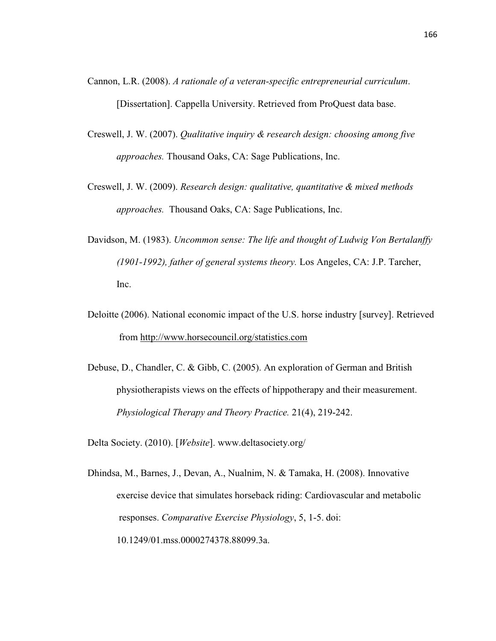- Cannon, L.R. (2008). *A rationale of a veteran-specific entrepreneurial curriculum*. [Dissertation]. Cappella University. Retrieved from ProQuest data base.
- Creswell, J. W. (2007). *Qualitative inquiry & research design: choosing among five approaches.* Thousand Oaks, CA: Sage Publications, Inc.
- Creswell, J. W. (2009). *Research design: qualitative, quantitative & mixed methods approaches.* Thousand Oaks, CA: Sage Publications, Inc.
- Davidson, M. (1983). *Uncommon sense: The life and thought of Ludwig Von Bertalanffy (1901-1992), father of general systems theory.* Los Angeles, CA: J.P. Tarcher, Inc.
- Deloitte (2006). National economic impact of the U.S. horse industry [survey]. Retrieved from http://www.horsecouncil.org/statistics.com
- Debuse, D., Chandler, C. & Gibb, C. (2005). An exploration of German and British physiotherapists views on the effects of hippotherapy and their measurement. *Physiological Therapy and Theory Practice.* 21(4), 219-242.

Delta Society. (2010). [*Website*]. www.deltasociety.org/

Dhindsa, M., Barnes, J., Devan, A., Nualnim, N. & Tamaka, H. (2008). Innovative exercise device that simulates horseback riding: Cardiovascular and metabolic responses. *Comparative Exercise Physiology*, 5, 1-5. doi: 10.1249/01.mss.0000274378.88099.3a.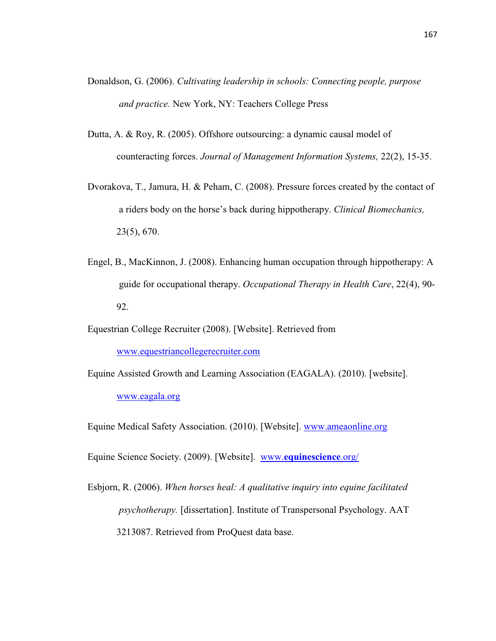- Donaldson, G. (2006). *Cultivating leadership in schools: Connecting people, purpose and practice.* New York, NY: Teachers College Press
- Dutta, A. & Roy, R. (2005). Offshore outsourcing: a dynamic causal model of counteracting forces. *Journal of Management Information Systems,* 22(2), 15-35.
- Dvorakova, T., Jamura, H. & Peham, C. (2008). Pressure forces created by the contact of a riders body on the horse's back during hippotherapy. *Clinical Biomechanics,*  23(5), 670.
- Engel, B., MacKinnon, J. (2008). Enhancing human occupation through hippotherapy: A guide for occupational therapy. *Occupational Therapy in Health Care*, 22(4), 90- 92.

Equestrian College Recruiter (2008). [Website]. Retrieved from

www.equestriancollegerecruiter.com

Equine Assisted Growth and Learning Association (EAGALA). (2010). [website]. www.eagala.org

Equine Medical Safety Association. (2010). [Website]. www.ameaonline.org

Equine Science Society. (2009). [Website]. www.**equinescience**.org/

Esbjorn, R. (2006). *When horses heal: A qualitative inquiry into equine facilitated psychotherapy.* [dissertation]. Institute of Transpersonal Psychology. AAT 3213087. Retrieved from ProQuest data base.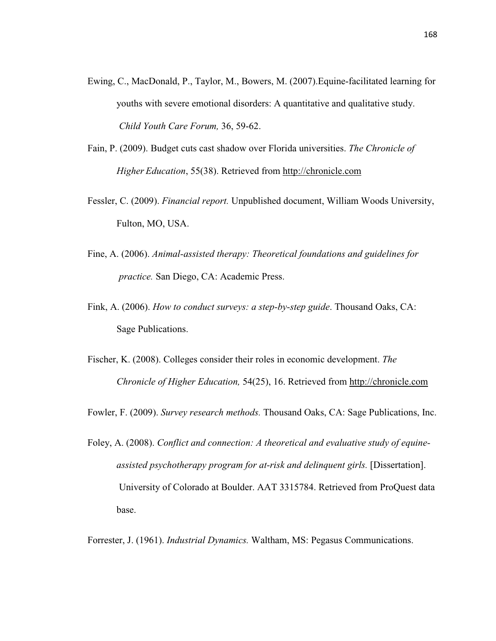- Ewing, C., MacDonald, P., Taylor, M., Bowers, M. (2007).Equine-facilitated learning for youths with severe emotional disorders: A quantitative and qualitative study. *Child Youth Care Forum,* 36, 59-62.
- Fain, P. (2009). Budget cuts cast shadow over Florida universities. *The Chronicle of Higher Education*, 55(38). Retrieved from http://chronicle.com
- Fessler, C. (2009). *Financial report.* Unpublished document, William Woods University, Fulton, MO, USA.
- Fine, A. (2006). *Animal-assisted therapy: Theoretical foundations and guidelines for practice.* San Diego, CA: Academic Press.
- Fink, A. (2006). *How to conduct surveys: a step-by-step guide*. Thousand Oaks, CA: Sage Publications.
- Fischer, K. (2008). Colleges consider their roles in economic development. *The Chronicle of Higher Education,* 54(25), 16. Retrieved from http://chronicle.com

Fowler, F. (2009). *Survey research methods.* Thousand Oaks, CA: Sage Publications, Inc.

Foley, A. (2008). *Conflict and connection: A theoretical and evaluative study of equine assisted psychotherapy program for at-risk and delinquent girls.* [Dissertation]. University of Colorado at Boulder. AAT 3315784. Retrieved from ProQuest data base.

Forrester, J. (1961). *Industrial Dynamics.* Waltham, MS: Pegasus Communications.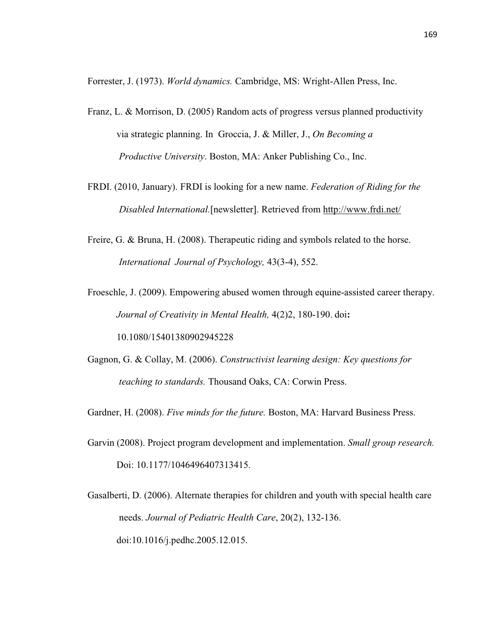Forrester, J. (1973). *World dynamics.* Cambridge, MS: Wright-Allen Press, Inc.

- Franz, L. & Morrison, D. (2005) Random acts of progress versus planned productivity via strategic planning. In Groccia, J. & Miller, J., *On Becoming a Productive University*. Boston, MA: Anker Publishing Co., Inc.
- FRDI. (2010, January). FRDI is looking for a new name. *Federation of Riding for the Disabled International.*[newsletter]. Retrieved from http://www.frdi.net/
- Freire, G. & Bruna, H. (2008). Therapeutic riding and symbols related to the horse.  *International Journal of Psychology,* 43(3-4), 552.
- Froeschle, J. (2009). Empowering abused women through equine-assisted career therapy. *Journal of Creativity in Mental Health,* 4(2)2, 180-190. doi**:** 10.1080/15401380902945228
- Gagnon, G. & Collay, M. (2006). *Constructivist learning design: Key questions for teaching to standards.* Thousand Oaks, CA: Corwin Press.

Gardner, H. (2008). *Five minds for the future.* Boston, MA: Harvard Business Press.

- Garvin (2008). Project program development and implementation. *Small group research.*  Doi: 10.1177/1046496407313415.
- Gasalberti, D. (2006). Alternate therapies for children and youth with special health care needs. *Journal of Pediatric Health Care*, 20(2), 132-136. doi:10.1016/j.pedhc.2005.12.015.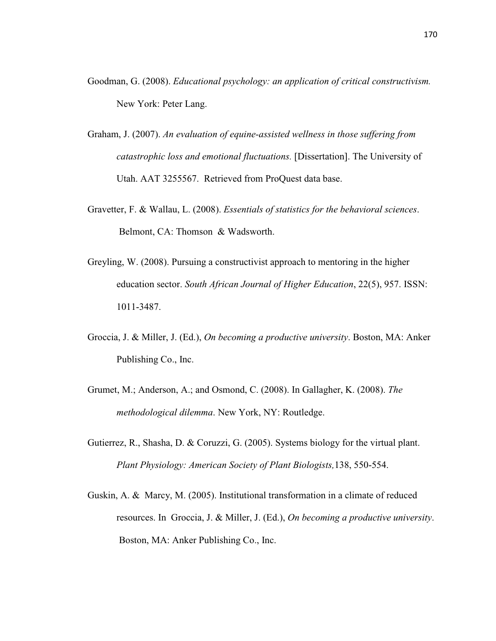- Goodman, G. (2008). *Educational psychology: an application of critical constructivism.* New York: Peter Lang.
- Graham, J. (2007). *An evaluation of equine-assisted wellness in those suffering from catastrophic loss and emotional fluctuations.* [Dissertation]. The University of Utah. AAT 3255567. Retrieved from ProQuest data base.
- Gravetter, F. & Wallau, L. (2008). *Essentials of statistics for the behavioral sciences*. Belmont, CA: Thomson & Wadsworth.
- Greyling, W. (2008). Pursuing a constructivist approach to mentoring in the higher education sector. *South African Journal of Higher Education*, 22(5), 957. ISSN: 1011-3487.
- Groccia, J. & Miller, J. (Ed.), *On becoming a productive university*. Boston, MA: Anker Publishing Co., Inc.
- Grumet, M.; Anderson, A.; and Osmond, C. (2008). In Gallagher, K. (2008). *The methodological dilemma*. New York, NY: Routledge.
- Gutierrez, R., Shasha, D. & Coruzzi, G. (2005). Systems biology for the virtual plant. *Plant Physiology: American Society of Plant Biologists,*138, 550-554.
- Guskin, A. & Marcy, M. (2005). Institutional transformation in a climate of reduced resources. In Groccia, J. & Miller, J. (Ed.), *On becoming a productive university*. Boston, MA: Anker Publishing Co., Inc.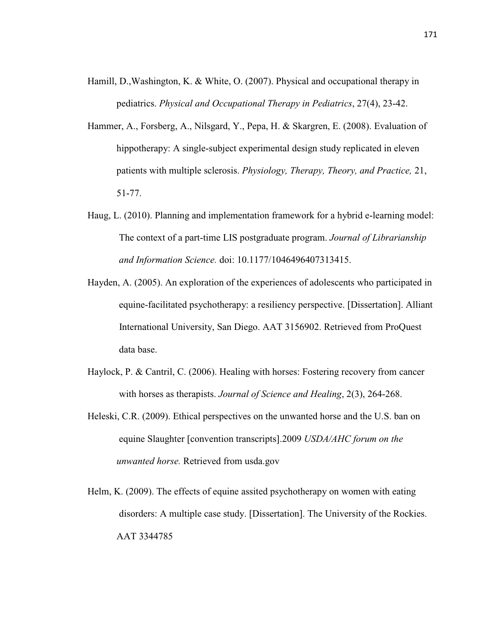- Hamill, D.,Washington, K. & White, O. (2007). Physical and occupational therapy in pediatrics. *Physical and Occupational Therapy in Pediatrics*, 27(4), 23-42.
- Hammer, A., Forsberg, A., Nilsgard, Y., Pepa, H. & Skargren, E. (2008). Evaluation of hippotherapy: A single-subject experimental design study replicated in eleven patients with multiple sclerosis. *Physiology, Therapy, Theory, and Practice,* 21, 51-77.
- Haug, L. (2010). Planning and implementation framework for a hybrid e-learning model: The context of a part-time LIS postgraduate program. *Journal of Librarianship and Information Science.* doi: 10.1177/1046496407313415.
- Hayden, A. (2005). An exploration of the experiences of adolescents who participated in equine-facilitated psychotherapy: a resiliency perspective. [Dissertation]. Alliant International University, San Diego. AAT 3156902. Retrieved from ProQuest data base.
- Haylock, P. & Cantril, C. (2006). Healing with horses: Fostering recovery from cancer with horses as therapists. *Journal of Science and Healing*, 2(3), 264-268.
- Heleski, C.R. (2009). Ethical perspectives on the unwanted horse and the U.S. ban on equine Slaughter [convention transcripts].2009 *USDA/AHC forum on the unwanted horse.* Retrieved from usda.gov
- Helm, K. (2009). The effects of equine assited psychotherapy on women with eating disorders: A multiple case study. [Dissertation]. The University of the Rockies. AAT 3344785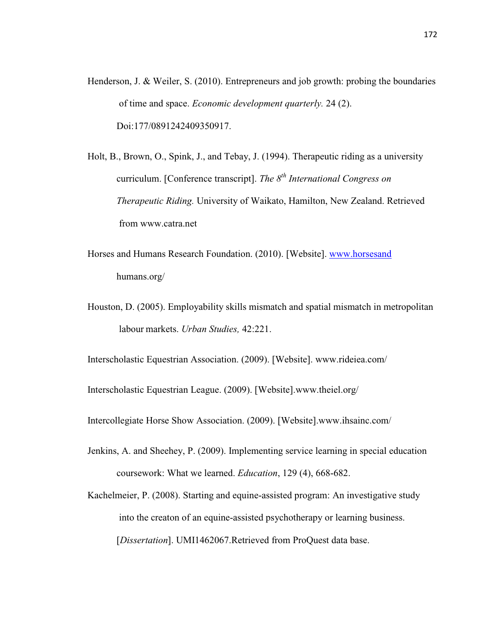- Henderson, J. & Weiler, S. (2010). Entrepreneurs and job growth: probing the boundaries of time and space. *Economic development quarterly.* 24 (2). Doi:177/0891242409350917.
- Holt, B., Brown, O., Spink, J., and Tebay, J. (1994). Therapeutic riding as a university curriculum. [Conference transcript]. *The 8th International Congress on Therapeutic Riding.* University of Waikato, Hamilton, New Zealand. Retrieved from www.catra.net
- Horses and Humans Research Foundation. (2010). [Website]. www.horsesand humans.org/
- Houston, D. (2005). Employability skills mismatch and spatial mismatch in metropolitan labour markets. *Urban Studies,* 42:221.

Interscholastic Equestrian Association. (2009). [Website]. www.rideiea.com/

Interscholastic Equestrian League. (2009). [Website].www.theiel.org/

Intercollegiate Horse Show Association. (2009). [Website].www.ihsainc.com/

- Jenkins, A. and Sheehey, P. (2009). Implementing service learning in special education coursework: What we learned. *Education*, 129 (4), 668-682.
- Kachelmeier, P. (2008). Starting and equine-assisted program: An investigative study into the creaton of an equine-assisted psychotherapy or learning business. [*Dissertation*]. UMI1462067.Retrieved from ProQuest data base.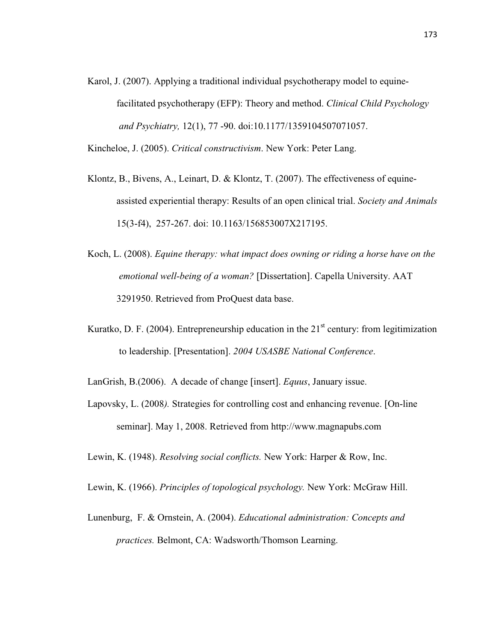Karol, J. (2007). Applying a traditional individual psychotherapy model to equine facilitated psychotherapy (EFP): Theory and method. *Clinical Child Psychology and Psychiatry,* 12(1), 77 -90. doi:10.1177/1359104507071057.

Kincheloe, J. (2005). *Critical constructivism*. New York: Peter Lang.

- Klontz, B., Bivens, A., Leinart, D. & Klontz, T. (2007). The effectiveness of equine assisted experiential therapy: Results of an open clinical trial. *Society and Animals* 15(3-f4), 257-267. doi: 10.1163/156853007X217195.
- Koch, L. (2008). *Equine therapy: what impact does owning or riding a horse have on the emotional well-being of a woman?* [Dissertation]. Capella University. AAT 3291950. Retrieved from ProQuest data base.
- Kuratko, D. F. (2004). Entrepreneurship education in the  $21<sup>st</sup>$  century: from legitimization to leadership. [Presentation]. *2004 USASBE National Conference*.

LanGrish, B.(2006). A decade of change [insert]. *Equus*, January issue.

Lapovsky, L. (2008*).* Strategies for controlling cost and enhancing revenue. [On-line seminar]. May 1, 2008. Retrieved from http://www.magnapubs.com

Lewin, K. (1948). *Resolving social conflicts.* New York: Harper & Row, Inc.

Lewin, K. (1966). *Principles of topological psychology.* New York: McGraw Hill.

Lunenburg, F. & Ornstein, A. (2004). *Educational administration: Concepts and practices.* Belmont, CA: Wadsworth/Thomson Learning.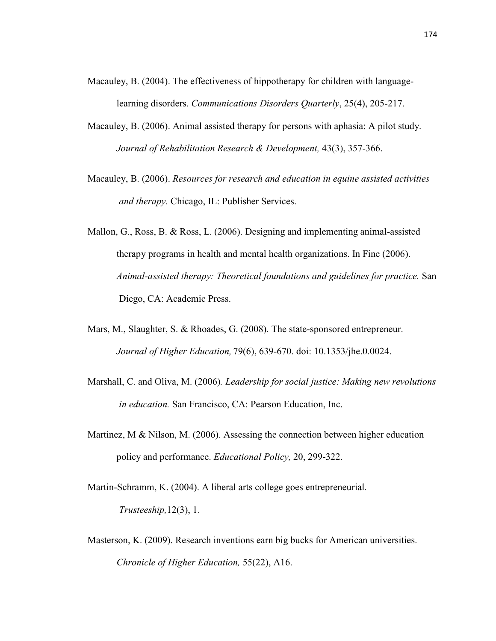- Macauley, B. (2004). The effectiveness of hippotherapy for children with language learning disorders. *Communications Disorders Quarterly*, 25(4), 205-217.
- Macauley, B. (2006). Animal assisted therapy for persons with aphasia: A pilot study. *Journal of Rehabilitation Research & Development,* 43(3), 357-366.
- Macauley, B. (2006). *Resources for research and education in equine assisted activities and therapy.* Chicago, IL: Publisher Services.
- Mallon, G., Ross, B. & Ross, L. (2006). Designing and implementing animal-assisted therapy programs in health and mental health organizations. In Fine (2006). *Animal-assisted therapy: Theoretical foundations and guidelines for practice.* San Diego, CA: Academic Press.
- Mars, M., Slaughter, S. & Rhoades, G. (2008). The state-sponsored entrepreneur.  *Journal of Higher Education,* 79(6), 639-670. doi: 10.1353/jhe.0.0024.
- Marshall, C. and Oliva, M. (2006)*. Leadership for social justice: Making new revolutions in education.* San Francisco, CA: Pearson Education, Inc.
- Martinez, M & Nilson, M. (2006). Assessing the connection between higher education policy and performance. *Educational Policy,* 20, 299-322.
- Martin-Schramm, K. (2004). A liberal arts college goes entrepreneurial. *Trusteeship,*12(3), 1.
- Masterson, K. (2009). Research inventions earn big bucks for American universities.  *Chronicle of Higher Education,* 55(22), A16.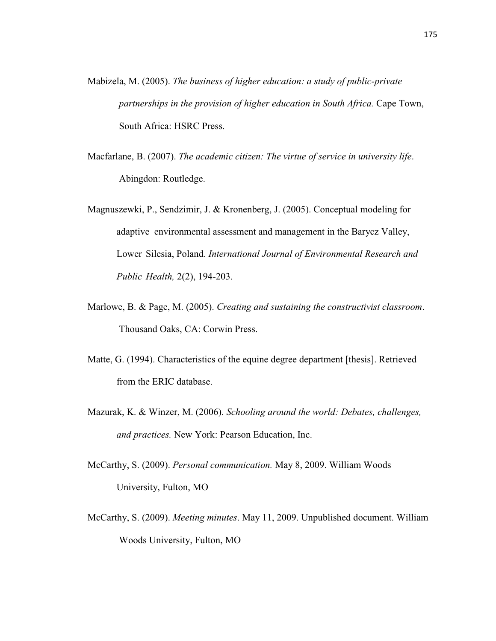- Mabizela, M. (2005). *The business of higher education: a study of public-private partnerships in the provision of higher education in South Africa.* Cape Town, South Africa: HSRC Press.
- Macfarlane, B. (2007). *The academic citizen: The virtue of service in university life*. Abingdon: Routledge.
- Magnuszewki, P., Sendzimir, J. & Kronenberg, J. (2005). Conceptual modeling for adaptive environmental assessment and management in the Barycz Valley, Lower Silesia, Poland. *International Journal of Environmental Research and Public Health,* 2(2), 194-203.
- Marlowe, B. & Page, M. (2005). *Creating and sustaining the constructivist classroom*. Thousand Oaks, CA: Corwin Press.
- Matte, G. (1994). Characteristics of the equine degree department [thesis]. Retrieved from the ERIC database.
- Mazurak, K. & Winzer, M. (2006). *Schooling around the world: Debates, challenges, and practices.* New York: Pearson Education, Inc.
- McCarthy, S. (2009). *Personal communication.* May 8, 2009. William Woods University, Fulton, MO
- McCarthy, S. (2009). *Meeting minutes*. May 11, 2009. Unpublished document. William Woods University, Fulton, MO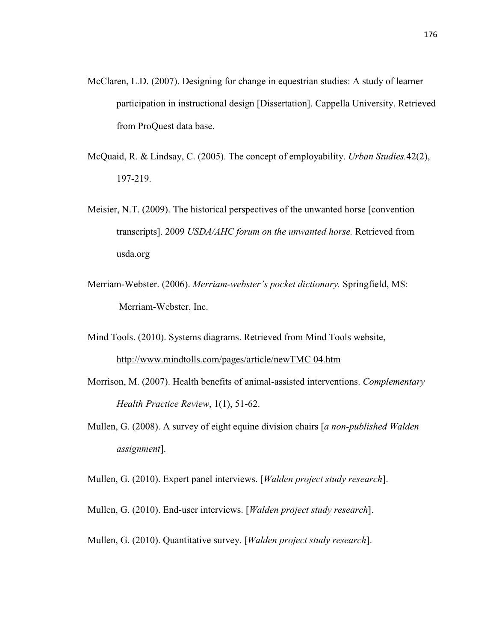- McClaren, L.D. (2007). Designing for change in equestrian studies: A study of learner participation in instructional design [Dissertation]. Cappella University. Retrieved from ProQuest data base.
- McQuaid, R. & Lindsay, C. (2005). The concept of employability. *Urban Studies.*42(2), 197-219.
- Meisier, N.T. (2009). The historical perspectives of the unwanted horse [convention transcripts]. 2009 *USDA/AHC forum on the unwanted horse.* Retrieved from usda.org
- Merriam-Webster. (2006). *Merriam-webster's pocket dictionary.* Springfield, MS: Merriam-Webster, Inc.
- Mind Tools. (2010). Systems diagrams. Retrieved from Mind Tools website, http://www.mindtolls.com/pages/article/newTMC 04.htm
- Morrison, M. (2007). Health benefits of animal-assisted interventions. *Complementary Health Practice Review*, 1(1), 51-62.
- Mullen, G. (2008). A survey of eight equine division chairs [*a non-published Walden assignment*].

Mullen, G. (2010). Expert panel interviews. [*Walden project study research*].

Mullen, G. (2010). End-user interviews. [*Walden project study research*].

Mullen, G. (2010). Quantitative survey. [*Walden project study research*].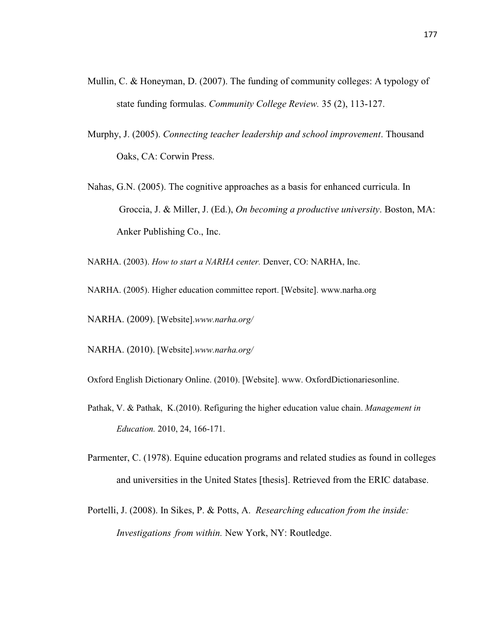- Mullin, C. & Honeyman, D. (2007). The funding of community colleges: A typology of state funding formulas. *Community College Review.* 35 (2), 113-127.
- Murphy, J. (2005). *Connecting teacher leadership and school improvement*. Thousand Oaks, CA: Corwin Press.
- Nahas, G.N. (2005). The cognitive approaches as a basis for enhanced curricula. In Groccia, J. & Miller, J. (Ed.), *On becoming a productive university*. Boston, MA: Anker Publishing Co., Inc.

NARHA. (2003). *How to start a NARHA center.* Denver, CO: NARHA, Inc.

NARHA. (2005). Higher education committee report. [Website]. www.narha.org

NARHA. (2009). [Website].*www.narha.org/* 

NARHA. (2010). [Website].*www.narha.org/* 

Oxford English Dictionary Online. (2010). [Website]. www. OxfordDictionariesonline.

- Pathak, V. & Pathak, K.(2010). Refiguring the higher education value chain. *Management in Education.* 2010, 24, 166-171.
- Parmenter, C. (1978). Equine education programs and related studies as found in colleges and universities in the United States [thesis]. Retrieved from the ERIC database.
- Portelli, J. (2008). In Sikes, P. & Potts, A. *Researching education from the inside: Investigations from within.* New York, NY: Routledge.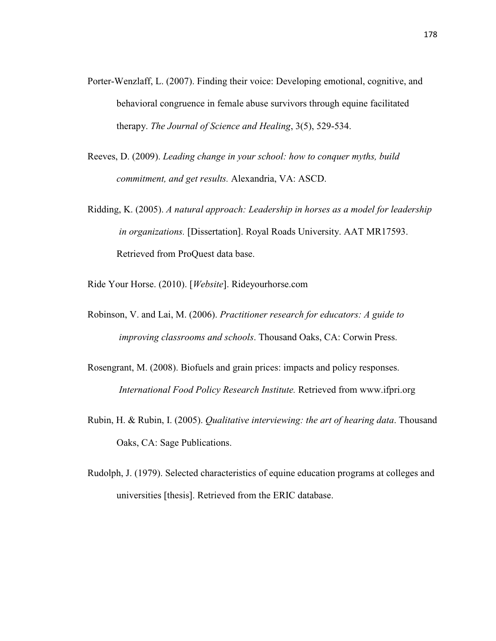- Porter-Wenzlaff, L. (2007). Finding their voice: Developing emotional, cognitive, and behavioral congruence in female abuse survivors through equine facilitated therapy. *The Journal of Science and Healing*, 3(5), 529-534.
- Reeves, D. (2009). *Leading change in your school: how to conquer myths, build commitment, and get results.* Alexandria, VA: ASCD.
- Ridding, K. (2005). *A natural approach: Leadership in horses as a model for leadership in organizations.* [Dissertation]. Royal Roads University. AAT MR17593. Retrieved from ProQuest data base.

Ride Your Horse. (2010). [*Website*]. Rideyourhorse.com

- Robinson, V. and Lai, M. (2006). *Practitioner research for educators: A guide to improving classrooms and schools*. Thousand Oaks, CA: Corwin Press.
- Rosengrant, M. (2008). Biofuels and grain prices: impacts and policy responses.  *International Food Policy Research Institute.* Retrieved from www.ifpri.org
- Rubin, H. & Rubin, I. (2005). *Qualitative interviewing: the art of hearing data*. Thousand Oaks, CA: Sage Publications.
- Rudolph, J. (1979). Selected characteristics of equine education programs at colleges and universities [thesis]. Retrieved from the ERIC database.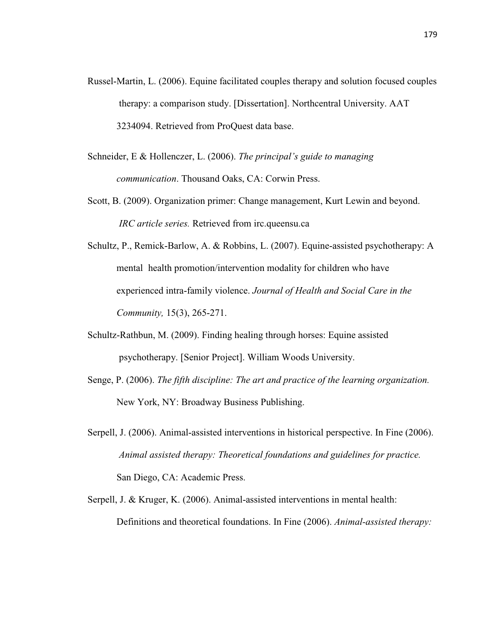- Russel-Martin, L. (2006). Equine facilitated couples therapy and solution focused couples therapy: a comparison study. [Dissertation]. Northcentral University. AAT 3234094. Retrieved from ProQuest data base.
- Schneider, E & Hollenczer, L. (2006). *The principal's guide to managing communication*. Thousand Oaks, CA: Corwin Press.
- Scott, B. (2009). Organization primer: Change management, Kurt Lewin and beyond. *IRC article series.* Retrieved from irc.queensu.ca
- Schultz, P., Remick-Barlow, A. & Robbins, L. (2007). Equine-assisted psychotherapy: A mental health promotion/intervention modality for children who have experienced intra-family violence. *Journal of Health and Social Care in the Community,* 15(3), 265-271.
- Schultz-Rathbun, M. (2009). Finding healing through horses: Equine assisted psychotherapy. [Senior Project]. William Woods University.
- Senge, P. (2006). *The fifth discipline: The art and practice of the learning organization.*  New York, NY: Broadway Business Publishing.
- Serpell, J. (2006). Animal-assisted interventions in historical perspective. In Fine (2006). *Animal assisted therapy: Theoretical foundations and guidelines for practice.*  San Diego, CA: Academic Press.
- Serpell, J. & Kruger, K. (2006). Animal-assisted interventions in mental health: Definitions and theoretical foundations. In Fine (2006). *Animal-assisted therapy:*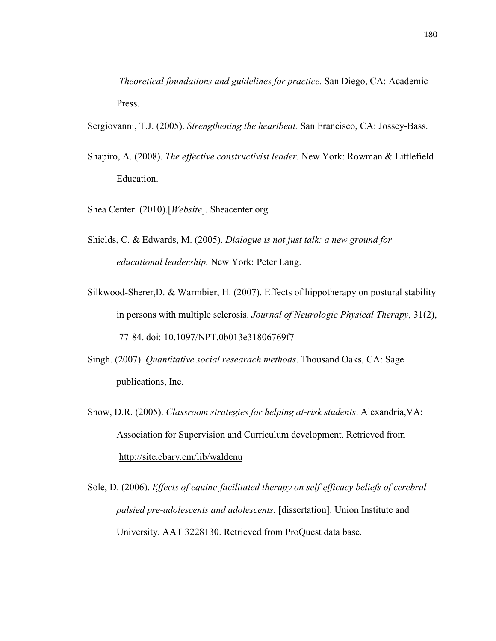*Theoretical foundations and guidelines for practice.* San Diego, CA: Academic Press.

- Sergiovanni, T.J. (2005). *Strengthening the heartbeat.* San Francisco, CA: Jossey-Bass.
- Shapiro, A. (2008). *The effective constructivist leader.* New York: Rowman & Littlefield Education.
- Shea Center. (2010).[*Website*]. Sheacenter.org
- Shields, C. & Edwards, M. (2005). *Dialogue is not just talk: a new ground for educational leadership.* New York: Peter Lang.
- Silkwood-Sherer,D. & Warmbier, H. (2007). Effects of hippotherapy on postural stability in persons with multiple sclerosis. *Journal of Neurologic Physical Therapy*, 31(2), 77-84. doi: 10.1097/NPT.0b013e31806769f7
- Singh. (2007). *Quantitative social researach methods*. Thousand Oaks, CA: Sage publications, Inc.
- Snow, D.R. (2005). *Classroom strategies for helping at-risk students*. Alexandria,VA: Association for Supervision and Curriculum development. Retrieved from http://site.ebary.cm/lib/waldenu
- Sole, D. (2006). *Effects of equine-facilitated therapy on self-efficacy beliefs of cerebral palsied pre-adolescents and adolescents.* [dissertation]. Union Institute and University. AAT 3228130. Retrieved from ProQuest data base.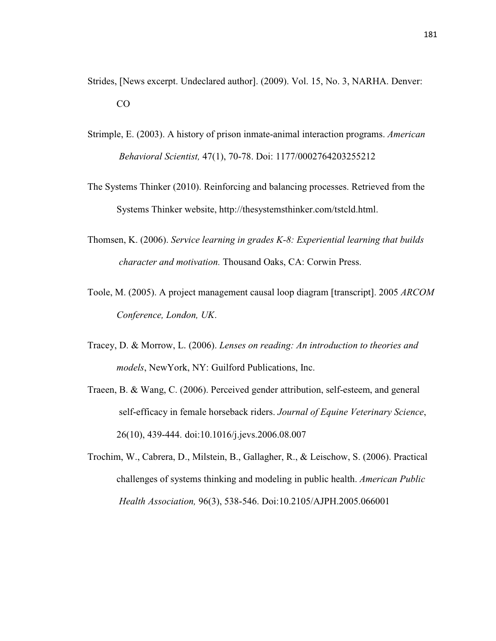- Strides, [News excerpt. Undeclared author]. (2009). Vol. 15, No. 3, NARHA. Denver: CO Strides, [News excerpt. Undeclared author]. (2009). Vol. 15, No. 3, NARHA. Denver:<br>
CO<br>
Strimple, E. (2003). A history of prison inmate-animal interaction programs. *American*
- *Behavioral Scientist,*  47(1), 70-78. Doi: 1177/0002764203255212 Behavioral Scientist, 47(1), 70-78. Doi: 1177/0002764203255212<br>The Systems Thinker (2010). Reinforcing and balancing processes. Retrieved from the
- Systems Thinker website, http://thesystemsthinker.com/tstcld.html.
- Thomsen, K. (2006). *Service learning in grades K-8: Experiential learning that builds character and motivation.*  Thousand Oaks, CA: Corwin Press.
- Toole, M. (2005). A project management causal loop diagram [transcript]. 2005 *ARCOM Conference, London, UK* .
- Tracey, D. & Morrow, L. (2006). Lenses on reading: An introduction to theories and *models*, NewYork, NY: Guilford Publications, Inc.
- Traeen, B. & Wang, C. (2006). Perceived gender attribution, self-esteem, and general self-efficacy in female horseback riders. Journal of Equine Veterinary Science, 26(10), 439-444. doi:10.1016/j.jevs.2006.08.007
- Trochim, W., Cabrera, D., Milstein, B., Gallagher, R., & Leischow, S. (2006). Practical challenges of systems thinking and modeling in public health. *American Public Health Association Association,* 96(3), 538-546. Doi:10.2105/AJPH.2005.066001 er, R., & Leischow, S. (2006).<br>ling in public health. America<br>:10.2105/AJPH.2005.066001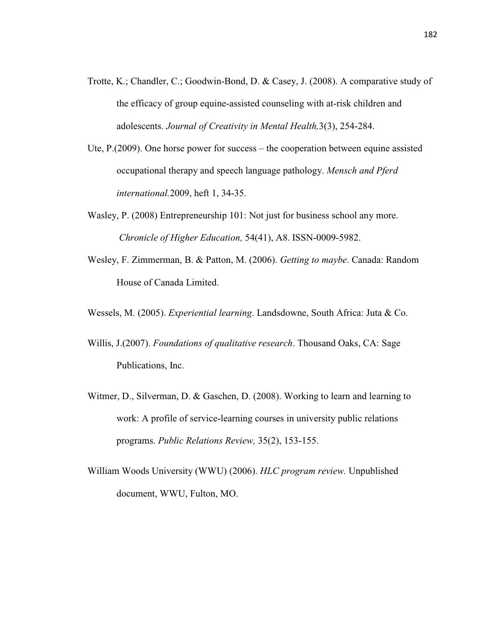- Trotte, K.; Chandler, C.; Goodwin-Bond, D. & Casey, J. (2008). A comparative study of the efficacy of group equine-assisted counseling with at-risk children and adolescents. *Journal of Creativity in Mental Health,*3(3), 254-284.
- Ute, P.(2009). One horse power for success the cooperation between equine assisted occupational therapy and speech language pathology. *Mensch and Pferd international.*2009, heft 1, 34-35.
- Wasley, P. (2008) Entrepreneurship 101: Not just for business school any more.  *Chronicle of Higher Education,* 54(41), A8. ISSN-0009-5982.
- Wesley, F. Zimmerman, B. & Patton, M. (2006). *Getting to maybe*. Canada: Random House of Canada Limited.
- Wessels, M. (2005). *Experiential learning*. Landsdowne, South Africa: Juta & Co.
- Willis, J.(2007). *Foundations of qualitative research*. Thousand Oaks, CA: Sage Publications, Inc.
- Witmer, D., Silverman, D. & Gaschen, D. (2008). Working to learn and learning to work: A profile of service-learning courses in university public relations programs. *Public Relations Review,* 35(2), 153-155.
- William Woods University (WWU) (2006). *HLC program review.* Unpublished document, WWU, Fulton, MO.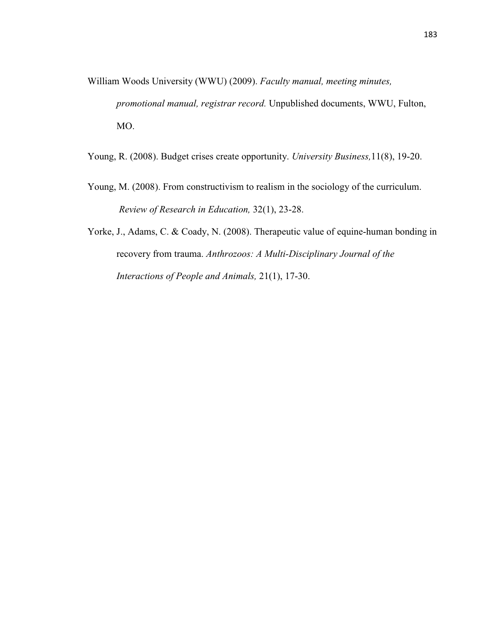- William Woods University (WWU) (2009). *Faculty manual, meeting minutes, promotional manual, registrar record.* Unpublished documents, WWU, Fulton, MO.
- Young, R. (2008). Budget crises create opportunity. *University Business,*11(8), 19-20.
- Young, M. (2008). From constructivism to realism in the sociology of the curriculum. *Review of Research in Education,* 32(1), 23-28.
- Yorke, J., Adams, C. & Coady, N. (2008). Therapeutic value of equine-human bonding in recovery from trauma. *Anthrozoos: A Multi-Disciplinary Journal of the Interactions of People and Animals,* 21(1), 17-30.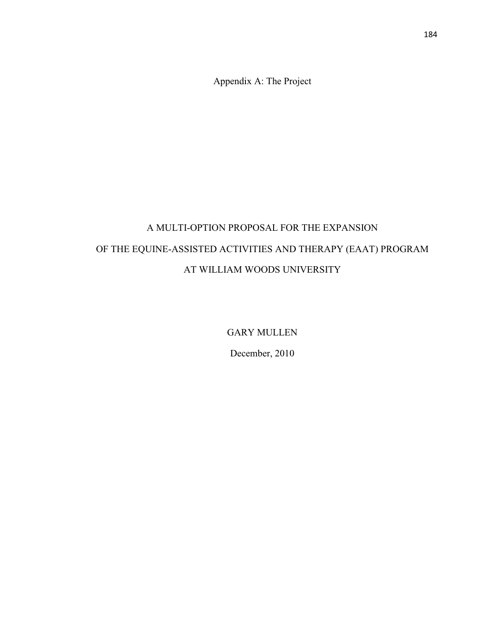Appendix A: The Project

# A MULTI-OPTION PROPOSAL FOR THE EXPANSION OF THE EQUINE-ASSISTED ACTIVITIES AND THERAPY (EAAT) PROGRAM AT WILLIAM WOODS UNIVERSITY

GARY MULLEN

December, 2010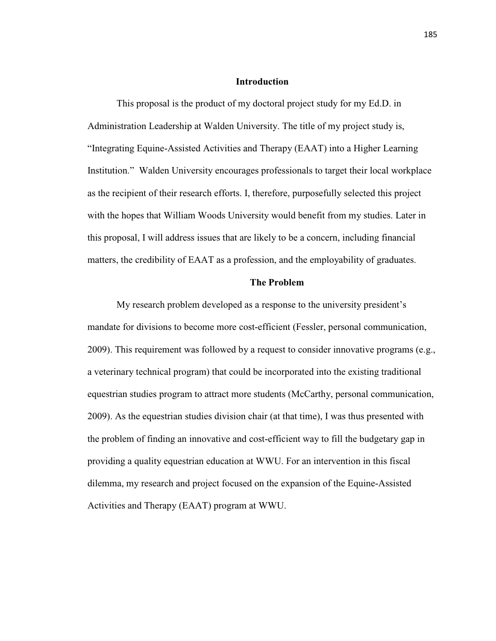#### **Introduction**

This proposal is the product of my doctoral project study for my Ed.D. in Administration Leadership at Walden University. The title of my project study is, "Integrating Equine-Assisted Activities and Therapy (EAAT) into a Higher Learning Institution." Walden University encourages professionals to target their local workplace as the recipient of their research efforts. I, therefore, purposefully selected this project with the hopes that William Woods University would benefit from my studies. Later in this proposal, I will address issues that are likely to be a concern, including financial matters, the credibility of EAAT as a profession, and the employability of graduates.

#### **The Problem**

My research problem developed as a response to the university president's mandate for divisions to become more cost-efficient (Fessler, personal communication, 2009). This requirement was followed by a request to consider innovative programs (e.g., a veterinary technical program) that could be incorporated into the existing traditional equestrian studies program to attract more students (McCarthy, personal communication, 2009). As the equestrian studies division chair (at that time), I was thus presented with the problem of finding an innovative and cost-efficient way to fill the budgetary gap in providing a quality equestrian education at WWU. For an intervention in this fiscal dilemma, my research and project focused on the expansion of the Equine-Assisted Activities and Therapy (EAAT) program at WWU.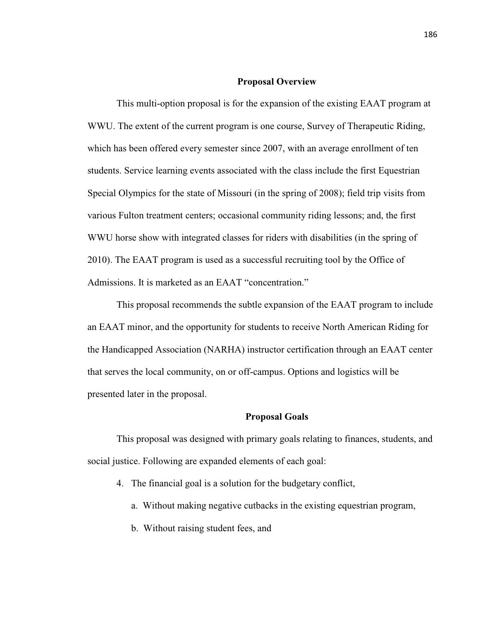#### **Proposal Overview**

This multi-option proposal is for the expansion of the existing EAAT program at WWU. The extent of the current program is one course, Survey of Therapeutic Riding, which has been offered every semester since 2007, with an average enrollment of ten students. Service learning events associated with the class include the first Equestrian Special Olympics for the state of Missouri (in the spring of 2008); field trip visits from various Fulton treatment centers; occasional community riding lessons; and, the first WWU horse show with integrated classes for riders with disabilities (in the spring of 2010). The EAAT program is used as a successful recruiting tool by the Office of Admissions. It is marketed as an EAAT "concentration."

This proposal recommends the subtle expansion of the EAAT program to include an EAAT minor, and the opportunity for students to receive North American Riding for the Handicapped Association (NARHA) instructor certification through an EAAT center that serves the local community, on or off-campus. Options and logistics will be presented later in the proposal.

#### **Proposal Goals**

This proposal was designed with primary goals relating to finances, students, and social justice. Following are expanded elements of each goal:

- 4. The financial goal is a solution for the budgetary conflict,
	- a. Without making negative cutbacks in the existing equestrian program,
	- b. Without raising student fees, and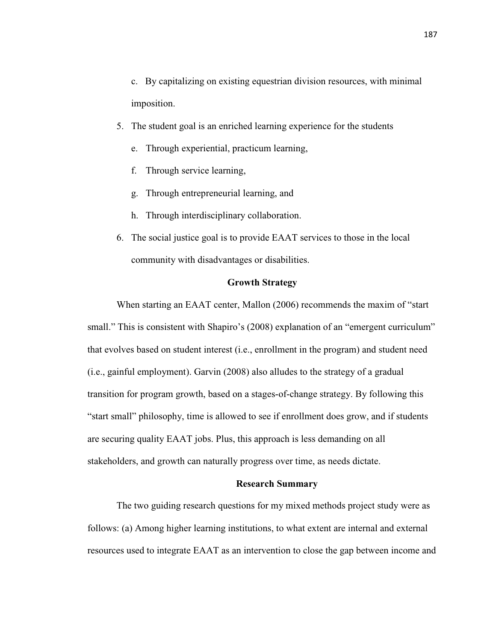- c. By capitalizing on existing equestrian division resources, with minimal imposition.
- 5. The student goal is an enriched learning experience for the students
	- e. Through experiential, practicum learning,
	- f. Through service learning,
	- g. Through entrepreneurial learning, and
	- h. Through interdisciplinary collaboration.
- 6. The social justice goal is to provide EAAT services to those in the local community with disadvantages or disabilities.

## **Growth Strategy**

When starting an EAAT center, Mallon (2006) recommends the maxim of "start small." This is consistent with Shapiro's (2008) explanation of an "emergent curriculum" that evolves based on student interest (i.e., enrollment in the program) and student need (i.e., gainful employment). Garvin (2008) also alludes to the strategy of a gradual transition for program growth, based on a stages-of-change strategy. By following this "start small" philosophy, time is allowed to see if enrollment does grow, and if students are securing quality EAAT jobs. Plus, this approach is less demanding on all stakeholders, and growth can naturally progress over time, as needs dictate.

#### **Research Summary**

The two guiding research questions for my mixed methods project study were as follows: (a) Among higher learning institutions, to what extent are internal and external resources used to integrate EAAT as an intervention to close the gap between income and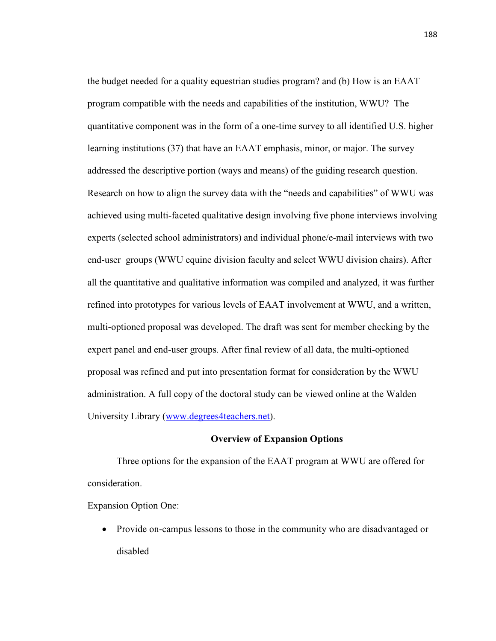the budget needed for a quality equestrian studies program? and (b) How is an EAAT program compatible with the needs and capabilities of the institution, WWU? The quantitative component was in the form of a one-time survey to all identified U.S. higher learning institutions (37) that have an EAAT emphasis, minor, or major. The survey addressed the descriptive portion (ways and means) of the guiding research question. Research on how to align the survey data with the "needs and capabilities" of WWU was achieved using multi-faceted qualitative design involving five phone interviews involving experts (selected school administrators) and individual phone/e-mail interviews with two end-user groups (WWU equine division faculty and select WWU division chairs). After all the quantitative and qualitative information was compiled and analyzed, it was further refined into prototypes for various levels of EAAT involvement at WWU, and a written, multi-optioned proposal was developed. The draft was sent for member checking by the expert panel and end-user groups. After final review of all data, the multi-optioned proposal was refined and put into presentation format for consideration by the WWU administration. A full copy of the doctoral study can be viewed online at the Walden University Library (www.degrees4teachers.net).

## **Overview of Expansion Options**

Three options for the expansion of the EAAT program at WWU are offered for consideration.

Expansion Option One:

• Provide on-campus lessons to those in the community who are disadvantaged or disabled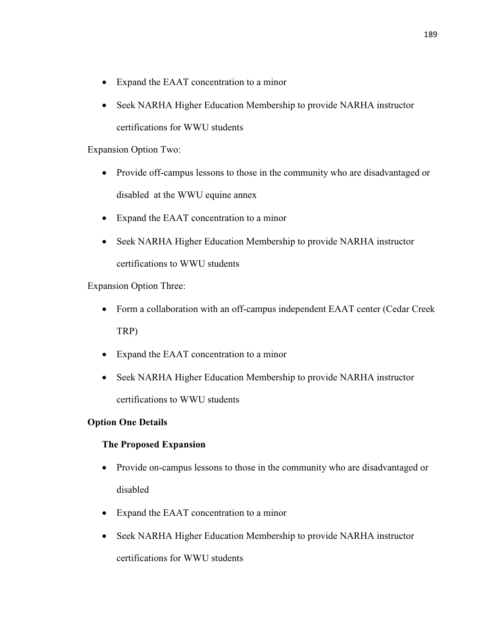- Expand the EAAT concentration to a minor
- Seek NARHA Higher Education Membership to provide NARHA instructor certifications for WWU students

Expansion Option Two:

- Provide off-campus lessons to those in the community who are disadvantaged or disabled at the WWU equine annex
- Expand the EAAT concentration to a minor
- Seek NARHA Higher Education Membership to provide NARHA instructor certifications to WWU students

Expansion Option Three:

- Form a collaboration with an off-campus independent EAAT center (Cedar Creek) TRP)
- Expand the EAAT concentration to a minor
- Seek NARHA Higher Education Membership to provide NARHA instructor certifications to WWU students

# **Option One Details**

# **The Proposed Expansion**

- Provide on-campus lessons to those in the community who are disadvantaged or disabled
- Expand the EAAT concentration to a minor
- Seek NARHA Higher Education Membership to provide NARHA instructor certifications for WWU students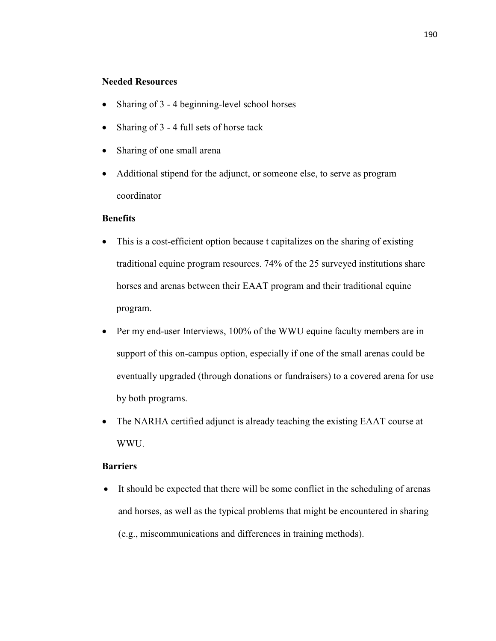# **Needed Resources**

- Sharing of 3 4 beginning-level school horses
- Sharing of 3 4 full sets of horse tack
- Sharing of one small arena
- Additional stipend for the adjunct, or someone else, to serve as program coordinator

# **Benefits**

- This is a cost-efficient option because t capitalizes on the sharing of existing traditional equine program resources. 74% of the 25 surveyed institutions share horses and arenas between their EAAT program and their traditional equine program.
- Per my end-user Interviews, 100% of the WWU equine faculty members are in support of this on-campus option, especially if one of the small arenas could be eventually upgraded (through donations or fundraisers) to a covered arena for use by both programs.
- The NARHA certified adjunct is already teaching the existing EAAT course at WWU.

### **Barriers**

• It should be expected that there will be some conflict in the scheduling of arenas and horses, as well as the typical problems that might be encountered in sharing (e.g., miscommunications and differences in training methods).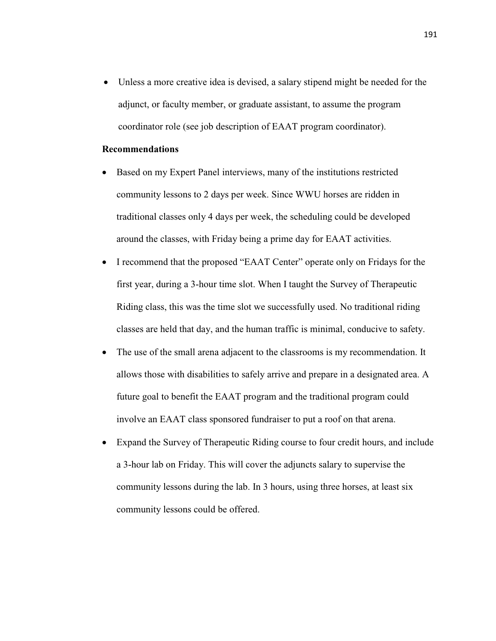• Unless a more creative idea is devised, a salary stipend might be needed for the adjunct, or faculty member, or graduate assistant, to assume the program coordinator role (see job description of EAAT program coordinator).

## **Recommendations**

- Based on my Expert Panel interviews, many of the institutions restricted community lessons to 2 days per week. Since WWU horses are ridden in traditional classes only 4 days per week, the scheduling could be developed around the classes, with Friday being a prime day for EAAT activities.
- I recommend that the proposed "EAAT Center" operate only on Fridays for the first year, during a 3-hour time slot. When I taught the Survey of Therapeutic Riding class, this was the time slot we successfully used. No traditional riding classes are held that day, and the human traffic is minimal, conducive to safety.
- The use of the small arena adjacent to the classrooms is my recommendation. It allows those with disabilities to safely arrive and prepare in a designated area. A future goal to benefit the EAAT program and the traditional program could involve an EAAT class sponsored fundraiser to put a roof on that arena.
- Expand the Survey of Therapeutic Riding course to four credit hours, and include a 3-hour lab on Friday. This will cover the adjuncts salary to supervise the community lessons during the lab. In 3 hours, using three horses, at least six community lessons could be offered.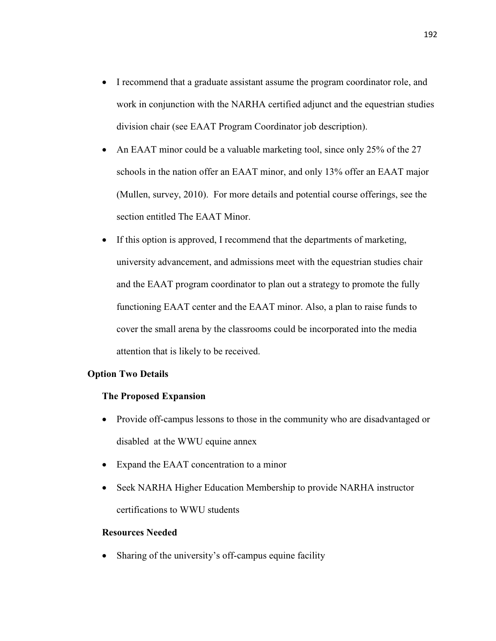- I recommend that a graduate assistant assume the program coordinator role, and work in conjunction with the NARHA certified adjunct and the equestrian studies division chair (see EAAT Program Coordinator job description).
- An EAAT minor could be a valuable marketing tool, since only 25% of the 27 schools in the nation offer an EAAT minor, and only 13% offer an EAAT major (Mullen, survey, 2010). For more details and potential course offerings, see the section entitled The EAAT Minor.
- If this option is approved, I recommend that the departments of marketing, university advancement, and admissions meet with the equestrian studies chair and the EAAT program coordinator to plan out a strategy to promote the fully functioning EAAT center and the EAAT minor. Also, a plan to raise funds to cover the small arena by the classrooms could be incorporated into the media attention that is likely to be received.

# **Option Two Details**

## **The Proposed Expansion**

- Provide off-campus lessons to those in the community who are disadvantaged or disabled at the WWU equine annex
- Expand the EAAT concentration to a minor
- Seek NARHA Higher Education Membership to provide NARHA instructor certifications to WWU students

## **Resources Needed**

• Sharing of the university's off-campus equine facility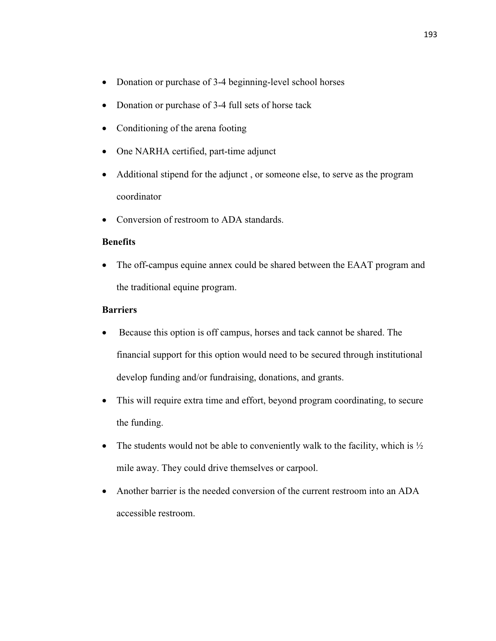- Donation or purchase of 3-4 beginning-level school horses
- Donation or purchase of 3-4 full sets of horse tack
- Conditioning of the arena footing
- One NARHA certified, part-time adjunct
- Additional stipend for the adjunct, or someone else, to serve as the program coordinator
- Conversion of restroom to ADA standards.

# **Benefits**

• The off-campus equine annex could be shared between the EAAT program and the traditional equine program.

# **Barriers**

- Because this option is off campus, horses and tack cannot be shared. The financial support for this option would need to be secured through institutional develop funding and/or fundraising, donations, and grants.
- This will require extra time and effort, beyond program coordinating, to secure the funding.
- The students would not be able to conveniently walk to the facility, which is  $\frac{1}{2}$ mile away. They could drive themselves or carpool.
- Another barrier is the needed conversion of the current restroom into an ADA accessible restroom.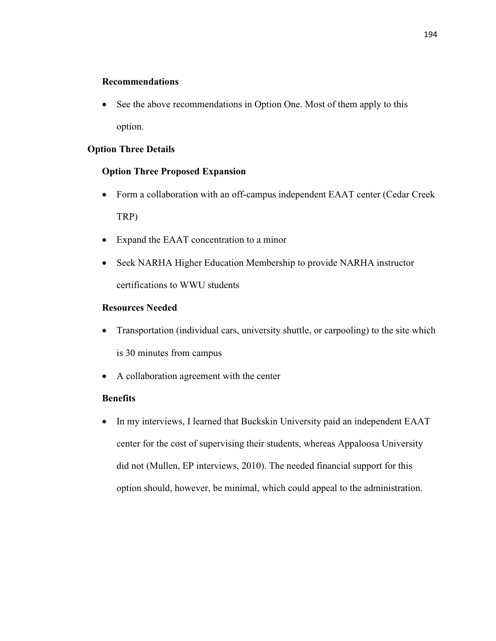# **Recommendations**

• See the above recommendations in Option One. Most of them apply to this option.

# **Option Three Details**

# **Option Three Proposed Expansion**

- Form a collaboration with an off-campus independent EAAT center (Cedar Creek TRP)
- Expand the EAAT concentration to a minor
- Seek NARHA Higher Education Membership to provide NARHA instructor certifications to WWU students

# **Resources Needed**

- Transportation (individual cars, university shuttle, or carpooling) to the site which is 30 minutes from campus
- A collaboration agreement with the center

# **Benefits**

• In my interviews, I learned that Buckskin University paid an independent EAAT center for the cost of supervising their students, whereas Appaloosa University did not (Mullen, EP interviews, 2010). The needed financial support for this option should, however, be minimal, which could appeal to the administration.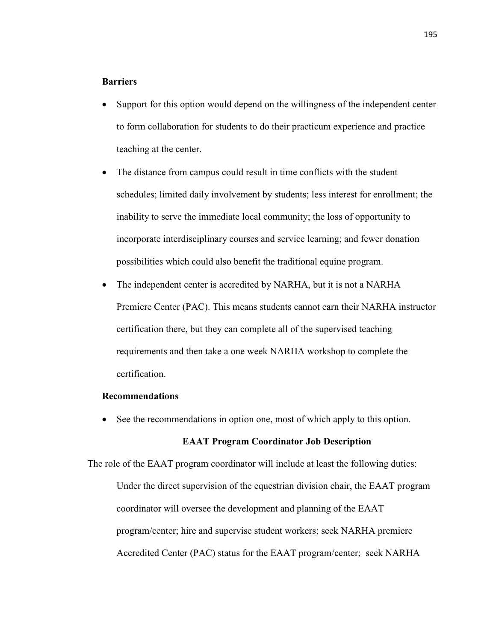## **Barriers**

- Support for this option would depend on the willingness of the independent center to form collaboration for students to do their practicum experience and practice teaching at the center.
- The distance from campus could result in time conflicts with the student schedules; limited daily involvement by students; less interest for enrollment; the inability to serve the immediate local community; the loss of opportunity to incorporate interdisciplinary courses and service learning; and fewer donation possibilities which could also benefit the traditional equine program.
- The independent center is accredited by NARHA, but it is not a NARHA Premiere Center (PAC). This means students cannot earn their NARHA instructor certification there, but they can complete all of the supervised teaching requirements and then take a one week NARHA workshop to complete the certification.

# **Recommendations**

See the recommendations in option one, most of which apply to this option.

# **EAAT Program Coordinator Job Description**

The role of the EAAT program coordinator will include at least the following duties:

Under the direct supervision of the equestrian division chair, the EAAT program coordinator will oversee the development and planning of the EAAT program/center; hire and supervise student workers; seek NARHA premiere Accredited Center (PAC) status for the EAAT program/center; seek NARHA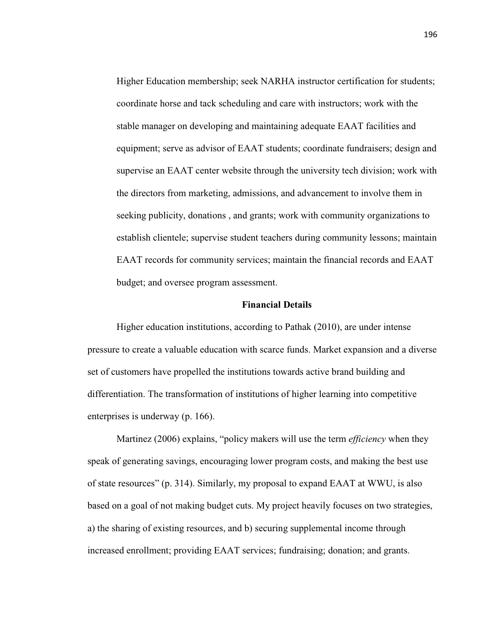Higher Education membership; seek NARHA instructor certification for students; coordinate horse and tack scheduling and care with instructors; work with the stable manager on developing and maintaining adequate EAAT facilities and equipment; serve as advisor of EAAT students; coordinate fundraisers; design and supervise an EAAT center website through the university tech division; work with the directors from marketing, admissions, and advancement to involve them in seeking publicity, donations , and grants; work with community organizations to establish clientele; supervise student teachers during community lessons; maintain EAAT records for community services; maintain the financial records and EAAT budget; and oversee program assessment.

#### **Financial Details**

 Higher education institutions, according to Pathak (2010), are under intense pressure to create a valuable education with scarce funds. Market expansion and a diverse set of customers have propelled the institutions towards active brand building and differentiation. The transformation of institutions of higher learning into competitive enterprises is underway (p. 166).

 Martinez (2006) explains, "policy makers will use the term *efficiency* when they speak of generating savings, encouraging lower program costs, and making the best use of state resources" (p. 314). Similarly, my proposal to expand EAAT at WWU, is also based on a goal of not making budget cuts. My project heavily focuses on two strategies, a) the sharing of existing resources, and b) securing supplemental income through increased enrollment; providing EAAT services; fundraising; donation; and grants.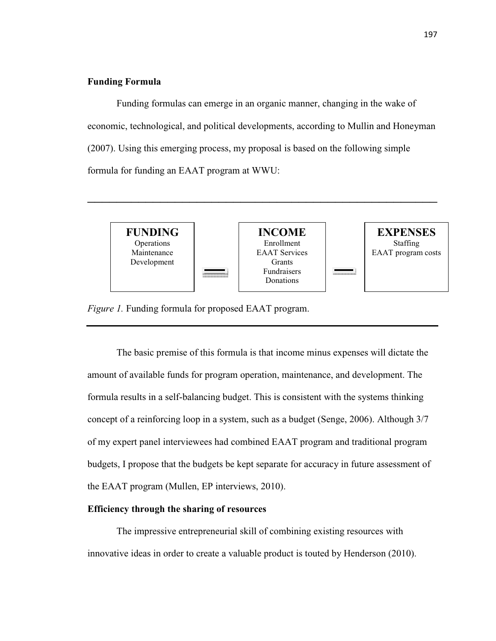## **Funding Formula**

Funding formulas can emerge in an organic manner, changing in the wake of economic, technological, and political developments, according to Mullin and Honeyman (2007). Using this emerging process, my proposal is based on the following simple formula for funding an EAAT program at WWU:

**\_\_\_\_\_\_\_\_\_\_\_\_\_\_\_\_\_\_\_\_\_\_\_\_\_\_\_\_\_\_\_\_\_\_\_\_\_\_\_\_\_\_\_\_\_\_\_\_** 



*Figure 1.* Funding formula for proposed EAAT program.

The basic premise of this formula is that income minus expenses will dictate the amount of available funds for program operation, maintenance, and development. The formula results in a self-balancing budget. This is consistent with the systems thinking concept of a reinforcing loop in a system, such as a budget (Senge, 2006). Although 3/7 of my expert panel interviewees had combined EAAT program and traditional program budgets, I propose that the budgets be kept separate for accuracy in future assessment of the EAAT program (Mullen, EP interviews, 2010).

## **Efficiency through the sharing of resources**

The impressive entrepreneurial skill of combining existing resources with innovative ideas in order to create a valuable product is touted by Henderson (2010).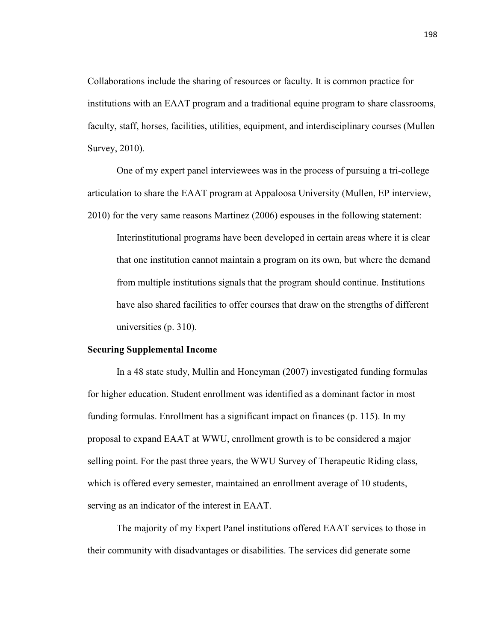Collaborations include the sharing of resources or faculty. It is common practice for institutions with an EAAT program and a traditional equine program to share classrooms, faculty, staff, horses, facilities, utilities, equipment, and interdisciplinary courses (Mullen Survey, 2010).

One of my expert panel interviewees was in the process of pursuing a tri-college articulation to share the EAAT program at Appaloosa University (Mullen, EP interview, 2010) for the very same reasons Martinez (2006) espouses in the following statement:

Interinstitutional programs have been developed in certain areas where it is clear that one institution cannot maintain a program on its own, but where the demand from multiple institutions signals that the program should continue. Institutions have also shared facilities to offer courses that draw on the strengths of different universities (p. 310).

## **Securing Supplemental Income**

In a 48 state study, Mullin and Honeyman (2007) investigated funding formulas for higher education. Student enrollment was identified as a dominant factor in most funding formulas. Enrollment has a significant impact on finances (p. 115). In my proposal to expand EAAT at WWU, enrollment growth is to be considered a major selling point. For the past three years, the WWU Survey of Therapeutic Riding class, which is offered every semester, maintained an enrollment average of 10 students, serving as an indicator of the interest in EAAT.

The majority of my Expert Panel institutions offered EAAT services to those in their community with disadvantages or disabilities. The services did generate some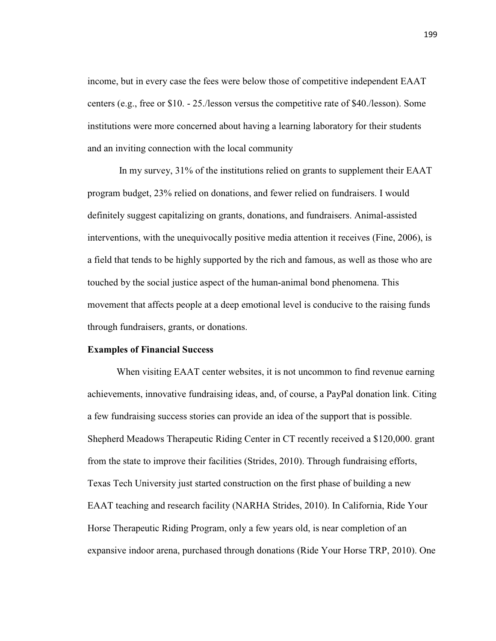income, but in every case the fees were below those of competitive independent EAAT centers (e.g., free or \$10. - 25./lesson versus the competitive rate of \$40./lesson). Some institutions were more concerned about having a learning laboratory for their students and an inviting connection with the local community

 In my survey, 31% of the institutions relied on grants to supplement their EAAT program budget, 23% relied on donations, and fewer relied on fundraisers. I would definitely suggest capitalizing on grants, donations, and fundraisers. Animal-assisted interventions, with the unequivocally positive media attention it receives (Fine, 2006), is a field that tends to be highly supported by the rich and famous, as well as those who are touched by the social justice aspect of the human-animal bond phenomena. This movement that affects people at a deep emotional level is conducive to the raising funds through fundraisers, grants, or donations.

## **Examples of Financial Success**

When visiting EAAT center websites, it is not uncommon to find revenue earning achievements, innovative fundraising ideas, and, of course, a PayPal donation link. Citing a few fundraising success stories can provide an idea of the support that is possible. Shepherd Meadows Therapeutic Riding Center in CT recently received a \$120,000. grant from the state to improve their facilities (Strides, 2010). Through fundraising efforts, Texas Tech University just started construction on the first phase of building a new EAAT teaching and research facility (NARHA Strides, 2010). In California, Ride Your Horse Therapeutic Riding Program, only a few years old, is near completion of an expansive indoor arena, purchased through donations (Ride Your Horse TRP, 2010). One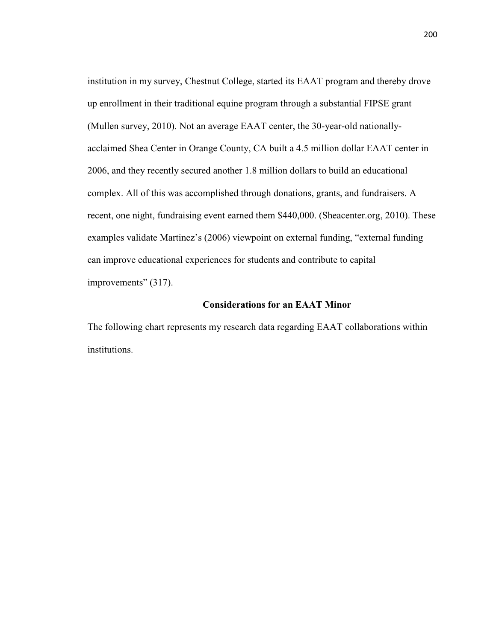institution in my survey, Chestnut College, started its EAAT program and thereby drove up enrollment in their traditional equine program through a substantial FIPSE grant (Mullen survey, 2010). Not an average EAAT center, the 30-year-old nationallyacclaimed Shea Center in Orange County, CA built a 4.5 million dollar EAAT center in 2006, and they recently secured another 1.8 million dollars to build an educational complex. All of this was accomplished through donations, grants, and fundraisers. A recent, one night, fundraising event earned them \$440,000. (Sheacenter.org, 2010). These examples validate Martinez's (2006) viewpoint on external funding, "external funding can improve educational experiences for students and contribute to capital improvements" (317).

# **Considerations for an EAAT Minor**

The following chart represents my research data regarding EAAT collaborations within institutions.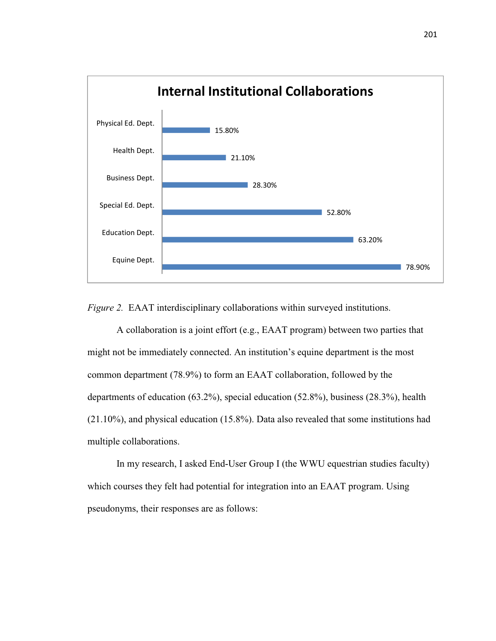



A collaboration is a joint effort (e.g., EAAT program) between two parties that might not be immediately connected. An institution's equine department is the most common department (78.9%) to form an EAAT collaboration, followed by the departments of education (63.2%), special education (52.8%), business (28.3%), health (21.10%), and physical education (15.8%). Data also revealed that some institutions had multiple collaborations.

In my research, I asked End-User Group I (the WWU equestrian studies faculty) which courses they felt had potential for integration into an EAAT program. Using pseudonyms, their responses are as follows: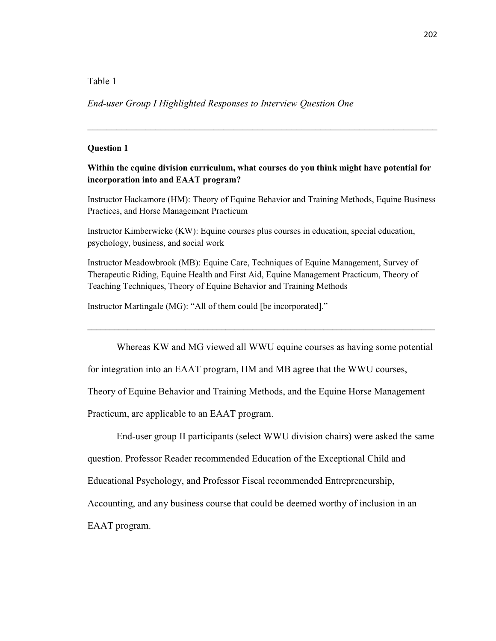## Table 1

## *End-user Group I Highlighted Responses to Interview Question One*

#### **Question 1**

# **Within the equine division curriculum, what courses do you think might have potential for incorporation into and EAAT program?**

*\_\_\_\_\_\_\_\_\_\_\_\_\_\_\_\_\_\_\_\_\_\_\_\_\_\_\_\_\_\_\_\_\_\_\_\_\_\_\_\_\_\_\_\_\_\_\_\_\_\_\_\_\_\_\_\_\_\_\_\_\_\_\_\_\_\_\_\_\_\_\_\_* 

Instructor Hackamore (HM): Theory of Equine Behavior and Training Methods, Equine Business Practices, and Horse Management Practicum

Instructor Kimberwicke (KW): Equine courses plus courses in education, special education, psychology, business, and social work

Instructor Meadowbrook (MB): Equine Care, Techniques of Equine Management, Survey of Therapeutic Riding, Equine Health and First Aid, Equine Management Practicum, Theory of Teaching Techniques, Theory of Equine Behavior and Training Methods

Instructor Martingale (MG): "All of them could [be incorporated]."

Whereas KW and MG viewed all WWU equine courses as having some potential

**\_\_\_\_\_\_\_\_\_\_\_\_\_\_\_\_\_\_\_\_\_\_\_\_\_\_\_\_\_\_\_\_\_\_\_\_\_\_\_\_\_\_\_\_\_\_\_\_\_\_\_\_\_\_\_\_\_\_\_\_\_\_\_\_\_\_\_\_\_\_\_\_\_\_\_\_\_\_** 

for integration into an EAAT program, HM and MB agree that the WWU courses,

Theory of Equine Behavior and Training Methods, and the Equine Horse Management

Practicum, are applicable to an EAAT program.

End-user group II participants (select WWU division chairs) were asked the same

question. Professor Reader recommended Education of the Exceptional Child and

Educational Psychology, and Professor Fiscal recommended Entrepreneurship,

Accounting, and any business course that could be deemed worthy of inclusion in an

EAAT program.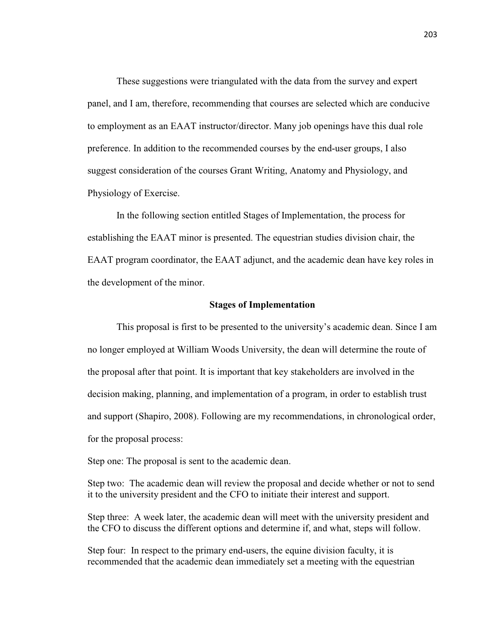These suggestions were triangulated with the data from the survey and expert panel, and I am, therefore, recommending that courses are selected which are conducive to employment as an EAAT instructor/director. Many job openings have this dual role preference. In addition to the recommended courses by the end-user groups, I also suggest consideration of the courses Grant Writing, Anatomy and Physiology, and Physiology of Exercise.

In the following section entitled Stages of Implementation, the process for establishing the EAAT minor is presented. The equestrian studies division chair, the EAAT program coordinator, the EAAT adjunct, and the academic dean have key roles in the development of the minor.

#### **Stages of Implementation**

This proposal is first to be presented to the university's academic dean. Since I am no longer employed at William Woods University, the dean will determine the route of the proposal after that point. It is important that key stakeholders are involved in the decision making, planning, and implementation of a program, in order to establish trust and support (Shapiro, 2008). Following are my recommendations, in chronological order, for the proposal process:

Step one: The proposal is sent to the academic dean.

Step two: The academic dean will review the proposal and decide whether or not to send it to the university president and the CFO to initiate their interest and support.

Step three: A week later, the academic dean will meet with the university president and the CFO to discuss the different options and determine if, and what, steps will follow.

Step four: In respect to the primary end-users, the equine division faculty, it is recommended that the academic dean immediately set a meeting with the equestrian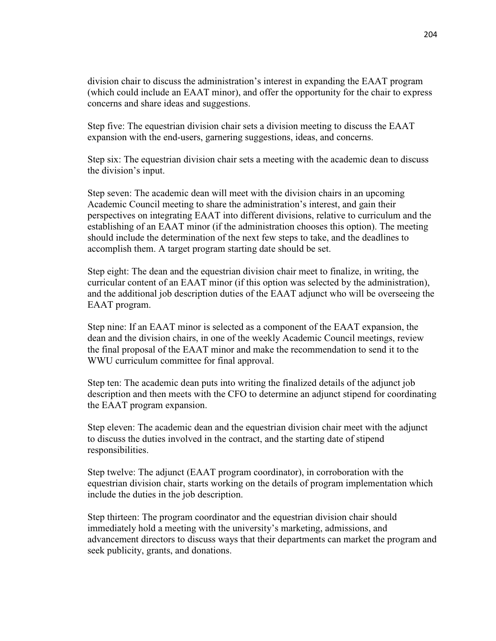division chair to discuss the administration's interest in expanding the EAAT program (which could include an EAAT minor), and offer the opportunity for the chair to express concerns and share ideas and suggestions.

Step five: The equestrian division chair sets a division meeting to discuss the EAAT expansion with the end-users, garnering suggestions, ideas, and concerns.

Step six: The equestrian division chair sets a meeting with the academic dean to discuss the division's input.

Step seven: The academic dean will meet with the division chairs in an upcoming Academic Council meeting to share the administration's interest, and gain their perspectives on integrating EAAT into different divisions, relative to curriculum and the establishing of an EAAT minor (if the administration chooses this option). The meeting should include the determination of the next few steps to take, and the deadlines to accomplish them. A target program starting date should be set.

Step eight: The dean and the equestrian division chair meet to finalize, in writing, the curricular content of an EAAT minor (if this option was selected by the administration), and the additional job description duties of the EAAT adjunct who will be overseeing the EAAT program.

Step nine: If an EAAT minor is selected as a component of the EAAT expansion, the dean and the division chairs, in one of the weekly Academic Council meetings, review the final proposal of the EAAT minor and make the recommendation to send it to the WWU curriculum committee for final approval.

Step ten: The academic dean puts into writing the finalized details of the adjunct job description and then meets with the CFO to determine an adjunct stipend for coordinating the EAAT program expansion.

Step eleven: The academic dean and the equestrian division chair meet with the adjunct to discuss the duties involved in the contract, and the starting date of stipend responsibilities.

Step twelve: The adjunct (EAAT program coordinator), in corroboration with the equestrian division chair, starts working on the details of program implementation which include the duties in the job description.

Step thirteen: The program coordinator and the equestrian division chair should immediately hold a meeting with the university's marketing, admissions, and advancement directors to discuss ways that their departments can market the program and seek publicity, grants, and donations.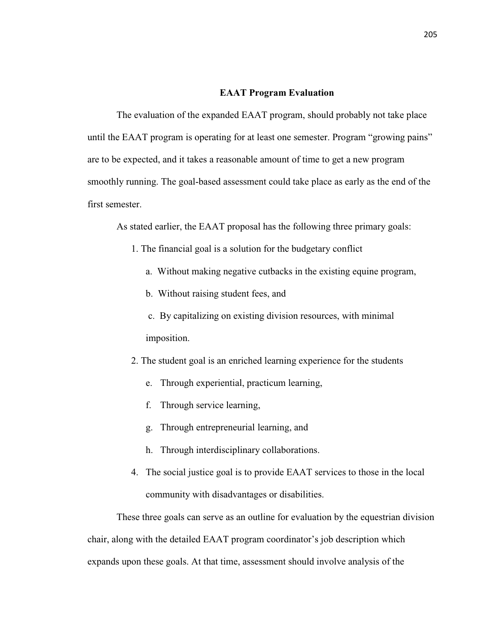### **EAAT Program Evaluation**

The evaluation of the expanded EAAT program, should probably not take place until the EAAT program is operating for at least one semester. Program "growing pains" are to be expected, and it takes a reasonable amount of time to get a new program smoothly running. The goal-based assessment could take place as early as the end of the first semester.

As stated earlier, the EAAT proposal has the following three primary goals:

- 1. The financial goal is a solution for the budgetary conflict
	- a. Without making negative cutbacks in the existing equine program,
	- b. Without raising student fees, and
	- c. By capitalizing on existing division resources, with minimal imposition.
- 2. The student goal is an enriched learning experience for the students
	- e. Through experiential, practicum learning,
	- f. Through service learning,
	- g. Through entrepreneurial learning, and
	- h. Through interdisciplinary collaborations.
- 4. The social justice goal is to provide EAAT services to those in the local community with disadvantages or disabilities.

These three goals can serve as an outline for evaluation by the equestrian division chair, along with the detailed EAAT program coordinator's job description which expands upon these goals. At that time, assessment should involve analysis of the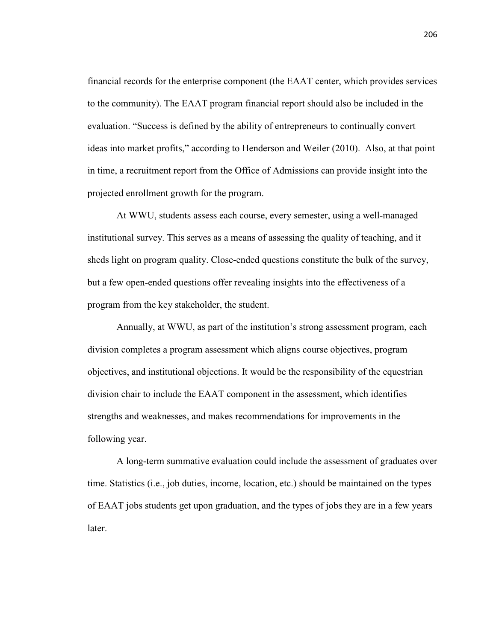financial records for the enterprise component (the EAAT center, which provides services to the community). The EAAT program financial report should also be included in the evaluation. "Success is defined by the ability of entrepreneurs to continually convert ideas into market profits," according to Henderson and Weiler (2010). Also, at that point in time, a recruitment report from the Office of Admissions can provide insight into the projected enrollment growth for the program.

At WWU, students assess each course, every semester, using a well-managed institutional survey. This serves as a means of assessing the quality of teaching, and it sheds light on program quality. Close-ended questions constitute the bulk of the survey, but a few open-ended questions offer revealing insights into the effectiveness of a program from the key stakeholder, the student.

Annually, at WWU, as part of the institution's strong assessment program, each division completes a program assessment which aligns course objectives, program objectives, and institutional objections. It would be the responsibility of the equestrian division chair to include the EAAT component in the assessment, which identifies strengths and weaknesses, and makes recommendations for improvements in the following year.

A long-term summative evaluation could include the assessment of graduates over time. Statistics (i.e., job duties, income, location, etc.) should be maintained on the types of EAAT jobs students get upon graduation, and the types of jobs they are in a few years later.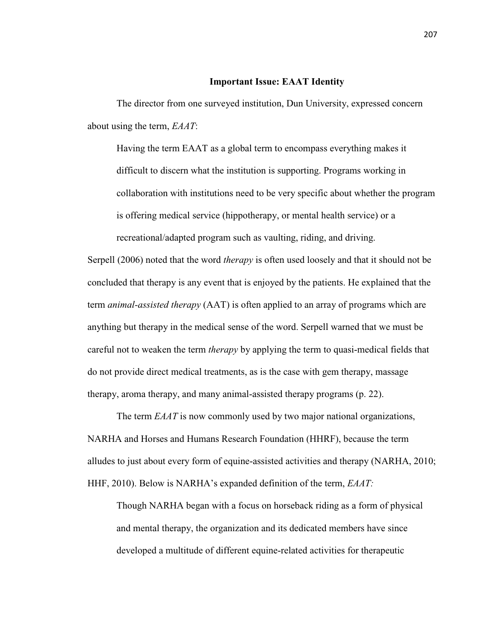### **Important Issue: EAAT Identity**

The director from one surveyed institution, Dun University, expressed concern about using the term, *EAAT*:

Having the term EAAT as a global term to encompass everything makes it difficult to discern what the institution is supporting. Programs working in collaboration with institutions need to be very specific about whether the program is offering medical service (hippotherapy, or mental health service) or a

recreational/adapted program such as vaulting, riding, and driving.

Serpell (2006) noted that the word *therapy* is often used loosely and that it should not be concluded that therapy is any event that is enjoyed by the patients. He explained that the term *animal-assisted therapy* (AAT) is often applied to an array of programs which are anything but therapy in the medical sense of the word. Serpell warned that we must be careful not to weaken the term *therapy* by applying the term to quasi-medical fields that do not provide direct medical treatments, as is the case with gem therapy, massage therapy, aroma therapy, and many animal-assisted therapy programs (p. 22).

The term *EAAT* is now commonly used by two major national organizations, NARHA and Horses and Humans Research Foundation (HHRF), because the term alludes to just about every form of equine-assisted activities and therapy (NARHA, 2010; HHF, 2010). Below is NARHA's expanded definition of the term, *EAAT:* 

Though NARHA began with a focus on horseback riding as a form of physical and mental therapy, the organization and its dedicated members have since developed a multitude of different equine-related activities for therapeutic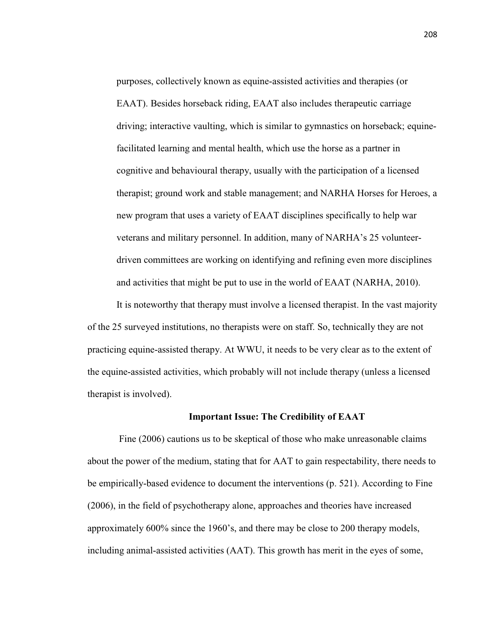purposes, collectively known as equine-assisted activities and therapies (or EAAT). Besides horseback riding, EAAT also includes therapeutic carriage driving; interactive vaulting, which is similar to gymnastics on horseback; equinefacilitated learning and mental health, which use the horse as a partner in cognitive and behavioural therapy, usually with the participation of a licensed therapist; ground work and stable management; and NARHA Horses for Heroes, a new program that uses a variety of EAAT disciplines specifically to help war veterans and military personnel. In addition, many of NARHA's 25 volunteerdriven committees are working on identifying and refining even more disciplines and activities that might be put to use in the world of EAAT (NARHA, 2010).

 It is noteworthy that therapy must involve a licensed therapist. In the vast majority of the 25 surveyed institutions, no therapists were on staff. So, technically they are not practicing equine-assisted therapy. At WWU, it needs to be very clear as to the extent of the equine-assisted activities, which probably will not include therapy (unless a licensed therapist is involved).

#### **Important Issue: The Credibility of EAAT**

Fine (2006) cautions us to be skeptical of those who make unreasonable claims about the power of the medium, stating that for AAT to gain respectability, there needs to be empirically-based evidence to document the interventions (p. 521). According to Fine (2006), in the field of psychotherapy alone, approaches and theories have increased approximately 600% since the 1960's, and there may be close to 200 therapy models, including animal-assisted activities (AAT). This growth has merit in the eyes of some,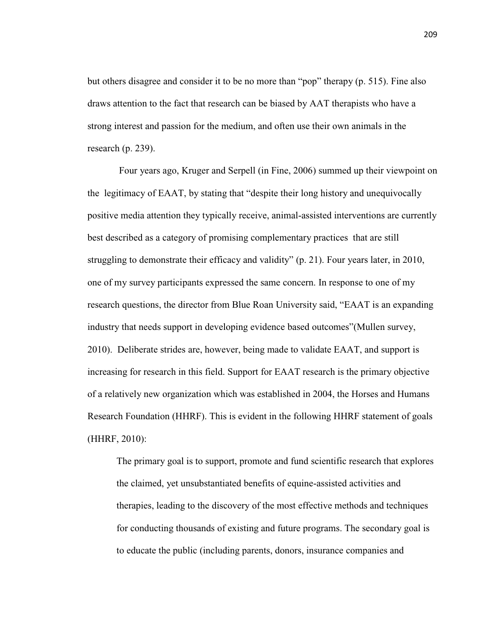but others disagree and consider it to be no more than "pop" therapy (p. 515). Fine also draws attention to the fact that research can be biased by AAT therapists who have a strong interest and passion for the medium, and often use their own animals in the research (p. 239).

 Four years ago, Kruger and Serpell (in Fine, 2006) summed up their viewpoint on the legitimacy of EAAT, by stating that "despite their long history and unequivocally positive media attention they typically receive, animal-assisted interventions are currently best described as a category of promising complementary practices that are still struggling to demonstrate their efficacy and validity" (p. 21). Four years later, in 2010, one of my survey participants expressed the same concern. In response to one of my research questions, the director from Blue Roan University said, "EAAT is an expanding industry that needs support in developing evidence based outcomes"(Mullen survey, 2010). Deliberate strides are, however, being made to validate EAAT, and support is increasing for research in this field. Support for EAAT research is the primary objective of a relatively new organization which was established in 2004, the Horses and Humans Research Foundation (HHRF). This is evident in the following HHRF statement of goals (HHRF, 2010):

The primary goal is to support, promote and fund scientific research that explores the claimed, yet unsubstantiated benefits of equine-assisted activities and therapies, leading to the discovery of the most effective methods and techniques for conducting thousands of existing and future programs. The secondary goal is to educate the public (including parents, donors, insurance companies and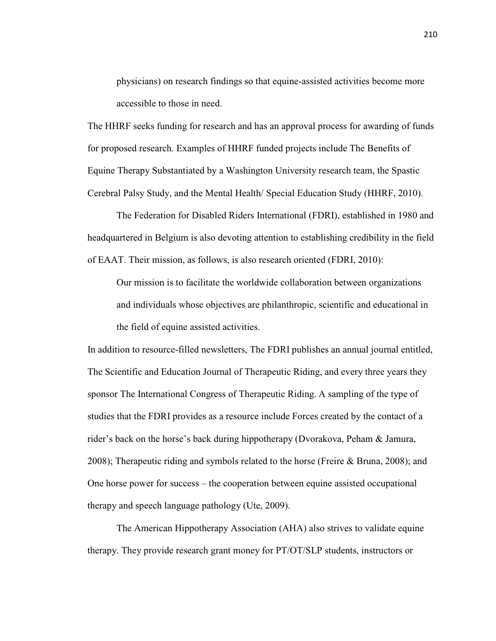physicians) on research findings so that equine-assisted activities become more accessible to those in need.

The HHRF seeks funding for research and has an approval process for awarding of funds for proposed research. Examples of HHRF funded projects include The Benefits of Equine Therapy Substantiated by a Washington University research team, the Spastic Cerebral Palsy Study, and the Mental Health/ Special Education Study (HHRF, 2010).

 The Federation for Disabled Riders International (FDRI), established in 1980 and headquartered in Belgium is also devoting attention to establishing credibility in the field of EAAT. Their mission, as follows, is also research oriented (FDRI, 2010):

Our mission is to facilitate the worldwide collaboration between organizations and individuals whose objectives are philanthropic, scientific and educational in the field of equine assisted activities.

In addition to resource-filled newsletters, The FDRI publishes an annual journal entitled, The Scientific and Education Journal of Therapeutic Riding, and every three years they sponsor The International Congress of Therapeutic Riding. A sampling of the type of studies that the FDRI provides as a resource include Forces created by the contact of a rider's back on the horse's back during hippotherapy (Dvorakova, Peham & Jamura, 2008); Therapeutic riding and symbols related to the horse (Freire & Bruna, 2008); and One horse power for success – the cooperation between equine assisted occupational therapy and speech language pathology (Ute, 2009).

 The American Hippotherapy Association (AHA) also strives to validate equine therapy. They provide research grant money for PT/OT/SLP students, instructors or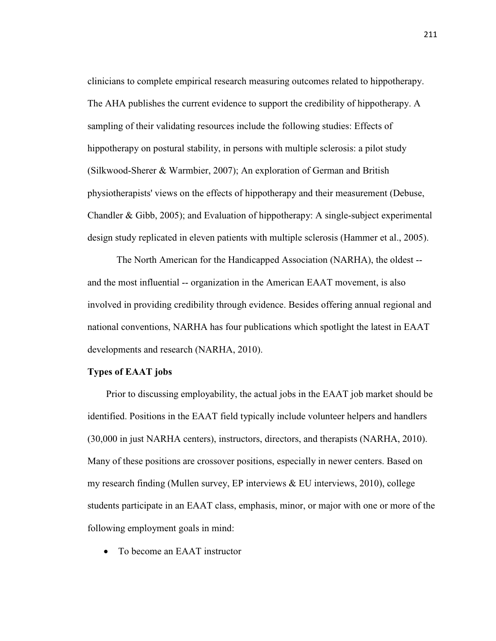clinicians to complete empirical research measuring outcomes related to hippotherapy. The AHA publishes the current evidence to support the credibility of hippotherapy. A sampling of their validating resources include the following studies: Effects of hippotherapy on postural stability, in persons with multiple sclerosis: a pilot study (Silkwood-Sherer & Warmbier, 2007); An exploration of German and British physiotherapists' views on the effects of hippotherapy and their measurement (Debuse, Chandler & Gibb, 2005); and Evaluation of hippotherapy: A single-subject experimental design study replicated in eleven patients with multiple sclerosis (Hammer et al., 2005).

The North American for the Handicapped Association (NARHA), the oldest - and the most influential -- organization in the American EAAT movement, is also involved in providing credibility through evidence. Besides offering annual regional and national conventions, NARHA has four publications which spotlight the latest in EAAT developments and research (NARHA, 2010).

### **Types of EAAT jobs**

 Prior to discussing employability, the actual jobs in the EAAT job market should be identified. Positions in the EAAT field typically include volunteer helpers and handlers (30,000 in just NARHA centers), instructors, directors, and therapists (NARHA, 2010). Many of these positions are crossover positions, especially in newer centers. Based on my research finding (Mullen survey, EP interviews  $\&$  EU interviews, 2010), college students participate in an EAAT class, emphasis, minor, or major with one or more of the following employment goals in mind:

To become an EAAT instructor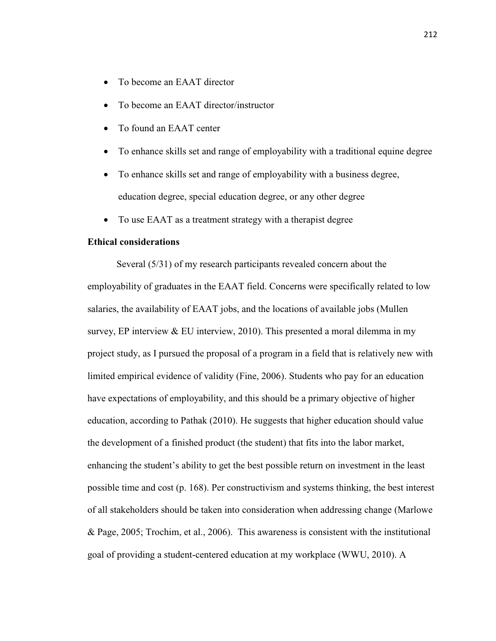- To become an EAAT director
- To become an EAAT director/instructor
- To found an EAAT center
- To enhance skills set and range of employability with a traditional equine degree
- To enhance skills set and range of employability with a business degree, education degree, special education degree, or any other degree
- To use EAAT as a treatment strategy with a therapist degree

### **Ethical considerations**

Several (5/31) of my research participants revealed concern about the employability of graduates in the EAAT field. Concerns were specifically related to low salaries, the availability of EAAT jobs, and the locations of available jobs (Mullen survey, EP interview  $&$  EU interview, 2010). This presented a moral dilemma in my project study, as I pursued the proposal of a program in a field that is relatively new with limited empirical evidence of validity (Fine, 2006). Students who pay for an education have expectations of employability, and this should be a primary objective of higher education, according to Pathak (2010). He suggests that higher education should value the development of a finished product (the student) that fits into the labor market, enhancing the student's ability to get the best possible return on investment in the least possible time and cost (p. 168). Per constructivism and systems thinking, the best interest of all stakeholders should be taken into consideration when addressing change (Marlowe & Page, 2005; Trochim, et al., 2006). This awareness is consistent with the institutional goal of providing a student-centered education at my workplace (WWU, 2010). A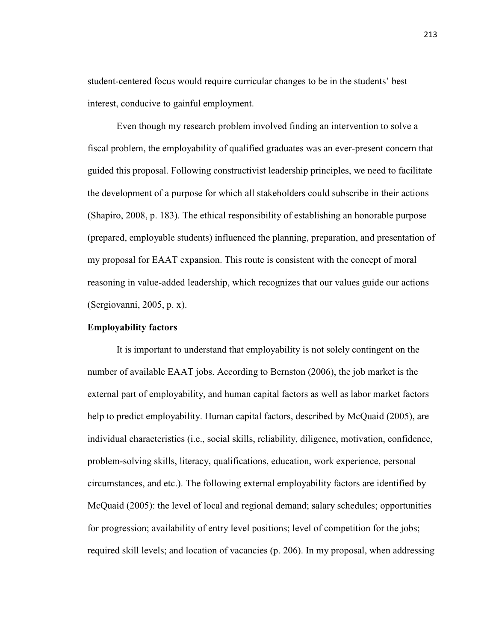student-centered focus would require curricular changes to be in the students' best interest, conducive to gainful employment.

Even though my research problem involved finding an intervention to solve a fiscal problem, the employability of qualified graduates was an ever-present concern that guided this proposal. Following constructivist leadership principles, we need to facilitate the development of a purpose for which all stakeholders could subscribe in their actions (Shapiro, 2008, p. 183). The ethical responsibility of establishing an honorable purpose (prepared, employable students) influenced the planning, preparation, and presentation of my proposal for EAAT expansion. This route is consistent with the concept of moral reasoning in value-added leadership, which recognizes that our values guide our actions (Sergiovanni, 2005, p. x).

### **Employability factors**

It is important to understand that employability is not solely contingent on the number of available EAAT jobs. According to Bernston (2006), the job market is the external part of employability, and human capital factors as well as labor market factors help to predict employability. Human capital factors, described by McQuaid (2005), are individual characteristics (i.e., social skills, reliability, diligence, motivation, confidence, problem-solving skills, literacy, qualifications, education, work experience, personal circumstances, and etc.). The following external employability factors are identified by McQuaid (2005): the level of local and regional demand; salary schedules; opportunities for progression; availability of entry level positions; level of competition for the jobs; required skill levels; and location of vacancies (p. 206). In my proposal, when addressing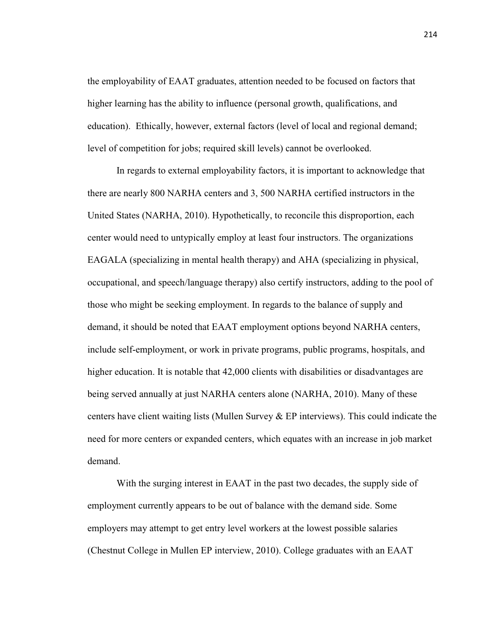the employability of EAAT graduates, attention needed to be focused on factors that higher learning has the ability to influence (personal growth, qualifications, and education). Ethically, however, external factors (level of local and regional demand; level of competition for jobs; required skill levels) cannot be overlooked.

In regards to external employability factors, it is important to acknowledge that there are nearly 800 NARHA centers and 3, 500 NARHA certified instructors in the United States (NARHA, 2010). Hypothetically, to reconcile this disproportion, each center would need to untypically employ at least four instructors. The organizations EAGALA (specializing in mental health therapy) and AHA (specializing in physical, occupational, and speech/language therapy) also certify instructors, adding to the pool of those who might be seeking employment. In regards to the balance of supply and demand, it should be noted that EAAT employment options beyond NARHA centers, include self-employment, or work in private programs, public programs, hospitals, and higher education. It is notable that 42,000 clients with disabilities or disadvantages are being served annually at just NARHA centers alone (NARHA, 2010). Many of these centers have client waiting lists (Mullen Survey  $\&$  EP interviews). This could indicate the need for more centers or expanded centers, which equates with an increase in job market demand.

With the surging interest in EAAT in the past two decades, the supply side of employment currently appears to be out of balance with the demand side. Some employers may attempt to get entry level workers at the lowest possible salaries (Chestnut College in Mullen EP interview, 2010). College graduates with an EAAT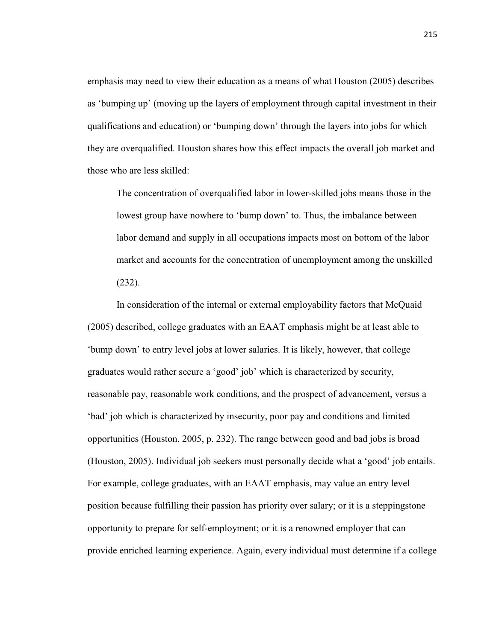emphasis may need to view their education as a means of what Houston (2005) describes as 'bumping up' (moving up the layers of employment through capital investment in their qualifications and education) or 'bumping down' through the layers into jobs for which they are overqualified. Houston shares how this effect impacts the overall job market and those who are less skilled:

The concentration of overqualified labor in lower-skilled jobs means those in the lowest group have nowhere to 'bump down' to. Thus, the imbalance between labor demand and supply in all occupations impacts most on bottom of the labor market and accounts for the concentration of unemployment among the unskilled (232).

In consideration of the internal or external employability factors that McQuaid (2005) described, college graduates with an EAAT emphasis might be at least able to 'bump down' to entry level jobs at lower salaries. It is likely, however, that college graduates would rather secure a 'good' job' which is characterized by security, reasonable pay, reasonable work conditions, and the prospect of advancement, versus a 'bad' job which is characterized by insecurity, poor pay and conditions and limited opportunities (Houston, 2005, p. 232). The range between good and bad jobs is broad (Houston, 2005). Individual job seekers must personally decide what a 'good' job entails. For example, college graduates, with an EAAT emphasis, may value an entry level position because fulfilling their passion has priority over salary; or it is a steppingstone opportunity to prepare for self-employment; or it is a renowned employer that can provide enriched learning experience. Again, every individual must determine if a college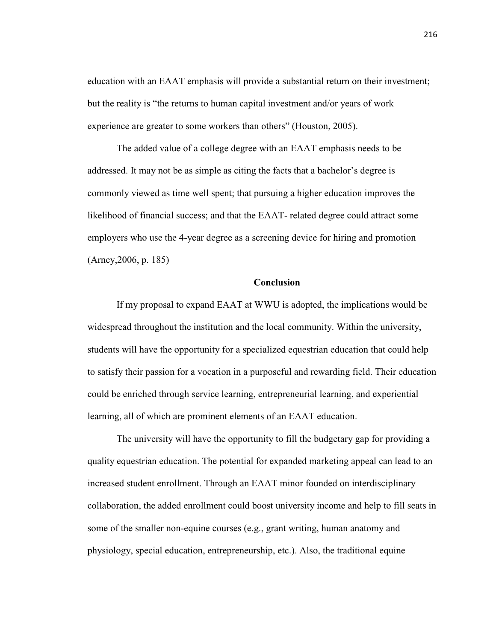education with an EAAT emphasis will provide a substantial return on their investment; but the reality is "the returns to human capital investment and/or years of work experience are greater to some workers than others" (Houston, 2005).

The added value of a college degree with an EAAT emphasis needs to be addressed. It may not be as simple as citing the facts that a bachelor's degree is commonly viewed as time well spent; that pursuing a higher education improves the likelihood of financial success; and that the EAAT- related degree could attract some employers who use the 4-year degree as a screening device for hiring and promotion (Arney,2006, p. 185)

### **Conclusion**

If my proposal to expand EAAT at WWU is adopted, the implications would be widespread throughout the institution and the local community. Within the university, students will have the opportunity for a specialized equestrian education that could help to satisfy their passion for a vocation in a purposeful and rewarding field. Their education could be enriched through service learning, entrepreneurial learning, and experiential learning, all of which are prominent elements of an EAAT education.

The university will have the opportunity to fill the budgetary gap for providing a quality equestrian education. The potential for expanded marketing appeal can lead to an increased student enrollment. Through an EAAT minor founded on interdisciplinary collaboration, the added enrollment could boost university income and help to fill seats in some of the smaller non-equine courses (e.g., grant writing, human anatomy and physiology, special education, entrepreneurship, etc.). Also, the traditional equine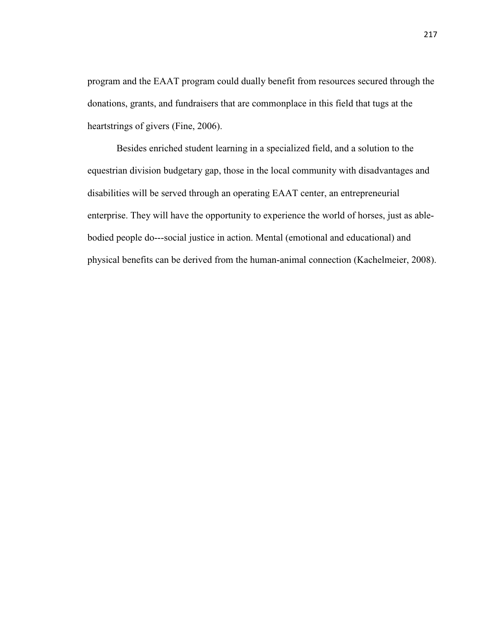program and the EAAT program could dually benefit from resources secured through the donations, grants, and fundraisers that are commonplace in this field that tugs at the heartstrings of givers (Fine, 2006).

Besides enriched student learning in a specialized field, and a solution to the equestrian division budgetary gap, those in the local community with disadvantages and disabilities will be served through an operating EAAT center, an entrepreneurial enterprise. They will have the opportunity to experience the world of horses, just as ablebodied people do---social justice in action. Mental (emotional and educational) and physical benefits can be derived from the human-animal connection (Kachelmeier, 2008).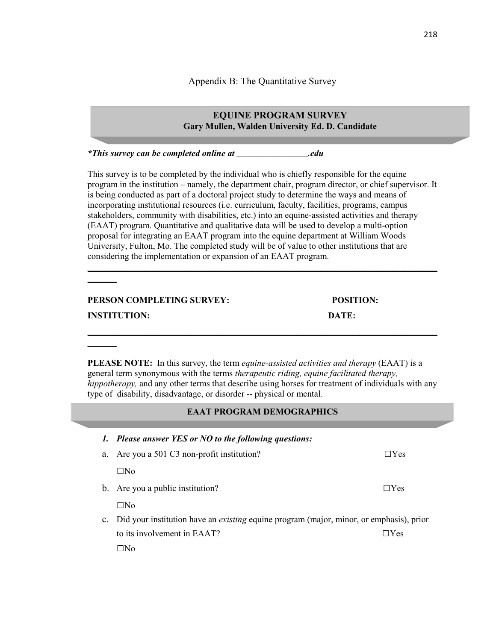Appendix B: The Quantitative Survey

# **EQUINE PROGRAM SURVEY Gary Mullen, Walden University Ed. D. Candidate**

*\*This survey can be completed online at \_\_\_\_\_\_\_\_\_\_\_\_\_\_\_\_.edu* 

 $\mathcal{L}$ 

 $\frac{1}{2}$ 

This survey is to be completed by the individual who is chiefly responsible for the equine program in the institution – namely, the department chair, program director, or chief supervisor. It is being conducted as part of a doctoral project study to determine the ways and means of incorporating institutional resources (i.e. curriculum, faculty, facilities, programs, campus stakeholders, community with disabilities, etc.) into an equine-assisted activities and therapy (EAAT) program. Quantitative and qualitative data will be used to develop a multi-option proposal for integrating an EAAT program into the equine department at William Woods University, Fulton, Mo. The completed study will be of value to other institutions that are considering the implementation or expansion of an EAAT program.

 $\overline{\phantom{a}}$  , and the contribution of the contribution of the contribution of the contribution of the contribution of the contribution of the contribution of the contribution of the contribution of the contribution of the

| PERSON COMPLETING SURVEY: | <b>POSITION:</b> |
|---------------------------|------------------|
| <b>INSTITUTION:</b>       | DATE:            |
|                           |                  |

**PLEASE NOTE:** In this survey, the term *equine-assisted activities and therapy* (EAAT) is a general term synonymous with the terms *therapeutic riding, equine facilitated therapy, hippotherapy*, and any other terms that describe using horses for treatment of individuals with any type of disability, disadvantage, or disorder -- physical or mental.

## **EAAT PROGRAM DEMOGRAPHICS**

| 1.             | <b>Please answer YES or NO to the following questions:</b>                                     |            |  |
|----------------|------------------------------------------------------------------------------------------------|------------|--|
| a.             | Are you a 501 C3 non-profit institution?                                                       | $\Box$ Yes |  |
|                | $\square$ No                                                                                   |            |  |
| $b_{\cdot}$    | Are you a public institution?                                                                  | $\Box$ Yes |  |
|                | $\square$ No                                                                                   |            |  |
| $\mathbf{c}$ . | Did your institution have an <i>existing</i> equine program (major, minor, or emphasis), prior |            |  |
|                | to its involvement in EAAT?                                                                    | $\Box$ Yes |  |
|                | . ΠNο                                                                                          |            |  |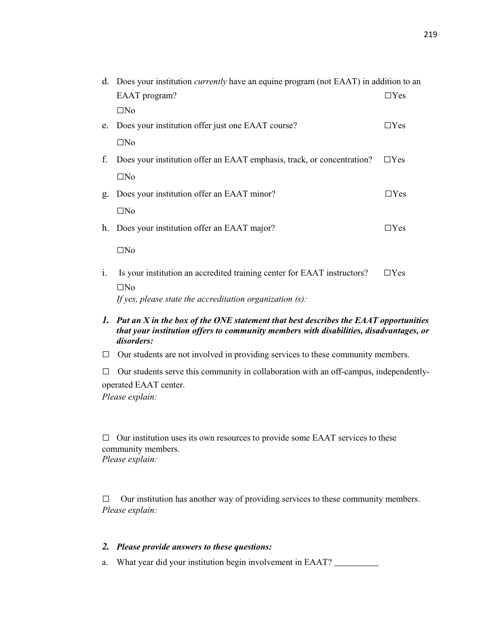|    | d. Does your institution <i>currently</i> have an equine program (not EAAT) in addition to an |            |  |
|----|-----------------------------------------------------------------------------------------------|------------|--|
|    | EAAT program?                                                                                 | $\Box$ Yes |  |
|    | $\square$ No                                                                                  |            |  |
|    | e. Does your institution offer just one EAAT course?                                          | $\Box$ Yes |  |
|    | $\square$ No                                                                                  |            |  |
| f. | Does your institution offer an EAAT emphasis, track, or concentration?                        | $\Box$ Yes |  |
|    | $\square$ No                                                                                  |            |  |
| g. | Does your institution offer an EAAT minor?                                                    | $\Box$ Yes |  |
|    | $\square$ No                                                                                  |            |  |
|    | h. Does your institution offer an EAAT major?                                                 | $\Box$ Yes |  |
|    | $\square$ No                                                                                  |            |  |
| 1. | Is your institution an accredited training center for EAAT instructors?                       | $\Box$ Yes |  |
|    | $\Box$ No                                                                                     |            |  |
|    | If yes, please state the accreditation organization $(s)$ :                                   |            |  |

- *1. Put an X in the box of the ONE statement that best describes the EAAT opportunities that your institution offers to community members with disabilities, disadvantages, or disorders:*
- $\Box$  Our students are not involved in providing services to these community members.

 $\Box$  Our students serve this community in collaboration with an off-campus, independentlyoperated EAAT center. *Please explain:* 

 $\Box$  Our institution uses its own resources to provide some EAAT services to these community members. *Please explain:* 

□ Our institution has another way of providing services to these community members. *Please explain:*

#### *2. Please provide answers to these questions:*

a. What year did your institution begin involvement in EAAT?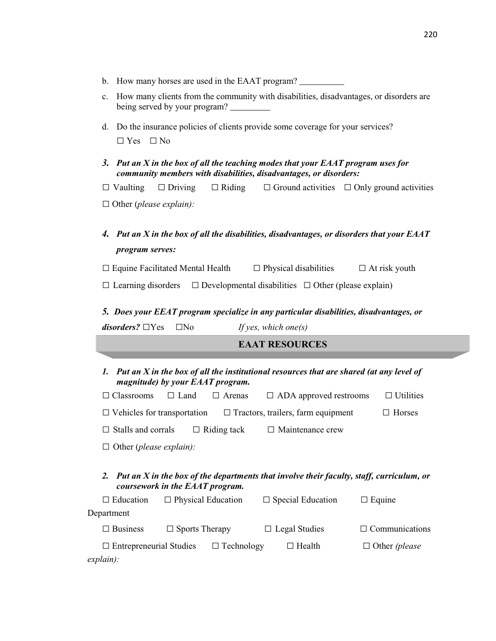- b. How many horses are used in the EAAT program?
- c. How many clients from the community with disabilities, disadvantages, or disorders are being served by your program?
- d. Do the insurance policies of clients provide some coverage for your services?  $\Box$  Yes  $\Box$  No
- *3. Put an X in the box of all the teaching modes that your EAAT program uses for community members with disabilities, disadvantages, or disorders:*

 $\Box$  Vaulting  $\Box$  Driving  $\Box$  Riding  $\Box$  Ground activities  $\Box$  Only ground activities □ Other (*please explain):*

# *4. Put an X in the box of all the disabilities, disadvantages, or disorders that your EAAT program serves:*

 $\square$  Equine Facilitated Mental Health  $\square$  Physical disabilities  $\square$  At risk youth

 $\Box$  Learning disorders  $\Box$  Developmental disabilities  $\Box$  Other (please explain)

### *5. Does your EEAT program specialize in any particular disabilities, disadvantages, or*

 $disorders? \Box Yes \Box No$  *If yes, which one(s)* 

## **EAAT RESOURCES**

| 1. Put an X in the box of all the institutional resources that are shared (at any level of<br>magnitude) by your EAAT program.               |                                |                                           |                  |  |
|----------------------------------------------------------------------------------------------------------------------------------------------|--------------------------------|-------------------------------------------|------------------|--|
| $\Box$ Classrooms                                                                                                                            | $\Box$ Land<br>$\Box$ Arenas   | $\Box$ ADA approved restrooms             | $\Box$ Utilities |  |
| $\Box$ Vehicles for transportation                                                                                                           |                                | $\Box$ Tractors, trailers, farm equipment | $\Box$ Horses    |  |
| Stalls and corrals<br>Riding tack<br>Maintenance crew<br>$\Box$                                                                              |                                |                                           |                  |  |
|                                                                                                                                              | $\Box$ Other (please explain): |                                           |                  |  |
|                                                                                                                                              |                                |                                           |                  |  |
| Put an X in the box of the departments that involve their faculty, staff, curriculum, or<br><sup>2.</sup><br>coursework in the EAAT program. |                                |                                           |                  |  |
| $\Box$ Education                                                                                                                             | $\Box$ Physical Education      | $\Box$ Special Education                  | $\Box$ Equine    |  |
| Department                                                                                                                                   |                                |                                           |                  |  |
| <b>Business</b>                                                                                                                              | Sports Therapy                 | Legal Studies                             | Communications   |  |

□ Entrepreneurial Studies □ Technology □ Health □ Other *(please explain):*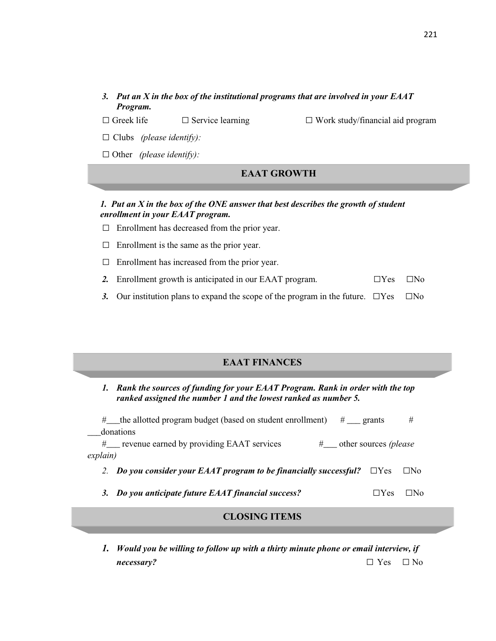### *3. Put an X in the box of the institutional programs that are involved in your EAAT Program.*

□ Greek life □ Service learning □ Work study/financial aid program

□ Clubs *(please identify):*

□ Other *(please identify):* 

## **EAAT GROWTH**

### *1. Put an X in the box of the ONE answer that best describes the growth of student enrollment in your EAAT program.*

- $\Box$  Enrollment has decreased from the prior year.
- $\Box$  Enrollment is the same as the prior year.
- $\Box$  Enrollment has increased from the prior year.
- 2. Enrollment growth is anticipated in our EAAT program.  $\square$  Yes  $\square$  No
- *3.* Our institution plans to expand the scope of the program in the future.  $\square Yes \square No$

# **EAAT FINANCES**

*1. Rank the sources of funding for your EAAT Program. Rank in order with the top ranked assigned the number 1 and the lowest ranked as number 5.* 

| # the allotted program budget (based on student enrollment)<br>$\#$ grants           |            | #         |
|--------------------------------------------------------------------------------------|------------|-----------|
| donations                                                                            |            |           |
| $\#$ revenue earned by providing EAAT services<br># ___ other sources <i>(please</i> |            |           |
| explain)                                                                             |            |           |
| 2. Do you consider your EAAT program to be financially successful?                   | $\Box$ Yes | $\Box$ No |
| Do you anticipate future EAAT financial success?                                     | ∟ Yes      |           |

# **CLOSING ITEMS**

*1. Would you be willing to follow up with a thirty minute phone or email interview, if necessary?* □ yes □ No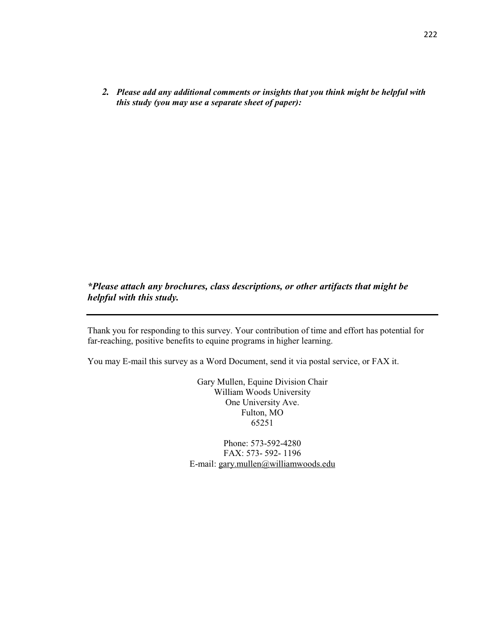*2. Please add any additional comments or insights that you think might be helpful with this study (you may use a separate sheet of paper):* 

*\*Please attach any brochures, class descriptions, or other artifacts that might be helpful with this study.* 

Thank you for responding to this survey. Your contribution of time and effort has potential for far-reaching, positive benefits to equine programs in higher learning.

You may E-mail this survey as a Word Document, send it via postal service, or FAX it.

Gary Mullen, Equine Division Chair William Woods University One University Ave. Fulton, MO 65251

Phone: 573-592-4280 FAX: 573- 592- 1196 E-mail: gary.mullen@williamwoods.edu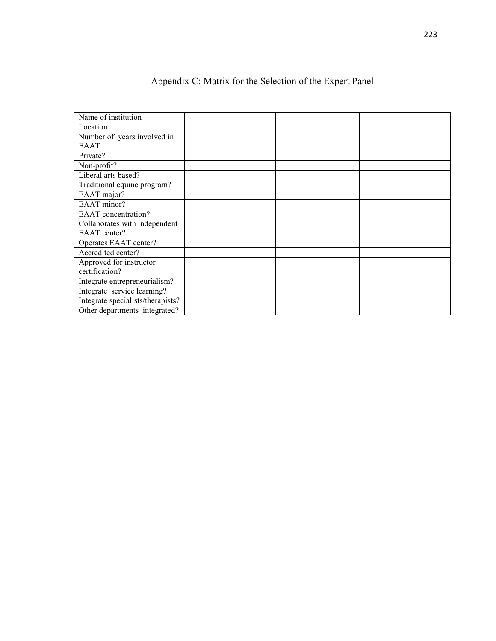| Name of institution               |  |  |
|-----------------------------------|--|--|
| Location                          |  |  |
| Number of years involved in       |  |  |
| EAAT                              |  |  |
| Private?                          |  |  |
| Non-profit?                       |  |  |
| Liberal arts based?               |  |  |
| Traditional equine program?       |  |  |
| EAAT major?                       |  |  |
| EAAT minor?                       |  |  |
| <b>EAAT</b> concentration?        |  |  |
| Collaborates with independent     |  |  |
| EAAT center?                      |  |  |
| Operates EAAT center?             |  |  |
| Accredited center?                |  |  |
| Approved for instructor           |  |  |
| certification?                    |  |  |
| Integrate entrepreneurialism?     |  |  |
| Integrate service learning?       |  |  |
| Integrate specialists/therapists? |  |  |
| Other departments integrated?     |  |  |

Appendix C: Matrix for the Selection of the Expert Panel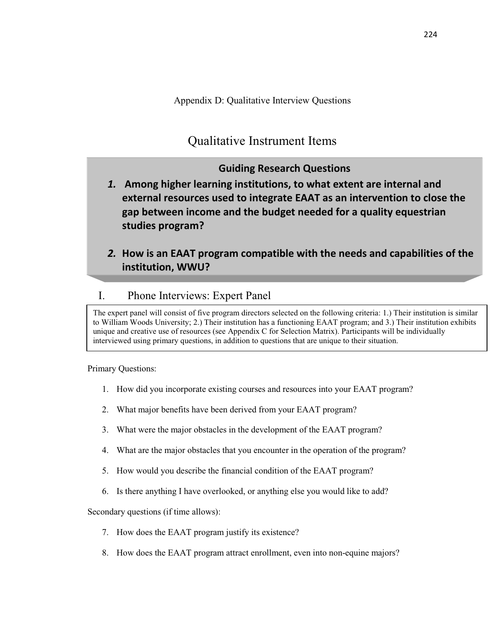# Qualitative Instrument Items

# Guiding Research Questions

- Aniong inglier rearning institutions, to what extent are inter-1. Among higher learning institutions, to what extent are internal and external resources used to integrate EAAT as an intervention to close the gap between income and the budget needed for a quality equestrian studies program?
- 2. How is an EAAT program compatible with the needs and capabilities of the institution, WWU?

# I. Phone Interviews: Expert Panel

The expert panel will consist of five program directors selected on the following criteria: 1.) Their institution is similar to William Woods University; 2.) Their institution has a functioning EAAT program; and 3.) Their institution exhibits unique and creative use of resources (see Appendix C for Selection Matrix). Participants will be individually interviewed using primary questions, in addition to questions that are unique to their situation.

Primary Questions:

- 1. How did you incorporate existing courses and resources into your EAAT program?
- 2. What major benefits have been derived from your EAAT program?
- 3. What were the major obstacles in the development of the EAAT program?
- 4. What are the major obstacles that you encounter in the operation of the program?
- 5. How would you describe the financial condition of the EAAT program?
- 6. Is there anything I have overlooked, or anything else you would like to add?

Secondary questions (if time allows):

- 7. How does the EAAT program justify its existence?
- 8. How does the EAAT program attract enrollment, even into non-equine majors?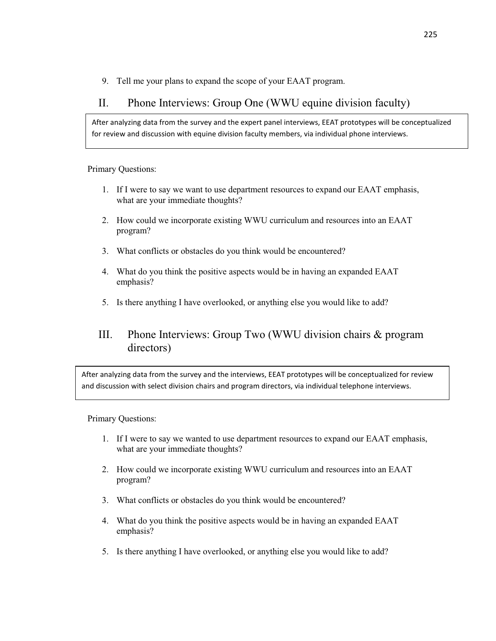9. Tell me your plans to expand the scope of your EAAT program.

# II. Phone Interviews: Group One (WWU equine division faculty)

After analyzing data from the survey and the expert panel interviews, EEAT prototypes will be conceptualized for review and discussion with equine division faculty members, via individual phone interviews.

Primary Questions:

- 1. If I were to say we want to use department resources to expand our EAAT emphasis, what are your immediate thoughts?
- 2. How could we incorporate existing WWU curriculum and resources into an EAAT program?
- 3. What conflicts or obstacles do you think would be encountered?
- 4. What do you think the positive aspects would be in having an expanded EAAT emphasis?
- 5. Is there anything I have overlooked, or anything else you would like to add?

# III. Phone Interviews: Group Two (WWU division chairs & program directors)

After analyzing data from the survey and the interviews, EEAT prototypes will be conceptualized for review and discussion with select division chairs and program directors, via individual telephone interviews.

Primary Questions:

- 1. If I were to say we wanted to use department resources to expand our EAAT emphasis, what are your immediate thoughts?
- 2. How could we incorporate existing WWU curriculum and resources into an EAAT program?
- 3. What conflicts or obstacles do you think would be encountered?
- 4. What do you think the positive aspects would be in having an expanded EAAT emphasis?
- 5. Is there anything I have overlooked, or anything else you would like to add?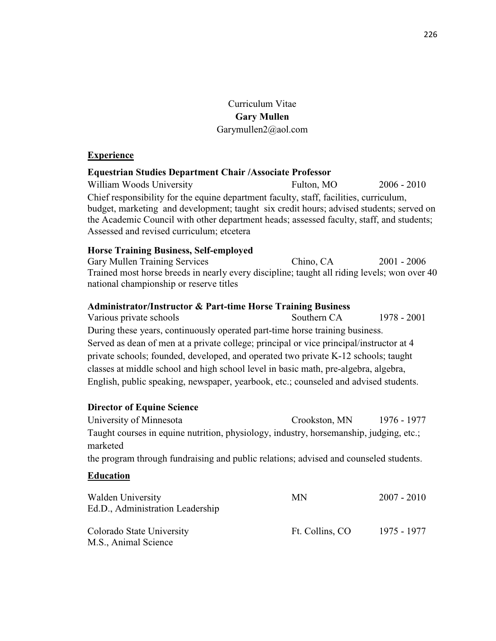# Curriculum Vitae **Gary Mullen**  Garymullen2@aol.com

# **Experience**

## **Equestrian Studies Department Chair /Associate Professor**

William Woods University Fulton, MO 2006 - 2010 Chief responsibility for the equine department faculty, staff, facilities, curriculum, budget, marketing and development; taught six credit hours; advised students; served on the Academic Council with other department heads; assessed faculty, staff, and students; Assessed and revised curriculum; etcetera

## **Horse Training Business, Self-employed**

Gary Mullen Training Services Chino, CA 2001 - 2006 Trained most horse breeds in nearly every discipline; taught all riding levels; won over 40 national championship or reserve titles

## **Administrator/Instructor & Part-time Horse Training Business**

Various private schools Southern CA 1978 - 2001 During these years, continuously operated part-time horse training business. Served as dean of men at a private college; principal or vice principal/instructor at 4 private schools; founded, developed, and operated two private K-12 schools; taught classes at middle school and high school level in basic math, pre-algebra, algebra, English, public speaking, newspaper, yearbook, etc.; counseled and advised students.

## **Director of Equine Science**

University of Minnesota Crookston, MN 1976 - 1977 Taught courses in equine nutrition, physiology, industry, horsemanship, judging, etc.; marketed

the program through fundraising and public relations; advised and counseled students.

## **Education**

| Walden University<br>Ed.D., Administration Leadership | MN              | $2007 - 2010$ |
|-------------------------------------------------------|-----------------|---------------|
| Colorado State University<br>M.S., Animal Science     | Ft. Collins, CO | 1975 - 1977   |